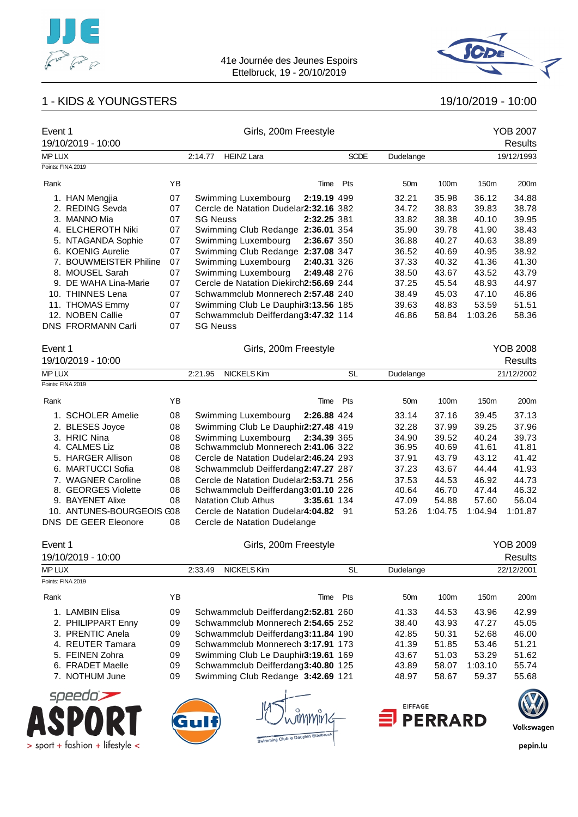





| Event 1<br>19/10/2019 - 10:00   |    | Girls, 200m Freestyle                  |             |                          |                |                  | <b>YOB 2007</b><br><b>Results</b> |
|---------------------------------|----|----------------------------------------|-------------|--------------------------|----------------|------------------|-----------------------------------|
| MP LUX                          |    | <b>HEINZ Lara</b><br>2:14.77           |             | <b>SCDE</b><br>Dudelange |                |                  | 19/12/1993                        |
| Points: FINA 2019               |    |                                        |             |                          |                |                  |                                   |
| Rank                            | YB |                                        | Pts<br>Time | 50 <sub>m</sub>          | 100m           | 150 <sub>m</sub> | 200m                              |
| 1. HAN Mengjia                  | 07 | Swimming Luxembourg                    | 2:19.19 499 | 32.21                    | 35.98          | 36.12            | 34.88                             |
| 2. REDING Sevda                 | 07 | Cercle de Natation Dudelar2:32.16 382  |             | 34.72                    | 38.83          | 39.83            | 38.78                             |
| 3. MANNO Mia                    | 07 | <b>SG Neuss</b>                        | 2:32.25 381 | 33.82                    | 38.38          | 40.10            | 39.95                             |
| 4. ELCHEROTH Niki               | 07 | Swimming Club Redange 2:36.01 354      |             | 35.90                    | 39.78          | 41.90            | 38.43                             |
| 5. NTAGANDA Sophie              | 07 | Swimming Luxembourg                    | 2:36.67 350 | 36.88                    | 40.27          | 40.63            | 38.89                             |
| 6. KOENIG Aurelie               | 07 | Swimming Club Redange 2:37.08 347      |             | 36.52                    | 40.69          | 40.95            | 38.92                             |
| 7. BOUWMEISTER Philine          | 07 | Swimming Luxembourg                    | 2:40.31 326 | 37.33                    | 40.32          | 41.36            | 41.30                             |
| 8. MOUSEL Sarah                 | 07 | Swimming Luxembourg                    | 2:49.48 276 | 38.50                    | 43.67          | 43.52            | 43.79                             |
| 9. DE WAHA Lina-Marie           | 07 | Cercle de Natation Diekirch2:56.69 244 |             | 37.25                    | 45.54          | 48.93            | 44.97                             |
| 10. THINNES Lena                | 07 | Schwammclub Monnerech 2:57.48 240      |             | 38.49                    | 45.03          | 47.10            | 46.86                             |
| 11. THOMAS Emmy                 | 07 | Swimming Club Le Dauphir3:13.56 185    |             | 39.63                    | 48.83          | 53.59            | 51.51                             |
| 12. NOBEN Callie                | 07 | Schwammclub Deifferdang3:47.32 114     |             | 46.86                    | 58.84          | 1:03.26          | 58.36                             |
| <b>DNS FRORMANN Carli</b>       | 07 | <b>SG Neuss</b>                        |             |                          |                |                  |                                   |
| Event 1                         |    | Girls, 200m Freestyle                  |             |                          |                |                  | <b>YOB 2008</b>                   |
| 19/10/2019 - 10:00              |    |                                        |             |                          |                |                  | Results                           |
| <b>MP LUX</b>                   |    | <b>NICKELS Kim</b><br>2:21.95          | <b>SL</b>   | Dudelange                |                |                  | 21/12/2002                        |
| Points: FINA 2019               |    |                                        |             |                          |                |                  |                                   |
| Rank                            | ΥB |                                        | Pts<br>Time | 50 <sub>m</sub>          | 100m           | 150m             | 200m                              |
| 1. SCHOLER Amelie               | 08 | Swimming Luxembourg                    | 2:26.88 424 | 33.14                    | 37.16          | 39.45            | 37.13                             |
| 2. BLESES Joyce                 | 08 | Swimming Club Le Dauphir2:27.48 419    |             | 32.28                    | 37.99          | 39.25            | 37.96                             |
| 3. HRIC Nina                    | 08 | Swimming Luxembourg                    | 2:34.39 365 | 34.90                    | 39.52          | 40.24            | 39.73                             |
| 4. CALMES Liz                   | 08 | Schwammclub Monnerech 2:41.06 322      |             | 36.95                    | 40.69          | 41.61            | 41.81                             |
| 5. HARGER Allison               | 08 | Cercle de Natation Dudelar2:46.24 293  |             | 37.91                    | 43.79          | 43.12            | 41.42                             |
| 6. MARTUCCI Sofia               | 08 | Schwammclub Deifferdang2:47.27 287     |             | 37.23                    | 43.67          | 44.44            | 41.93                             |
| 7. WAGNER Caroline              | 08 | Cercle de Natation Dudelar2:53.71 256  |             | 37.53                    | 44.53          | 46.92            | 44.73                             |
| 8. GEORGES Violette             | 08 | Schwammclub Deifferdang3:01.10 226     |             | 40.64                    | 46.70          | 47.44            | 46.32                             |
| 9. BAYENET Alixe                | 08 | <b>Natation Club Athus</b>             | 3:35.61 134 | 47.09                    | 54.88          | 57.60            | 56.04                             |
| 10. ANTUNES-BOURGEOIS C08       |    | Cercle de Natation Dudelar4:04.82 91   |             | 53.26                    | 1:04.75        | 1:04.94          | 1:01.87                           |
| <b>DNS DE GEER Eleonore</b>     | 08 | Cercle de Natation Dudelange           |             |                          |                |                  |                                   |
| Event 1                         |    | Girls, 200m Freestyle                  |             |                          |                |                  | <b>YOB 2009</b>                   |
| 19/10/2019 - 10:00              |    |                                        |             |                          |                |                  | <b>Results</b>                    |
| MP LUX                          |    | <b>NICKELS Kim</b><br>2:33.49          | <b>SL</b>   | Dudelange                |                |                  | 22/12/2001                        |
| Points: FINA 2019               |    |                                        |             |                          |                |                  |                                   |
| Rank                            | ΥB |                                        | Pts<br>Time | 50 <sub>m</sub>          | 100m           | 150m             | 200m                              |
| 1. LAMBIN Elisa                 | 09 | Schwammclub Deifferdang2:52.81 260     |             | 41.33                    | 44.53          | 43.96            | 42.99                             |
| 2. PHILIPPART Enny              | 09 | Schwammclub Monnerech 2:54.65 252      |             | 38.40                    | 43.93          | 47.27            | 45.05                             |
| 3. PRENTIC Anela                | 09 | Schwammclub Deifferdang3:11.84 190     |             | 42.85                    | 50.31          | 52.68            | 46.00                             |
| 4. REUTER Tamara                | 09 | Schwammclub Monnerech 3:17.91 173      |             | 41.39                    | 51.85          | 53.46            | 51.21                             |
| 5. FEINEN Zohra                 | 09 | Swimming Club Le Dauphir3:19.61 169    |             | 43.67                    | 51.03          | 53.29            | 51.62                             |
| 6. FRADET Maelle                | 09 | Schwammclub Deifferdang3:40.80 125     |             | 43.89                    | 58.07          | 1:03.10          | 55.74                             |
| 7. NOTHUM June                  | 09 | Swimming Club Redange 3:42.69 121      |             | 48.97                    | 58.67          | 59.37            | 55.68                             |
| speedo                          |    |                                        |             |                          |                |                  |                                   |
|                                 |    |                                        |             | <b>EIFFAGE</b>           |                |                  |                                   |
|                                 |    |                                        |             |                          | <b>PERRARD</b> |                  |                                   |
|                                 |    |                                        |             |                          |                |                  | Volkswagen                        |
|                                 |    | Swimming Club le Dauphin Ettelbruck    |             |                          |                |                  |                                   |
| > sport + fashion + lifestyle < |    |                                        |             |                          |                |                  | pepin.lu                          |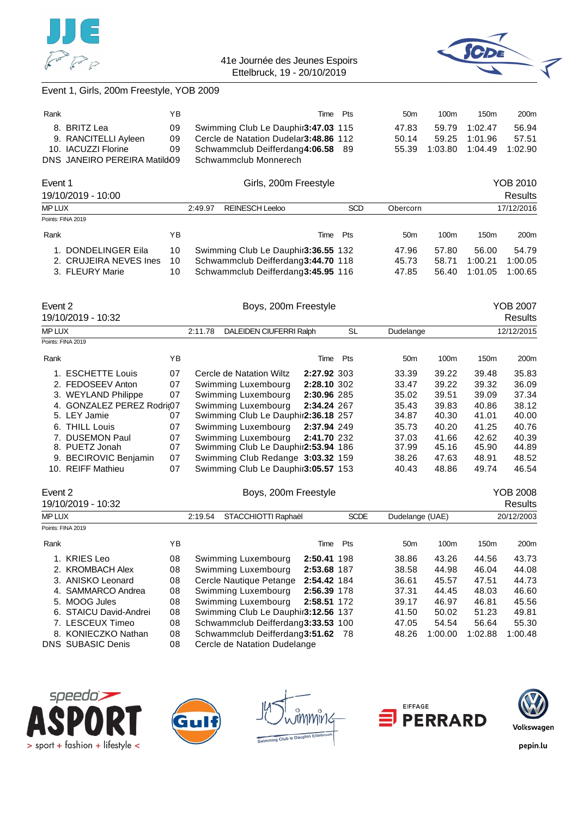



# Event 1, Girls, 200m Freestyle, YOB 2009

| Rank |                              | YΒ  | Time Pts                              |  | 50 <sub>m</sub> | 100 <sub>m</sub> | 150 <sub>m</sub> | 200 <sub>m</sub> |
|------|------------------------------|-----|---------------------------------------|--|-----------------|------------------|------------------|------------------|
|      | 8. BRITZ Lea                 | 09  | Swimming Club Le Dauphir3:47.03 115   |  | 47.83           | 59.79            | 1:02.47          | 56.94            |
|      | 9. RANCITELLI Ayleen         | 09. | Cercle de Natation Dudelar3:48.86 112 |  | 50.14           | 59.25            | 1:01.96          | 57.51            |
|      | 10. IACUZZI Florine          | 09  | Schwammclub Deifferdang4:06.58 89     |  | 55.39           | 1:03.80          | 1:04.49          | 1:02.90          |
|      | DNS JANEIRO PEREIRA Matild09 |     | Schwammclub Monnerech                 |  |                 |                  |                  |                  |

| Event 1                |    |         | Girls, 200m Freestyle               |      |            |                 | YOB 2010 |                  |                  |  |
|------------------------|----|---------|-------------------------------------|------|------------|-----------------|----------|------------------|------------------|--|
| 19/10/2019 - 10:00     |    |         |                                     |      |            |                 |          |                  | Results          |  |
| <b>MP LUX</b>          |    | 2:49.97 | <b>REINESCH Leeloo</b>              |      | <b>SCD</b> | Obercorn        |          |                  | 17/12/2016       |  |
| Points: FINA 2019      |    |         |                                     |      |            |                 |          |                  |                  |  |
| Rank                   | ΥB |         |                                     | Time | Pts        | 50 <sub>m</sub> | 100m     | 150 <sub>m</sub> | 200 <sub>m</sub> |  |
| DONDELINGER Eila       | 10 |         | Swimming Club Le Dauphir3:36.55 132 |      |            | 47.96           | 57.80    | 56.00            | 54.79            |  |
| 2. CRUJEIRA NEVES Ines | 10 |         | Schwammclub Deifferdang3:44.70 118  |      |            | 45.73           | 58.71    | 1:00.21          | 1:00.05          |  |
| 3. FLEURY Marie        | 10 |         | Schwammclub Deifferdang3:45.95 116  |      |            | 47.85           | 56.40    | 1:01.05          | 1:00.65          |  |

|                      |                                                                                                                                                                                                                                                 |                                    |  |                                                                                                                                             |           |                                                                                                                                                                                                                                                                                   |       |            | <b>YOB 2007</b><br><b>Results</b> |
|----------------------|-------------------------------------------------------------------------------------------------------------------------------------------------------------------------------------------------------------------------------------------------|------------------------------------|--|---------------------------------------------------------------------------------------------------------------------------------------------|-----------|-----------------------------------------------------------------------------------------------------------------------------------------------------------------------------------------------------------------------------------------------------------------------------------|-------|------------|-----------------------------------|
|                      |                                                                                                                                                                                                                                                 | DALEIDEN CIUFERRI Ralph<br>2:11.78 |  | SL                                                                                                                                          | Dudelange |                                                                                                                                                                                                                                                                                   |       | 12/12/2015 |                                   |
|                      |                                                                                                                                                                                                                                                 |                                    |  |                                                                                                                                             |           |                                                                                                                                                                                                                                                                                   |       |            |                                   |
|                      | ΥB                                                                                                                                                                                                                                              |                                    |  |                                                                                                                                             | Pts       | 50 <sub>m</sub>                                                                                                                                                                                                                                                                   | 100m  | 150m       | 200m                              |
|                      | 07                                                                                                                                                                                                                                              |                                    |  |                                                                                                                                             |           | 33.39                                                                                                                                                                                                                                                                             | 39.22 | 39.48      | 35.83                             |
|                      | 07                                                                                                                                                                                                                                              |                                    |  |                                                                                                                                             |           | 33.47                                                                                                                                                                                                                                                                             | 39.22 | 39.32      | 36.09                             |
|                      | 07                                                                                                                                                                                                                                              |                                    |  |                                                                                                                                             |           | 35.02                                                                                                                                                                                                                                                                             | 39.51 | 39.09      | 37.34                             |
|                      |                                                                                                                                                                                                                                                 |                                    |  |                                                                                                                                             |           | 35.43                                                                                                                                                                                                                                                                             | 39.83 | 40.86      | 38.12                             |
|                      | 07                                                                                                                                                                                                                                              |                                    |  |                                                                                                                                             |           | 34.87                                                                                                                                                                                                                                                                             | 40.30 | 41.01      | 40.00                             |
|                      | 07                                                                                                                                                                                                                                              |                                    |  |                                                                                                                                             |           | 35.73                                                                                                                                                                                                                                                                             | 40.20 | 41.25      | 40.76                             |
| <b>DUSEMON Paul</b>  | 07                                                                                                                                                                                                                                              |                                    |  |                                                                                                                                             |           | 37.03                                                                                                                                                                                                                                                                             | 41.66 | 42.62      | 40.39                             |
| PUETZ Jonah          | 07                                                                                                                                                                                                                                              |                                    |  |                                                                                                                                             |           | 37.99                                                                                                                                                                                                                                                                             | 45.16 | 45.90      | 44.89                             |
|                      | 07                                                                                                                                                                                                                                              |                                    |  |                                                                                                                                             |           | 38.26                                                                                                                                                                                                                                                                             | 47.63 | 48.91      | 48.52                             |
| <b>REIFF Mathieu</b> | 07                                                                                                                                                                                                                                              |                                    |  |                                                                                                                                             |           | 40.43                                                                                                                                                                                                                                                                             | 48.86 | 49.74      | 46.54                             |
|                      | Event 2<br>19/10/2019 - 10:32<br>MP LUX<br>Points: FINA 2019<br>Rank<br>1. ESCHETTE Louis<br>2. FEDOSEEV Anton<br>3. WEYLAND Philippe<br>5. LEY Jamie<br>6. THILL Louis<br>$7_{\scriptscriptstyle{\sim}}$<br>8.<br>9. BECIROVIC Benjamin<br>10. | 4. GONZALEZ PEREZ Rodri@07         |  | Cercle de Natation Wiltz<br>Swimming Luxembourg<br>Swimming Luxembourg<br>Swimming Luxembourg<br>Swimming Luxembourg<br>Swimming Luxembourg |           | Boys, 200m Freestyle<br>Time<br>2:27.92 303<br>2:28.10 302<br>2:30.96 285<br>2:34.24 267<br>Swimming Club Le Dauphir2:36.18 257<br>2:37.94 249<br>2:41.70 232<br>Swimming Club Le Dauphir2:53.94 186<br>Swimming Club Redange 3:03.32 159<br>Swimming Club Le Dauphir 3:05.57 153 |       |            |                                   |

| Event 2      |                          | Boys, 200m Freestyle |                                     |             |             |                 |                  |                  | <b>YOB 2008</b>  |
|--------------|--------------------------|----------------------|-------------------------------------|-------------|-------------|-----------------|------------------|------------------|------------------|
|              | 19/10/2019 - 10:32       |                      |                                     |             |             |                 |                  |                  | <b>Results</b>   |
| <b>MPLUX</b> |                          |                      | STACCHIOTTI Raphaël<br>2:19.54      |             | <b>SCDE</b> | Dudelange (UAE) |                  |                  | 20/12/2003       |
|              | Points: FINA 2019        |                      |                                     |             |             |                 |                  |                  |                  |
| Rank         |                          | YΒ                   |                                     | Time        | Pts         | 50 <sub>m</sub> | 100 <sub>m</sub> | 150 <sub>m</sub> | 200 <sub>m</sub> |
| 1.           | KRIES Leo                | 08                   | Swimming Luxembourg                 | 2:50.41 198 |             | 38.86           | 43.26            | 44.56            | 43.73            |
|              | 2. KROMBACH Alex         | 08                   | Swimming Luxembourg                 | 2:53.68 187 |             | 38.58           | 44.98            | 46.04            | 44.08            |
|              | 3. ANISKO Leonard        | 08                   | Cercle Nautique Petange             | 2:54.42 184 |             | 36.61           | 45.57            | 47.51            | 44.73            |
|              | 4. SAMMARCO Andrea       | 08                   | Swimming Luxembourg                 | 2:56.39 178 |             | 37.31           | 44.45            | 48.03            | 46.60            |
|              | 5. MOOG Jules            | 08                   | Swimming Luxembourg                 | 2:58.51 172 |             | 39.17           | 46.97            | 46.81            | 45.56            |
|              | 6. STAICU David-Andrei   | 08                   | Swimming Club Le Dauphir3:12.56 137 |             |             | 41.50           | 50.02            | 51.23            | 49.81            |
|              | 7. LESCEUX Timeo         | 08                   | Schwammclub Deifferdang3:33.53 100  |             |             | 47.05           | 54.54            | 56.64            | 55.30            |
|              | 8. KONIECZKO Nathan      | 08                   | Schwammclub Deifferdang3:51.62 78   |             |             | 48.26           | 1:00.00          | 1:02.88          | 1:00.48          |
|              | <b>DNS SUBASIC Denis</b> | 08                   | Cercle de Natation Dudelange        |             |             |                 |                  |                  |                  |









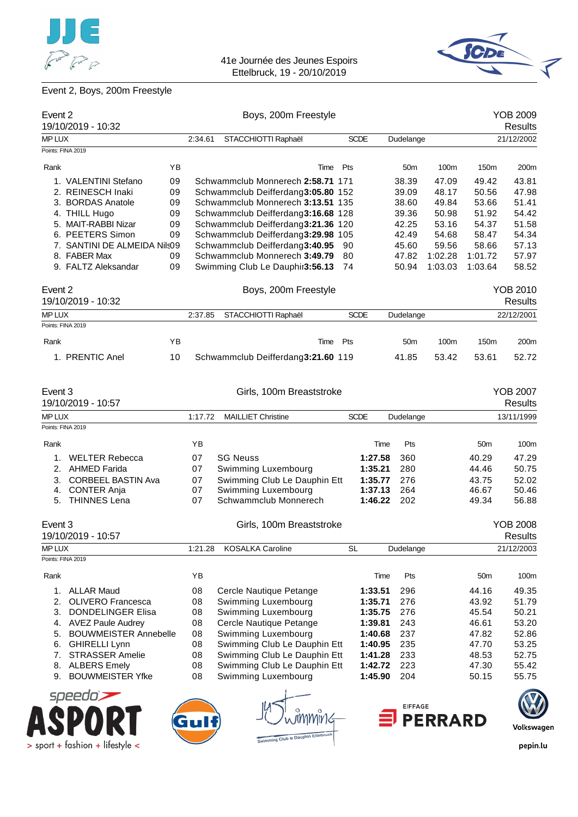



# Event 2, Boys, 200m Freestyle

| Event 2                            |    |         | Boys, 200m Freestyle                |      |             |         |                 |                |                 | <b>YOB 2009</b>                   |
|------------------------------------|----|---------|-------------------------------------|------|-------------|---------|-----------------|----------------|-----------------|-----------------------------------|
| 19/10/2019 - 10:32                 |    |         |                                     |      |             |         |                 |                |                 | <b>Results</b>                    |
| MP LUX                             |    | 2:34.61 | STACCHIOTTI Raphaël                 |      | <b>SCDE</b> |         | Dudelange       |                |                 | 21/12/2002                        |
| Points: FINA 2019                  |    |         |                                     |      |             |         |                 |                |                 |                                   |
| Rank                               | ΥB |         |                                     | Time | Pts         |         | 50 <sub>m</sub> | 100m           | 150m            | 200m                              |
| 1. VALENTINI Stefano               | 09 |         | Schwammclub Monnerech 2:58.71 171   |      |             |         | 38.39           | 47.09          | 49.42           | 43.81                             |
| 2. REINESCH Inaki                  | 09 |         | Schwammclub Deifferdang3:05.80 152  |      |             |         | 39.09           | 48.17          | 50.56           | 47.98                             |
| 3. BORDAS Anatole                  | 09 |         | Schwammclub Monnerech 3:13.51 135   |      |             |         | 38.60           | 49.84          | 53.66           | 51.41                             |
| 4. THILL Hugo                      | 09 |         | Schwammclub Deifferdang3:16.68 128  |      |             |         | 39.36           | 50.98          | 51.92           | 54.42                             |
| 5. MAIT-RABBI Nizar                | 09 |         | Schwammclub Deifferdang3:21.36 120  |      |             |         | 42.25           | 53.16          | 54.37           | 51.58                             |
| 6. PEETERS Simon                   | 09 |         | Schwammclub Deifferdang3:29.98 105  |      |             |         | 42.49           | 54.68          | 58.47           | 54.34                             |
| 7. SANTINI DE ALMEIDA Nils09       |    |         | Schwammclub Deifferdang3:40.95      |      | 90          |         | 45.60           | 59.56          | 58.66           | 57.13                             |
| 8. FABER Max                       | 09 |         | Schwammclub Monnerech 3:49.79       |      | 80          |         | 47.82           | 1:02.28        | 1:01.72         | 57.97                             |
| 9. FALTZ Aleksandar                | 09 |         | Swimming Club Le Dauphir3:56.13     |      | 74          |         | 50.94           | 1:03.03        | 1:03.64         | 58.52                             |
| Event 2<br>19/10/2019 - 10:32      |    |         | Boys, 200m Freestyle                |      |             |         |                 |                |                 | <b>YOB 2010</b><br><b>Results</b> |
|                                    |    |         |                                     |      |             |         |                 |                |                 |                                   |
| MP LUX                             |    | 2:37.85 | STACCHIOTTI Raphaël                 |      | <b>SCDE</b> |         | Dudelange       |                |                 | 22/12/2001                        |
| Points: FINA 2019                  |    |         |                                     |      |             |         |                 |                |                 |                                   |
| Rank                               | ΥB |         |                                     | Time | Pts         |         | 50 <sub>m</sub> | 100m           | 150m            | 200m                              |
| 1. PRENTIC Anel                    | 10 |         | Schwammclub Deifferdang3:21.60 119  |      |             |         | 41.85           | 53.42          | 53.61           | 52.72                             |
| Event 3<br>19/10/2019 - 10:57      |    |         | Girls, 100m Breaststroke            |      |             |         |                 |                |                 | <b>YOB 2007</b><br><b>Results</b> |
| <b>MP LUX</b>                      |    | 1:17.72 | <b>MAILLIET Christine</b>           |      | <b>SCDE</b> |         | Dudelange       |                |                 | 13/11/1999                        |
| Points: FINA 2019                  |    |         |                                     |      |             |         |                 |                |                 |                                   |
| Rank                               |    | YB      |                                     |      |             | Time    | Pts             |                | 50 <sub>m</sub> | 100m                              |
| <b>WELTER Rebecca</b><br>1.        |    | 07      | <b>SG Neuss</b>                     |      |             | 1:27.58 | 360             |                | 40.29           | 47.29                             |
| 2. AHMED Farida                    |    | 07      | Swimming Luxembourg                 |      |             | 1:35.21 | 280             |                | 44.46           | 50.75                             |
| <b>CORBEEL BASTIN Ava</b><br>3.    |    | 07      | Swimming Club Le Dauphin Ett        |      |             | 1:35.77 | 276             |                | 43.75           | 52.02                             |
| <b>CONTER Anja</b><br>4.           |    | 07      | Swimming Luxembourg                 |      |             | 1:37.13 | 264             |                | 46.67           | 50.46                             |
| 5. THINNES Lena                    |    | 07      | Schwammclub Monnerech               |      |             | 1:46.22 | 202             |                | 49.34           | 56.88                             |
| Event 3                            |    |         | Girls, 100m Breaststroke            |      |             |         |                 |                |                 | <b>YOB 2008</b>                   |
| 19/10/2019 - 10:57                 |    |         |                                     |      |             |         |                 |                |                 | Results                           |
| MP LUX                             |    | 1:21.28 | <b>KOSALKA Caroline</b>             |      | <b>SL</b>   |         | Dudelange       |                |                 | 21/12/2003                        |
| Points: FINA 2019                  |    |         |                                     |      |             |         |                 |                |                 |                                   |
| Rank                               |    | YB      |                                     |      |             | Time    | Pts             |                | 50 <sub>m</sub> | 100m                              |
| 1.<br><b>ALLAR Maud</b>            |    | 08      | Cercle Nautique Petange             |      |             | 1:33.51 | 296             |                | 44.16           | 49.35                             |
| 2.<br><b>OLIVERO</b> Francesca     |    | 08      | Swimming Luxembourg                 |      |             | 1:35.71 | 276             |                | 43.92           | 51.79                             |
| 3.<br><b>DONDELINGER Elisa</b>     |    | 08      | Swimming Luxembourg                 |      |             | 1:35.75 | 276             |                | 45.54           | 50.21                             |
| <b>AVEZ Paule Audrey</b><br>4.     |    | 08      | Cercle Nautique Petange             |      |             | 1:39.81 | 243             |                | 46.61           | 53.20                             |
| <b>BOUWMEISTER Annebelle</b><br>5. |    | 08      | Swimming Luxembourg                 |      |             | 1:40.68 | 237             |                | 47.82           | 52.86                             |
| <b>GHIRELLI Lynn</b><br>6.         |    | 08      | Swimming Club Le Dauphin Ett        |      |             | 1:40.95 | 235             |                | 47.70           | 53.25                             |
| <b>STRASSER Amelie</b><br>7.       |    | 08      | Swimming Club Le Dauphin Ett        |      |             | 1:41.28 | 233             |                | 48.53           | 52.75                             |
| 8.<br><b>ALBERS Emely</b>          |    | 08      | Swimming Club Le Dauphin Ett        |      |             | 1:42.72 | 223             |                | 47.30           | 55.42                             |
| <b>BOUWMEISTER Yfke</b><br>9.      |    | 08      | Swimming Luxembourg                 |      |             | 1:45.90 | 204             |                | 50.15           | 55.75                             |
| speedo                             |    |         |                                     |      |             |         |                 |                |                 |                                   |
|                                    |    |         |                                     |      |             |         | <b>EIFFAGE</b>  | <b>PERRARD</b> |                 |                                   |
|                                    |    |         | Swimming Club le Dauphin Ettelbruck |      |             |         |                 |                |                 | Volkswagen                        |
| > sport + fashion + lifestyle <    |    |         |                                     |      |             |         |                 |                |                 | pepin.lu                          |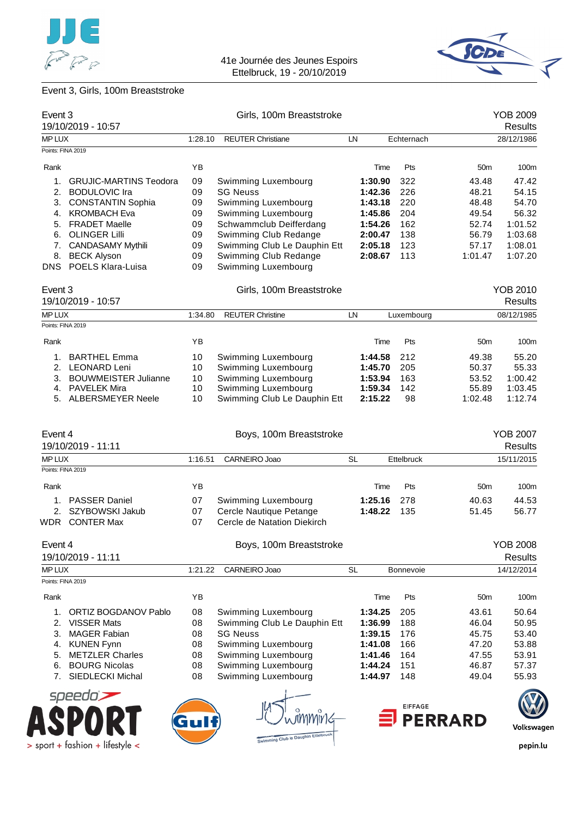



# Event 3, Girls, 100m Breaststroke

| Event 3                     |                                          |          | Girls, 100m Breaststroke                            |                    |                |                  | <b>YOB 2009</b>                   |
|-----------------------------|------------------------------------------|----------|-----------------------------------------------------|--------------------|----------------|------------------|-----------------------------------|
|                             | 19/10/2019 - 10:57                       |          |                                                     |                    |                |                  | <b>Results</b>                    |
| MP LUX<br>Points: FINA 2019 |                                          | 1:28.10  | <b>REUTER Christiane</b>                            | LN                 | Echternach     |                  | 28/12/1986                        |
|                             |                                          |          |                                                     |                    |                |                  |                                   |
| Rank                        |                                          | YB       |                                                     | Time               | Pts            | 50 <sub>m</sub>  | 100m                              |
| 1.                          | <b>GRUJIC-MARTINS Teodora</b>            | 09       | Swimming Luxembourg                                 | 1:30.90            | 322            | 43.48            | 47.42                             |
|                             | 2. BODULOVIC Ira                         | 09       | <b>SG Neuss</b>                                     | 1:42.36            | 226            | 48.21            | 54.15                             |
| 3.                          | <b>CONSTANTIN Sophia</b>                 | 09       | Swimming Luxembourg                                 | 1:43.18            | 220            | 48.48            | 54.70                             |
| 4.                          | <b>KROMBACH Eva</b>                      | 09       | Swimming Luxembourg                                 | 1:45.86            | 204            | 49.54            | 56.32                             |
|                             | 5. FRADET Maelle                         | 09       | Schwammclub Deifferdang                             | 1:54.26            | 162            | 52.74            | 1:01.52                           |
|                             | 6. OLINGER Lilli                         | 09       | Swimming Club Redange                               | 2:00.47            | 138            | 56.79            | 1:03.68                           |
|                             | 7. CANDASAMY Mythili                     | 09       | Swimming Club Le Dauphin Ett                        | 2:05.18            | 123            | 57.17            | 1:08.01                           |
|                             | 8. BECK Alyson                           | 09       | Swimming Club Redange                               | 2:08.67            | 113            | 1:01.47          | 1:07.20                           |
|                             | DNS POELS Klara-Luisa                    | 09       | Swimming Luxembourg                                 |                    |                |                  |                                   |
| Event 3                     |                                          |          | Girls, 100m Breaststroke                            |                    |                |                  | <b>YOB 2010</b>                   |
|                             | 19/10/2019 - 10:57                       |          |                                                     |                    |                |                  | <b>Results</b>                    |
| MP LUX                      |                                          | 1:34.80  | <b>REUTER Christine</b>                             | LN.                | Luxembourg     |                  | 08/12/1985                        |
| Points: FINA 2019           |                                          |          |                                                     |                    |                |                  |                                   |
| Rank                        |                                          | YB       |                                                     | Time               | Pts            | 50 <sub>m</sub>  | 100m                              |
| 1.                          | <b>BARTHEL Emma</b>                      | 10       | Swimming Luxembourg                                 | 1:44.58            | 212            | 49.38            | 55.20                             |
|                             | 2. LEONARD Leni                          | 10       | Swimming Luxembourg                                 | 1:45.70            | 205            | 50.37            | 55.33                             |
|                             | 3. BOUWMEISTER Julianne                  | 10       | Swimming Luxembourg                                 | 1:53.94            | 163            | 53.52            | 1:00.42                           |
|                             | 4. PAVELEK Mira<br>5. ALBERSMEYER Neele  | 10<br>10 | Swimming Luxembourg<br>Swimming Club Le Dauphin Ett | 1:59.34<br>2:15.22 | 142<br>98      | 55.89<br>1:02.48 | 1:03.45<br>1:12.74                |
| Event 4                     | 19/10/2019 - 11:11                       |          | Boys, 100m Breaststroke                             |                    |                |                  | <b>YOB 2007</b><br><b>Results</b> |
| MP LUX                      |                                          | 1:16.51  | CARNEIRO Joao                                       | <b>SL</b>          | Ettelbruck     |                  | 15/11/2015                        |
| Points: FINA 2019           |                                          |          |                                                     |                    |                |                  |                                   |
| Rank                        |                                          | YB       |                                                     | Time               | Pts            | 50 <sub>m</sub>  | 100m                              |
|                             | 1. PASSER Daniel                         | 07       | Swimming Luxembourg                                 | 1:25.16            | 278            | 40.63            | 44.53                             |
|                             | 2. SZYBOWSKI Jakub                       | 07       | Cercle Nautique Petange                             | 1:48.22            | 135            | 51.45            | 56.77                             |
|                             | <b>WDR</b> CONTER Max                    | 07       | Cercle de Natation Diekirch                         |                    |                |                  |                                   |
| Event 4                     |                                          |          | Boys, 100m Breaststroke                             |                    |                |                  | YOB 2008                          |
|                             | 19/10/2019 - 11:11                       |          |                                                     |                    |                |                  | <b>Results</b>                    |
| MP LUX                      |                                          | 1:21.22  | CARNEIRO Joao                                       | <b>SL</b>          | Bonnevoie      |                  | 14/12/2014                        |
| Points: FINA 2019           |                                          |          |                                                     |                    |                |                  |                                   |
| Rank                        |                                          | YB       |                                                     | Time               | Pts            | 50 <sub>m</sub>  | 100m                              |
| 1.                          | <b>ORTIZ BOGDANOV Pablo</b>              | 08       | Swimming Luxembourg                                 | 1:34.25            | 205            | 43.61            | 50.64                             |
| 2.                          | <b>VISSER Mats</b>                       | 08       | Swimming Club Le Dauphin Ett                        | 1:36.99            | 188            | 46.04            | 50.95                             |
| 3.                          | <b>MAGER Fabian</b>                      | 08       | <b>SG Neuss</b>                                     | 1:39.15            | 176            | 45.75            | 53.40                             |
| 4.                          | <b>KUNEN Fynn</b>                        | 08       | Swimming Luxembourg                                 | 1:41.08            | 166            | 47.20            | 53.88                             |
| 5.                          | <b>METZLER Charles</b>                   | 08       | Swimming Luxembourg                                 | 1:41.46            | 164            | 47.55            | 53.91                             |
| 6.<br>7.                    | <b>BOURG Nicolas</b><br>SIEDLECKI Michal | 08<br>08 | Swimming Luxembourg<br>Swimming Luxembourg          | 1:44.24<br>1:44.97 | 151<br>148     | 46.87<br>49.04   | 57.37<br>55.93                    |
|                             | speedo                                   |          |                                                     |                    |                |                  |                                   |
|                             |                                          |          |                                                     |                    | <b>EIFFAGE</b> |                  |                                   |
|                             |                                          |          |                                                     |                    | <b>PERRARD</b> |                  | Volkswagen                        |
|                             | > sport + fashion + lifestyle <          |          | Swimming Club le Dauphin Ettelbrug                  |                    |                |                  | pepin.lu                          |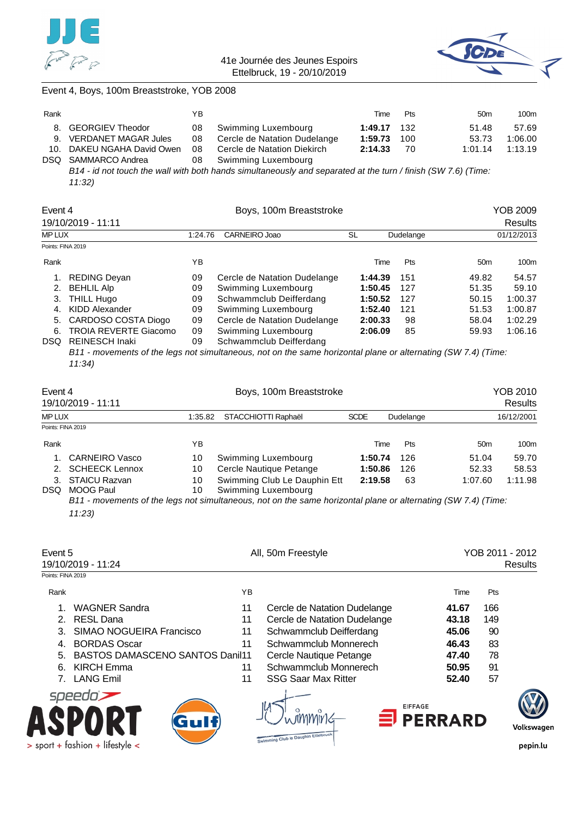



#### Event 4, Boys, 100m Breaststroke, YOB 2008

| Rank |                            | YΒ |                                 | Time         | Pts | 50 <sub>m</sub> | 100m    |
|------|----------------------------|----|---------------------------------|--------------|-----|-----------------|---------|
|      | 8. GEORGIEV Theodor        |    | 08 Swimming Luxembourg          | 1:49.17 132  |     | 51.48           | 57.69   |
|      | 9. VERDANET MAGAR Jules    |    | 08 Cercle de Natation Dudelange | 1:59.73 100  |     | 53.73           | 1:06.00 |
|      | 10. DAKEU NGAHA David Owen |    | 08 Cercle de Natation Diekirch  | $2:14.33$ 70 |     | 1:01.14         | 1:13.19 |
|      | DSQ SAMMARCO Andrea        |    | 08 Swimming Luxembourg          |              |     |                 |         |
|      |                            |    |                                 |              |     |                 |         |

*B14 - id not touch the wall with both hands simultaneously and separated at the turn / finish (SW 7.6) (Time: 11:32)*

| Event 4           |                              |         |                              | YOB 2009 |           |                 |            |
|-------------------|------------------------------|---------|------------------------------|----------|-----------|-----------------|------------|
|                   | 19/10/2019 - 11:11           |         |                              |          |           |                 | Results    |
| <b>MPLUX</b>      |                              | 1:24.76 | CARNEIRO Joao                | SL       | Dudelange |                 | 01/12/2013 |
| Points: FINA 2019 |                              |         |                              |          |           |                 |            |
| Rank              |                              | ΥB      |                              | Time     | Pts       | 50 <sub>m</sub> | 100m       |
| 1.                | <b>REDING Devan</b>          | 09      | Cercle de Natation Dudelange | 1:44.39  | 151       | 49.82           | 54.57      |
|                   | 2. BEHLIL Alp                | 09      | Swimming Luxembourg          | 1:50.45  | 127       | 51.35           | 59.10      |
| З.                | THILL Hugo                   | 09      | Schwammclub Deifferdang      | 1:50.52  | 127       | 50.15           | 1:00.37    |
| 4.                | KIDD Alexander               | 09      | Swimming Luxembourg          | 1:52.40  | 121       | 51.53           | 1:00.87    |
| 5.                | CARDOSO COSTA Diogo          | 09      | Cercle de Natation Dudelange | 2:00.33  | 98        | 58.04           | 1:02.29    |
| 6.                | <b>TROIA REVERTE Giacomo</b> | 09      | Swimming Luxembourg          | 2:06.09  | 85        | 59.93           | 1:06.16    |
| DSQ.              | <b>REINESCH Inaki</b>        | 09      | Schwammclub Deifferdang      |          |           |                 |            |

*B11 - movements of the legs not simultaneous, not on the same horizontal plane or alternating (SW 7.4) (Time: 11:34)*

| Boys, 100m Breaststroke<br>Event 4<br>19/10/2019 - 11:11 |                                   |          |                                                     |             |           |                 | YOB 2010<br><b>Results</b> |
|----------------------------------------------------------|-----------------------------------|----------|-----------------------------------------------------|-------------|-----------|-----------------|----------------------------|
| <b>MP LUX</b>                                            |                                   | 1:35.82  | STACCHIOTTI Raphaël                                 | <b>SCDE</b> | Dudelange |                 | 16/12/2001                 |
| Points: FINA 2019                                        |                                   |          |                                                     |             |           |                 |                            |
| Rank                                                     |                                   | ΥB       |                                                     | Time        | Pts       | 50 <sub>m</sub> | 100m                       |
|                                                          | 1. CARNEIRO Vasco                 | 10       | Swimming Luxembourg                                 | 1:50.74     | 126       | 51.04           | 59.70                      |
|                                                          | 2. SCHEECK Lennox                 | 10       | Cercle Nautique Petange                             | 1:50.86     | 126       | 52.33           | 58.53                      |
| 3.<br><b>DSQ</b>                                         | <b>STAICU Razvan</b><br>MOOG Paul | 10<br>10 | Swimming Club Le Dauphin Ett<br>Swimming Luxembourg | 2:19.58     | 63        | 1:07.60         | 1:11.98                    |

*B11 - movements of the legs not simultaneous, not on the same horizontal plane or alternating (SW 7.4) (Time: 11:23)*

| Event 5           | 19/10/2019 - 11:24                     |    | All, 50m Freestyle                  |                  |     | YOB 2011 - 2012<br><b>Results</b> |
|-------------------|----------------------------------------|----|-------------------------------------|------------------|-----|-----------------------------------|
| Points: FINA 2019 |                                        |    |                                     |                  |     |                                   |
| Rank              |                                        | ΥB |                                     | Time             | Pts |                                   |
|                   | <b>WAGNER Sandra</b>                   | 11 | Cercle de Natation Dudelange        | 41.67            | 166 |                                   |
|                   | <b>RESL Dana</b>                       | 11 | Cercle de Natation Dudelange        | 43.18            | 149 |                                   |
| 3.                | SIMAO NOGUEIRA Francisco               | 11 | Schwammclub Deifferdang             | 45.06            | 90  |                                   |
| 4.                | <b>BORDAS Oscar</b>                    | 11 | Schwammclub Monnerech               | 46.43            | 83  |                                   |
| 5.                | <b>BASTOS DAMASCENO SANTOS Danil11</b> |    | Cercle Nautique Petange             | 47.40            | 78  |                                   |
| 6.                | KIRCH Emma                             | 11 | Schwammclub Monnerech               | 50.95            | 91  |                                   |
|                   | <b>LANG Emil</b>                       | 11 | <b>SSG Saar Max Ritter</b>          | 52.40            | 57  |                                   |
|                   | speedo)                                |    |                                     |                  |     |                                   |
|                   | Gulf                                   |    | <b>EIFFAGE</b>                      | $\equiv$ PERRARD |     | Volkswagen                        |
|                   | $>$ sport + fashion + lifestyle <      |    | Swimming Club to Dauphin Ettelbruck |                  |     | pepin.lu                          |

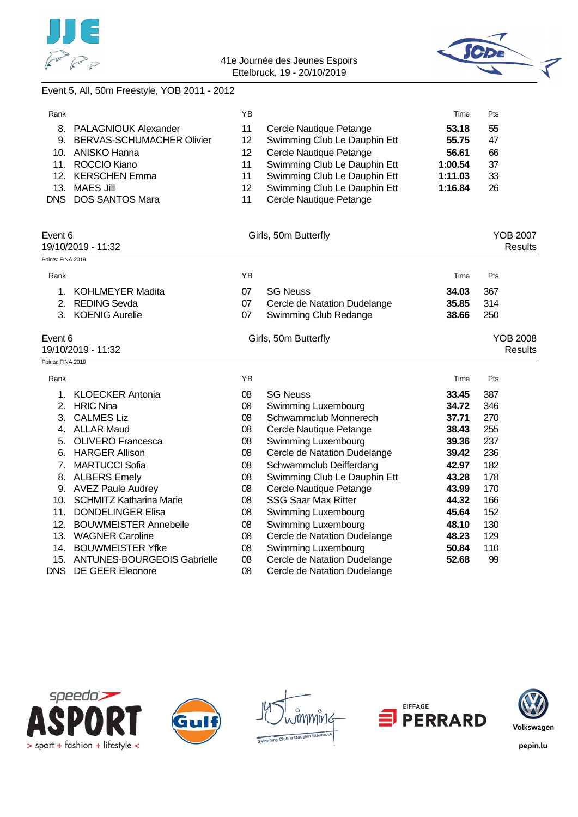



# Event 5, All, 50m Freestyle, YOB 2011 - 2012

| Rank |                              | ΥB |                              | Time    | Pts |
|------|------------------------------|----|------------------------------|---------|-----|
|      | 8. PALAGNIOUK Alexander      | 11 | Cercle Nautique Petange      | 53.18   | 55  |
|      | 9. BERVAS-SCHUMACHER Olivier | 12 | Swimming Club Le Dauphin Ett | 55.75   | 47  |
|      | 10. ANISKO Hanna             | 12 | Cercle Nautique Petange      | 56.61   | 66  |
|      | 11. ROCCIO Kiano             | 11 | Swimming Club Le Dauphin Ett | 1:00.54 | 37  |
|      | 12. KERSCHEN Emma            | 11 | Swimming Club Le Dauphin Ett | 1:11.03 | 33  |
| 13.  | MAES Jill                    | 12 | Swimming Club Le Dauphin Ett | 1:16.84 | 26  |
|      | DNS DOS SANTOS Mara          | 11 | Cercle Nautique Petange      |         |     |

| Event 6           | 19/10/2019 - 11:32             |    | Girls, 50m Butterfly         | <b>YOB 2007</b><br>Results |                 |  |
|-------------------|--------------------------------|----|------------------------------|----------------------------|-----------------|--|
| Points: FINA 2019 |                                |    |                              |                            |                 |  |
| Rank              |                                | YB |                              | Time                       | Pts             |  |
| 1.                | <b>KOHLMEYER Madita</b>        | 07 | <b>SG Neuss</b>              | 34.03                      | 367             |  |
| 2.                | <b>REDING Sevda</b>            | 07 | Cercle de Natation Dudelange | 35.85                      | 314             |  |
|                   | 3. KOENIG Aurelie              | 07 | Swimming Club Redange        | 38.66                      | 250             |  |
| Event 6           |                                |    | Girls, 50m Butterfly         |                            | <b>YOB 2008</b> |  |
|                   | 19/10/2019 - 11:32             |    |                              |                            | Results         |  |
| Points: FINA 2019 |                                |    |                              |                            |                 |  |
| Rank              |                                | YB |                              | Time                       | Pts             |  |
| 1.                | <b>KLOECKER Antonia</b>        | 08 | <b>SG Neuss</b>              | 33.45                      | 387             |  |
| 2.                | <b>HRIC Nina</b>               | 08 | Swimming Luxembourg          | 34.72                      | 346             |  |
| 3.                | <b>CALMES Liz</b>              | 08 | Schwammclub Monnerech        | 37.71                      | 270             |  |
| 4.                | <b>ALLAR Maud</b>              | 08 | Cercle Nautique Petange      | 38.43                      | 255             |  |
| 5.                | <b>OLIVERO</b> Francesca       | 08 | Swimming Luxembourg          | 39.36                      | 237             |  |
| 6.                | <b>HARGER Allison</b>          | 08 | Cercle de Natation Dudelange | 39.42                      | 236             |  |
| 7.                | <b>MARTUCCI Sofia</b>          | 08 | Schwammclub Deifferdang      | 42.97                      | 182             |  |
| 8.                | <b>ALBERS Emely</b>            | 08 | Swimming Club Le Dauphin Ett | 43.28                      | 178             |  |
| 9.                | <b>AVEZ Paule Audrey</b>       | 08 | Cercle Nautique Petange      | 43.99                      | 170             |  |
| 10.               | <b>SCHMITZ Katharina Marie</b> | 08 | <b>SSG Saar Max Ritter</b>   | 44.32                      | 166             |  |
| 11.               | <b>DONDELINGER Elisa</b>       | 08 | Swimming Luxembourg          | 45.64                      | 152             |  |
| 12.               | <b>BOUWMEISTER Annebelle</b>   | 08 | Swimming Luxembourg          | 48.10                      | 130             |  |
| 13.               | <b>WAGNER Caroline</b>         | 08 | Cercle de Natation Dudelange | 48.23                      | 129             |  |
| 14.               | <b>BOUWMEISTER Yfke</b>        | 08 | Swimming Luxembourg          | 50.84                      | 110             |  |
| 15.               | ANTUNES-BOURGEOIS Gabrielle    | 08 | Cercle de Natation Dudelange | 52.68                      | 99              |  |
| <b>DNS</b>        | DE GEER Eleonore               | 08 | Cercle de Natation Dudelange |                            |                 |  |









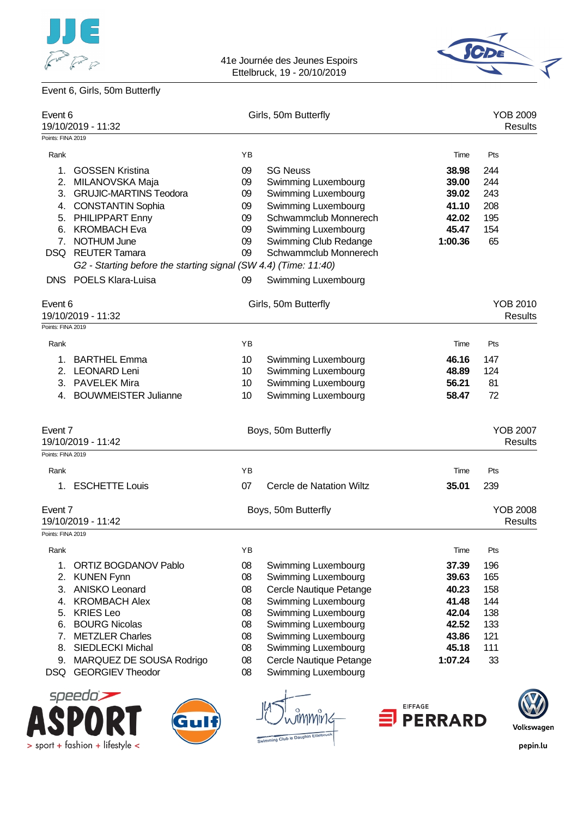





| Event 6           | 19/10/2019 - 11:32                                              |    | Girls, 50m Butterfly     |         | <b>YOB 2009</b> | <b>Results</b> |
|-------------------|-----------------------------------------------------------------|----|--------------------------|---------|-----------------|----------------|
| Points: FINA 2019 |                                                                 |    |                          |         |                 |                |
| Rank              |                                                                 | YB |                          | Time    | Pts             |                |
| 1.                | <b>GOSSEN Kristina</b>                                          | 09 | <b>SG Neuss</b>          | 38.98   | 244             |                |
| 2.                | MILANOVSKA Maja                                                 | 09 | Swimming Luxembourg      | 39.00   | 244             |                |
| 3.                | <b>GRUJIC-MARTINS Teodora</b>                                   | 09 | Swimming Luxembourg      | 39.02   | 243             |                |
|                   | 4. CONSTANTIN Sophia                                            | 09 | Swimming Luxembourg      | 41.10   | 208             |                |
|                   | 5. PHILIPPART Enny                                              | 09 | Schwammclub Monnerech    | 42.02   | 195             |                |
| 6.                | <b>KROMBACH Eva</b>                                             | 09 | Swimming Luxembourg      | 45.47   | 154             |                |
|                   | 7. NOTHUM June                                                  | 09 | Swimming Club Redange    | 1:00.36 | 65              |                |
|                   | DSQ REUTER Tamara                                               | 09 | Schwammclub Monnerech    |         |                 |                |
|                   | G2 - Starting before the starting signal (SW 4.4) (Time: 11:40) |    |                          |         |                 |                |
|                   | DNS POELS Klara-Luisa                                           | 09 | Swimming Luxembourg      |         |                 |                |
| Event 6           |                                                                 |    | Girls, 50m Butterfly     |         | YOB 2010        |                |
|                   | 19/10/2019 - 11:32                                              |    |                          |         |                 | <b>Results</b> |
| Points: FINA 2019 |                                                                 |    |                          |         |                 |                |
| Rank              |                                                                 | ΥB |                          | Time    | Pts             |                |
| 1.                | <b>BARTHEL Emma</b>                                             | 10 | Swimming Luxembourg      | 46.16   | 147             |                |
| 2.                | <b>LEONARD Leni</b>                                             | 10 | Swimming Luxembourg      | 48.89   | 124             |                |
|                   | 3. PAVELEK Mira                                                 | 10 | Swimming Luxembourg      | 56.21   | 81              |                |
| 4.                | <b>BOUWMEISTER Julianne</b>                                     | 10 | Swimming Luxembourg      | 58.47   | 72              |                |
| Event 7           |                                                                 |    | Boys, 50m Butterfly      |         | <b>YOB 2007</b> |                |
|                   | 19/10/2019 - 11:42                                              |    |                          |         |                 | <b>Results</b> |
| Points: FINA 2019 |                                                                 |    |                          |         |                 |                |
| Rank              |                                                                 | ΥB |                          | Time    | Pts             |                |
|                   |                                                                 |    |                          |         |                 |                |
| 1.                | <b>ESCHETTE Louis</b>                                           | 07 | Cercle de Natation Wiltz | 35.01   | 239             |                |
| Event 7           |                                                                 |    | Boys, 50m Butterfly      |         | <b>YOB 2008</b> |                |
|                   | 19/10/2019 - 11:42                                              |    |                          |         |                 | <b>Results</b> |
| Points: FINA 2019 |                                                                 |    |                          |         |                 |                |
| Rank              |                                                                 | ΥB |                          | Time    | Pts             |                |
| 1.                | ORTIZ BOGDANOV Pablo                                            | 08 | Swimming Luxembourg      | 37.39   | 196             |                |
| 2.                | <b>KUNEN Fynn</b>                                               | 08 | Swimming Luxembourg      | 39.63   | 165             |                |
| 3.                | <b>ANISKO Leonard</b>                                           | 08 | Cercle Nautique Petange  | 40.23   | 158             |                |
| 4.                | <b>KROMBACH Alex</b>                                            | 08 | Swimming Luxembourg      | 41.48   | 144             |                |
| 5.                | <b>KRIES Leo</b>                                                | 08 | Swimming Luxembourg      | 42.04   | 138             |                |
| 6.                | <b>BOURG Nicolas</b>                                            | 08 | Swimming Luxembourg      | 42.52   | 133             |                |
| 7.                | <b>METZLER Charles</b>                                          | 08 | Swimming Luxembourg      | 43.86   | 121             |                |
| 8.                | <b>SIEDLECKI Michal</b>                                         | 08 | Swimming Luxembourg      | 45.18   | 111             |                |
| 9.                | MARQUEZ DE SOUSA Rodrigo                                        | 08 | Cercle Nautique Petange  | 1:07.24 | 33              |                |
|                   | DSQ GEORGIEV Theodor                                            | 08 | Swimming Luxembourg      |         |                 |                |
|                   | speedo` <del>&gt;</del>                                         |    |                          |         |                 |                |





)'<br>'v Club le Dauphin



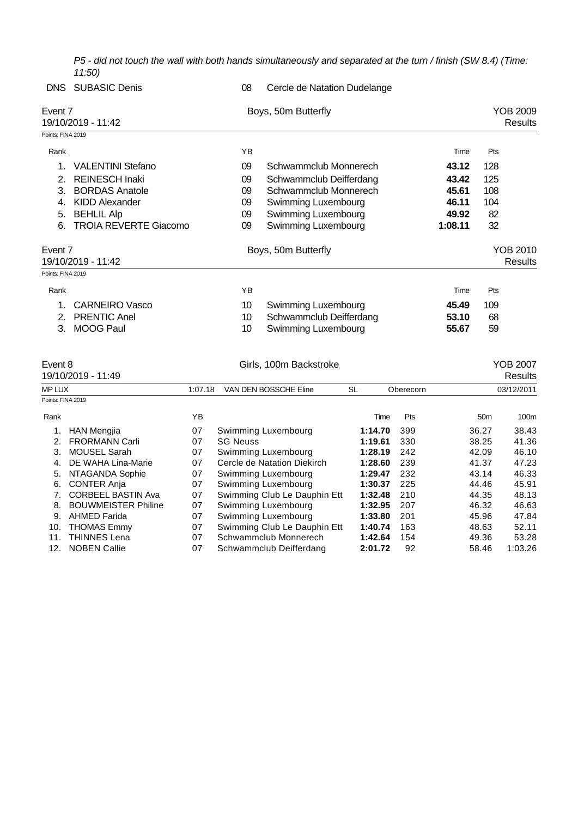*P5 - did not touch the wall with both hands simultaneously and separated at the turn / finish (SW 8.4) (Time: 11:50)*

|                               | <b>DNS</b> SUBASIC Denis     | 08 | Cercle de Natation Dudelange |         |                                   |
|-------------------------------|------------------------------|----|------------------------------|---------|-----------------------------------|
| Event 7                       | 19/10/2019 - 11:42           |    | Boys, 50m Butterfly          |         | <b>YOB 2009</b><br><b>Results</b> |
| Points: FINA 2019             |                              |    |                              |         |                                   |
| Rank                          |                              | ΥB |                              | Time    | Pts                               |
|                               | <b>VALENTINI Stefano</b>     | 09 | Schwammclub Monnerech        | 43.12   | 128                               |
| 2.                            | <b>REINESCH Inaki</b>        | 09 | Schwammclub Deifferdang      | 43.42   | 125                               |
| 3.                            | <b>BORDAS Anatole</b>        | 09 | Schwammclub Monnerech        | 45.61   | 108                               |
| 4.                            | KIDD Alexander               | 09 | Swimming Luxembourg          | 46.11   | 104                               |
| 5.                            | <b>BEHLIL Alp</b>            | 09 | Swimming Luxembourg          | 49.92   | 82                                |
| 6.                            | <b>TROIA REVERTE Giacomo</b> | 09 | Swimming Luxembourg          | 1:08.11 | 32                                |
| Event 7<br>19/10/2019 - 11:42 |                              |    | Boys, 50m Butterfly          |         | YOB 2010<br><b>Results</b>        |
| Points: FINA 2019             |                              |    |                              |         |                                   |
| Rank                          |                              | YB |                              | Time    | Pts                               |
| 1.                            | <b>CARNEIRO Vasco</b>        | 10 | Swimming Luxembourg          | 45.49   | 109                               |
| 2.                            | <b>PRENTIC Anel</b>          | 10 | Schwammclub Deifferdang      | 53.10   | 68                                |
| 3.                            | <b>MOOG Paul</b>             | 10 | Swimming Luxembourg          | 55.67   | 59                                |

|               | Event 8                    |         | Girls, 100m Backstroke       |           | <b>YOB 2007</b> |                 |            |
|---------------|----------------------------|---------|------------------------------|-----------|-----------------|-----------------|------------|
|               | 19/10/2019 - 11:49         |         |                              |           |                 |                 | Results    |
| <b>MP LUX</b> |                            | 1:07.18 | VAN DEN BOSSCHE Eline        | <b>SL</b> | Oberecorn       |                 | 03/12/2011 |
|               | Points: FINA 2019          |         |                              |           |                 |                 |            |
| Rank          |                            | YB      |                              | Time      | Pts             | 50 <sub>m</sub> | 100m       |
|               | <b>HAN Mengjia</b>         | 07      | Swimming Luxembourg          | 1:14.70   | 399             | 36.27           | 38.43      |
| 2.            | <b>FRORMANN Carli</b>      | 07      | <b>SG Neuss</b>              | 1:19.61   | 330             | 38.25           | 41.36      |
| 3.            | <b>MOUSEL Sarah</b>        | 07      | Swimming Luxembourg          | 1:28.19   | 242             | 42.09           | 46.10      |
| 4.            | DE WAHA Lina-Marie         | 07      | Cercle de Natation Diekirch  | 1:28.60   | 239             | 41.37           | 47.23      |
| 5.            | NTAGANDA Sophie            | 07      | Swimming Luxembourg          | 1:29.47   | 232             | 43.14           | 46.33      |
| 6.            | <b>CONTER Anja</b>         | 07      | Swimming Luxembourg          | 1:30.37   | 225             | 44.46           | 45.91      |
| 7.            | <b>CORBEEL BASTIN Ava</b>  | 07      | Swimming Club Le Dauphin Ett | 1:32.48   | 210             | 44.35           | 48.13      |
| 8.            | <b>BOUWMEISTER Philine</b> | 07      | Swimming Luxembourg          | 1:32.95   | 207             | 46.32           | 46.63      |
| 9.            | <b>AHMED Farida</b>        | 07      | Swimming Luxembourg          | 1:33.80   | 201             | 45.96           | 47.84      |
| 10.           | <b>THOMAS Emmy</b>         | 07      | Swimming Club Le Dauphin Ett | 1:40.74   | 163             | 48.63           | 52.11      |
| 11.           | <b>THINNES Lena</b>        | 07      | Schwammclub Monnerech        | 1:42.64   | 154             | 49.36           | 53.28      |
| 12.           | <b>NOBEN Callie</b>        | 07      | Schwammclub Deifferdang      | 2:01.72   | 92              | 58.46           | 1:03.26    |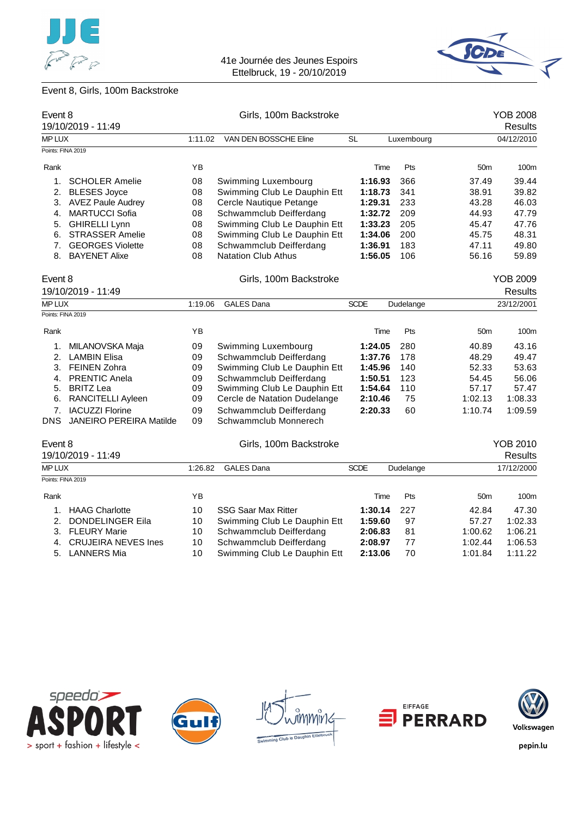



# Event 8, Girls, 100m Backstroke

|                   | Event 8                        |         | Girls, 100m Backstroke       |             | <b>YOB 2008</b> |                 |                 |
|-------------------|--------------------------------|---------|------------------------------|-------------|-----------------|-----------------|-----------------|
|                   | 19/10/2019 - 11:49             |         |                              |             |                 |                 | <b>Results</b>  |
| MP LUX            |                                | 1:11.02 | VAN DEN BOSSCHE Eline        | <b>SL</b>   | Luxembourg      |                 | 04/12/2010      |
| Points: FINA 2019 |                                |         |                              |             |                 |                 |                 |
| Rank              |                                | YB      |                              | Time        | Pts             | 50 <sub>m</sub> | 100m            |
| 1.                | <b>SCHOLER Amelie</b>          | 08      | Swimming Luxembourg          | 1:16.93     | 366             | 37.49           | 39.44           |
| 2.                | <b>BLESES Joyce</b>            | 08      | Swimming Club Le Dauphin Ett | 1:18.73     | 341             | 38.91           | 39.82           |
|                   | 3. AVEZ Paule Audrey           | 08      | Cercle Nautique Petange      | 1:29.31     | 233             | 43.28           | 46.03           |
| 4.                | <b>MARTUCCI Sofia</b>          | 08      | Schwammclub Deifferdang      | 1:32.72     | 209             | 44.93           | 47.79           |
| 5.                | <b>GHIRELLI Lynn</b>           | 08      | Swimming Club Le Dauphin Ett | 1:33.23     | 205             | 45.47           | 47.76           |
| 6.                | <b>STRASSER Amelie</b>         | 08      | Swimming Club Le Dauphin Ett | 1:34.06     | 200             | 45.75           | 48.31           |
|                   | 7. GEORGES Violette            | 08      | Schwammclub Deifferdang      | 1:36.91     | 183             | 47.11           | 49.80           |
|                   | 8. BAYENET Alixe               | 08      | <b>Natation Club Athus</b>   | 1:56.05     | 106             | 56.16           | 59.89           |
| Event 8           |                                |         | Girls, 100m Backstroke       |             |                 |                 | <b>YOB 2009</b> |
|                   | 19/10/2019 - 11:49             |         |                              |             |                 |                 | <b>Results</b>  |
| <b>MP LUX</b>     |                                | 1:19.06 | <b>GALES Dana</b>            | <b>SCDE</b> | Dudelange       |                 | 23/12/2001      |
| Points: FINA 2019 |                                |         |                              |             |                 |                 |                 |
| Rank              |                                | YB      |                              | Time        | Pts             | 50 <sub>m</sub> | 100m            |
| 1.                | MILANOVSKA Maja                | 09      | Swimming Luxembourg          | 1:24.05     | 280             | 40.89           | 43.16           |
| 2.                | <b>LAMBIN Elisa</b>            | 09      | Schwammclub Deifferdang      | 1:37.76     | 178             | 48.29           | 49.47           |
|                   | 3. FEINEN Zohra                | 09      | Swimming Club Le Dauphin Ett | 1:45.96     | 140             | 52.33           | 53.63           |
|                   | 4. PRENTIC Anela               | 09      | Schwammclub Deifferdang      | 1:50.51     | 123             | 54.45           | 56.06           |
|                   | 5. BRITZ Lea                   | 09      | Swimming Club Le Dauphin Ett | 1:54.64     | 110             | 57.17           | 57.47           |
| 6.                | RANCITELLI Ayleen              | 09      | Cercle de Natation Dudelange | 2:10.46     | 75              | 1:02.13         | 1:08.33         |
| 7.                | <b>IACUZZI Florine</b>         | 09      | Schwammclub Deifferdang      | 2:20.33     | 60              | 1:10.74         | 1:09.59         |
| DNS.              | <b>JANEIRO PEREIRA Matilde</b> | 09      | Schwammclub Monnerech        |             |                 |                 |                 |
| Event 8           |                                |         | Girls, 100m Backstroke       |             |                 |                 | <b>YOB 2010</b> |
|                   | 19/10/2019 - 11:49             |         |                              |             |                 |                 | <b>Results</b>  |
| MP LUX            |                                | 1:26.82 | <b>GALES Dana</b>            | <b>SCDE</b> | Dudelange       |                 | 17/12/2000      |
| Points: FINA 2019 |                                |         |                              |             |                 |                 |                 |
| Rank              |                                | YB      |                              | Time        | Pts             | 50 <sub>m</sub> | 100m            |
| 1.                | <b>HAAG Charlotte</b>          | 10      | <b>SSG Saar Max Ritter</b>   | 1:30.14     | 227             | 42.84           | 47.30           |
| 2.                | <b>DONDELINGER Eila</b>        | 10      | Swimming Club Le Dauphin Ett | 1:59.60     | 97              | 57.27           | 1:02.33         |
| 3.                | <b>FLEURY Marie</b>            | 10      | Schwammclub Deifferdang      | 2:06.83     | 81              | 1:00.62         | 1:06.21         |
| 4.                | <b>CRUJEIRA NEVES Ines</b>     | 10      | Schwammclub Deifferdang      | 2:08.97     | 77              | 1:02.44         | 1:06.53         |
| 5.                | LANNERS Mia                    | 10      | Swimming Club Le Dauphin Ett | 2:13.06     | 70              | 1:01.84         | 1:11.22         |









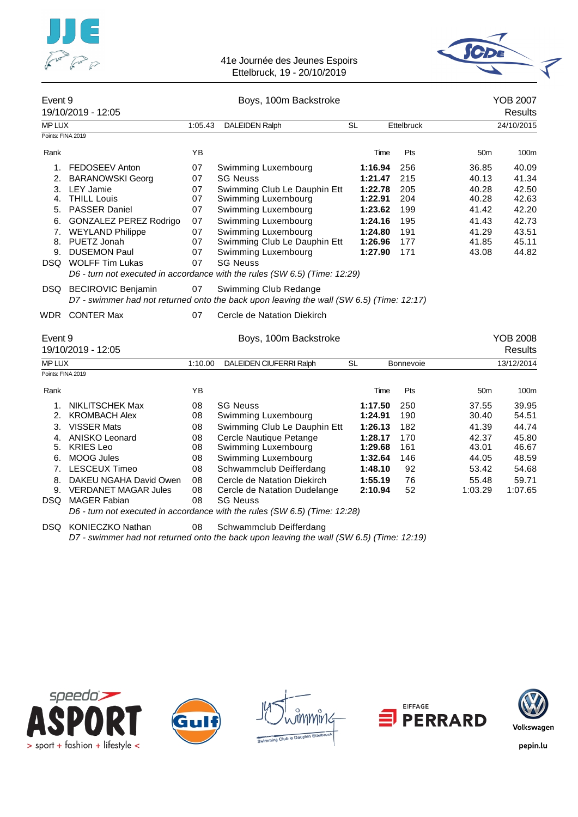



| Event 9                                | 19/10/2019 - 12:05                                                                                                                                                                                                                  |                                                          | Boys, 100m Backstroke                                                                                                                                                                                                                                                                                                      |                                                                                      | <b>YOB 2007</b><br><b>Results</b> |                                                             |                                                                               |                                                                               |
|----------------------------------------|-------------------------------------------------------------------------------------------------------------------------------------------------------------------------------------------------------------------------------------|----------------------------------------------------------|----------------------------------------------------------------------------------------------------------------------------------------------------------------------------------------------------------------------------------------------------------------------------------------------------------------------------|--------------------------------------------------------------------------------------|-----------------------------------|-------------------------------------------------------------|-------------------------------------------------------------------------------|-------------------------------------------------------------------------------|
| MP LUX                                 |                                                                                                                                                                                                                                     | 1:05.43                                                  | <b>DALEIDEN Ralph</b>                                                                                                                                                                                                                                                                                                      | <b>SL</b>                                                                            |                                   | <b>Ettelbruck</b>                                           |                                                                               | 24/10/2015                                                                    |
| Points: FINA 2019                      |                                                                                                                                                                                                                                     |                                                          |                                                                                                                                                                                                                                                                                                                            |                                                                                      |                                   |                                                             |                                                                               |                                                                               |
| Rank                                   |                                                                                                                                                                                                                                     | YB                                                       |                                                                                                                                                                                                                                                                                                                            |                                                                                      | Time                              | Pts                                                         | 50 <sub>m</sub>                                                               | 100m                                                                          |
| 1.<br>2.<br>3.<br>4.<br>5.<br>6.<br>7. | FEDOSEEV Anton<br><b>BARANOWSKI Georg</b><br><b>LEY Jamie</b><br><b>THILL Louis</b><br><b>PASSER Daniel</b><br><b>GONZALEZ PEREZ Rodrigo</b><br><b>WEYLAND Philippe</b><br>8. PUETZ Jonah<br>9. DUSEMON Paul<br>DSQ WOLFF Tim Lukas | 07<br>07<br>07<br>07<br>07<br>07<br>07<br>07<br>07<br>07 | Swimming Luxembourg<br><b>SG Neuss</b><br>Swimming Club Le Dauphin Ett<br>Swimming Luxembourg<br>Swimming Luxembourg<br>Swimming Luxembourg<br>Swimming Luxembourg<br>Swimming Club Le Dauphin Ett<br>Swimming Luxembourg<br><b>SG Neuss</b><br>D6 - turn not executed in accordance with the rules (SW 6.5) (Time: 12:29) | 1:21.47<br>1:22.78<br>1:22.91<br>1:23.62<br>1:24.16<br>1:24.80<br>1:26.96<br>1:27.90 | 1:16.94                           | 256<br>215<br>205<br>204<br>199<br>195<br>191<br>177<br>171 | 36.85<br>40.13<br>40.28<br>40.28<br>41.42<br>41.43<br>41.29<br>41.85<br>43.08 | 40.09<br>41.34<br>42.50<br>42.63<br>42.20<br>42.73<br>43.51<br>45.11<br>44.82 |
|                                        | DSQ BECIROVIC Benjamin<br>WDR CONTER Max                                                                                                                                                                                            | 07<br>07                                                 | Swimming Club Redange<br>D7 - swimmer had not returned onto the back upon leaving the wall (SW 6.5) (Time: 12:17)<br>Cercle de Natation Diekirch                                                                                                                                                                           |                                                                                      |                                   |                                                             |                                                                               |                                                                               |
| Event 9                                | 19/10/2019 - 12:05                                                                                                                                                                                                                  |                                                          | Boys, 100m Backstroke                                                                                                                                                                                                                                                                                                      |                                                                                      |                                   |                                                             |                                                                               | <b>YOB 2008</b><br><b>Results</b>                                             |
| MP LUX                                 |                                                                                                                                                                                                                                     | 1:10.00                                                  | DALEIDEN CIUFERRI Ralph                                                                                                                                                                                                                                                                                                    | <b>SL</b>                                                                            |                                   | <b>Bonnevoie</b>                                            |                                                                               | 13/12/2014                                                                    |
| Points: FINA 2019                      |                                                                                                                                                                                                                                     |                                                          |                                                                                                                                                                                                                                                                                                                            |                                                                                      |                                   |                                                             |                                                                               |                                                                               |
| Rank                                   |                                                                                                                                                                                                                                     | YB                                                       |                                                                                                                                                                                                                                                                                                                            |                                                                                      | Time                              | Pts                                                         | 50 <sub>m</sub>                                                               | 100m                                                                          |
| 1.<br>2.<br>3.<br>4.<br>5.<br>6.<br>8. | <b>NIKLITSCHEK Max</b><br><b>KROMBACH Alex</b><br><b>VISSER Mats</b><br><b>ANISKO Leonard</b><br><b>KRIES Leo</b><br><b>MOOG Jules</b><br>7. LESCEUX Timeo<br>DAKEU NGAHA David Owen                                                | 08<br>08<br>08<br>08<br>08<br>08<br>08<br>08             | <b>SG Neuss</b><br>Swimming Luxembourg<br>Swimming Club Le Dauphin Ett<br>Cercle Nautique Petange<br>Swimming Luxembourg<br>Swimming Luxembourg<br>Schwammclub Deifferdang<br>Cercle de Natation Diekirch                                                                                                                  | 1:17.50<br>1:24.91<br>1:26.13<br>1:28.17<br>1:29.68<br>1:32.64<br>1:48.10<br>1:55.19 |                                   | 250<br>190<br>182<br>170<br>161<br>146<br>92<br>76          | 37.55<br>30.40<br>41.39<br>42.37<br>43.01<br>44.05<br>53.42<br>55.48          | 39.95<br>54.51<br>44.74<br>45.80<br>46.67<br>48.59<br>54.68<br>59.71          |
| <b>DSQ</b>                             | 9. VERDANET MAGAR Jules<br><b>MAGER Fabian</b>                                                                                                                                                                                      | 08<br>08                                                 | Cercle de Natation Dudelange<br><b>SG Neuss</b><br>D6 - turn not executed in accordance with the rules (SW 6.5) (Time: 12:28)                                                                                                                                                                                              |                                                                                      | 2:10.94                           | 52                                                          | 1:03.29                                                                       | 1:07.65                                                                       |

DSQ KONIECZKO Nathan 08 Schwammclub Deifferdang

*D7 - swimmer had not returned onto the back upon leaving the wall (SW 6.5) (Time: 12:19)*









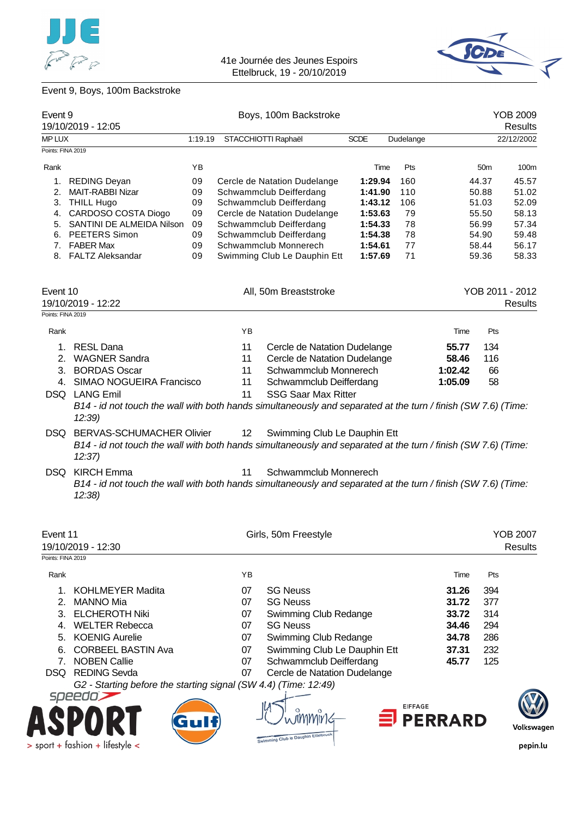



# Event 9, Boys, 100m Backstroke

| Event 9<br>19/10/2019 - 12:05 |                                                                                                                                                             |         |    | Boys, 100m Backstroke              |             |                |                |                 | <b>YOB 2009</b><br><b>Results</b> |
|-------------------------------|-------------------------------------------------------------------------------------------------------------------------------------------------------------|---------|----|------------------------------------|-------------|----------------|----------------|-----------------|-----------------------------------|
| MP LUX                        |                                                                                                                                                             | 1:19.19 |    | STACCHIOTTI Raphaël                | <b>SCDE</b> | Dudelange      |                |                 | 22/12/2002                        |
| Points: FINA 2019             |                                                                                                                                                             |         |    |                                    |             |                |                |                 |                                   |
| Rank                          |                                                                                                                                                             | YB      |    |                                    |             | Time<br>Pts    |                | 50 <sub>m</sub> | 100m                              |
| 1.                            | <b>REDING Deyan</b>                                                                                                                                         | 09      |    | Cercle de Natation Dudelange       | 1:29.94     | 160            |                | 44.37           | 45.57                             |
| 2.                            | MAIT-RABBI Nizar                                                                                                                                            | 09      |    | Schwammclub Deifferdang            | 1:41.90     | 110            |                | 50.88           | 51.02                             |
| 3.                            | <b>THILL Hugo</b>                                                                                                                                           | 09      |    | Schwammclub Deifferdang            | 1:43.12     | 106            |                | 51.03           | 52.09                             |
| 4.                            | CARDOSO COSTA Diogo                                                                                                                                         | 09      |    | Cercle de Natation Dudelange       | 1:53.63     | 79             |                | 55.50           | 58.13                             |
|                               | 5. SANTINI DE ALMEIDA Nilson                                                                                                                                | 09      |    | Schwammclub Deifferdang            | 1:54.33     | 78             |                | 56.99           | 57.34                             |
|                               | 6. PEETERS Simon                                                                                                                                            | 09      |    | Schwammclub Deifferdang            | 1:54.38     | 78             |                | 54.90           | 59.48                             |
|                               | 7. FABER Max                                                                                                                                                | 09      |    | Schwammclub Monnerech              | 1:54.61     | 77             |                | 58.44           | 56.17                             |
|                               | 8. FALTZ Aleksandar                                                                                                                                         | 09      |    | Swimming Club Le Dauphin Ett       | 1:57.69     | 71             |                | 59.36           | 58.33                             |
| Event 10                      | 19/10/2019 - 12:22                                                                                                                                          |         |    | All, 50m Breaststroke              |             |                |                |                 | YOB 2011 - 2012<br><b>Results</b> |
| Points: FINA 2019             |                                                                                                                                                             |         |    |                                    |             |                |                |                 |                                   |
| Rank                          |                                                                                                                                                             |         | YB |                                    |             |                | Time           | Pts             |                                   |
| 1.                            | <b>RESL Dana</b>                                                                                                                                            |         | 11 | Cercle de Natation Dudelange       |             |                | 55.77          | 134             |                                   |
|                               | 2. WAGNER Sandra                                                                                                                                            |         | 11 | Cercle de Natation Dudelange       |             |                | 58.46          | 116             |                                   |
| 3.                            | <b>BORDAS Oscar</b>                                                                                                                                         |         | 11 | Schwammclub Monnerech              |             |                | 1:02.42        | 66              |                                   |
|                               | 4. SIMAO NOGUEIRA Francisco                                                                                                                                 |         | 11 | Schwammclub Deifferdang            |             |                | 1:05.09        | 58              |                                   |
|                               | DSQ LANG Emil<br>B14 - id not touch the wall with both hands simultaneously and separated at the turn / finish (SW 7.6) (Time:<br>12:39                     |         | 11 | <b>SSG Saar Max Ritter</b>         |             |                |                |                 |                                   |
| DSQ.                          | <b>BERVAS-SCHUMACHER Olivier</b><br>B14 - id not touch the wall with both hands simultaneously and separated at the turn / finish (SW 7.6) (Time:<br>12:37) |         | 12 | Swimming Club Le Dauphin Ett       |             |                |                |                 |                                   |
| DSQ.                          | <b>KIRCH Emma</b><br>B14 - id not touch the wall with both hands simultaneously and separated at the turn / finish (SW 7.6) (Time:<br>12:38                 |         | 11 | Schwammclub Monnerech              |             |                |                |                 |                                   |
| Event 11<br>Points: FINA 2019 | 19/10/2019 - 12:30                                                                                                                                          |         |    | Girls, 50m Freestyle               |             |                |                |                 | <b>YOB 2007</b><br><b>Results</b> |
| Rank                          |                                                                                                                                                             |         | YB |                                    |             |                | Time           | Pts             |                                   |
| 1.                            | <b>KOHLMEYER Madita</b>                                                                                                                                     |         | 07 | <b>SG Neuss</b>                    |             |                | 31.26          | 394             |                                   |
| 2.                            | <b>MANNO Mia</b>                                                                                                                                            |         | 07 | <b>SG Neuss</b>                    |             |                | 31.72          | 377             |                                   |
| 3.                            | <b>ELCHEROTH Niki</b>                                                                                                                                       |         | 07 | Swimming Club Redange              |             |                | 33.72          | 314             |                                   |
| 4.                            | <b>WELTER Rebecca</b>                                                                                                                                       |         | 07 | <b>SG Neuss</b>                    |             |                | 34.46          | 294             |                                   |
| 5.                            | <b>KOENIG Aurelie</b>                                                                                                                                       |         | 07 | Swimming Club Redange              |             |                | 34.78          | 286             |                                   |
| 6.                            | <b>CORBEEL BASTIN Ava</b>                                                                                                                                   |         | 07 | Swimming Club Le Dauphin Ett       |             |                | 37.31          | 232             |                                   |
| 7.                            | <b>NOBEN Callie</b>                                                                                                                                         |         | 07 | Schwammclub Deifferdang            |             |                | 45.77          | 125             |                                   |
|                               | DSQ REDING Sevda                                                                                                                                            |         | 07 | Cercle de Natation Dudelange       |             |                |                |                 |                                   |
|                               | G2 - Starting before the starting signal (SW 4.4) (Time: 12:49)                                                                                             |         |    |                                    |             |                |                |                 |                                   |
|                               | speedo'                                                                                                                                                     |         |    |                                    |             | <b>EIFFAGE</b> | <b>PERRARD</b> |                 | Volkswagen                        |
|                               |                                                                                                                                                             |         |    | Swimming Club le Dauphin Ettelbrug |             |                |                |                 |                                   |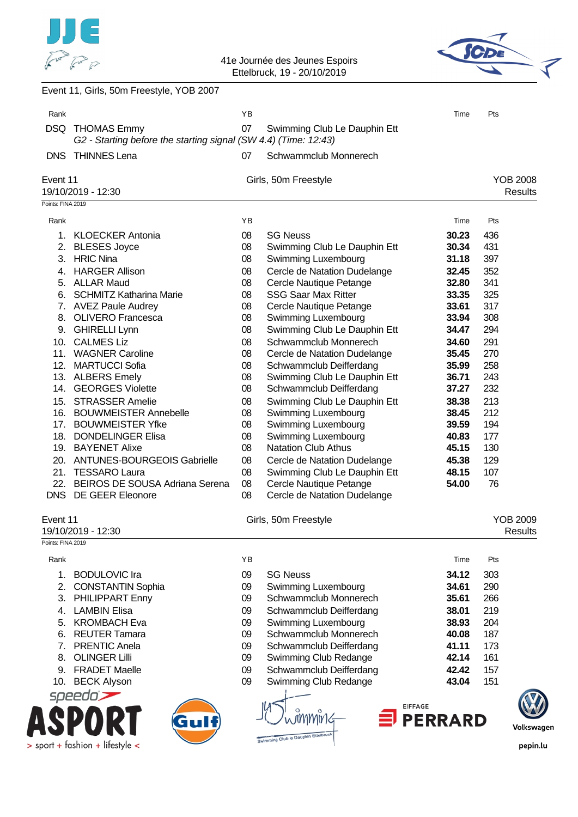



| Rank              |                                                                                       | YB       |                                                         | Time           | Pts |                                   |
|-------------------|---------------------------------------------------------------------------------------|----------|---------------------------------------------------------|----------------|-----|-----------------------------------|
| <b>DSQ</b>        | <b>THOMAS Emmy</b><br>G2 - Starting before the starting signal (SW 4.4) (Time: 12:43) | 07       | Swimming Club Le Dauphin Ett                            |                |     |                                   |
|                   | DNS THINNES Lena                                                                      | 07       | Schwammclub Monnerech                                   |                |     |                                   |
| Event 11          | 19/10/2019 - 12:30                                                                    |          | Girls, 50m Freestyle                                    |                |     | <b>YOB 2008</b><br><b>Results</b> |
| Points: FINA 2019 |                                                                                       |          |                                                         |                |     |                                   |
| Rank              |                                                                                       | YB       |                                                         | Time           | Pts |                                   |
|                   | 1. KLOECKER Antonia                                                                   | 08       | <b>SG Neuss</b>                                         | 30.23          | 436 |                                   |
|                   | 2. BLESES Joyce                                                                       | 08       | Swimming Club Le Dauphin Ett                            | 30.34          | 431 |                                   |
|                   | 3. HRIC Nina                                                                          | 08       | Swimming Luxembourg                                     | 31.18          | 397 |                                   |
|                   | 4. HARGER Allison                                                                     | 08       | Cercle de Natation Dudelange                            | 32.45          | 352 |                                   |
|                   | 5. ALLAR Maud                                                                         | 08       | Cercle Nautique Petange                                 | 32.80          | 341 |                                   |
|                   | 6. SCHMITZ Katharina Marie                                                            | 08       | <b>SSG Saar Max Ritter</b>                              | 33.35          | 325 |                                   |
|                   | 7. AVEZ Paule Audrey                                                                  | 08       | Cercle Nautique Petange                                 | 33.61          | 317 |                                   |
|                   | 8. OLIVERO Francesca                                                                  | 08       | Swimming Luxembourg                                     | 33.94          | 308 |                                   |
|                   | 9. GHIRELLI Lynn                                                                      | 08       | Swimming Club Le Dauphin Ett                            | 34.47          | 294 |                                   |
| 10.               | <b>CALMES Liz</b>                                                                     | 08       | Schwammclub Monnerech                                   | 34.60          | 291 |                                   |
|                   | 11. WAGNER Caroline                                                                   | 08       | Cercle de Natation Dudelange                            | 35.45          | 270 |                                   |
|                   | 12. MARTUCCI Sofia                                                                    | 08       | Schwammclub Deifferdang                                 | 35.99          | 258 |                                   |
|                   | 13. ALBERS Emely                                                                      | 08       | Swimming Club Le Dauphin Ett                            | 36.71          | 243 |                                   |
|                   | 14. GEORGES Violette                                                                  | 08       | Schwammclub Deifferdang                                 | 37.27          | 232 |                                   |
| 15.               | <b>STRASSER Amelie</b>                                                                | 08       | Swimming Club Le Dauphin Ett                            | 38.38          | 213 |                                   |
|                   | 16. BOUWMEISTER Annebelle                                                             | 08       | Swimming Luxembourg                                     | 38.45          | 212 |                                   |
|                   | 17. BOUWMEISTER Yfke                                                                  | 08       | Swimming Luxembourg                                     | 39.59          | 194 |                                   |
| 18.               | <b>DONDELINGER Elisa</b>                                                              | 08       | Swimming Luxembourg                                     | 40.83          | 177 |                                   |
|                   | 19. BAYENET Alixe                                                                     | 08       | <b>Natation Club Athus</b>                              | 45.15          | 130 |                                   |
|                   | 20. ANTUNES-BOURGEOIS Gabrielle                                                       | 08       | Cercle de Natation Dudelange                            | 45.38          | 129 |                                   |
|                   | 21. TESSARO Laura                                                                     | 08       | Swimming Club Le Dauphin Ett                            | 48.15          | 107 |                                   |
|                   | 22. BEIROS DE SOUSA Adriana Serena<br>DNS DE GEER Eleonore                            | 08<br>08 | Cercle Nautique Petange<br>Cercle de Natation Dudelange | 54.00          | 76  |                                   |
| Event 11          |                                                                                       |          | Girls, 50m Freestyle                                    |                |     | <b>YOB 2009</b>                   |
|                   | 19/10/2019 - 12:30                                                                    |          |                                                         |                |     | <b>Results</b>                    |
| Points: FINA 2019 |                                                                                       |          |                                                         |                |     |                                   |
| Rank              |                                                                                       | YB       |                                                         | Time           | Pts |                                   |
| 1.                | <b>BODULOVIC Ira</b>                                                                  | 09       | <b>SG Neuss</b>                                         | 34.12          | 303 |                                   |
| 2.                | <b>CONSTANTIN Sophia</b>                                                              | 09       | Swimming Luxembourg                                     | 34.61          | 290 |                                   |
| 3.                | PHILIPPART Enny                                                                       | 09       | Schwammclub Monnerech                                   | 35.61          | 266 |                                   |
| 4.                | <b>LAMBIN Elisa</b>                                                                   | 09       | Schwammclub Deifferdang                                 | 38.01          | 219 |                                   |
| 5.                | <b>KROMBACH Eva</b>                                                                   | 09       | Swimming Luxembourg                                     | 38.93          | 204 |                                   |
| 6.                | <b>REUTER Tamara</b>                                                                  | 09       | Schwammclub Monnerech                                   | 40.08          | 187 |                                   |
| 7.                | <b>PRENTIC Anela</b>                                                                  | 09       | Schwammclub Deifferdang                                 | 41.11          | 173 |                                   |
| 8.                | <b>OLINGER Lilli</b>                                                                  | 09       | Swimming Club Redange                                   | 42.14          | 161 |                                   |
| 9.                | <b>FRADET Maelle</b>                                                                  | 09       | Schwammclub Deifferdang                                 | 42.42          | 157 |                                   |
| 10.               | <b>BECK Alyson</b>                                                                    | 09       | Swimming Club Redange                                   | 43.04          | 151 |                                   |
|                   | speedo                                                                                |          |                                                         |                |     |                                   |
|                   |                                                                                       |          | <b>EIFFAGE</b>                                          |                |     |                                   |
|                   | Gulf                                                                                  |          |                                                         | <b>PERRARD</b> |     |                                   |
|                   |                                                                                       |          | Swimming Club to Dauphin Ettelbruck                     |                |     | Volkswagen                        |
|                   | $>$ sport + fashion + lifestyle <                                                     |          |                                                         |                |     | pepin.lu                          |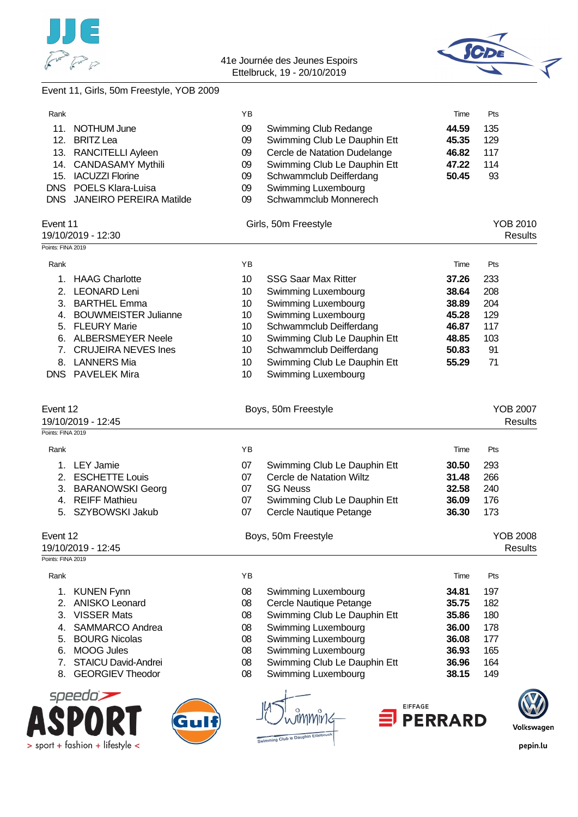

> sport + fashion + lifestyle <



# Event 11, Girls, 50m Freestyle, YOB 2009

| Rank              |                                        | ΥB       |                                                          | Time           | Pts                               |
|-------------------|----------------------------------------|----------|----------------------------------------------------------|----------------|-----------------------------------|
|                   | 11. NOTHUM June                        | 09       | Swimming Club Redange                                    | 44.59          | 135                               |
|                   | 12. BRITZ Lea                          | 09       | Swimming Club Le Dauphin Ett                             | 45.35          | 129                               |
|                   | 13. RANCITELLI Ayleen                  | 09       | Cercle de Natation Dudelange                             | 46.82          | 117                               |
|                   | 14. CANDASAMY Mythili                  | 09       | Swimming Club Le Dauphin Ett                             | 47.22          | 114                               |
|                   | 15. IACUZZI Florine                    | 09       | Schwammclub Deifferdang                                  | 50.45          | 93                                |
|                   | DNS POELS Klara-Luisa                  | 09       | Swimming Luxembourg                                      |                |                                   |
|                   | DNS JANEIRO PEREIRA Matilde            | 09       | Schwammclub Monnerech                                    |                |                                   |
| Event 11          | 19/10/2019 - 12:30                     |          | Girls, 50m Freestyle                                     |                | <b>YOB 2010</b><br><b>Results</b> |
| Points: FINA 2019 |                                        |          |                                                          |                |                                   |
| Rank              |                                        | YB       |                                                          | Time           | Pts                               |
| 1.                | <b>HAAG Charlotte</b>                  | 10       | <b>SSG Saar Max Ritter</b>                               | 37.26          | 233                               |
| 2.                | <b>LEONARD Leni</b>                    | 10       | Swimming Luxembourg                                      | 38.64          | 208                               |
| 3.                | <b>BARTHEL Emma</b>                    | 10       | Swimming Luxembourg                                      | 38.89          | 204                               |
|                   | 4. BOUWMEISTER Julianne                | 10       | Swimming Luxembourg                                      | 45.28          | 129                               |
|                   | 5. FLEURY Marie                        | 10       | Schwammclub Deifferdang                                  | 46.87          | 117                               |
|                   | 6. ALBERSMEYER Neele                   | 10       | Swimming Club Le Dauphin Ett                             | 48.85          | 103                               |
|                   | 7. CRUJEIRA NEVES Ines                 | 10       | Schwammclub Deifferdang                                  | 50.83          | 91                                |
|                   | 8. LANNERS Mia                         | 10       | Swimming Club Le Dauphin Ett                             | 55.29          | 71                                |
|                   | DNS PAVELEK Mira                       | 10       | Swimming Luxembourg                                      |                |                                   |
|                   |                                        |          |                                                          |                |                                   |
| Event 12          | 19/10/2019 - 12:45                     |          | Boys, 50m Freestyle                                      |                | <b>YOB 2007</b><br><b>Results</b> |
| Points: FINA 2019 |                                        |          |                                                          |                |                                   |
| Rank              |                                        | YB       |                                                          | Time           | Pts                               |
|                   | <b>LEY Jamie</b>                       |          |                                                          |                |                                   |
| 1.                |                                        | 07       | Swimming Club Le Dauphin Ett<br>Cercle de Natation Wiltz | 30.50          | 293                               |
|                   | 2. ESCHETTE Louis                      | 07       | <b>SG Neuss</b>                                          | 31.48          | 266<br>240                        |
|                   | 3. BARANOWSKI Georg                    | 07       |                                                          | 32.58          |                                   |
|                   | 4. REIFF Mathieu<br>5. SZYBOWSKI Jakub | 07<br>07 | Swimming Club Le Dauphin Ett<br>Cercle Nautique Petange  | 36.09<br>36.30 | 176<br>173                        |
|                   |                                        |          |                                                          |                |                                   |
| Event 12          |                                        |          | Boys, 50m Freestyle                                      |                | <b>YOB 2008</b>                   |
| Points: FINA 2019 | 19/10/2019 - 12:45                     |          |                                                          |                | <b>Results</b>                    |
|                   |                                        |          |                                                          |                |                                   |
| Rank              |                                        | YB       |                                                          | Time           | Pts                               |
| 1.                | <b>KUNEN Fynn</b>                      | 08       | Swimming Luxembourg                                      | 34.81          | 197                               |
| 2.                | <b>ANISKO Leonard</b>                  | 08       | Cercle Nautique Petange                                  | 35.75          | 182                               |
| 3.                | <b>VISSER Mats</b>                     | 08       | Swimming Club Le Dauphin Ett                             | 35.86          | 180                               |
| 4.                | <b>SAMMARCO Andrea</b>                 | 08       | Swimming Luxembourg                                      | 36.00          | 178                               |
| 5.                | <b>BOURG Nicolas</b>                   | 08       | Swimming Luxembourg                                      | 36.08          | 177                               |
| 6.                | <b>MOOG Jules</b>                      | 08       | Swimming Luxembourg                                      | 36.93          | 165                               |
| 7.                | <b>STAICU David-Andrei</b>             | 08       | Swimming Club Le Dauphin Ett                             | 36.96          | 164                               |
| 8.                | <b>GEORGIEV Theodor</b>                | 08       | Swimming Luxembourg                                      | 38.15          | 149                               |
|                   | speedo                                 |          | <b>EIFFAGE</b>                                           |                |                                   |
|                   |                                        |          |                                                          | <b>PERRARD</b> |                                   |
|                   |                                        |          |                                                          |                |                                   |
|                   | nort + fashion + lifestyle             |          | Swimming Club le Dauphin Ettelbruck                      |                | nenin                             |

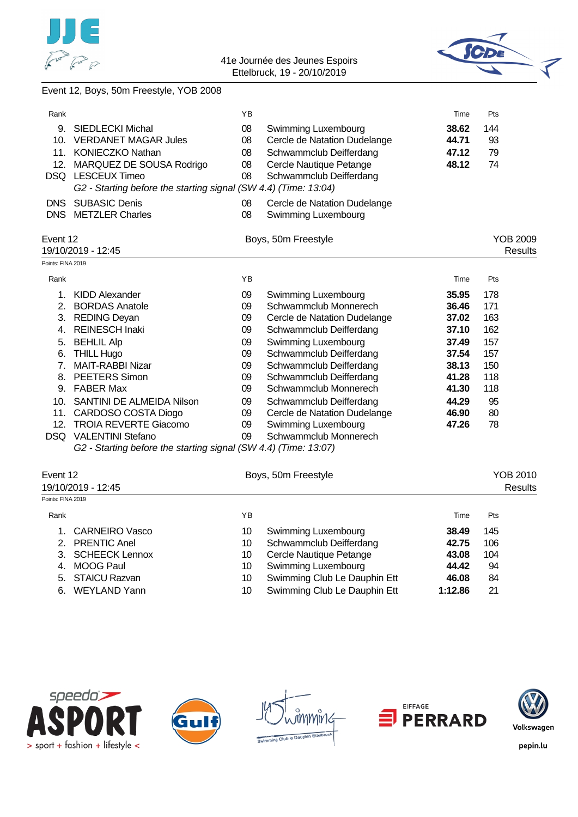



### Event 12, Boys, 50m Freestyle, YOB 2008

| Rank              |                                                                 | ΥB |                              | Time  | Pts             |
|-------------------|-----------------------------------------------------------------|----|------------------------------|-------|-----------------|
| 9.                | <b>SIEDLECKI Michal</b>                                         | 08 | Swimming Luxembourg          | 38.62 | 144             |
| 10.               | <b>VERDANET MAGAR Jules</b>                                     | 08 | Cercle de Natation Dudelange | 44.71 | 93              |
|                   | 11. KONIECZKO Nathan                                            | 08 | Schwammclub Deifferdang      | 47.12 | 79              |
|                   | 12. MARQUEZ DE SOUSA Rodrigo                                    | 08 | Cercle Nautique Petange      | 48.12 | 74              |
|                   | DSQ LESCEUX Timeo                                               | 08 | Schwammclub Deifferdang      |       |                 |
|                   | G2 - Starting before the starting signal (SW 4.4) (Time: 13:04) |    |                              |       |                 |
| <b>DNS</b>        | <b>SUBASIC Denis</b>                                            | 08 | Cercle de Natation Dudelange |       |                 |
|                   | DNS METZLER Charles                                             | 08 | Swimming Luxembourg          |       |                 |
| Event 12          |                                                                 |    |                              |       | <b>YOB 2009</b> |
|                   | 19/10/2019 - 12:45                                              |    | Boys, 50m Freestyle          |       | <b>Results</b>  |
| Points: FINA 2019 |                                                                 |    |                              |       |                 |
| Rank              |                                                                 | YB |                              | Time  | Pts             |
| 1.                | <b>KIDD Alexander</b>                                           | 09 | Swimming Luxembourg          | 35.95 | 178             |
|                   | 2. BORDAS Anatole                                               | 09 | Schwammclub Monnerech        | 36.46 | 171             |
|                   | 3. REDING Deyan                                                 | 09 | Cercle de Natation Dudelange | 37.02 | 163             |
|                   | 4. REINESCH Inaki                                               | 09 | Schwammclub Deifferdang      | 37.10 | 162             |
|                   | 5. BEHLIL Alp                                                   | 09 | Swimming Luxembourg          | 37.49 | 157             |
| 6.                | <b>THILL Hugo</b>                                               | 09 | Schwammclub Deifferdang      | 37.54 | 157             |
| 7.                | <b>MAIT-RABBI Nizar</b>                                         | 09 | Schwammclub Deifferdang      | 38.13 | 150             |
| 8.                | <b>PEETERS Simon</b>                                            | 09 | Schwammclub Deifferdang      | 41.28 | 118             |
|                   | 9. FABER Max                                                    | 09 | Schwammclub Monnerech        | 41.30 | 118             |
|                   | 10. SANTINI DE ALMEIDA Nilson                                   | 09 | Schwammclub Deifferdang      | 44.29 | 95              |
|                   | 11. CARDOSO COSTA Diogo                                         | 09 | Cercle de Natation Dudelange | 46.90 | 80              |
| 12.               | <b>TROIA REVERTE Giacomo</b>                                    | 09 | Swimming Luxembourg          | 47.26 | 78              |
|                   | <b>DSQ VALENTINI Stefano</b>                                    | 09 | Schwammclub Monnerech        |       |                 |
|                   | G2 - Starting before the starting signal (SW 4.4) (Time: 13:07) |    |                              |       |                 |
|                   |                                                                 |    |                              |       |                 |
| Event 12          |                                                                 |    | Boys, 50m Freestyle          |       | <b>YOB 2010</b> |
| Points: FINA 2019 | 19/10/2019 - 12:45                                              |    |                              |       | <b>Results</b>  |
|                   |                                                                 |    |                              |       |                 |
| Rank              |                                                                 | YB |                              | Time  | Pts             |
| 1.                | <b>CARNEIRO Vasco</b>                                           | 10 | Swimming Luxembourg          | 38.49 | 145             |
|                   |                                                                 |    |                              |       |                 |

| 1. CARNEIRO VASCO |      | Swimming Luxembourg          | 38.49   | 145 |
|-------------------|------|------------------------------|---------|-----|
| 2. PRENTIC Anel   | 10   | Schwammclub Deifferdang      | 42.75   | 106 |
| 3. SCHEECK Lennox | 10 - | Cercle Nautique Petange      | 43.08   | 104 |
| 4. MOOG Paul      | 10 - | Swimming Luxembourg          | 44.42   | 94  |
| 5. STAICU Razvan  | 10.  | Swimming Club Le Dauphin Ett | 46.08   | 84  |
| 6. WEYLAND Yann   | 10   | Swimming Club Le Dauphin Ett | 1:12.86 | 21  |









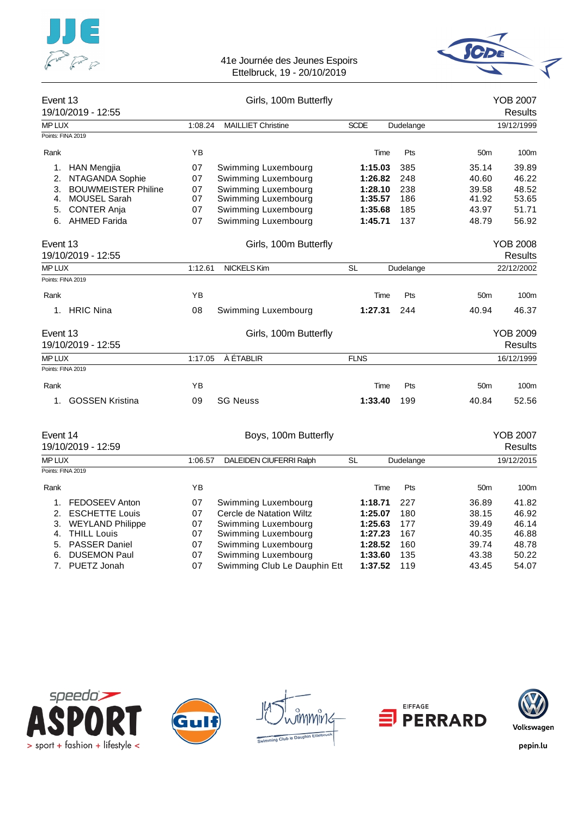



| Event 13           | 19/10/2019 - 12:55         |           | Girls, 100m Butterfly     |             |             |                 | <b>YOB 2007</b><br><b>Results</b> |
|--------------------|----------------------------|-----------|---------------------------|-------------|-------------|-----------------|-----------------------------------|
| MP LUX             |                            | 1:08.24   | <b>MAILLIET Christine</b> | <b>SCDE</b> | Dudelange   |                 | 19/12/1999                        |
|                    | Points: FINA 2019          |           |                           |             |             |                 |                                   |
| Rank               |                            | YB        |                           | Time        | Pts         | 50 <sub>m</sub> | 100m                              |
| 1.                 | <b>HAN Mengjia</b>         | 07        | Swimming Luxembourg       | 1:15.03     | 385         | 35.14           | 39.89                             |
| 2.                 | NTAGANDA Sophie            | 07        | Swimming Luxembourg       | 1:26.82     | 248         | 40.60           | 46.22                             |
| 3.                 | <b>BOUWMEISTER Philine</b> | 07        | Swimming Luxembourg       | 1:28.10     | 238         | 39.58           | 48.52                             |
| $\mathbf{4}$ .     | <b>MOUSEL Sarah</b>        | 07        | Swimming Luxembourg       | 1:35.57     | 186         | 41.92           | 53.65                             |
| 5.                 | <b>CONTER Anja</b>         | 07        | Swimming Luxembourg       | 1:35.68     | 185         | 43.97           | 51.71                             |
| 6.                 | <b>AHMED Farida</b>        | 07        | Swimming Luxembourg       | 1:45.71     | 137         | 48.79           | 56.92                             |
| Event 13           |                            |           | Girls, 100m Butterfly     |             |             |                 | <b>YOB 2008</b>                   |
| 19/10/2019 - 12:55 |                            |           |                           |             |             |                 | <b>Results</b>                    |
| <b>MP LUX</b>      |                            | 1:12.61   | <b>NICKELS Kim</b>        | <b>SL</b>   | Dudelange   |                 | 22/12/2002                        |
|                    | Points: FINA 2019          |           |                           |             |             |                 |                                   |
| Rank               |                            | <b>YB</b> |                           | Time        | Pts         | 50 <sub>m</sub> | 100m                              |
|                    | 1. HRIC Nina               | 08        | Swimming Luxembourg       | 1:27.31     | 244         | 40.94           | 46.37                             |
| Event 13           |                            |           | Girls, 100m Butterfly     |             |             |                 | <b>YOB 2009</b>                   |
|                    | 19/10/2019 - 12:55         |           |                           |             |             |                 | <b>Results</b>                    |
| <b>MP LUX</b>      |                            | 1:17.05   | À ÉTABLIR                 | <b>FLNS</b> |             |                 | 16/12/1999                        |
|                    | Points: FINA 2019          |           |                           |             |             |                 |                                   |
| Rank               |                            | YB        |                           |             | Pts<br>Time | 50 <sub>m</sub> | 100m                              |
| 1 <sub>1</sub>     | <b>GOSSEN Kristina</b>     | 09        | <b>SG Neuss</b>           | 1:33.40     | 199         | 40.84           | 52.56                             |
| Event 14           |                            |           | Boys, 100m Butterfly      |             |             |                 | <b>YOB 2007</b>                   |
|                    | 19/10/2019 - 12:59         |           |                           |             |             |                 | <b>Results</b>                    |
| <b>MP LUX</b>      |                            | 1:06.57   | DALEIDEN CIUFERRI Ralph   | <b>SL</b>   | Dudelange   |                 | 19/12/2015                        |
|                    | Points: FINA 2019          |           |                           |             |             |                 |                                   |

| Rank |                     | YΒ |                              | Time    | Pts  | 50 <sub>m</sub> | 100 <sub>m</sub> |
|------|---------------------|----|------------------------------|---------|------|-----------------|------------------|
|      | 1. FEDOSEEV Anton   | 07 | Swimming Luxembourg          | 1:18.71 | -227 | 36.89           | 41.82            |
|      | 2. ESCHETTE Louis   | 07 | Cercle de Natation Wiltz     | 1:25.07 | 180  | 38.15           | 46.92            |
|      | 3. WEYLAND Philippe | 07 | Swimming Luxembourg          | 1:25.63 | 177  | 39.49           | 46.14            |
|      | 4. THILL Louis      | 07 | Swimming Luxembourg          | 1:27.23 | 167  | 40.35           | 46.88            |
|      | 5. PASSER Daniel    | 07 | Swimming Luxembourg          | 1:28.52 | 160  | 39.74           | 48.78            |
|      | 6. DUSEMON Paul     | 07 | Swimming Luxembourg          | 1:33.60 | 135  | 43.38           | 50.22            |
|      | 7. PUETZ Jonah      | 07 | Swimming Club Le Dauphin Ett | 1:37.52 | 119  | 43.45           | 54.07            |
|      |                     |    |                              |         |      |                 |                  |



![](_page_14_Picture_6.jpeg)

![](_page_14_Picture_7.jpeg)

![](_page_14_Picture_8.jpeg)

![](_page_14_Picture_9.jpeg)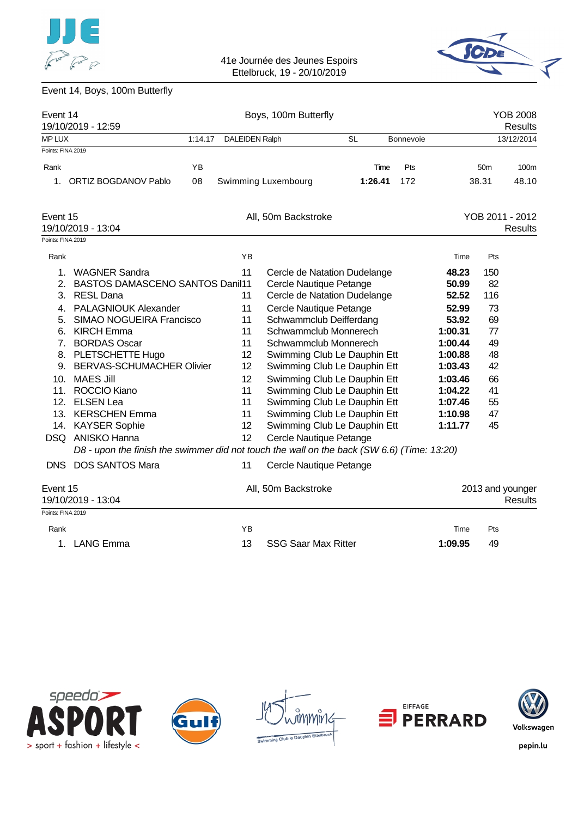![](_page_15_Picture_0.jpeg)

![](_page_15_Picture_2.jpeg)

# Event 14, Boys, 100m Butterfly

| Event 14          | 19/10/2019 - 12:59                                                                         |         |                       | Boys, 100m Butterfly         |           |           |         |                  | <b>YOB 2008</b><br><b>Results</b> |
|-------------------|--------------------------------------------------------------------------------------------|---------|-----------------------|------------------------------|-----------|-----------|---------|------------------|-----------------------------------|
| <b>MP LUX</b>     |                                                                                            | 1:14.17 | <b>DALEIDEN Ralph</b> |                              | <b>SL</b> | Bonnevoie |         |                  | 13/12/2014                        |
| Points: FINA 2019 |                                                                                            |         |                       |                              |           |           |         |                  |                                   |
| Rank              |                                                                                            | YB      |                       |                              | Time      | Pts       |         | 50 <sub>m</sub>  | 100m                              |
| 1.                | <b>ORTIZ BOGDANOV Pablo</b>                                                                | 08      |                       | Swimming Luxembourg          | 1:26.41   | 172       |         | 38.31            | 48.10                             |
| Event 15          |                                                                                            |         |                       | All, 50m Backstroke          |           |           |         | YOB 2011 - 2012  |                                   |
|                   | 19/10/2019 - 13:04                                                                         |         |                       |                              |           |           |         |                  | <b>Results</b>                    |
| Points: FINA 2019 |                                                                                            |         |                       |                              |           |           |         |                  |                                   |
| Rank              |                                                                                            |         | ΥB                    |                              |           |           | Time    | Pts              |                                   |
| 1.                | <b>WAGNER Sandra</b>                                                                       |         | 11                    | Cercle de Natation Dudelange |           |           | 48.23   | 150              |                                   |
| 2.                | <b>BASTOS DAMASCENO SANTOS Danil11</b>                                                     |         |                       | Cercle Nautique Petange      |           |           | 50.99   | 82               |                                   |
| 3.                | <b>RESL Dana</b>                                                                           |         | 11                    | Cercle de Natation Dudelange |           |           | 52.52   | 116              |                                   |
| 4.                | <b>PALAGNIOUK Alexander</b>                                                                |         | 11                    | Cercle Nautique Petange      |           |           | 52.99   | 73               |                                   |
| 5.                | <b>SIMAO NOGUEIRA Francisco</b>                                                            |         | 11                    | Schwammclub Deifferdang      |           |           | 53.92   | 69               |                                   |
| 6.                | <b>KIRCH Emma</b>                                                                          |         | 11                    | Schwammclub Monnerech        |           |           | 1:00.31 | 77               |                                   |
| 7.                | <b>BORDAS Oscar</b>                                                                        |         | 11                    | Schwammclub Monnerech        |           |           | 1:00.44 | 49               |                                   |
|                   | 8. PLETSCHETTE Hugo                                                                        |         | 12                    | Swimming Club Le Dauphin Ett |           |           | 1:00.88 | 48               |                                   |
| 9.                | <b>BERVAS-SCHUMACHER Olivier</b>                                                           |         | 12                    | Swimming Club Le Dauphin Ett |           |           | 1:03.43 | 42               |                                   |
| 10 <sub>1</sub>   | <b>MAES Jill</b>                                                                           |         | 12                    | Swimming Club Le Dauphin Ett |           |           | 1:03.46 | 66               |                                   |
| 11.               | ROCCIO Kiano                                                                               |         | 11                    | Swimming Club Le Dauphin Ett |           |           | 1:04.22 | 41               |                                   |
| 12.               | <b>ELSEN Lea</b>                                                                           |         | 11                    | Swimming Club Le Dauphin Ett |           |           | 1:07.46 | 55               |                                   |
|                   | 13. KERSCHEN Emma                                                                          |         | 11                    | Swimming Club Le Dauphin Ett |           |           | 1:10.98 | 47               |                                   |
|                   | 14. KAYSER Sophie                                                                          |         | 12                    | Swimming Club Le Dauphin Ett |           |           | 1:11.77 | 45               |                                   |
|                   | DSQ ANISKO Hanna                                                                           |         | 12                    | Cercle Nautique Petange      |           |           |         |                  |                                   |
|                   | D8 - upon the finish the swimmer did not touch the wall on the back (SW 6.6) (Time: 13:20) |         |                       |                              |           |           |         |                  |                                   |
| <b>DNS</b>        | <b>DOS SANTOS Mara</b>                                                                     |         | 11                    | Cercle Nautique Petange      |           |           |         |                  |                                   |
| Event 15          | 19/10/2019 - 13:04                                                                         |         |                       | All, 50m Backstroke          |           |           |         | 2013 and younger | <b>Results</b>                    |
| Points: FINA 2019 |                                                                                            |         |                       |                              |           |           |         |                  |                                   |
| Rank              |                                                                                            |         | YB                    |                              |           |           | Time    | Pts              |                                   |
|                   | 1. LANG Emma                                                                               |         | 13                    | <b>SSG Saar Max Ritter</b>   |           |           | 1:09.95 | 49               |                                   |

![](_page_15_Picture_5.jpeg)

![](_page_15_Picture_6.jpeg)

![](_page_15_Picture_7.jpeg)

![](_page_15_Picture_8.jpeg)

![](_page_15_Picture_9.jpeg)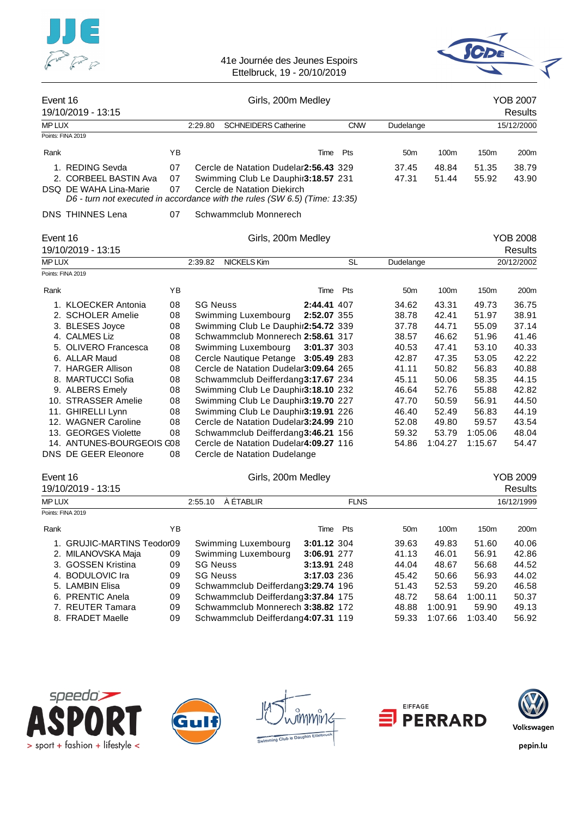![](_page_16_Picture_0.jpeg)

![](_page_16_Picture_2.jpeg)

| Event 16      | 19/10/2019 - 13:15                                                         |    |                 | Girls, 200m Medley                    |             |             |                 |         |         | <b>YOB 2007</b><br><b>Results</b> |
|---------------|----------------------------------------------------------------------------|----|-----------------|---------------------------------------|-------------|-------------|-----------------|---------|---------|-----------------------------------|
| <b>MP LUX</b> |                                                                            |    | 2:29.80         | <b>SCHNEIDERS Catherine</b>           |             | <b>CNW</b>  | Dudelange       |         |         | 15/12/2000                        |
|               | Points: FINA 2019                                                          |    |                 |                                       |             |             |                 |         |         |                                   |
| Rank          |                                                                            | YB |                 |                                       | Time        | Pts         | 50 <sub>m</sub> | 100m    | 150m    | 200m                              |
|               | 1. REDING Sevda                                                            | 07 |                 | Cercle de Natation Dudelar2:56.43 329 |             |             | 37.45           | 48.84   | 51.35   | 38.79                             |
|               | 2. CORBEEL BASTIN Ava                                                      | 07 |                 | Swimming Club Le Dauphir3:18.57 231   |             |             | 47.31           | 51.44   | 55.92   | 43.90                             |
|               | DSQ DE WAHA Lina-Marie                                                     | 07 |                 | Cercle de Natation Diekirch           |             |             |                 |         |         |                                   |
|               | D6 - turn not executed in accordance with the rules (SW 6.5) (Time: 13:35) |    |                 |                                       |             |             |                 |         |         |                                   |
|               | <b>DNS THINNES Lena</b>                                                    | 07 |                 | Schwammclub Monnerech                 |             |             |                 |         |         |                                   |
| Event 16      |                                                                            |    |                 | Girls, 200m Medley                    |             |             |                 |         |         | <b>YOB 2008</b>                   |
|               | 19/10/2019 - 13:15                                                         |    |                 |                                       |             |             |                 |         |         | <b>Results</b>                    |
| <b>MP LUX</b> |                                                                            |    | 2:39.82         | NICKELS Kim                           |             | <b>SL</b>   | Dudelange       |         |         | 20/12/2002                        |
|               | Points: FINA 2019                                                          |    |                 |                                       |             |             |                 |         |         |                                   |
| Rank          |                                                                            | YB |                 |                                       | Time        | Pts         | 50 <sub>m</sub> | 100m    | 150m    | 200m                              |
|               | 1. KLOECKER Antonia                                                        | 08 | <b>SG Neuss</b> |                                       | 2:44.41 407 |             | 34.62           | 43.31   | 49.73   | 36.75                             |
|               | 2. SCHOLER Amelie                                                          | 08 |                 | Swimming Luxembourg                   | 2:52.07 355 |             | 38.78           | 42.41   | 51.97   | 38.91                             |
|               | 3. BLESES Joyce                                                            | 08 |                 | Swimming Club Le Dauphir2:54.72 339   |             |             | 37.78           | 44.71   | 55.09   | 37.14                             |
|               | 4. CALMES Liz                                                              | 08 |                 | Schwammclub Monnerech 2:58.61 317     |             |             | 38.57           | 46.62   | 51.96   | 41.46                             |
|               | 5. OLIVERO Francesca                                                       | 08 |                 | Swimming Luxembourg                   | 3:01.37 303 |             | 40.53           | 47.41   | 53.10   | 40.33                             |
|               | 6. ALLAR Maud                                                              | 08 |                 | Cercle Nautique Petange 3:05.49 283   |             |             | 42.87           | 47.35   | 53.05   | 42.22                             |
|               | 7. HARGER Allison                                                          | 08 |                 | Cercle de Natation Dudelar3:09.64 265 |             |             | 41.11           | 50.82   | 56.83   | 40.88                             |
|               | 8. MARTUCCI Sofia                                                          | 08 |                 | Schwammclub Deifferdang3:17.67 234    |             |             | 45.11           | 50.06   | 58.35   | 44.15                             |
|               | 9. ALBERS Emely                                                            | 08 |                 | Swimming Club Le Dauphir3:18.10 232   |             |             | 46.64           | 52.76   | 55.88   | 42.82                             |
|               | 10. STRASSER Amelie                                                        | 08 |                 | Swimming Club Le Dauphir3:19.70 227   |             |             | 47.70           | 50.59   | 56.91   | 44.50                             |
|               | 11. GHIRELLI Lynn                                                          | 08 |                 | Swimming Club Le Dauphir3:19.91 226   |             |             | 46.40           | 52.49   | 56.83   | 44.19                             |
|               | 12. WAGNER Caroline                                                        | 08 |                 | Cercle de Natation Dudelar3:24.99 210 |             |             | 52.08           | 49.80   | 59.57   | 43.54                             |
|               | 13. GEORGES Violette                                                       | 08 |                 | Schwammclub Deifferdang3:46.21 156    |             |             | 59.32           | 53.79   | 1:05.06 | 48.04                             |
|               | 14. ANTUNES-BOURGEOIS C08                                                  |    |                 | Cercle de Natation Dudelar4:09.27 116 |             |             | 54.86           | 1:04.27 | 1:15.67 | 54.47                             |
|               | DNS DE GEER Eleonore                                                       | 08 |                 | Cercle de Natation Dudelange          |             |             |                 |         |         |                                   |
| Event 16      |                                                                            |    |                 | Girls, 200m Medley                    |             |             |                 |         |         | <b>YOB 2009</b>                   |
|               | 19/10/2019 - 13:15                                                         |    |                 |                                       |             |             |                 |         |         | <b>Results</b>                    |
| <b>MP LUX</b> |                                                                            |    | 2:55.10         | À ÉTABLIR                             |             | <b>FLNS</b> |                 |         |         | 16/12/1999                        |
|               | Points: FINA 2019                                                          |    |                 |                                       |             |             |                 |         |         |                                   |
| Rank          |                                                                            | YB |                 |                                       | Time        | Pts         | 50 <sub>m</sub> | 100m    | 150m    | 200m                              |
|               | 1. GRUJIC-MARTINS Teodor09                                                 |    |                 | Swimming Luxembourg                   | 3:01.12 304 |             | 39.63           | 49.83   | 51.60   | 40.06                             |
|               |                                                                            |    |                 |                                       |             |             |                 |         |         |                                   |

| 1. GRUJIC-MARTINS Teodor09 |    | Swimming Luxembourg                | 3:01.12 304 | 39.63 | 49.83   | 51.60   | 40.06 |
|----------------------------|----|------------------------------------|-------------|-------|---------|---------|-------|
| 2. MILANOVSKA Maja         | 09 | Swimming Luxembourg                | 3:06.91 277 | 41.13 | 46.01   | 56.91   | 42.86 |
| 3. GOSSEN Kristina         | 09 | <b>SG Neuss</b>                    | 3:13.91 248 | 44.04 | 48.67   | 56.68   | 44.52 |
| 4. BODULOVIC Ira           | 09 | <b>SG Neuss</b>                    | 3:17.03 236 | 45.42 | 50.66   | 56.93   | 44.02 |
| 5. LAMBIN Elisa            | 09 | Schwammclub Deifferdang3:29.74 196 |             | 51.43 | 52.53   | 59.20   | 46.58 |
| 6. PRENTIC Anela           | 09 | Schwammclub Deifferdang3:37.84 175 |             | 48.72 | 58.64   | 1:00.11 | 50.37 |
| 7. REUTER Tamara           | 09 | Schwammclub Monnerech 3:38.82 172  |             | 48.88 | 1:00.91 | 59.90   | 49.13 |
| 8. FRADET Maelle           | 09 | Schwammclub Deifferdang4:07.31 119 |             | 59.33 | 1:07.66 | 1:03.40 | 56.92 |
|                            |    |                                    |             |       |         |         |       |

![](_page_16_Picture_5.jpeg)

![](_page_16_Picture_6.jpeg)

ทพเิท6 ing Club le Dauphin Ett

![](_page_16_Picture_8.jpeg)

![](_page_16_Picture_9.jpeg)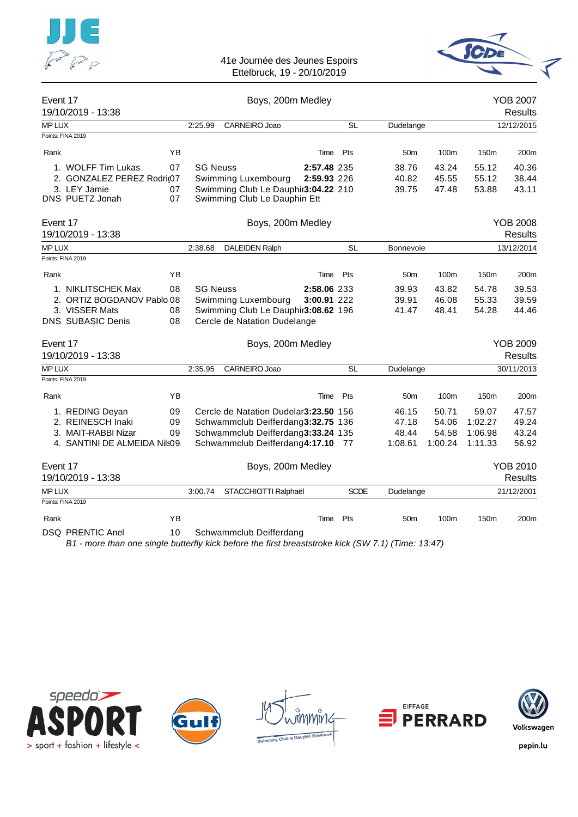![](_page_17_Picture_0.jpeg)

# 41e Journée des Jeunes Espoirs

![](_page_17_Picture_2.jpeg)

Ettelbruck, 19 - 20/10/2019

| Event 17<br>19/10/2019 - 13:38                                                                 |                |                 | Boys, 200m Medley                                                                                                                                   |                            |             |                                    |                                    |                                        | <b>YOB 2007</b><br><b>Results</b> |
|------------------------------------------------------------------------------------------------|----------------|-----------------|-----------------------------------------------------------------------------------------------------------------------------------------------------|----------------------------|-------------|------------------------------------|------------------------------------|----------------------------------------|-----------------------------------|
| <b>MP LUX</b>                                                                                  |                | 2:25.99         | CARNEIRO Joao                                                                                                                                       |                            | <b>SL</b>   | Dudelange                          |                                    |                                        | 12/12/2015                        |
| Points: FINA 2019                                                                              |                |                 |                                                                                                                                                     |                            |             |                                    |                                    |                                        |                                   |
| Rank                                                                                           | ΥB             |                 |                                                                                                                                                     | Time                       | Pts         | 50 <sub>m</sub>                    | 100m                               | 150m                                   | 200m                              |
| 1. WOLFF Tim Lukas<br>2. GONZALEZ PEREZ Rodri(07<br>3. LEY Jamie<br>DNS PUETZ Jonah            | 07<br>07<br>07 | <b>SG Neuss</b> | Swimming Luxembourg<br>Swimming Club Le Dauphir3:04.22 210<br>Swimming Club Le Dauphin Ett                                                          | 2:57.48 235<br>2:59.93 226 |             | 38.76<br>40.82<br>39.75            | 43.24<br>45.55<br>47.48            | 55.12<br>55.12<br>53.88                | 40.36<br>38.44<br>43.11           |
| Event 17<br>19/10/2019 - 13:38                                                                 |                |                 | Boys, 200m Medley                                                                                                                                   |                            |             |                                    |                                    |                                        | <b>YOB 2008</b><br><b>Results</b> |
| <b>MP LUX</b>                                                                                  |                | 2:38.68         | <b>DALEIDEN Ralph</b>                                                                                                                               |                            | <b>SL</b>   | <b>Bonnevoie</b>                   |                                    |                                        | 13/12/2014                        |
| Points: FINA 2019                                                                              |                |                 |                                                                                                                                                     |                            |             |                                    |                                    |                                        |                                   |
| Rank                                                                                           | YB             |                 |                                                                                                                                                     | Time                       | Pts         | 50 <sub>m</sub>                    | 100m                               | 150m                                   | 200m                              |
| 1. NIKLITSCHEK Max<br>2. ORTIZ BOGDANOV Pablo 08<br>3. VISSER Mats<br><b>DNS SUBASIC Denis</b> | 08<br>08<br>08 | <b>SG Neuss</b> | Swimming Luxembourg<br>Swimming Club Le Dauphir3:08.62 196<br>Cercle de Natation Dudelange                                                          | 2:58.06 233<br>3:00.91 222 |             | 39.93<br>39.91<br>41.47            | 43.82<br>46.08<br>48.41            | 54.78<br>55.33<br>54.28                | 39.53<br>39.59<br>44.46           |
| Event 17<br>19/10/2019 - 13:38                                                                 |                |                 | Boys, 200m Medley                                                                                                                                   |                            |             |                                    |                                    |                                        | <b>YOB 2009</b><br><b>Results</b> |
| <b>MP LUX</b>                                                                                  |                | 2:35.95         | CARNEIRO Joao                                                                                                                                       |                            | <b>SL</b>   | Dudelange                          |                                    |                                        | 30/11/2013                        |
| Points: FINA 2019                                                                              |                |                 |                                                                                                                                                     |                            |             |                                    |                                    |                                        |                                   |
| Rank                                                                                           | YB             |                 |                                                                                                                                                     | Time                       | Pts         | 50 <sub>m</sub>                    | 100m                               | 150m                                   | 200m                              |
| 1. REDING Deyan<br>2. REINESCH Inaki<br>3. MAIT-RABBI Nizar<br>4. SANTINI DE ALMEIDA NIIs09    | 09<br>09<br>09 |                 | Cercle de Natation Dudelar3:23.50 156<br>Schwammclub Deifferdang3:32.75 136<br>Schwammclub Deifferdang3:33.24 135<br>Schwammclub Deifferdang4:17.10 |                            | -77         | 46.15<br>47.18<br>48.44<br>1:08.61 | 50.71<br>54.06<br>54.58<br>1:00.24 | 59.07<br>1:02.27<br>1:06.98<br>1:11.33 | 47.57<br>49.24<br>43.24<br>56.92  |
| Event 17<br>19/10/2019 - 13:38                                                                 |                |                 | Boys, 200m Medley                                                                                                                                   |                            |             |                                    |                                    |                                        | <b>YOB 2010</b><br><b>Results</b> |
| MP LUX                                                                                         |                | 3:00.74         | STACCHIOTTI Ralphaël                                                                                                                                |                            | <b>SCDE</b> | Dudelange                          |                                    |                                        | 21/12/2001                        |
| Points: FINA 2019                                                                              |                |                 |                                                                                                                                                     |                            |             |                                    |                                    |                                        |                                   |
| Rank<br><b>DSQ PRENTIC Anel</b>                                                                | YB<br>10       |                 | Schwammclub Deifferdang                                                                                                                             | Time                       | Pts         | 50 <sub>m</sub>                    | 100m                               | 150 <sub>m</sub>                       | 200m                              |

*B1 - more than one single butterfly kick before the first breaststroke kick (SW 7.1) (Time: 13:47)*

![](_page_17_Picture_6.jpeg)

![](_page_17_Picture_7.jpeg)

![](_page_17_Picture_8.jpeg)

![](_page_17_Picture_9.jpeg)

![](_page_17_Picture_10.jpeg)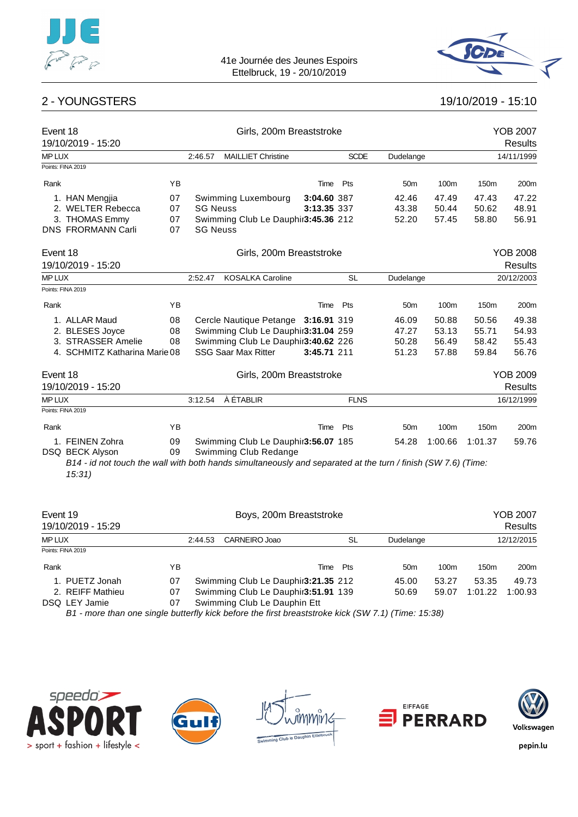![](_page_18_Picture_0.jpeg)

![](_page_18_Picture_2.jpeg)

![](_page_18_Picture_3.jpeg)

| Event 18<br>19/10/2019 - 15:20 |    |                 | Girls, 200m Breaststroke            |             |             |                 |         |                  | <b>YOB 2007</b><br><b>Results</b> |
|--------------------------------|----|-----------------|-------------------------------------|-------------|-------------|-----------------|---------|------------------|-----------------------------------|
| <b>MP LUX</b>                  |    | 2:46.57         | <b>MAILLIET Christine</b>           |             | <b>SCDE</b> | Dudelange       |         |                  | 14/11/1999                        |
| Points: FINA 2019              |    |                 |                                     |             |             |                 |         |                  |                                   |
| Rank                           | YB |                 |                                     | Time        | Pts         | 50 <sub>m</sub> | 100m    | 150 <sub>m</sub> | 200m                              |
| 1. HAN Mengjia                 | 07 |                 | Swimming Luxembourg                 | 3:04.60 387 |             | 42.46           | 47.49   | 47.43            | 47.22                             |
| 2. WELTER Rebecca              | 07 | <b>SG Neuss</b> |                                     | 3:13.35 337 |             | 43.38           | 50.44   | 50.62            | 48.91                             |
| 3. THOMAS Emmy                 | 07 |                 | Swimming Club Le Dauphir3:45.36 212 |             |             | 52.20           | 57.45   | 58.80            | 56.91                             |
| <b>DNS FRORMANN Carli</b>      | 07 | <b>SG Neuss</b> |                                     |             |             |                 |         |                  |                                   |
| Event 18                       |    |                 | Girls, 200m Breaststroke            |             |             |                 |         |                  | <b>YOB 2008</b>                   |
| 19/10/2019 - 15:20             |    |                 |                                     |             |             |                 |         |                  | <b>Results</b>                    |
| <b>MP LUX</b>                  |    | 2:52.47         | <b>KOSALKA Caroline</b>             |             | <b>SL</b>   | Dudelange       |         |                  | 20/12/2003                        |
| Points: FINA 2019              |    |                 |                                     |             |             |                 |         |                  |                                   |
| Rank                           | YB |                 |                                     | Time        | Pts         | 50 <sub>m</sub> | 100m    | 150m             | 200m                              |
| 1. ALLAR Maud                  | 08 |                 | Cercle Nautique Petange 3:16.91 319 |             |             | 46.09           | 50.88   | 50.56            | 49.38                             |
| 2. BLESES Joyce                | 08 |                 | Swimming Club Le Dauphir3:31.04 259 |             |             | 47.27           | 53.13   | 55.71            | 54.93                             |
| 3. STRASSER Amelie             | 08 |                 | Swimming Club Le Dauphir3:40.62 226 |             |             | 50.28           | 56.49   | 58.42            | 55.43                             |
| 4. SCHMITZ Katharina Marie 08  |    |                 | <b>SSG Saar Max Ritter</b>          | 3:45.71 211 |             | 51.23           | 57.88   | 59.84            | 56.76                             |
| Event 18                       |    |                 | Girls, 200m Breaststroke            |             |             |                 |         |                  | <b>YOB 2009</b>                   |
| 19/10/2019 - 15:20             |    |                 |                                     |             |             |                 |         |                  | <b>Results</b>                    |
| <b>MP LUX</b>                  |    | 3:12.54         | À ÉTABLIR                           |             | <b>FLNS</b> |                 |         |                  | 16/12/1999                        |
| Points: FINA 2019              |    |                 |                                     |             |             |                 |         |                  |                                   |
| Rank                           | YB |                 |                                     | Time        | Pts         | 50 <sub>m</sub> | 100m    | 150m             | 200m                              |
| 1. FEINEN Zohra                | 09 |                 | Swimming Club Le Dauphir3:56.07 185 |             |             | 54.28           | 1:00.66 | 1:01.37          | 59.76                             |
| DSQ BECK Alyson                | 09 |                 | Swimming Club Redange               |             |             |                 |         |                  |                                   |

*B14 - id not touch the wall with both hands simultaneously and separated at the turn / finish (SW 7.6) (Time: 15:31)*

| Event 19<br>19/10/2019 - 15:29 |    | Boys, 200m Breaststroke |                                                                                                  |          |                 | YOB 2007<br>Results |                  |                  |
|--------------------------------|----|-------------------------|--------------------------------------------------------------------------------------------------|----------|-----------------|---------------------|------------------|------------------|
| <b>MPLUX</b>                   |    | 2:44.53                 | CARNEIRO Joao                                                                                    | SL       | Dudelange       |                     |                  | 12/12/2015       |
| Points: FINA 2019              |    |                         |                                                                                                  |          |                 |                     |                  |                  |
| Rank                           | ΥB |                         |                                                                                                  | Time Pts | 50 <sub>m</sub> | 100 <sub>m</sub>    | 150 <sub>m</sub> | 200 <sub>m</sub> |
| 1. PUETZ Jonah                 | 07 |                         | Swimming Club Le Dauphir3:21.35 212                                                              |          | 45.00           | 53.27               | 53.35            | 49.73            |
| 2. REIFF Mathieu               | 07 |                         | Swimming Club Le Dauphir3:51.91 139                                                              |          | 50.69           | 59.07               | 1:01.22          | 1:00.93          |
| DSQ LEY Jamie                  | 07 |                         | Swimming Club Le Dauphin Ett                                                                     |          |                 |                     |                  |                  |
|                                |    |                         | R1 more than ano single butterfly kiek before the first breastetrake kiek (SW 7.1) (Time: 15:28) |          |                 |                     |                  |                  |

*B1 - more than one single butterfly kick before the first breaststroke kick (SW 7.1) (Time: 15:38)*

![](_page_18_Picture_9.jpeg)

![](_page_18_Picture_10.jpeg)

![](_page_18_Picture_11.jpeg)

![](_page_18_Picture_12.jpeg)

![](_page_18_Picture_13.jpeg)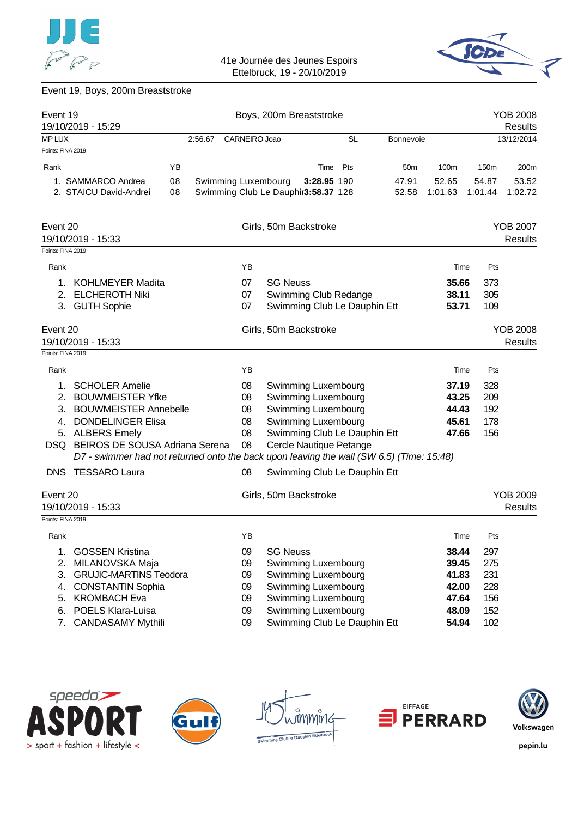![](_page_19_Picture_0.jpeg)

![](_page_19_Picture_2.jpeg)

# Event 19, Boys, 200m Breaststroke

| Event 19          | 19/10/2019 - 15:29                                                                       |         |                                     | Boys, 200m Breaststroke |                              |           |                  |         | <b>YOB 2008</b><br>Results |                            |
|-------------------|------------------------------------------------------------------------------------------|---------|-------------------------------------|-------------------------|------------------------------|-----------|------------------|---------|----------------------------|----------------------------|
| <b>MPLUX</b>      |                                                                                          | 2:56.67 | CARNEIRO Joao                       |                         |                              | <b>SL</b> | <b>Bonnevoie</b> |         |                            | 13/12/2014                 |
| Points: FINA 2019 |                                                                                          |         |                                     |                         |                              |           |                  |         |                            |                            |
| Rank              |                                                                                          | YB      |                                     |                         | Time                         | Pts       | 50 <sub>m</sub>  | 100m    | 150m                       | 200m                       |
|                   | 1. SAMMARCO Andrea                                                                       | 08      | Swimming Luxembourg                 |                         | 3:28.95 190                  |           | 47.91            | 52.65   | 54.87                      | 53.52                      |
|                   | 2. STAICU David-Andrei                                                                   | 08      | Swimming Club Le Dauphir3:58.37 128 |                         |                              |           | 52.58            | 1:01.63 | 1:01.44                    | 1:02.72                    |
| Event 20          |                                                                                          |         |                                     |                         | Girls, 50m Backstroke        |           |                  |         |                            | <b>YOB 2007</b>            |
|                   | 19/10/2019 - 15:33                                                                       |         |                                     |                         |                              |           |                  |         |                            | <b>Results</b>             |
| Points: FINA 2019 |                                                                                          |         |                                     |                         |                              |           |                  |         |                            |                            |
| Rank              |                                                                                          |         | ΥB                                  |                         |                              |           |                  | Time    | Pts                        |                            |
| 1.                | <b>KOHLMEYER Madita</b>                                                                  |         | 07                                  | <b>SG Neuss</b>         |                              |           |                  | 35.66   | 373                        |                            |
| 2.                | <b>ELCHEROTH Niki</b>                                                                    |         | 07                                  |                         | Swimming Club Redange        |           |                  | 38.11   | 305                        |                            |
| 3.                | <b>GUTH Sophie</b>                                                                       |         | 07                                  |                         | Swimming Club Le Dauphin Ett |           |                  | 53.71   | 109                        |                            |
| Event 20          |                                                                                          |         |                                     |                         | Girls, 50m Backstroke        |           |                  |         |                            | <b>YOB 2008</b>            |
|                   | 19/10/2019 - 15:33                                                                       |         |                                     |                         |                              |           |                  |         |                            | <b>Results</b>             |
| Points: FINA 2019 |                                                                                          |         |                                     |                         |                              |           |                  |         |                            |                            |
| Rank              |                                                                                          |         | ΥB                                  |                         |                              |           |                  | Time    | Pts                        |                            |
| 1.                | <b>SCHOLER Amelie</b>                                                                    |         | 08                                  |                         | Swimming Luxembourg          |           |                  | 37.19   | 328                        |                            |
| 2.                | <b>BOUWMEISTER Yfke</b>                                                                  |         | 08                                  |                         | Swimming Luxembourg          |           |                  | 43.25   | 209                        |                            |
| 3.                | <b>BOUWMEISTER Annebelle</b>                                                             |         | 08                                  |                         | Swimming Luxembourg          |           |                  | 44.43   | 192                        |                            |
| 4.                | <b>DONDELINGER Elisa</b>                                                                 |         | 08                                  |                         | Swimming Luxembourg          |           |                  | 45.61   | 178                        |                            |
| 5.                | <b>ALBERS Emely</b>                                                                      |         | 08                                  |                         | Swimming Club Le Dauphin Ett |           |                  | 47.66   | 156                        |                            |
| DSQ.              | <b>BEIROS DE SOUSA Adriana Serena</b>                                                    |         | 08                                  |                         | Cercle Nautique Petange      |           |                  |         |                            |                            |
|                   | D7 - swimmer had not returned onto the back upon leaving the wall (SW 6.5) (Time: 15:48) |         |                                     |                         |                              |           |                  |         |                            |                            |
|                   | DNS TESSARO Laura                                                                        |         | 08                                  |                         | Swimming Club Le Dauphin Ett |           |                  |         |                            |                            |
| Event 20          | 19/10/2019 - 15:33                                                                       |         |                                     |                         | Girls, 50m Backstroke        |           |                  |         |                            | <b>YOB 2009</b><br>Results |
| Points: FINA 2019 |                                                                                          |         |                                     |                         |                              |           |                  |         |                            |                            |
| Rank              |                                                                                          |         | ΥB                                  |                         |                              |           |                  | Time    | Pts                        |                            |
| 1.                | <b>GOSSEN Kristina</b>                                                                   |         | 09                                  | <b>SG Neuss</b>         |                              |           |                  | 38.44   | 297                        |                            |
| 2.                | MILANOVSKA Maja                                                                          |         | 09                                  |                         | Swimming Luxembourg          |           |                  | 39.45   | 275                        |                            |
| 3.                | <b>GRUJIC-MARTINS Teodora</b>                                                            |         | 09                                  |                         | Swimming Luxembourg          |           |                  | 41.83   | 231                        |                            |
| 4.                | <b>CONSTANTIN Sophia</b>                                                                 |         | 09                                  |                         | Swimming Luxembourg          |           |                  | 42.00   | 228                        |                            |
| 5.                | <b>KROMBACH Eva</b>                                                                      |         | 09                                  |                         | Swimming Luxembourg          |           |                  | 47.64   | 156                        |                            |
| 6.                | POELS Klara-Luisa                                                                        |         | 09                                  |                         | Swimming Luxembourg          |           |                  | 48.09   | 152                        |                            |
| 7.                | <b>CANDASAMY Mythili</b>                                                                 |         | 09                                  |                         | Swimming Club Le Dauphin Ett |           |                  | 54.94   | 102                        |                            |

![](_page_19_Picture_5.jpeg)

![](_page_19_Picture_6.jpeg)

![](_page_19_Figure_7.jpeg)

![](_page_19_Picture_8.jpeg)

![](_page_19_Picture_9.jpeg)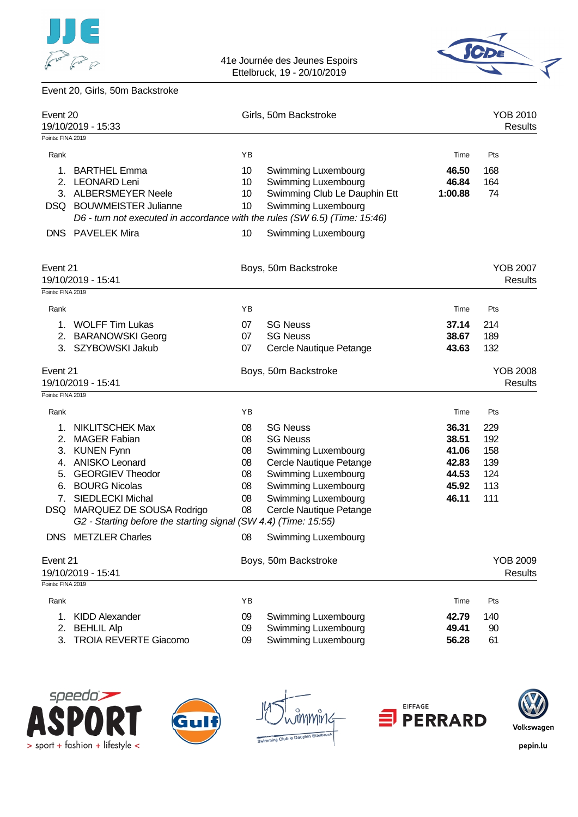![](_page_20_Picture_0.jpeg)

![](_page_20_Picture_2.jpeg)

# Event 20, Girls, 50m Backstroke

| Event 20                                                                | 19/10/2019 - 15:33                                                                                                                                                                                                                                                                                                       |                                                    | Girls, 50m Backstroke                                                                                                                                                                                                               |                                                             | YOB 2010<br>Results                                                         |
|-------------------------------------------------------------------------|--------------------------------------------------------------------------------------------------------------------------------------------------------------------------------------------------------------------------------------------------------------------------------------------------------------------------|----------------------------------------------------|-------------------------------------------------------------------------------------------------------------------------------------------------------------------------------------------------------------------------------------|-------------------------------------------------------------|-----------------------------------------------------------------------------|
| Points: FINA 2019                                                       |                                                                                                                                                                                                                                                                                                                          |                                                    |                                                                                                                                                                                                                                     |                                                             |                                                                             |
| Rank                                                                    |                                                                                                                                                                                                                                                                                                                          | ΥB                                                 |                                                                                                                                                                                                                                     | Time                                                        | Pts                                                                         |
| 1.<br>2.                                                                | <b>BARTHEL Emma</b><br><b>LEONARD Leni</b><br>3. ALBERSMEYER Neele<br>DSQ BOUWMEISTER Julianne<br>D6 - turn not executed in accordance with the rules (SW 6.5) (Time: 15:46)                                                                                                                                             | 10<br>10<br>10 <sup>°</sup><br>10                  | Swimming Luxembourg<br>Swimming Luxembourg<br>Swimming Club Le Dauphin Ett<br>Swimming Luxembourg                                                                                                                                   | 46.50<br>46.84<br>1:00.88                                   | 168<br>164<br>74                                                            |
|                                                                         | <b>DNS</b> PAVELEK Mira                                                                                                                                                                                                                                                                                                  | 10                                                 | <b>Swimming Luxembourg</b>                                                                                                                                                                                                          |                                                             |                                                                             |
| Event 21<br>Points: FINA 2019                                           | 19/10/2019 - 15:41                                                                                                                                                                                                                                                                                                       |                                                    | Boys, 50m Backstroke                                                                                                                                                                                                                |                                                             | <b>YOB 2007</b><br><b>Results</b>                                           |
|                                                                         |                                                                                                                                                                                                                                                                                                                          |                                                    |                                                                                                                                                                                                                                     |                                                             |                                                                             |
| Rank<br>1.<br>2.<br>3.                                                  | <b>WOLFF Tim Lukas</b><br><b>BARANOWSKI Georg</b><br>SZYBOWSKI Jakub                                                                                                                                                                                                                                                     | YB<br>07<br>07<br>07                               | <b>SG Neuss</b><br><b>SG Neuss</b><br>Cercle Nautique Petange                                                                                                                                                                       | Time<br>37.14<br>38.67<br>43.63                             | Pts<br>214<br>189<br>132                                                    |
| Event 21<br>Points: FINA 2019                                           | 19/10/2019 - 15:41                                                                                                                                                                                                                                                                                                       |                                                    | Boys, 50m Backstroke                                                                                                                                                                                                                |                                                             | <b>YOB 2008</b><br><b>Results</b>                                           |
| Rank                                                                    |                                                                                                                                                                                                                                                                                                                          | YB                                                 |                                                                                                                                                                                                                                     | Time                                                        | Pts                                                                         |
| 1.<br>2.<br>3.<br>4.<br>5.<br>6.<br>7.<br>DSQ<br><b>DNS</b><br>Event 21 | <b>NIKLITSCHEK Max</b><br><b>MAGER Fabian</b><br><b>KUNEN Fynn</b><br><b>ANISKO Leonard</b><br><b>GEORGIEV Theodor</b><br><b>BOURG Nicolas</b><br><b>SIEDLECKI Michal</b><br>MARQUEZ DE SOUSA Rodrigo<br>G2 - Starting before the starting signal (SW 4.4) (Time: 15:55)<br><b>METZLER Charles</b><br>19/10/2019 - 15:41 | 08<br>08<br>08<br>08<br>08<br>08<br>08<br>08<br>08 | <b>SG Neuss</b><br><b>SG Neuss</b><br>Swimming Luxembourg<br>Cercle Nautique Petange<br>Swimming Luxembourg<br>Swimming Luxembourg<br>Swimming Luxembourg<br>Cercle Nautique Petange<br>Swimming Luxembourg<br>Boys, 50m Backstroke | 36.31<br>38.51<br>41.06<br>42.83<br>44.53<br>45.92<br>46.11 | 229<br>192<br>158<br>139<br>124<br>113<br>111<br><b>YOB 2009</b><br>Results |
| Points: FINA 2019                                                       |                                                                                                                                                                                                                                                                                                                          |                                                    |                                                                                                                                                                                                                                     |                                                             |                                                                             |
| Rank<br>1.<br>2.<br>3.                                                  | <b>KIDD Alexander</b><br><b>BEHLIL Alp</b><br><b>TROIA REVERTE Giacomo</b>                                                                                                                                                                                                                                               | YB<br>09<br>09<br>09                               | Swimming Luxembourg<br>Swimming Luxembourg<br>Swimming Luxembourg                                                                                                                                                                   | Time<br>42.79<br>49.41<br>56.28                             | Pts<br>140<br>90<br>61                                                      |

![](_page_20_Picture_5.jpeg)

![](_page_20_Picture_6.jpeg)

![](_page_20_Picture_7.jpeg)

![](_page_20_Picture_8.jpeg)

![](_page_20_Picture_9.jpeg)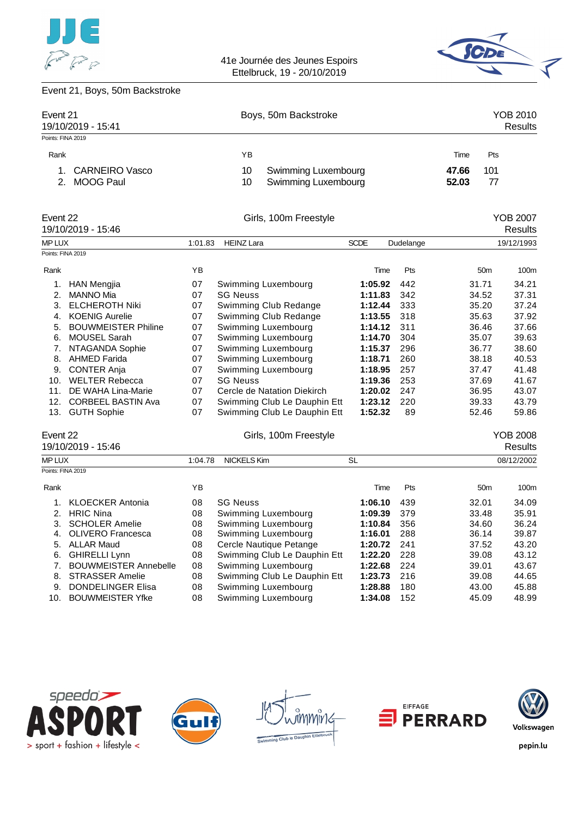![](_page_21_Picture_0.jpeg)

![](_page_21_Picture_2.jpeg)

# Event 21, Boys, 50m Backstroke

| Event 21<br>19/10/2019 - 15:41        | Boys, 50m Backstroke                                          | YOB 2010<br>Results         |
|---------------------------------------|---------------------------------------------------------------|-----------------------------|
| Points: FINA 2019                     |                                                               |                             |
| Rank                                  | ΥB                                                            | Pts<br>Time                 |
| <b>CARNEIRO Vasco</b><br>2. MOOG Paul | Swimming Luxembourg<br>10<br><b>Swimming Luxembourg</b><br>10 | 101<br>47.66<br>77<br>52.03 |

| Event 22      | 19/10/2019 - 15:46         |         | Girls, 100m Freestyle        |             |           |                 | <b>YOB 2007</b><br>Results |
|---------------|----------------------------|---------|------------------------------|-------------|-----------|-----------------|----------------------------|
| <b>MP LUX</b> |                            | 1:01.83 | <b>HEINZ Lara</b>            | <b>SCDE</b> | Dudelange |                 | 19/12/1993                 |
|               | Points: FINA 2019          |         |                              |             |           |                 |                            |
| Rank          |                            | YB      |                              | Time        | Pts       | 50 <sub>m</sub> | 100m                       |
| 1.            | <b>HAN Mengjia</b>         | 07      | Swimming Luxembourg          | 1:05.92     | 442       | 31.71           | 34.21                      |
| 2.            | <b>MANNO Mia</b>           | 07      | <b>SG Neuss</b>              | 1:11.83     | 342       | 34.52           | 37.31                      |
| 3.            | <b>ELCHEROTH Niki</b>      | 07      | Swimming Club Redange        | 1:12.44     | 333       | 35.20           | 37.24                      |
| 4.            | <b>KOENIG Aurelie</b>      | 07      | Swimming Club Redange        | 1:13.55     | 318       | 35.63           | 37.92                      |
| 5.            | <b>BOUWMEISTER Philine</b> | 07      | Swimming Luxembourg          | 1:14.12     | 311       | 36.46           | 37.66                      |
| 6.            | MOUSEL Sarah               | 07      | Swimming Luxembourg          | 1:14.70     | 304       | 35.07           | 39.63                      |
| 7.            | NTAGANDA Sophie            | 07      | Swimming Luxembourg          | 1:15.37     | 296       | 36.77           | 38.60                      |
| 8.            | <b>AHMED Farida</b>        | 07      | Swimming Luxembourg          | 1:18.71     | 260       | 38.18           | 40.53                      |
| 9.            | <b>CONTER Anja</b>         | 07      | Swimming Luxembourg          | 1:18.95     | 257       | 37.47           | 41.48                      |
| 10.           | <b>WELTER Rebecca</b>      | 07      | <b>SG Neuss</b>              | 1:19.36     | 253       | 37.69           | 41.67                      |
| 11.           | DE WAHA Lina-Marie         | 07      | Cercle de Natation Diekirch  | 1:20.02     | 247       | 36.95           | 43.07                      |
| 12.           | <b>CORBEEL BASTIN Ava</b>  | 07      | Swimming Club Le Dauphin Ett | 1:23.12     | 220       | 39.33           | 43.79                      |
| 13.           | <b>GUTH Sophie</b>         | 07      | Swimming Club Le Dauphin Ett | 1:52.32     | 89        | 52.46           | 59.86                      |
| Event 22      |                            |         | Girls, 100m Freestyle        |             |           |                 | <b>YOB 2008</b>            |
|               | 19/10/2019 - 15:46         |         |                              |             |           |                 | Results                    |
| <b>MP LUX</b> |                            | 1:04.78 | <b>NICKELS Kim</b>           | <b>SL</b>   |           |                 | 08/12/2002                 |
|               | Points: FINA 2019          |         |                              |             |           |                 |                            |
| Rank          |                            | YB      |                              | Time        | Pts       | 50 <sub>m</sub> | 100 <sub>m</sub>           |
| 1.            | KI OFCKER Antonia          | ΩR      | <b>SG Nonce</b>              | 1.0610      | 130       | 32.01           | 31 UO                      |

| 1. KLOECKER Antonia      | 08 | <b>SG Neuss</b>              | 1:06.10 | 439  | 32.01 | 34.09 |
|--------------------------|----|------------------------------|---------|------|-------|-------|
| 2. HRIC Nina             | 08 | Swimming Luxembourg          | 1:09.39 | 379  | 33.48 | 35.91 |
| 3. SCHOLER Amelie        | 08 | Swimming Luxembourg          | 1:10.84 | 356  | 34.60 | 36.24 |
| 4. OLIVERO Francesca     | 08 | Swimming Luxembourg          | 1:16.01 | 288  | 36.14 | 39.87 |
| 5. ALLAR Maud            | 08 | Cercle Nautique Petange      | 1:20.72 | -241 | 37.52 | 43.20 |
| 6. GHIRELLI Lynn         | 08 | Swimming Club Le Dauphin Ett | 1:22.20 | 228  | 39.08 | 43.12 |
| 7. BOUWMEISTER Annebelle | 08 | Swimming Luxembourg          | 1:22.68 | -224 | 39.01 | 43.67 |
| 8. STRASSER Amelie       | 08 | Swimming Club Le Dauphin Ett | 1:23.73 | 216  | 39.08 | 44.65 |
| 9. DONDELINGER Elisa     | 08 | Swimming Luxembourg          | 1:28.88 | 180  | 43.00 | 45.88 |
| 10. BOUWMEISTER Yfke     | 08 | Swimming Luxembourg          | 1:34.08 | 152  | 45.09 | 48.99 |
|                          |    |                              |         |      |       |       |

![](_page_21_Picture_7.jpeg)

![](_page_21_Picture_8.jpeg)

![](_page_21_Picture_9.jpeg)

![](_page_21_Picture_10.jpeg)

![](_page_21_Picture_11.jpeg)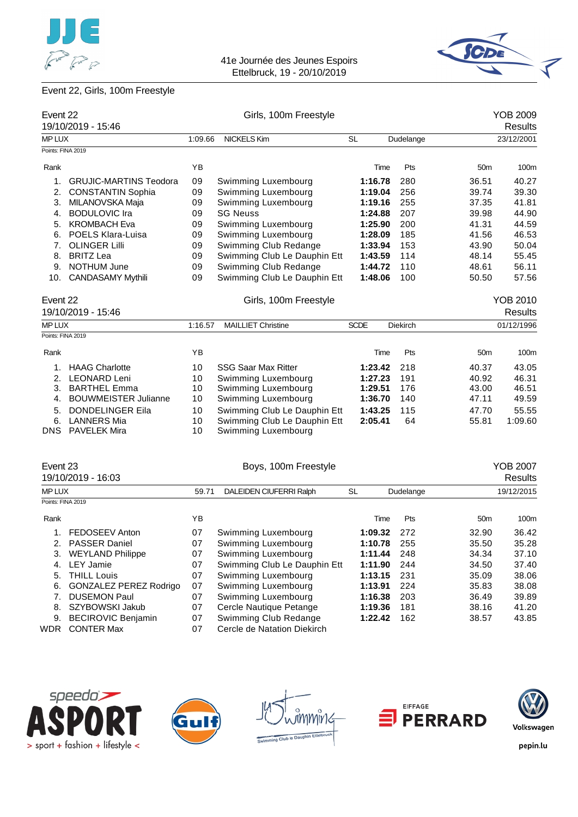![](_page_22_Picture_0.jpeg)

![](_page_22_Picture_2.jpeg)

# Event 22, Girls, 100m Freestyle

| Event 22          | 19/10/2019 - 15:46            |         | Girls, 100m Freestyle        |             |      |           |                 | <b>YOB 2009</b><br>Results |
|-------------------|-------------------------------|---------|------------------------------|-------------|------|-----------|-----------------|----------------------------|
| <b>MP LUX</b>     |                               | 1:09.66 | <b>NICKELS Kim</b>           | <b>SL</b>   |      | Dudelange |                 | 23/12/2001                 |
| Points: FINA 2019 |                               |         |                              |             |      |           |                 |                            |
| Rank              |                               | YB      |                              |             | Time | Pts       | 50 <sub>m</sub> | 100m                       |
| 1.                | <b>GRUJIC-MARTINS Teodora</b> | 09      | Swimming Luxembourg          | 1:16.78     |      | 280       | 36.51           | 40.27                      |
| 2.                | <b>CONSTANTIN Sophia</b>      | 09      | Swimming Luxembourg          | 1:19.04     |      | 256       | 39.74           | 39.30                      |
| 3.                | MILANOVSKA Maja               | 09      | Swimming Luxembourg          | 1:19.16     |      | 255       | 37.35           | 41.81                      |
| 4.                | <b>BODULOVIC Ira</b>          | 09      | <b>SG Neuss</b>              | 1:24.88     |      | 207       | 39.98           | 44.90                      |
| 5.                | <b>KROMBACH Eva</b>           | 09      | Swimming Luxembourg          | 1:25.90     |      | 200       | 41.31           | 44.59                      |
| 6.                | POELS Klara-Luisa             | 09      | Swimming Luxembourg          | 1:28.09     |      | 185       | 41.56           | 46.53                      |
| 7.                | <b>OLINGER Lilli</b>          | 09      | Swimming Club Redange        | 1:33.94     |      | 153       | 43.90           | 50.04                      |
| 8.                | <b>BRITZ Lea</b>              | 09      | Swimming Club Le Dauphin Ett | 1:43.59     |      | 114       | 48.14           | 55.45                      |
| 9.                | <b>NOTHUM June</b>            | 09      | Swimming Club Redange        | 1:44.72     |      | 110       | 48.61           | 56.11                      |
|                   | 10. CANDASAMY Mythili         | 09      | Swimming Club Le Dauphin Ett | 1:48.06     |      | 100       | 50.50           | 57.56                      |
| Event 22          |                               |         | Girls, 100m Freestyle        |             |      |           |                 | <b>YOB 2010</b>            |
|                   | 19/10/2019 - 15:46            |         |                              |             |      |           |                 | <b>Results</b>             |
| <b>MP LUX</b>     |                               | 1:16.57 | <b>MAILLIET Christine</b>    | <b>SCDE</b> |      | Diekirch  |                 | 01/12/1996                 |
| Points: FINA 2019 |                               |         |                              |             |      |           |                 |                            |
| Rank              |                               | YB      |                              |             | Time | Pts       | 50 <sub>m</sub> | 100m                       |
| 1.                | <b>HAAG Charlotte</b>         | 10      | <b>SSG Saar Max Ritter</b>   | 1:23.42     |      | 218       | 40.37           | 43.05                      |
|                   | 2. LEONARD Leni               | 10      | Swimming Luxembourg          | 1:27.23     |      | 191       | 40.92           | 46.31                      |
| 3.                | <b>BARTHEL Emma</b>           | 10      | Swimming Luxembourg          | 1:29.51     |      | 176       | 43.00           | 46.51                      |
| 4.                | <b>BOUWMEISTER Julianne</b>   | 10      | Swimming Luxembourg          | 1:36.70     |      | 140       | 47.11           | 49.59                      |
| 5.                | DONDELINGER Eila              | 10      | Swimming Club Le Dauphin Ett | 1:43.25     |      | 115       | 47.70           | 55.55                      |
| 6.                | <b>LANNERS Mia</b>            | 10      | Swimming Club Le Dauphin Ett | 2:05.41     |      | 64        | 55.81           | 1:09.60                    |
|                   | <b>DNS</b> PAVELEK Mira       | 10      | Swimming Luxembourg          |             |      |           |                 |                            |
| Event 23          |                               |         | Boys, 100m Freestyle         |             |      |           |                 | <b>YOB 2007</b>            |
|                   | 19/10/2019 - 16:03            |         |                              |             |      |           |                 | Results                    |
| MP LUX            |                               | 59.71   | DALEIDEN CIUFERRI Ralph      | <b>SL</b>   |      | Dudelange |                 | 19/12/2015                 |
| Points: FINA 2019 |                               |         |                              |             |      |           |                 |                            |
| Rank              |                               | YB      |                              |             | Time | Pts       | 50 <sub>m</sub> | 100m                       |
|                   | 1. FEDOSEEV Anton             | 07      | Swimming Luxembourg          | 1:09.32     |      | 272       | 32.90           | 36.42                      |
| 2.                | PASSER Daniel                 | 07      | Swimming Luxembourg          | 1:10.78     |      | 255       | 35.50           | 35.28                      |
| 3.                | <b>WEYLAND Philippe</b>       | 07      | Swimming Luxembourg          | 1:11.44     |      | 248       | 34.34           | 37.10                      |
| 4.                | <b>LEY Jamie</b>              | 07      | Swimming Club Le Dauphin Ett | 1:11.90     |      | 244       | 34.50           | 37.40                      |
| 5.                | <b>THILL Louis</b>            | 07      | Swimming Luxembourg          | 1:13.15     |      | 231       | 35.09           | 38.06                      |
| 6.                | <b>GONZALEZ PEREZ Rodrigo</b> | 07      | Swimming Luxembourg          | 1:13.91     |      | 224       | 35.83           | 38.08                      |
| 7.                | <b>DUSEMON Paul</b>           | 07      | Swimming Luxembourg          | 1:16.38     |      | 203       | 36.49           | 39.89                      |
| 8.                | SZYBOWSKI Jakub               | 07      | Cercle Nautique Petange      | 1:19.36     |      | 181       | 38.16           | 41.20                      |
| 9.                | <b>BECIROVIC Benjamin</b>     | 07      | Swimming Club Redange        | 1:22.42     |      | 162       | 38.57           | 43.85                      |
|                   | WDR CONTER Max                | 07      | Cercle de Natation Diekirch  |             |      |           |                 |                            |

![](_page_22_Picture_5.jpeg)

![](_page_22_Picture_6.jpeg)

nïn'G ub to Daup

![](_page_22_Picture_8.jpeg)

![](_page_22_Picture_9.jpeg)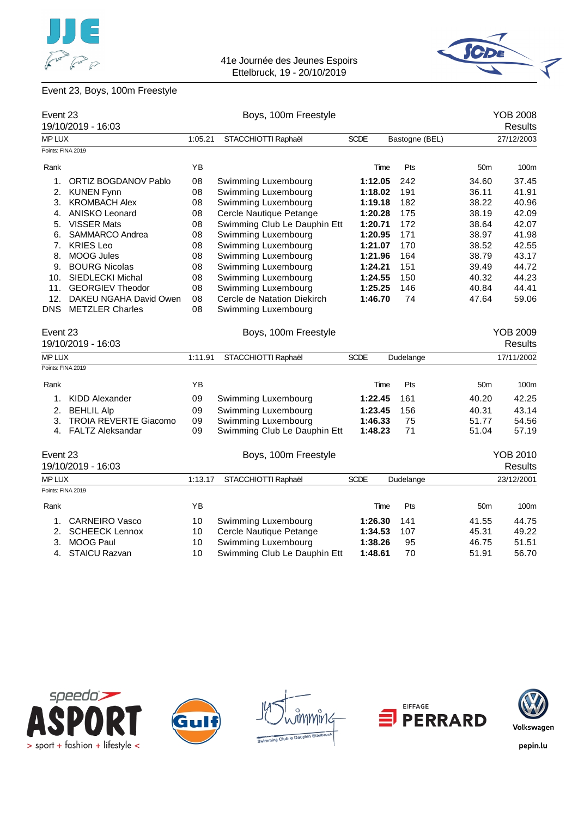![](_page_23_Picture_0.jpeg)

![](_page_23_Picture_2.jpeg)

# Event 23, Boys, 100m Freestyle

| Event 23          |                              |         | Boys, 100m Freestyle         |             |                |                 | <b>YOB 2008</b> |
|-------------------|------------------------------|---------|------------------------------|-------------|----------------|-----------------|-----------------|
|                   | 19/10/2019 - 16:03           |         |                              |             |                |                 | <b>Results</b>  |
| MP LUX            |                              | 1:05.21 | STACCHIOTTI Raphaël          | <b>SCDE</b> | Bastogne (BEL) |                 | 27/12/2003      |
| Points: FINA 2019 |                              |         |                              |             |                |                 |                 |
| Rank              |                              | ΥB      |                              | Time        | Pts            | 50 <sub>m</sub> | 100m            |
| 1.                | ORTIZ BOGDANOV Pablo         | 08      | Swimming Luxembourg          | 1:12.05     | 242            | 34.60           | 37.45           |
| 2.                | <b>KUNEN Fynn</b>            | 08      | Swimming Luxembourg          | 1:18.02     | 191            | 36.11           | 41.91           |
| 3.                | <b>KROMBACH Alex</b>         | 08      | Swimming Luxembourg          | 1:19.18     | 182            | 38.22           | 40.96           |
| 4.                | <b>ANISKO Leonard</b>        | 08      | Cercle Nautique Petange      | 1:20.28     | 175            | 38.19           | 42.09           |
| 5.                | <b>VISSER Mats</b>           | 08      | Swimming Club Le Dauphin Ett | 1:20.71     | 172            | 38.64           | 42.07           |
| 6.                | SAMMARCO Andrea              | 08      | Swimming Luxembourg          | 1:20.95     | 171            | 38.97           | 41.98           |
| 7.                | <b>KRIES Leo</b>             | 08      | Swimming Luxembourg          | 1:21.07     | 170            | 38.52           | 42.55           |
| 8.                | <b>MOOG Jules</b>            | 08      | Swimming Luxembourg          | 1:21.96     | 164            | 38.79           | 43.17           |
| 9.                | <b>BOURG Nicolas</b>         | 08      | Swimming Luxembourg          | 1:24.21     | 151            | 39.49           | 44.72           |
|                   | 10. SIEDLECKI Michal         | 08      | Swimming Luxembourg          | 1:24.55     | 150            | 40.32           | 44.23           |
| 11.               | <b>GEORGIEV Theodor</b>      | 08      | Swimming Luxembourg          | 1:25.25     | 146            | 40.84           | 44.41           |
| 12.               | DAKEU NGAHA David Owen       | 08      | Cercle de Natation Diekirch  | 1:46.70     | 74             | 47.64           | 59.06           |
| <b>DNS</b>        | <b>METZLER Charles</b>       | 08      | Swimming Luxembourg          |             |                |                 |                 |
| Event 23          |                              |         | Boys, 100m Freestyle         |             |                |                 | <b>YOB 2009</b> |
|                   | 19/10/2019 - 16:03           |         |                              |             |                |                 | <b>Results</b>  |
| MP LUX            |                              | 1:11.91 | STACCHIOTTI Raphaël          | <b>SCDE</b> | Dudelange      |                 | 17/11/2002      |
| Points: FINA 2019 |                              |         |                              |             |                |                 |                 |
| Rank              |                              | YB      |                              | Time        | Pts            | 50 <sub>m</sub> | 100m            |
|                   | 1. KIDD Alexander            | 09      | Swimming Luxembourg          | 1:22.45     | 161            | 40.20           | 42.25           |
| 2.                | <b>BEHLIL Alp</b>            | 09      | Swimming Luxembourg          | 1:23.45     | 156            | 40.31           | 43.14           |
| 3.                | <b>TROIA REVERTE Giacomo</b> | 09      | Swimming Luxembourg          | 1:46.33     | 75             | 51.77           | 54.56           |
|                   | 4. FALTZ Aleksandar          | 09      | Swimming Club Le Dauphin Ett | 1:48.23     | 71             | 51.04           | 57.19           |
| Event 23          |                              |         | Boys, 100m Freestyle         |             |                |                 | <b>YOB 2010</b> |
|                   | 19/10/2019 - 16:03           |         |                              |             |                |                 | <b>Results</b>  |
| MP LUX            |                              | 1:13.17 | STACCHIOTTI Raphaël          | <b>SCDE</b> | Dudelange      |                 | 23/12/2001      |
| Points: FINA 2019 |                              |         |                              |             |                |                 |                 |
| Rank              |                              | ΥB      |                              | Time        | Pts            | 50 <sub>m</sub> | 100m            |
| 1.                | <b>CARNEIRO Vasco</b>        | 10      | Swimming Luxembourg          | 1:26.30     | 141            | 41.55           | 44.75           |
|                   | 2. SCHEECK Lennox            | 10      | Cercle Nautique Petange      | 1:34.53     | 107            | 45.31           | 49.22           |
| 3.                | MOOG Paul                    | 10      | Swimming Luxembourg          | 1:38.26     | 95             | 46.75           | 51.51           |
|                   | 4. STAICU Razvan             | 10      | Swimming Club Le Dauphin Ett | 1:48.61     | 70             | 51.91           | 56.70           |

![](_page_23_Picture_5.jpeg)

![](_page_23_Picture_6.jpeg)

![](_page_23_Figure_7.jpeg)

![](_page_23_Picture_8.jpeg)

![](_page_23_Picture_9.jpeg)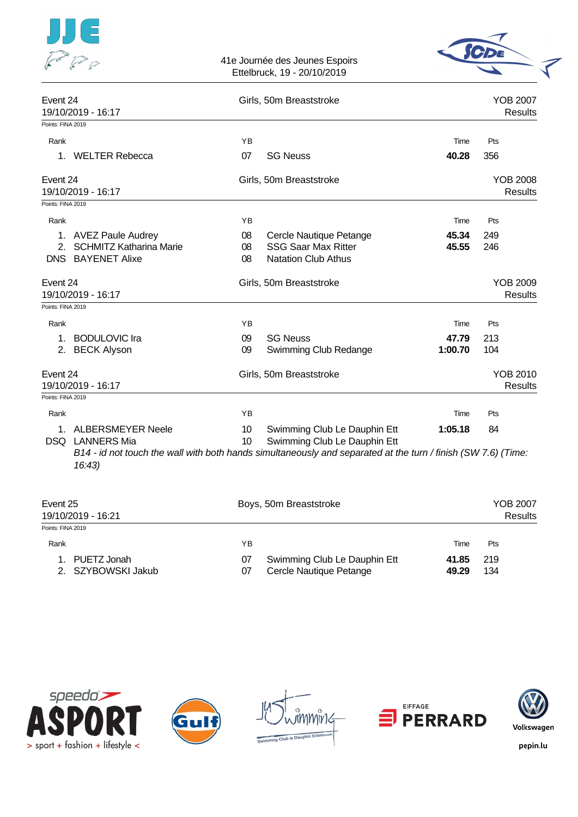|                                                                                |                | 41e Journée des Jeunes Espoirs<br>Ettelbruck, 19 - 20/10/2019                                                                                                                 |                  |                                   |
|--------------------------------------------------------------------------------|----------------|-------------------------------------------------------------------------------------------------------------------------------------------------------------------------------|------------------|-----------------------------------|
| Event 24<br>19/10/2019 - 16:17                                                 |                | Girls, 50m Breaststroke                                                                                                                                                       |                  | <b>YOB 2007</b><br><b>Results</b> |
| Points: FINA 2019                                                              |                |                                                                                                                                                                               |                  |                                   |
| Rank<br>1. WELTER Rebecca                                                      | YB<br>07       | <b>SG Neuss</b>                                                                                                                                                               | Time<br>40.28    | Pts<br>356                        |
| Event 24<br>19/10/2019 - 16:17                                                 |                | Girls, 50m Breaststroke                                                                                                                                                       |                  | <b>YOB 2008</b><br><b>Results</b> |
| Points: FINA 2019                                                              |                |                                                                                                                                                                               |                  |                                   |
| Rank                                                                           | YB             |                                                                                                                                                                               | Time             | Pts                               |
| 1. AVEZ Paule Audrey<br>2. SCHMITZ Katharina Marie<br><b>DNS BAYENET Alixe</b> | 08<br>08<br>08 | Cercle Nautique Petange<br><b>SSG Saar Max Ritter</b><br><b>Natation Club Athus</b>                                                                                           | 45.34<br>45.55   | 249<br>246                        |
| Event 24<br>19/10/2019 - 16:17                                                 |                | Girls, 50m Breaststroke                                                                                                                                                       |                  | <b>YOB 2009</b><br><b>Results</b> |
| Points: FINA 2019                                                              |                |                                                                                                                                                                               |                  |                                   |
| Rank                                                                           | YB             |                                                                                                                                                                               | Time             | Pts                               |
| 1. BODULOVIC Ira<br>2. BECK Alyson                                             | 09<br>09       | <b>SG Neuss</b><br>Swimming Club Redange                                                                                                                                      | 47.79<br>1:00.70 | 213<br>104                        |
| Event 24<br>19/10/2019 - 16:17                                                 |                | Girls, 50m Breaststroke                                                                                                                                                       |                  | <b>YOB 2010</b><br><b>Results</b> |
| Points: FINA 2019                                                              |                |                                                                                                                                                                               |                  |                                   |
| Rank                                                                           | YB             |                                                                                                                                                                               | Time             | Pts                               |
| 1. ALBERSMEYER Neele<br>DSQ LANNERS Mia<br>16:43                               | 10<br>10       | Swimming Club Le Dauphin Ett<br>Swimming Club Le Dauphin Ett<br>B14 - id not touch the wall with both hands simultaneously and separated at the turn / finish (SW 7.6) (Time: | 1:05.18          | 84                                |

| Event 25<br>19/10/2019 - 16:21       |          | Boys, 50m Breaststroke                                  |                |            |  |  |
|--------------------------------------|----------|---------------------------------------------------------|----------------|------------|--|--|
| Points: FINA 2019                    |          |                                                         |                |            |  |  |
| Rank                                 | ΥB       |                                                         | Time           | Pts        |  |  |
| 1. PUETZ Jonah<br>2. SZYBOWSKI Jakub | 07<br>07 | Swimming Club Le Dauphin Ett<br>Cercle Nautique Petange | 41.85<br>49.29 | 219<br>134 |  |  |

![](_page_24_Picture_2.jpeg)

![](_page_24_Picture_3.jpeg)

![](_page_24_Picture_4.jpeg)

![](_page_24_Picture_5.jpeg)

![](_page_24_Picture_6.jpeg)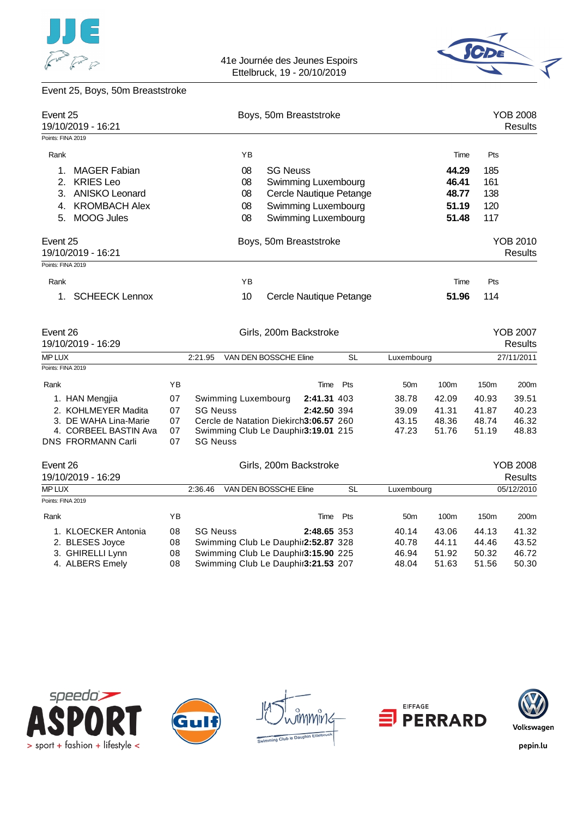![](_page_25_Picture_0.jpeg)

![](_page_25_Picture_2.jpeg)

### Event 25, Boys, 50m Breaststroke

| Event 25      | 19/10/2019 - 16:21<br>Points: FINA 2019 |    |                 |                                        |                       | Boys, 50m Breaststroke  |           |                 |                  |                  | <b>YOB 2008</b><br><b>Results</b> |
|---------------|-----------------------------------------|----|-----------------|----------------------------------------|-----------------------|-------------------------|-----------|-----------------|------------------|------------------|-----------------------------------|
|               |                                         |    |                 |                                        |                       |                         |           |                 |                  |                  |                                   |
| Rank          |                                         |    |                 | YB                                     |                       |                         |           |                 | Time             | Pts              |                                   |
| 1.            | <b>MAGER Fabian</b>                     |    |                 | 08                                     | <b>SG Neuss</b>       |                         |           |                 | 44.29            | 185              |                                   |
| 2.            | <b>KRIES Leo</b>                        |    |                 | 08                                     |                       | Swimming Luxembourg     |           |                 | 46.41            | 161              |                                   |
| 3.            | <b>ANISKO Leonard</b>                   |    |                 | 08                                     |                       | Cercle Nautique Petange |           |                 | 48.77            | 138              |                                   |
| 4.            | <b>KROMBACH Alex</b>                    |    |                 | 08                                     |                       | Swimming Luxembourg     |           |                 | 51.19            | 120              |                                   |
| 5.            | <b>MOOG Jules</b>                       |    |                 | 08                                     |                       | Swimming Luxembourg     |           |                 | 51.48            | 117              |                                   |
| Event 25      | 19/10/2019 - 16:21                      |    |                 |                                        |                       | Boys, 50m Breaststroke  |           |                 |                  |                  | YOB 2010<br><b>Results</b>        |
|               | Points: FINA 2019                       |    |                 |                                        |                       |                         |           |                 |                  |                  |                                   |
| Rank          |                                         |    |                 | YB                                     |                       |                         |           |                 | Time             | Pts              |                                   |
| 1.            | <b>SCHEECK Lennox</b>                   |    |                 | 10                                     |                       | Cercle Nautique Petange |           |                 | 51.96            | 114              |                                   |
| Event 26      | 19/10/2019 - 16:29                      |    |                 |                                        |                       | Girls, 200m Backstroke  |           |                 |                  |                  | <b>YOB 2007</b><br><b>Results</b> |
| <b>MP LUX</b> |                                         |    | 2:21.95         |                                        | VAN DEN BOSSCHE Eline |                         | <b>SL</b> | Luxembourg      |                  |                  | 27/11/2011                        |
|               | Points: FINA 2019                       |    |                 |                                        |                       |                         |           |                 |                  |                  |                                   |
| Rank          |                                         | YB |                 |                                        |                       | Time                    | Pts       | 50 <sub>m</sub> | 100 <sub>m</sub> | 150 <sub>m</sub> | 200m                              |
|               | 1. HAN Mengjia                          | 07 |                 | Swimming Luxembourg                    |                       | 2:41.31 403             |           | 38.78           | 42.09            | 40.93            | 39.51                             |
|               | 2. KOHLMEYER Madita                     | 07 | <b>SG Neuss</b> |                                        |                       | 2:42.50 394             |           | 39.09           | 41.31            | 41.87            | 40.23                             |
|               | 3. DE WAHA Lina-Marie                   | 07 |                 | Cercle de Natation Diekirch3:06.57 260 |                       |                         |           | 43.15           | 48.36            | 48.74            | 46.32                             |
|               | 4. CORBEEL BASTIN Ava                   | 07 |                 | Swimming Club Le Dauphir3:19.01 215    |                       |                         |           | 47.23           | 51.76            | 51.19            | 48.83                             |
|               | DNS FRORMANN Carli                      | 07 | <b>SG Neuss</b> |                                        |                       |                         |           |                 |                  |                  |                                   |
| Event 26      |                                         |    |                 |                                        |                       | Girls, 200m Backstroke  |           |                 |                  |                  | <b>YOB 2008</b>                   |
|               | 19/10/2019 - 16:29                      |    |                 |                                        |                       |                         |           |                 |                  |                  | <b>Results</b>                    |
| MP LUX        |                                         |    | 2:36.46         |                                        | VAN DEN BOSSCHE Eline |                         | <b>SL</b> | Luxembourg      |                  |                  | 05/12/2010                        |
|               | Points: FINA 2019                       |    |                 |                                        |                       |                         |           |                 |                  |                  |                                   |
| Rank          |                                         | ΥB |                 |                                        |                       | Time                    | Pts       | 50 <sub>m</sub> | 100m             | 150m             | 200m                              |
|               | 1. KLOECKER Antonia                     | 08 | <b>SG Neuss</b> |                                        |                       | 2:48.65 353             |           | 40.14           | 43.06            | 44.13            | 41.32                             |
|               | 2. BLESES Joyce                         | 08 |                 | Swimming Club Le Dauphir2:52.87 328    |                       |                         |           | 40.78           | 44.11            | 44.46            | 43.52                             |

![](_page_25_Picture_5.jpeg)

![](_page_25_Picture_6.jpeg)

![](_page_25_Figure_7.jpeg)

2. BLESES Joyce **08** Swimming Club Le Dauphir 2:52.87 328 40.78 44.11 44.46 43.52 3. GHIRELLI Lynn **08** Swimming Club Le Dauphir 3:15.90 225 46.94 51.92 50.32 46.72 4. ALBERS Emely **08** Swimming Club Le Dauphir 3:21.53 207 48.04 51.63 51.56 50.30

![](_page_25_Picture_8.jpeg)

![](_page_25_Picture_9.jpeg)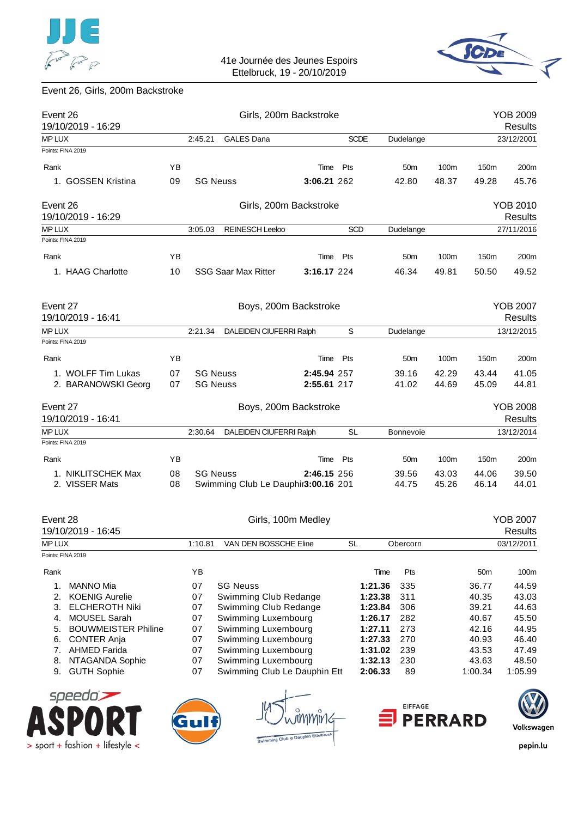![](_page_26_Picture_0.jpeg)

![](_page_26_Picture_2.jpeg)

# Event 26, Girls, 200m Backstroke

| Event 26<br>19/10/2019 - 16:29                    |    |                 |                            | Girls, 200m Backstroke                              |            |                    |                  |                |                  | <b>YOB 2009</b><br>Results        |
|---------------------------------------------------|----|-----------------|----------------------------|-----------------------------------------------------|------------|--------------------|------------------|----------------|------------------|-----------------------------------|
| MP LUX                                            |    | 2:45.21         | <b>GALES Dana</b>          |                                                     |            | <b>SCDE</b>        | Dudelange        |                |                  | 23/12/2001                        |
| Points: FINA 2019                                 |    |                 |                            |                                                     |            |                    |                  |                |                  |                                   |
| Rank                                              | ΥB |                 |                            | Time                                                | Pts        |                    | 50m              | 100m           | 150m             | 200m                              |
| 1. GOSSEN Kristina                                | 09 | <b>SG Neuss</b> |                            | 3:06.21 262                                         |            |                    | 42.80            | 48.37          | 49.28            | 45.76                             |
| Event 26<br>19/10/2019 - 16:29                    |    |                 |                            | Girls, 200m Backstroke                              |            |                    |                  |                |                  | <b>YOB 2010</b><br><b>Results</b> |
| <b>MP LUX</b>                                     |    | 3:05.03         | <b>REINESCH Leeloo</b>     |                                                     | <b>SCD</b> |                    | Dudelange        |                |                  | 27/11/2016                        |
| Points: FINA 2019                                 |    |                 |                            |                                                     |            |                    |                  |                |                  |                                   |
| Rank                                              | ΥB |                 |                            | Time                                                | Pts        |                    | 50 <sub>m</sub>  | 100m           | 150m             | 200m                              |
| 1. HAAG Charlotte                                 | 10 |                 | <b>SSG Saar Max Ritter</b> | 3:16.17 224                                         |            |                    | 46.34            | 49.81          | 50.50            | 49.52                             |
| Event 27<br>19/10/2019 - 16:41                    |    |                 |                            | Boys, 200m Backstroke                               |            |                    |                  |                |                  | <b>YOB 2007</b><br><b>Results</b> |
| <b>MP LUX</b>                                     |    | 2:21.34         |                            | DALEIDEN CIUFERRI Ralph                             | S          |                    | Dudelange        |                |                  | 13/12/2015                        |
| Points: FINA 2019                                 |    |                 |                            |                                                     |            |                    |                  |                |                  |                                   |
| Rank                                              | ΥB |                 |                            |                                                     | Time Pts   |                    | 50 <sub>m</sub>  | 100m           | 150m             | 200m                              |
| 1. WOLFF Tim Lukas                                | 07 | <b>SG Neuss</b> |                            | 2:45.94 257                                         |            |                    | 39.16            | 42.29          | 43.44            | 41.05                             |
| 2. BARANOWSKI Georg                               | 07 | <b>SG Neuss</b> |                            | 2:55.61 217                                         |            |                    | 41.02            | 44.69          | 45.09            | 44.81                             |
| Event 27<br>19/10/2019 - 16:41                    |    |                 |                            | Boys, 200m Backstroke                               |            |                    |                  |                |                  | <b>YOB 2008</b><br>Results        |
| <b>MP LUX</b>                                     |    | 2:30.64         |                            | DALEIDEN CIUFERRI Ralph                             | SL         |                    | <b>Bonnevoie</b> |                |                  | 13/12/2014                        |
| Points: FINA 2019                                 |    |                 |                            |                                                     |            |                    |                  |                |                  |                                   |
| Rank                                              | YB |                 |                            | Time                                                | Pts        |                    | 50 <sub>m</sub>  | 100m           | 150m             | 200m                              |
| 1. NIKLITSCHEK Max                                | 08 | <b>SG Neuss</b> |                            | 2:46.15 256                                         |            |                    | 39.56            | 43.03          | 44.06            | 39.50                             |
| 2. VISSER Mats                                    | 08 |                 |                            | Swimming Club Le Dauphir3:00.16 201                 |            |                    | 44.75            | 45.26          | 46.14            | 44.01                             |
| Event 28                                          |    |                 |                            | Girls, 100m Medley                                  |            |                    |                  |                |                  | <b>YOB 2007</b>                   |
| 19/10/2019 - 16:45                                |    |                 |                            |                                                     |            |                    |                  |                |                  | <b>Results</b>                    |
| MP LUX                                            |    | 1:10.81         |                            | VAN DEN BOSSCHE Eline                               | <b>SL</b>  |                    | Obercorn         |                |                  | 03/12/2011                        |
| Points: FINA 2019                                 |    |                 |                            |                                                     |            |                    |                  |                |                  |                                   |
| Rank                                              |    | YB              |                            |                                                     |            | Time               | Pts              |                | 50 <sub>m</sub>  | 100m                              |
| 1.<br><b>MANNO Mia</b>                            |    | 07              | <b>SG Neuss</b>            |                                                     |            | 1:21.36            | 335              |                | 36.77            | 44.59                             |
| 2.<br><b>KOENIG Aurelie</b>                       |    | 07              |                            | Swimming Club Redange                               |            | 1:23.38            | 311              |                | 40.35            | 43.03                             |
| <b>ELCHEROTH Niki</b><br>3.                       |    | 07              |                            | Swimming Club Redange                               |            | 1:23.84            | 306              |                | 39.21            | 44.63                             |
| <b>MOUSEL Sarah</b><br>4.                         |    | 07              |                            | Swimming Luxembourg                                 |            | 1:26.17            | 282              |                | 40.67            | 45.50                             |
| <b>BOUWMEISTER Philine</b><br>5.                  |    | 07              |                            | Swimming Luxembourg                                 |            | 1:27.11            | 273              |                | 42.16            | 44.95                             |
| <b>CONTER Anja</b><br>6.                          |    | 07              |                            | Swimming Luxembourg                                 |            | 1:27.33            | 270              |                | 40.93            | 46.40                             |
| 7. AHMED Farida                                   |    | 07              |                            | Swimming Luxembourg                                 |            | 1:31.02            | 239              |                | 43.53            | 47.49                             |
| NTAGANDA Sophie<br>8.<br><b>GUTH Sophie</b><br>9. |    | 07<br>07        |                            | Swimming Luxembourg<br>Swimming Club Le Dauphin Ett |            | 1:32.13<br>2:06.33 | 230<br>89        |                | 43.63<br>1:00.34 | 48.50<br>1:05.99                  |
| speedo $\blacktriangleright$                      |    |                 |                            |                                                     |            |                    | <b>EIFFAGE</b>   |                |                  |                                   |
|                                                   |    |                 |                            | Swimming Club le Dauphin Ettelbruck                 |            |                    |                  | <b>PERRARD</b> |                  | Volkswagen                        |
| $>$ sport + fashion + lifestyle <                 |    |                 |                            |                                                     |            |                    |                  |                |                  | pepin.lu                          |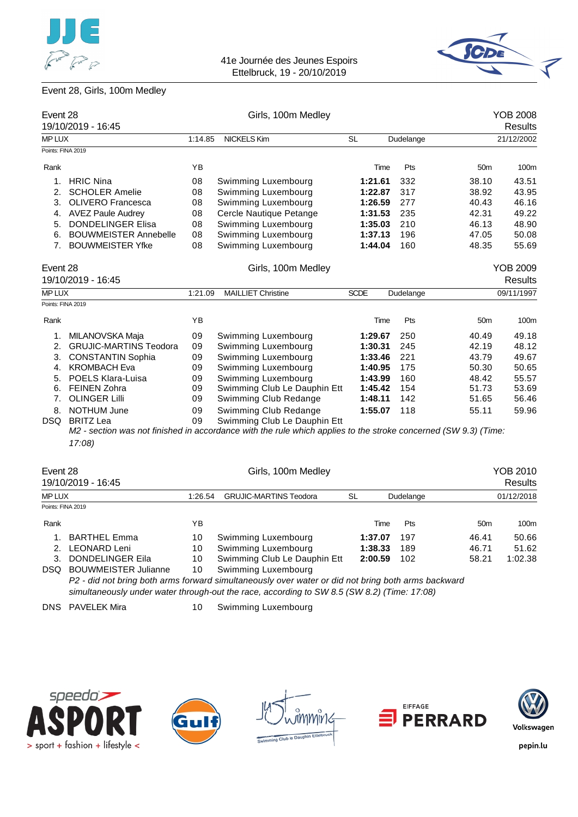![](_page_27_Picture_0.jpeg)

![](_page_27_Picture_2.jpeg)

# Event 28, Girls, 100m Medley

| Event 28          | 19/10/2019 - 16:45            |         | Girls, 100m Medley                                                                                              |             |         |           |                 | YOB 2008<br>Results |
|-------------------|-------------------------------|---------|-----------------------------------------------------------------------------------------------------------------|-------------|---------|-----------|-----------------|---------------------|
| <b>MP LUX</b>     |                               | 1:14.85 | <b>NICKELS Kim</b>                                                                                              | <b>SL</b>   |         | Dudelange |                 | 21/12/2002          |
| Points: FINA 2019 |                               |         |                                                                                                                 |             |         |           |                 |                     |
| Rank              |                               | ΥB      |                                                                                                                 |             | Time    | Pts       | 50 <sub>m</sub> | 100m                |
|                   | 1. HRIC Nina                  | 08      | Swimming Luxembourg                                                                                             |             | 1:21.61 | 332       | 38.10           | 43.51               |
| 2.                | <b>SCHOLER Amelie</b>         | 08      | Swimming Luxembourg                                                                                             |             | 1:22.87 | 317       | 38.92           | 43.95               |
|                   | 3. OLIVERO Francesca          | 08      | Swimming Luxembourg                                                                                             |             | 1:26.59 | 277       | 40.43           | 46.16               |
|                   | 4. AVEZ Paule Audrey          | 08      | Cercle Nautique Petange                                                                                         |             | 1:31.53 | 235       | 42.31           | 49.22               |
|                   | 5. DONDELINGER Elisa          | 08      | Swimming Luxembourg                                                                                             |             | 1:35.03 | 210       | 46.13           | 48.90               |
|                   | 6. BOUWMEISTER Annebelle      | 08      | Swimming Luxembourg                                                                                             |             | 1:37.13 | 196       | 47.05           | 50.08               |
|                   | 7. BOUWMEISTER Yfke           | 08      | Swimming Luxembourg                                                                                             |             | 1:44.04 | 160       | 48.35           | 55.69               |
| Event 28          |                               |         | Girls, 100m Medley                                                                                              |             |         |           |                 | <b>YOB 2009</b>     |
|                   | 19/10/2019 - 16:45            |         |                                                                                                                 |             |         |           |                 | <b>Results</b>      |
| <b>MP LUX</b>     |                               | 1:21.09 | <b>MAILLIET Christine</b>                                                                                       | <b>SCDE</b> |         | Dudelange |                 | 09/11/1997          |
| Points: FINA 2019 |                               |         |                                                                                                                 |             |         |           |                 |                     |
| Rank              |                               | YB      |                                                                                                                 |             | Time    | Pts       | 50 <sub>m</sub> | 100m                |
| 1.                | MILANOVSKA Maja               | 09      | Swimming Luxembourg                                                                                             |             | 1:29.67 | 250       | 40.49           | 49.18               |
| 2.                | <b>GRUJIC-MARTINS Teodora</b> | 09      | Swimming Luxembourg                                                                                             |             | 1:30.31 | 245       | 42.19           | 48.12               |
|                   | 3. CONSTANTIN Sophia          | 09      | Swimming Luxembourg                                                                                             |             | 1:33.46 | 221       | 43.79           | 49.67               |
|                   | 4. KROMBACH Eva               | 09      | Swimming Luxembourg                                                                                             |             | 1:40.95 | 175       | 50.30           | 50.65               |
|                   | 5. POELS Klara-Luisa          | 09      | Swimming Luxembourg                                                                                             |             | 1:43.99 | 160       | 48.42           | 55.57               |
|                   | 6. FEINEN Zohra               | 09      | Swimming Club Le Dauphin Ett                                                                                    |             | 1:45.42 | 154       | 51.73           | 53.69               |
|                   | 7. OLINGER Lilli              | 09      | Swimming Club Redange                                                                                           |             | 1:48.11 | 142       | 51.65           | 56.46               |
|                   | 8. NOTHUM June                | 09      | Swimming Club Redange                                                                                           |             | 1:55.07 | 118       | 55.11           | 59.96               |
|                   | DSQ BRITZ Lea                 | 09      | Swimming Club Le Dauphin Ett                                                                                    |             |         |           |                 |                     |
|                   |                               |         | M2 - section was not finished in accordance with the rule which applies to the stroke concerned (SW 9.3) (Time: |             |         |           |                 |                     |
|                   | 17:08)                        |         |                                                                                                                 |             |         |           |                 |                     |
| Event 28          |                               |         | Girls, 100m Medley                                                                                              |             |         |           |                 | <b>YOB 2010</b>     |
|                   | 19/10/2019 - 16:45            |         |                                                                                                                 |             |         |           |                 | <b>Results</b>      |
| <b>MP LUX</b>     |                               | 1:26.54 | <b>GRUJIC-MARTINS Teodora</b>                                                                                   | SL          |         | Dudelange |                 | 01/12/2018          |
| Points: FINA 2019 |                               |         |                                                                                                                 |             |         |           |                 |                     |
| Rank              |                               | ΥB      |                                                                                                                 |             | Time    | Pts       | 50 <sub>m</sub> | 100m                |
|                   | 1. BARTHEL Emma               | 10      | Swimming Luxembourg                                                                                             |             | 1:37.07 | 197       | 46.41           | 50.66               |
|                   | 2. LEONARD Leni               | 10      | Swimming Luxembourg                                                                                             |             | 1:38.33 | 189       | 46.71           | 51.62               |
|                   | 3. DONDELINGER Eila           | 10      | Swimming Club Le Dauphin Ett                                                                                    |             | 2:00.59 | 102       | 58.21           | 1:02.38             |
|                   | DSQ BOUWMEISTER Julianne      | 10      | Swimming Luxembourg                                                                                             |             |         |           |                 |                     |
|                   |                               |         | P2 - did not bring both arms forward simultaneously over water or did not bring both arms backward              |             |         |           |                 |                     |
|                   |                               |         | simultaneously under water through-out the race, according to SW 8.5 (SW 8.2) (Time: 17:08)                     |             |         |           |                 |                     |
|                   | <b>DNS</b> PAVELEK Mira       | 10      | Swimming Luxembourg                                                                                             |             |         |           |                 |                     |

![](_page_27_Picture_5.jpeg)

![](_page_27_Picture_6.jpeg)

![](_page_27_Figure_7.jpeg)

![](_page_27_Picture_8.jpeg)

![](_page_27_Picture_9.jpeg)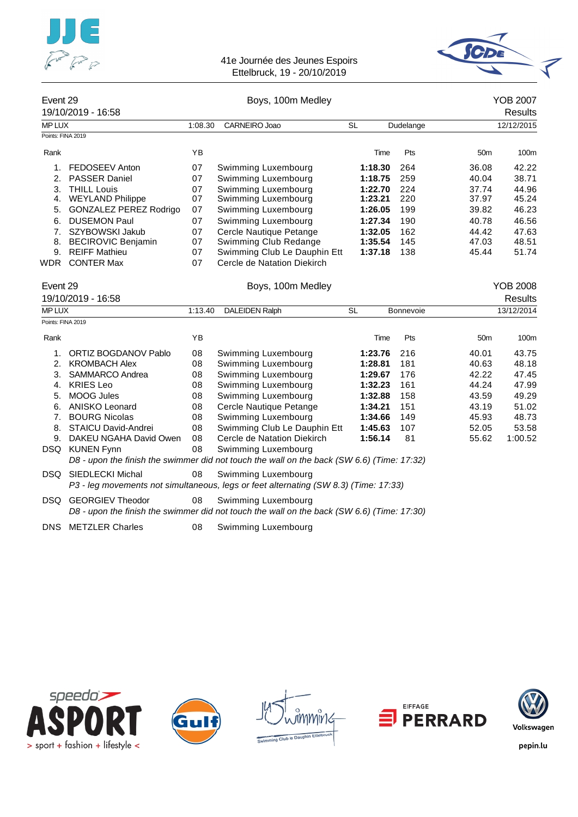![](_page_28_Picture_0.jpeg)

![](_page_28_Picture_2.jpeg)

| Event 29 | Boys, 100m Medley | YOB 2007 |
|----------|-------------------|----------|

|                   | 19/10/2019 - 16:58            |         |                              |           |                  |                 | Results          |
|-------------------|-------------------------------|---------|------------------------------|-----------|------------------|-----------------|------------------|
| <b>MP LUX</b>     |                               | 1:08.30 | CARNEIRO Joao                | <b>SL</b> | Dudelange        |                 | 12/12/2015       |
| Points: FINA 2019 |                               |         |                              |           |                  |                 |                  |
| Rank              |                               | YB      |                              | Time      | Pts              | 50 <sub>m</sub> | 100 <sub>m</sub> |
| 1.                | FEDOSEEV Anton                | 07      | Swimming Luxembourg          | 1:18.30   | 264              | 36.08           | 42.22            |
| 2 <sub>1</sub>    | <b>PASSER Daniel</b>          | 07      | Swimming Luxembourg          | 1:18.75   | 259              | 40.04           | 38.71            |
| 3.                | <b>THILL Louis</b>            | 07      | Swimming Luxembourg          | 1:22.70   | 224              | 37.74           | 44.96            |
| 4.                | <b>WEYLAND Philippe</b>       | 07      | Swimming Luxembourg          | 1:23.21   | 220              | 37.97           | 45.24            |
| 5.                | <b>GONZALEZ PEREZ Rodrigo</b> | 07      | Swimming Luxembourg          | 1:26.05   | 199              | 39.82           | 46.23            |
| 6.                | <b>DUSEMON Paul</b>           | 07      | Swimming Luxembourg          | 1:27.34   | 190              | 40.78           | 46.56            |
|                   | SZYBOWSKI Jakub               | 07      | Cercle Nautique Petange      | 1:32.05   | 162              | 44.42           | 47.63            |
| 8.                | <b>BECIROVIC Benjamin</b>     | 07      | Swimming Club Redange        | 1:35.54   | 145              | 47.03           | 48.51            |
| 9.                | <b>REIFF Mathieu</b>          | 07      | Swimming Club Le Dauphin Ett | 1:37.18   | 138              | 45.44           | 51.74            |
| WDR               | <b>CONTER Max</b>             | 07      | Cercle de Natation Diekirch  |           |                  |                 |                  |
| Event 29          |                               |         | Boys, 100m Medley            |           |                  |                 | <b>YOB 2008</b>  |
|                   | 19/10/2019 - 16:58            |         |                              |           |                  |                 | Results          |
| <b>MP LUX</b>     |                               | 1:13.40 | <b>DALEIDEN Ralph</b>        | <b>SL</b> | <b>Bonnevoie</b> |                 | 13/12/2014       |

| Points: FINA 2019 |                         |    |                                                                                            |         |     |                 |                  |
|-------------------|-------------------------|----|--------------------------------------------------------------------------------------------|---------|-----|-----------------|------------------|
| Rank              |                         | YB |                                                                                            | Time    | Pts | 50 <sub>m</sub> | 100 <sub>m</sub> |
| 1.                | ORTIZ BOGDANOV Pablo    | 08 | Swimming Luxembourg                                                                        | 1:23.76 | 216 | 40.01           | 43.75            |
| 2.                | <b>KROMBACH Alex</b>    | 08 | Swimming Luxembourg                                                                        | 1:28.81 | 181 | 40.63           | 48.18            |
| 3.                | SAMMARCO Andrea         | 08 | Swimming Luxembourg                                                                        | 1:29.67 | 176 | 42.22           | 47.45            |
| 4.                | <b>KRIES Leo</b>        | 08 | Swimming Luxembourg                                                                        | 1:32.23 | 161 | 44.24           | 47.99            |
| 5.                | MOOG Jules              | 08 | Swimming Luxembourg                                                                        | 1:32.88 | 158 | 43.59           | 49.29            |
| 6.                | ANISKO Leonard          | 08 | Cercle Nautique Petange                                                                    | 1:34.21 | 151 | 43.19           | 51.02            |
| 7.                | <b>BOURG Nicolas</b>    | 08 | Swimming Luxembourg                                                                        | 1:34.66 | 149 | 45.93           | 48.73            |
| 8.                | STAICU David-Andrei     | 08 | Swimming Club Le Dauphin Ett                                                               | 1:45.63 | 107 | 52.05           | 53.58            |
| 9.                | DAKEU NGAHA David Owen  | 08 | Cercle de Natation Diekirch                                                                | 1:56.14 | 81  | 55.62           | 1:00.52          |
| DSQ               | <b>KUNEN Fynn</b>       | 08 | Swimming Luxembourg                                                                        |         |     |                 |                  |
|                   |                         |    | D8 - upon the finish the swimmer did not touch the wall on the back (SW 6.6) (Time: 17:32) |         |     |                 |                  |
| DSQ.              | SIEDLECKI Michal        | 08 | Swimming Luxembourg                                                                        |         |     |                 |                  |
|                   |                         |    | P3 - leg movements not simultaneous, legs or feet alternating (SW 8.3) (Time: 17:33)       |         |     |                 |                  |
| DSQ               | <b>GEORGIEV Theodor</b> | 08 | Swimming Luxembourg                                                                        |         |     |                 |                  |
|                   |                         |    | D8 - upon the finish the swimmer did not touch the wall on the back (SW 6.6) (Time: 17:30) |         |     |                 |                  |

DNS METZLER Charles 08 Swimming Luxembourg

![](_page_28_Picture_7.jpeg)

![](_page_28_Picture_8.jpeg)

![](_page_28_Picture_9.jpeg)

![](_page_28_Picture_10.jpeg)

![](_page_28_Picture_11.jpeg)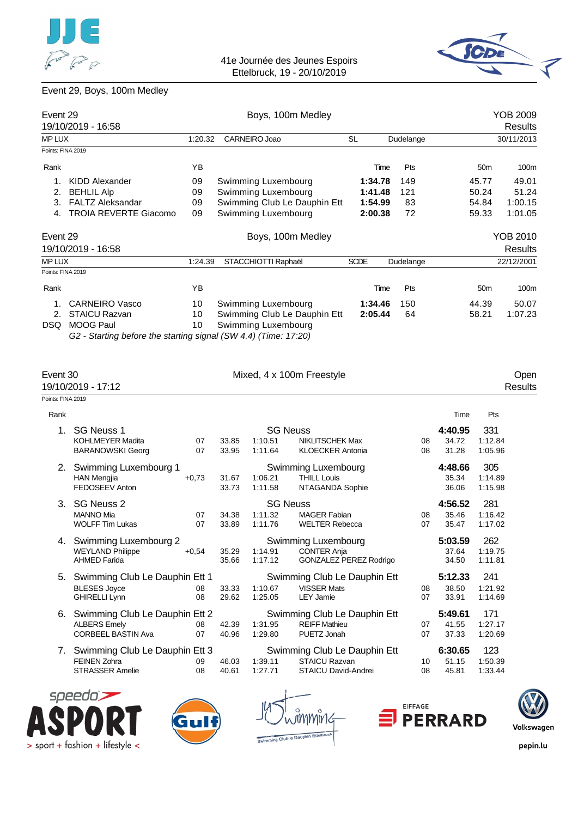![](_page_29_Picture_0.jpeg)

![](_page_29_Picture_2.jpeg)

# Event 29, Boys, 100m Medley

|                   | Event 29                                                        |                          | Boys, 100m Medley            |             | <b>YOB 2009</b> |                 |                |
|-------------------|-----------------------------------------------------------------|--------------------------|------------------------------|-------------|-----------------|-----------------|----------------|
|                   | 19/10/2019 - 16:58                                              |                          |                              |             |                 |                 | Results        |
| <b>MP LUX</b>     |                                                                 | CARNEIRO Joao<br>1:20.32 |                              | <b>SL</b>   | Dudelange       |                 | 30/11/2013     |
| Points: FINA 2019 |                                                                 |                          |                              |             |                 |                 |                |
| Rank              |                                                                 | ΥB                       |                              | Time        | Pts             | 50 <sub>m</sub> | 100m           |
| 1.                | KIDD Alexander                                                  | 09                       | Swimming Luxembourg          | 1:34.78     | 149             | 45.77           | 49.01          |
| 2.                | <b>BEHLIL Alp</b>                                               | 09                       | Swimming Luxembourg          | 1:41.48     | 121             | 50.24           | 51.24          |
| 3.                | <b>FALTZ Aleksandar</b>                                         | 09                       | Swimming Club Le Dauphin Ett |             | 1:54.99<br>83   | 54.84           | 1:00.15        |
| 4.                | TROIA REVERTE Giacomo                                           | 09                       | Swimming Luxembourg          |             | 2:00.38<br>72   | 59.33           | 1:01.05        |
| Event 29          |                                                                 |                          | Boys, 100m Medley            |             |                 |                 | YOB 2010       |
|                   | 19/10/2019 - 16:58                                              |                          |                              |             |                 |                 | <b>Results</b> |
| <b>MP LUX</b>     |                                                                 | 1:24.39                  | STACCHIOTTI Raphaël          | <b>SCDE</b> | Dudelange       |                 | 22/12/2001     |
| Points: FINA 2019 |                                                                 |                          |                              |             |                 |                 |                |
| Rank              |                                                                 | ΥB                       |                              | Time        | Pts             | 50 <sub>m</sub> | 100m           |
| 1.                | <b>CARNEIRO Vasco</b>                                           | 10                       | Swimming Luxembourg          | 1:34.46     | 150             | 44.39           | 50.07          |
| 2.                | <b>STAICU Razvan</b>                                            | 10                       | Swimming Club Le Dauphin Ett | 2:05.44     | 64              | 58.21           | 1:07.23        |
| DSQ.              | <b>MOOG Paul</b>                                                | 10                       | Swimming Luxembourg          |             |                 |                 |                |
|                   | G2 - Starting before the starting signal (SW 4.4) (Time: 17:20) |                          |                              |             |                 |                 |                |

|                   | Event 30<br>19/10/2019 - 17:12                                                     |          |                |                    | Mixed, 4 x 100m Freestyle                                                          |          |                           |                           | Open<br><b>Results</b> |
|-------------------|------------------------------------------------------------------------------------|----------|----------------|--------------------|------------------------------------------------------------------------------------|----------|---------------------------|---------------------------|------------------------|
| Points: FINA 2019 |                                                                                    |          |                |                    |                                                                                    |          |                           |                           |                        |
| Rank              |                                                                                    |          |                |                    |                                                                                    |          | Time                      | Pts                       |                        |
| $\mathbf 1$ .     | SG Neuss 1<br><b>KOHLMEYER Madita</b><br><b>BARANOWSKI Georg</b>                   | 07<br>07 | 33.85<br>33.95 | 1:10.51<br>1:11.64 | <b>SG Neuss</b><br><b>NIKLITSCHEK Max</b><br><b>KLOECKER Antonia</b>               | 08<br>08 | 4:40.95<br>34.72<br>31.28 | 331<br>1:12.84<br>1:05.96 |                        |
| 2.                | Swimming Luxembourg 1<br><b>HAN Mengjia</b><br>FEDOSEEV Anton                      | $+0.73$  | 31.67<br>33.73 | 1:06.21<br>1:11.58 | Swimming Luxembourg<br><b>THILL Louis</b><br>NTAGANDA Sophie                       |          | 4:48.66<br>35.34<br>36.06 | 305<br>1:14.89<br>1:15.98 |                        |
| 3.                | <b>SG Neuss 2</b><br><b>MANNO Mia</b><br><b>WOLFF Tim Lukas</b>                    | 07<br>07 | 34.38<br>33.89 | 1:11.32<br>1:11.76 | <b>SG Neuss</b><br><b>MAGER Fabian</b><br><b>WELTER Rebecca</b>                    | 08<br>07 | 4:56.52<br>35.46<br>35.47 | 281<br>1:16.42<br>1:17.02 |                        |
| 4.                | Swimming Luxembourg 2<br><b>WEYLAND Philippe</b><br><b>AHMED Farida</b>            | $+0.54$  | 35.29<br>35.66 | 1:14.91<br>1:17.12 | Swimming Luxembourg<br><b>CONTER Anja</b><br>GONZALEZ PEREZ Rodrigo                |          | 5:03.59<br>37.64<br>34.50 | 262<br>1:19.75<br>1:11.81 |                        |
| 5.                | Swimming Club Le Dauphin Ett 1<br><b>BLESES Joyce</b><br><b>GHIRELLI Lynn</b>      | 08<br>08 | 33.33<br>29.62 | 1:10.67<br>1:25.05 | Swimming Club Le Dauphin Ett<br><b>VISSER Mats</b><br><b>LEY Jamie</b>             | 08<br>07 | 5:12.33<br>38.50<br>33.91 | 241<br>1:21.92<br>1:14.69 |                        |
| 6.                | Swimming Club Le Dauphin Ett 2<br><b>ALBERS Emely</b><br><b>CORBEEL BASTIN Ava</b> | 08<br>07 | 42.39<br>40.96 | 1:31.95<br>1:29.80 | Swimming Club Le Dauphin Ett<br><b>REIFF Mathieu</b><br>PUETZ Jonah                | 07<br>07 | 5:49.61<br>41.55<br>37.33 | 171<br>1:27.17<br>1:20.69 |                        |
| 7.                | Swimming Club Le Dauphin Ett 3<br><b>FEINEN Zohra</b><br><b>STRASSER Amelie</b>    | 09<br>08 | 46.03<br>40.61 | 1:39.11<br>1:27.71 | Swimming Club Le Dauphin Ett<br><b>STAICU Razvan</b><br><b>STAICU David-Andrei</b> | 10<br>08 | 6:30.65<br>51.15<br>45.81 | 123<br>1:50.39<br>1:33.44 |                        |

![](_page_29_Picture_6.jpeg)

![](_page_29_Picture_7.jpeg)

![](_page_29_Figure_8.jpeg)

![](_page_29_Picture_9.jpeg)

![](_page_29_Picture_10.jpeg)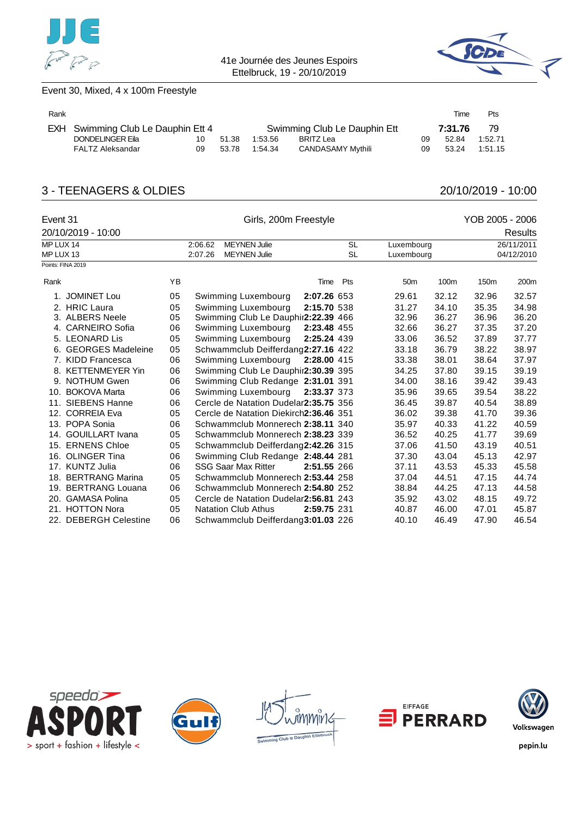![](_page_30_Picture_0.jpeg)

![](_page_30_Picture_2.jpeg)

### Event 30, Mixed, 4 x 100m Freestyle

| Rank |                                    |     |       |         |                              |    | Time    | Pts     |
|------|------------------------------------|-----|-------|---------|------------------------------|----|---------|---------|
|      | EXH Swimming Club Le Dauphin Ett 4 |     |       |         | Swimming Club Le Dauphin Ett |    | 7:31.76 | -79     |
|      | DONDELINGER Eila                   | 10  | 51.38 | 1:53.56 | BRITZ Lea                    | 09 | 52.84   | 1:52.71 |
|      | FALTZ Aleksandar                   | 09. | 53.78 | 1:54.34 | <b>CANDASAMY Mythili</b>     | 09 | 53.24   | 1:51.15 |

# 3 - TEENAGERS & OLDIES 20/10/2019 - 10:00

| Event 31  |                          |    | Girls, 200m Freestyle                  |             | YOB 2005 - 2006 |                 |       |                  |                |
|-----------|--------------------------|----|----------------------------------------|-------------|-----------------|-----------------|-------|------------------|----------------|
|           | 20/10/2019 - 10:00       |    |                                        |             |                 |                 |       |                  | <b>Results</b> |
| MP LUX 14 |                          |    | <b>MEYNEN Julie</b><br>2:06.62         |             | <b>SL</b>       | Luxembourg      |       |                  | 26/11/2011     |
| MP LUX 13 |                          |    | 2:07.26<br><b>MEYNEN Julie</b>         |             | <b>SL</b>       | Luxembourg      |       | 04/12/2010       |                |
|           | Points: FINA 2019        |    |                                        |             |                 |                 |       |                  |                |
| Rank      |                          | YB |                                        | Time        | Pts             | 50 <sub>m</sub> | 100m  | 150 <sub>m</sub> | 200m           |
|           | 1. JOMINET Lou           | 05 | Swimming Luxembourg                    | 2:07.26 653 |                 | 29.61           | 32.12 | 32.96            | 32.57          |
|           | 2. HRIC Laura            | 05 | Swimming Luxembourg                    | 2:15.70 538 |                 | 31.27           | 34.10 | 35.35            | 34.98          |
|           | 3. ALBERS Neele          | 05 | Swimming Club Le Dauphir2:22.39 466    |             |                 | 32.96           | 36.27 | 36.96            | 36.20          |
|           | 4. CARNEIRO Sofia        | 06 | Swimming Luxembourg                    | 2:23.48 455 |                 | 32.66           | 36.27 | 37.35            | 37.20          |
|           | 5. LEONARD Lis           | 05 | Swimming Luxembourg                    | 2:25.24 439 |                 | 33.06           | 36.52 | 37.89            | 37.77          |
|           | 6. GEORGES Madeleine     | 05 | Schwammclub Deifferdang2:27.16 422     |             |                 | 33.18           | 36.79 | 38.22            | 38.97          |
|           | 7. KIDD Francesca        | 06 | Swimming Luxembourg                    | 2:28.00 415 |                 | 33.38           | 38.01 | 38.64            | 37.97          |
|           | 8. KETTENMEYER Yin       | 06 | Swimming Club Le Dauphir2:30.39 395    |             |                 | 34.25           | 37.80 | 39.15            | 39.19          |
|           | 9. NOTHUM Gwen           | 06 | Swimming Club Redange 2:31.01 391      |             |                 | 34.00           | 38.16 | 39.42            | 39.43          |
|           | 10. BOKOVA Marta         | 06 | Swimming Luxembourg                    | 2:33.37 373 |                 | 35.96           | 39.65 | 39.54            | 38.22          |
|           | 11. SIEBENS Hanne        | 06 | Cercle de Natation Dudelar2:35.75 356  |             |                 | 36.45           | 39.87 | 40.54            | 38.89          |
|           | 12. CORREIA Eva          | 05 | Cercle de Natation Diekirch2:36.46 351 |             |                 | 36.02           | 39.38 | 41.70            | 39.36          |
|           | 13. POPA Sonia           | 06 | Schwammclub Monnerech 2:38.11 340      |             |                 | 35.97           | 40.33 | 41.22            | 40.59          |
|           | 14. GOUILLART Ivana      | 05 | Schwammclub Monnerech 2:38.23 339      |             |                 | 36.52           | 40.25 | 41.77            | 39.69          |
|           | 15. ERNENS Chloe         | 05 | Schwammclub Deifferdang2:42.26 315     |             |                 | 37.06           | 41.50 | 43.19            | 40.51          |
|           | 16. OLINGER Tina         | 06 | Swimming Club Redange 2:48.44 281      |             |                 | 37.30           | 43.04 | 45.13            | 42.97          |
|           | 17. KUNTZ Julia          | 06 | <b>SSG Saar Max Ritter</b>             | 2:51.55 266 |                 | 37.11           | 43.53 | 45.33            | 45.58          |
|           | 18. BERTRANG Marina      | 05 | Schwammclub Monnerech 2:53.44 258      |             |                 | 37.04           | 44.51 | 47.15            | 44.74          |
|           | 19. BERTRANG Louana      | 06 | Schwammclub Monnerech 2:54.80 252      |             |                 | 38.84           | 44.25 | 47.13            | 44.58          |
|           | 20. GAMASA Polina        | 05 | Cercle de Natation Dudelar2:56.81 243  |             |                 | 35.92           | 43.02 | 48.15            | 49.72          |
|           | 21. HOTTON Nora          | 05 | <b>Natation Club Athus</b>             | 2:59.75 231 |                 | 40.87           | 46.00 | 47.01            | 45.87          |
| 22.       | <b>DEBERGH Celestine</b> | 06 | Schwammclub Deifferdang3:01.03 226     |             |                 | 40.10           | 46.49 | 47.90            | 46.54          |

![](_page_30_Picture_8.jpeg)

![](_page_30_Picture_9.jpeg)

![](_page_30_Picture_10.jpeg)

![](_page_30_Picture_11.jpeg)

![](_page_30_Picture_12.jpeg)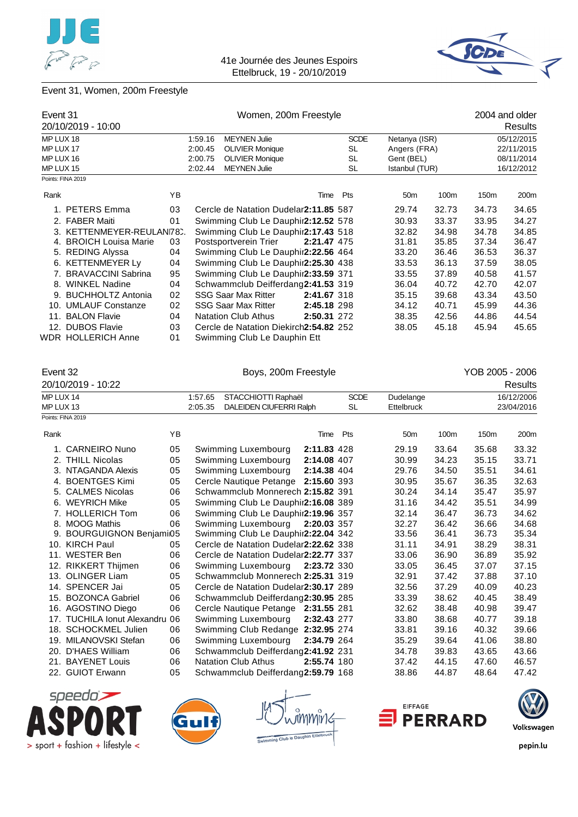![](_page_31_Picture_0.jpeg)

![](_page_31_Picture_2.jpeg)

# Event 31, Women, 200m Freestyle

| Event 31  | 20/10/2019 - 10:00       |     | Women, 200m Freestyle |                                        |             |             | 2004 and older<br>Results |       |            |            |
|-----------|--------------------------|-----|-----------------------|----------------------------------------|-------------|-------------|---------------------------|-------|------------|------------|
| MP LUX 18 |                          |     | 1:59.16               | <b>MEYNEN Julie</b>                    |             | <b>SCDE</b> | Netanya (ISR)             |       | 05/12/2015 |            |
|           |                          |     |                       |                                        |             |             |                           |       |            |            |
| MP LUX 17 |                          |     | 2:00.45               | <b>OLIVIER Monique</b>                 |             | SL          | Angers (FRA)              |       | 22/11/2015 |            |
| MP LUX 16 |                          |     | 2:00.75               | <b>OLIVIER Monique</b>                 |             | <b>SL</b>   | Gent (BEL)                |       |            | 08/11/2014 |
| MP LUX 15 |                          |     | 2:02.44               | <b>MEYNEN Julie</b>                    |             | SL          | Istanbul (TUR)            |       |            | 16/12/2012 |
|           | Points: FINA 2019        |     |                       |                                        |             |             |                           |       |            |            |
| Rank      |                          | YB. |                       |                                        | Time        | Pts         | 50 <sub>m</sub>           | 100m  | 150m       | 200m       |
|           | 1. PETERS Emma           | 03  |                       | Cercle de Natation Dudelar2:11.85 587  |             |             | 29.74                     | 32.73 | 34.73      | 34.65      |
|           | 2. FABER Maiti           | 01  |                       | Swimming Club Le Dauphir2:12.52 578    |             |             | 30.93                     | 33.37 | 33.95      | 34.27      |
|           | 3. KETTENMEYER-REULAN78. |     |                       | Swimming Club Le Dauphir2:17.43 518    |             |             | 32.82                     | 34.98 | 34.78      | 34.85      |
|           | 4. BROICH Louisa Marie   | 03  |                       | Postsportverein Trier                  | 2:21.47 475 |             | 31.81                     | 35.85 | 37.34      | 36.47      |
|           | 5. REDING Alyssa         | 04  |                       | Swimming Club Le Dauphir2:22.56 464    |             |             | 33.20                     | 36.46 | 36.53      | 36.37      |
|           | 6. KETTENMEYER Ly        | 04  |                       | Swimming Club Le Dauphir2:25.30 438    |             |             | 33.53                     | 36.13 | 37.59      | 38.05      |
|           | 7. BRAVACCINI Sabrina    | 95  |                       | Swimming Club Le Dauphir2:33.59 371    |             |             | 33.55                     | 37.89 | 40.58      | 41.57      |
|           | 8. WINKEL Nadine         | 04  |                       | Schwammclub Deifferdang2:41.53 319     |             |             | 36.04                     | 40.72 | 42.70      | 42.07      |
|           | 9. BUCHHOLTZ Antonia     | 02  |                       | <b>SSG Saar Max Ritter</b>             | 2:41.67 318 |             | 35.15                     | 39.68 | 43.34      | 43.50      |
|           | 10. UMLAUF Constanze     | 02  |                       | <b>SSG Saar Max Ritter</b>             | 2:45.18 298 |             | 34.12                     | 40.71 | 45.99      | 44.36      |
|           | 11. BALON Flavie         | 04  |                       | <b>Natation Club Athus</b>             | 2:50.31 272 |             | 38.35                     | 42.56 | 44.86      | 44.54      |
|           | 12. DUBOS Flavie         | 03  |                       | Cercle de Natation Diekirch2:54.82 252 |             |             | 38.05                     | 45.18 | 45.94      | 45.65      |
|           | WDR HOLLERICH Anne       | 01  |                       | Swimming Club Le Dauphin Ett           |             |             |                           |       |            |            |

| Event 32               |                                |    |                    | Boys, 200m Freestyle                           |             |                          |                                | YOB 2005 - 2006 |                  |                          |  |
|------------------------|--------------------------------|----|--------------------|------------------------------------------------|-------------|--------------------------|--------------------------------|-----------------|------------------|--------------------------|--|
|                        | 20/10/2019 - 10:22             |    |                    |                                                |             |                          |                                |                 |                  | Results                  |  |
| MP LUX 14<br>MP LUX 13 |                                |    | 1:57.65<br>2:05.35 | STACCHIOTTI Raphaël<br>DALEIDEN CIUFERRI Ralph |             | <b>SCDE</b><br><b>SL</b> | Dudelange<br><b>Ettelbruck</b> |                 |                  | 16/12/2006<br>23/04/2016 |  |
|                        | Points: FINA 2019              |    |                    |                                                |             |                          |                                |                 |                  |                          |  |
| Rank                   |                                | YB |                    |                                                | Time        | Pts                      | 50 <sub>m</sub>                | 100m            | 150 <sub>m</sub> | 200m                     |  |
|                        | 1. CARNEIRO Nuno               | 05 |                    | Swimming Luxembourg                            | 2:11.83 428 |                          | 29.19                          | 33.64           | 35.68            | 33.32                    |  |
|                        | 2. THILL Nicolas               | 05 |                    | Swimming Luxembourg                            | 2:14.08 407 |                          | 30.99                          | 34.23           | 35.15            | 33.71                    |  |
|                        | 3. NTAGANDA Alexis             | 05 |                    | Swimming Luxembourg                            | 2:14.38 404 |                          | 29.76                          | 34.50           | 35.51            | 34.61                    |  |
|                        | 4. BOENTGES Kimi               | 05 |                    | Cercle Nautique Petange 2:15.60 393            |             |                          | 30.95                          | 35.67           | 36.35            | 32.63                    |  |
|                        | 5. CALMES Nicolas              | 06 |                    | Schwammclub Monnerech 2:15.82 391              |             |                          | 30.24                          | 34.14           | 35.47            | 35.97                    |  |
|                        | 6. WEYRICH Mike                | 05 |                    | Swimming Club Le Dauphir2:16.08 389            |             |                          | 31.16                          | 34.42           | 35.51            | 34.99                    |  |
|                        | 7. HOLLERICH Tom               | 06 |                    | Swimming Club Le Dauphir2:19.96 357            |             |                          | 32.14                          | 36.47           | 36.73            | 34.62                    |  |
|                        | 8. MOOG Mathis                 | 06 |                    | Swimming Luxembourg                            | 2:20.03 357 |                          | 32.27                          | 36.42           | 36.66            | 34.68                    |  |
|                        | 9. BOURGUIGNON Benjami05       |    |                    | Swimming Club Le Dauphir2:22.04 342            |             |                          | 33.56                          | 36.41           | 36.73            | 35.34                    |  |
|                        | 10. KIRCH Paul                 | 05 |                    | Cercle de Natation Dudelar2:22.62 338          |             |                          | 31.11                          | 34.91           | 38.29            | 38.31                    |  |
|                        | 11. WESTER Ben                 | 06 |                    | Cercle de Natation Dudelar2:22.77 337          |             |                          | 33.06                          | 36.90           | 36.89            | 35.92                    |  |
|                        | 12. RIKKERT Thijmen            | 06 |                    | Swimming Luxembourg                            | 2:23.72 330 |                          | 33.05                          | 36.45           | 37.07            | 37.15                    |  |
|                        | 13. OLINGER Liam               | 05 |                    | Schwammclub Monnerech 2:25.31 319              |             |                          | 32.91                          | 37.42           | 37.88            | 37.10                    |  |
|                        | 14. SPENCER Jai                | 05 |                    | Cercle de Natation Dudelar2:30.17 289          |             |                          | 32.56                          | 37.29           | 40.09            | 40.23                    |  |
|                        | 15. BOZONCA Gabriel            | 06 |                    | Schwammclub Deifferdang2:30.95 285             |             |                          | 33.39                          | 38.62           | 40.45            | 38.49                    |  |
|                        | 16. AGOSTINO Diego             | 06 |                    | Cercle Nautique Petange 2:31.55 281            |             |                          | 32.62                          | 38.48           | 40.98            | 39.47                    |  |
|                        | 17. TUCHILA Ionut Alexandru 06 |    |                    | Swimming Luxembourg                            | 2:32.43 277 |                          | 33.80                          | 38.68           | 40.77            | 39.18                    |  |
|                        | 18. SCHOCKMEL Julien           | 06 |                    | Swimming Club Redange 2:32.95 274              |             |                          | 33.81                          | 39.16           | 40.32            | 39.66                    |  |
|                        | 19. MILANOVSKI Stefan          | 06 |                    | Swimming Luxembourg                            | 2:34.79 264 |                          | 35.29                          | 39.64           | 41.06            | 38.80                    |  |
|                        | 20. D'HAES William             | 06 |                    | Schwammclub Deifferdang2:41.92 231             |             |                          | 34.78                          | 39.83           | 43.65            | 43.66                    |  |
|                        | 21. BAYENET Louis              | 06 |                    | <b>Natation Club Athus</b>                     | 2:55.74 180 |                          | 37.42                          | 44.15           | 47.60            | 46.57                    |  |
|                        | 22. GUIOT Erwann               | 05 |                    | Schwammclub Deifferdang2:59.79 168             |             |                          | 38.86                          | 44.87           | 48.64            | 47.42                    |  |

![](_page_31_Picture_6.jpeg)

![](_page_31_Picture_7.jpeg)

niv1c to David

![](_page_31_Picture_9.jpeg)

![](_page_31_Picture_10.jpeg)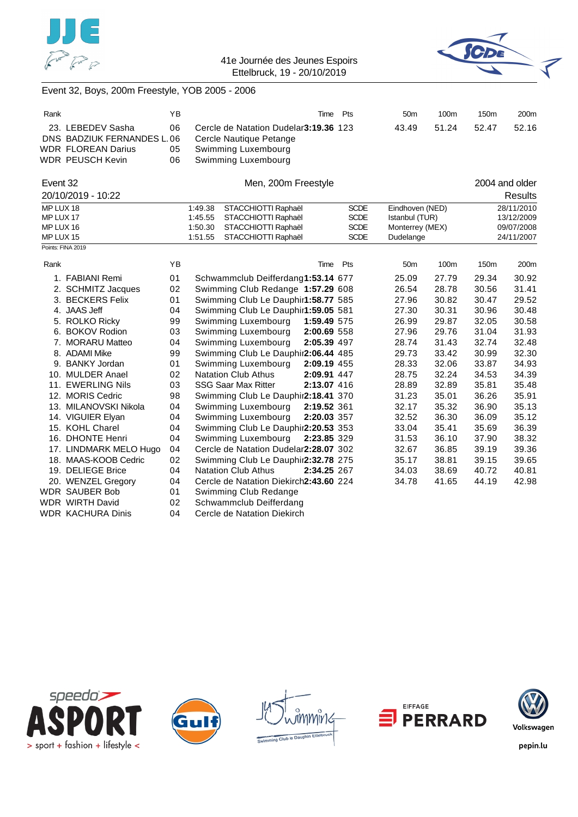![](_page_32_Picture_0.jpeg)

![](_page_32_Picture_2.jpeg)

### Event 32, Boys, 200m Freestyle, YOB 2005 - 2006

| Rank |                            | ΥB  | Time Pts                               | 50 <sub>m</sub> | 100m  | 150 <sub>m</sub> | 200 <sub>m</sub> |
|------|----------------------------|-----|----------------------------------------|-----------------|-------|------------------|------------------|
|      | 23. LEBEDEV Sasha          | 06  | Cercle de Natation Dudelar 3:19.36 123 | 43.49           | 51.24 | 52.47            | 52.16            |
|      | DNS BADZIUK FERNANDES L.06 |     | Cercle Nautique Petange                |                 |       |                  |                  |
|      | <b>WDR FLOREAN Darius</b>  | 05  | Swimming Luxembourg                    |                 |       |                  |                  |
|      | WDR PEUSCH Kevin           | 06. | Swimming Luxembourg                    |                 |       |                  |                  |

#### Event 32 **Event 32** Men, 200m Freestyle **2004** and older

20/10/2019 - 10:22 Results MP LUX 18 1:49.38 STACCHIOTTI Raphaël SCDE Eindhoven (NED) 28/11/2010<br>MP LUX 17 1:45.55 STACCHIOTTI Raphaël SCDE Istanbul (TUR) 13/12/2009 MP LUX 17 1:45.55 STACCHIOTTI Raphaël SCDE Istanbul (TUR) 13/12/2009 STACCHIOTTI Raphaël MP LUX 15 1:51.55 STACCHIOTTI Raphaël SCDE Dudelange 24/11/2007 Points: FINA 2019

| Rank |                          | ΥB | Time                                      | Pts | 50 <sub>m</sub> | 100m  | 150m  | 200m  |
|------|--------------------------|----|-------------------------------------------|-----|-----------------|-------|-------|-------|
|      | 1. FABIANI Remi          | 01 | Schwammclub Deifferdang1:53.14 677        |     | 25.09           | 27.79 | 29.34 | 30.92 |
|      | 2. SCHMITZ Jacques       | 02 | Swimming Club Redange 1:57.29 608         |     | 26.54           | 28.78 | 30.56 | 31.41 |
|      | 3. BECKERS Felix         | 01 | Swimming Club Le Dauphir1:58.77 585       |     | 27.96           | 30.82 | 30.47 | 29.52 |
|      | 4. JAAS Jeff             | 04 | Swimming Club Le Dauphir1:59.05 581       |     | 27.30           | 30.31 | 30.96 | 30.48 |
|      | 5. ROLKO Ricky           | 99 | Swimming Luxembourg<br>1:59.49 575        |     | 26.99           | 29.87 | 32.05 | 30.58 |
|      | 6. BOKOV Rodion          | 03 | Swimming Luxembourg<br>2:00.69 558        |     | 27.96           | 29.76 | 31.04 | 31.93 |
|      | 7. MORARU Matteo         | 04 | Swimming Luxembourg<br>2:05.39 497        |     | 28.74           | 31.43 | 32.74 | 32.48 |
|      | 8. ADAMI Mike            | 99 | Swimming Club Le Dauphir2:06.44 485       |     | 29.73           | 33.42 | 30.99 | 32.30 |
|      | 9. BANKY Jordan          | 01 | Swimming Luxembourg<br>2:09.19 455        |     | 28.33           | 32.06 | 33.87 | 34.93 |
|      | 10. MULDER Anael         | 02 | <b>Natation Club Athus</b><br>2:09.91 447 |     | 28.75           | 32.24 | 34.53 | 34.39 |
|      | 11. EWERLING Nils        | 03 | <b>SSG Saar Max Ritter</b><br>2:13.07 416 |     | 28.89           | 32.89 | 35.81 | 35.48 |
|      | 12. MORIS Cedric         | 98 | Swimming Club Le Dauphir2:18.41 370       |     | 31.23           | 35.01 | 36.26 | 35.91 |
|      | 13. MILANOVSKI Nikola    | 04 | Swimming Luxembourg<br>2:19.52 361        |     | 32.17           | 35.32 | 36.90 | 35.13 |
|      | 14. VIGUIER Elyan        | 04 | Swimming Luxembourg<br>2:20.03 357        |     | 32.52           | 36.30 | 36.09 | 35.12 |
|      | 15. KOHL Charel          | 04 | Swimming Club Le Dauphir2:20.53 353       |     | 33.04           | 35.41 | 35.69 | 36.39 |
|      | 16. DHONTE Henri         | 04 | Swimming Luxembourg<br>2:23.85 329        |     | 31.53           | 36.10 | 37.90 | 38.32 |
|      | 17. LINDMARK MELO Hugo   | 04 | Cercle de Natation Dudelar2:28.07 302     |     | 32.67           | 36.85 | 39.19 | 39.36 |
|      | 18. MAAS-KOOB Cedric     | 02 | Swimming Club Le Dauphir2:32.78 275       |     | 35.17           | 38.81 | 39.15 | 39.65 |
|      | 19. DELIEGE Brice        | 04 | <b>Natation Club Athus</b><br>2:34.25 267 |     | 34.03           | 38.69 | 40.72 | 40.81 |
|      | 20. WENZEL Gregory       | 04 | Cercle de Natation Diekirch2:43.60 224    |     | 34.78           | 41.65 | 44.19 | 42.98 |
|      | <b>WDR SAUBER Bob</b>    | 01 | Swimming Club Redange                     |     |                 |       |       |       |
|      | WDR WIRTH David          | 02 | Schwammclub Deifferdang                   |     |                 |       |       |       |
|      | <b>WDR KACHURA Dinis</b> | 04 | Cercle de Natation Diekirch               |     |                 |       |       |       |

![](_page_32_Picture_9.jpeg)

![](_page_32_Picture_10.jpeg)

![](_page_32_Picture_11.jpeg)

![](_page_32_Picture_12.jpeg)

![](_page_32_Picture_13.jpeg)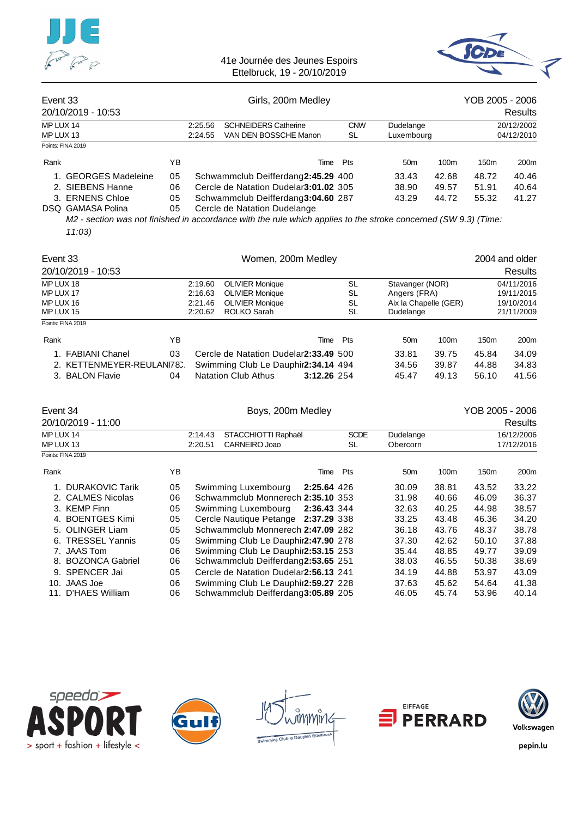![](_page_33_Picture_0.jpeg)

![](_page_33_Picture_2.jpeg)

| Event 33               | 20/10/2019 - 10:53                                                                      |                      | Girls, 200m Medley |                                                                                                                                                   |                  |                         |                         | YOB 2005 - 2006<br><b>Results</b> |                          |  |
|------------------------|-----------------------------------------------------------------------------------------|----------------------|--------------------|---------------------------------------------------------------------------------------------------------------------------------------------------|------------------|-------------------------|-------------------------|-----------------------------------|--------------------------|--|
| MP LUX 14<br>MP LUX 13 |                                                                                         |                      | 2:25.56<br>2:24.55 | <b>SCHNEIDERS Catherine</b><br>VAN DEN BOSSCHE Manon                                                                                              | <b>CNW</b><br>SL | Dudelange<br>Luxembourg |                         |                                   | 20/12/2002<br>04/12/2010 |  |
|                        | Points: FINA 2019                                                                       |                      |                    |                                                                                                                                                   |                  |                         |                         |                                   |                          |  |
| Rank                   |                                                                                         | YΒ                   |                    |                                                                                                                                                   | Pts<br>Time      | 50 <sub>m</sub>         | 100 <sub>m</sub>        | 150 <sub>m</sub>                  | 200 <sub>m</sub>         |  |
|                        | 1. GEORGES Madeleine<br>2. SIEBENS Hanne<br>3. ERNENS Chloe<br><b>DSQ GAMASA Polina</b> | 05<br>06<br>05<br>05 |                    | Schwammclub Deifferdang2:45.29 400<br>Cercle de Natation Dudelar3:01.02 305<br>Schwammclub Deifferdang3:04.60 287<br>Cercle de Natation Dudelange |                  | 33.43<br>38.90<br>43.29 | 42.68<br>49.57<br>44.72 | 48.72<br>51.91<br>55.32           | 40.46<br>40.64<br>41.27  |  |
|                        |                                                                                         |                      |                    | M2 - section was not finished in accordance with the rule which applies to the stroke concerned (SW 9.3) (Time:                                   |                  |                         |                         |                                   |                          |  |

*11:03)*

| Event 33  |                          |    | Women, 200m Medley |                                                 |             |     |                       |                  | 2004 and older   |                |  |
|-----------|--------------------------|----|--------------------|-------------------------------------------------|-------------|-----|-----------------------|------------------|------------------|----------------|--|
|           | 20/10/2019 - 10:53       |    |                    |                                                 |             |     |                       |                  |                  | <b>Results</b> |  |
| MP LUX 18 |                          |    | 2:19.60            | SL<br><b>OLIVIER Monique</b><br>Stavanger (NOR) |             |     | 04/11/2016            |                  |                  |                |  |
| MP LUX 17 |                          |    | 2:16.63            | <b>OLIVIER Monique</b>                          |             | SL  | Angers (FRA)          |                  | 19/11/2015       |                |  |
| MP LUX 16 |                          |    | 2:21.46            | <b>OLIVIER Monique</b>                          |             | SL  | Aix la Chapelle (GER) |                  | 19/10/2014       |                |  |
| MP LUX 15 |                          |    | 2:20.62            | ROLKO Sarah                                     |             | SL  | Dudelange             |                  |                  | 21/11/2009     |  |
|           | Points: FINA 2019        |    |                    |                                                 |             |     |                       |                  |                  |                |  |
| Rank      |                          | YB |                    |                                                 | Time        | Pts | 50 <sub>m</sub>       | 100 <sub>m</sub> | 150 <sub>m</sub> | 200m           |  |
|           | 1. FABIANI Chanel        | 03 |                    | Cercle de Natation Dudelar2:33.49 500           |             |     | 33.81                 | 39.75            | 45.84            | 34.09          |  |
|           | 2. KETTENMEYER-REULAN78. |    |                    | Swimming Club Le Dauphir2:34.14 494             |             |     | 34.56                 | 39.87            | 44.88            | 34.83          |  |
|           | 3. BALON Flavie          | 04 |                    | <b>Natation Club Athus</b>                      | 3:12.26 254 |     | 45.47                 | 49.13            | 56.10            | 41.56          |  |

| Event 34  | 20/10/2019 - 11:00 |    | Boys, 200m Medley |                                       |             |             |                 | YOB 2005 - 2006<br>Results |       |                  |
|-----------|--------------------|----|-------------------|---------------------------------------|-------------|-------------|-----------------|----------------------------|-------|------------------|
| MP LUX 14 |                    |    | 2:14.43           | STACCHIOTTI Raphaël                   |             | <b>SCDE</b> | Dudelange       |                            |       | 16/12/2006       |
| MP LUX 13 |                    |    | 2:20.51           | CARNEIRO Joao                         |             | SL          | Obercorn        |                            |       | 17/12/2016       |
|           | Points: FINA 2019  |    |                   |                                       |             |             |                 |                            |       |                  |
| Rank      |                    | ΥB |                   |                                       | Time        | Pts         | 50 <sub>m</sub> | 100 <sub>m</sub>           | 150m  | 200 <sub>m</sub> |
|           | 1. DURAKOVIC Tarik | 05 |                   | Swimming Luxembourg                   | 2:25.64 426 |             | 30.09           | 38.81                      | 43.52 | 33.22            |
|           | 2. CALMES Nicolas  | 06 |                   | Schwammclub Monnerech 2:35.10 353     |             |             | 31.98           | 40.66                      | 46.09 | 36.37            |
|           | 3. KEMP Finn       | 05 |                   | Swimming Luxembourg                   | 2:36.43 344 |             | 32.63           | 40.25                      | 44.98 | 38.57            |
|           | 4. BOENTGES Kimi   | 05 |                   | Cercle Nautique Petange 2:37.29 338   |             |             | 33.25           | 43.48                      | 46.36 | 34.20            |
|           | 5. OLINGER Liam    | 05 |                   | Schwammclub Monnerech 2:47.09 282     |             |             | 36.18           | 43.76                      | 48.37 | 38.78            |
|           | 6. TRESSEL Yannis  | 05 |                   | Swimming Club Le Dauphir2:47.90 278   |             |             | 37.30           | 42.62                      | 50.10 | 37.88            |
|           | 7. JAAS Tom        | 06 |                   | Swimming Club Le Dauphir2:53.15 253   |             |             | 35.44           | 48.85                      | 49.77 | 39.09            |
|           | 8. BOZONCA Gabriel | 06 |                   | Schwammclub Deifferdang2:53.65 251    |             |             | 38.03           | 46.55                      | 50.38 | 38.69            |
|           | 9. SPENCER Jai     | 05 |                   | Cercle de Natation Dudelar2:56.13 241 |             |             | 34.19           | 44.88                      | 53.97 | 43.09            |
|           | 10. JAAS Joe       | 06 |                   | Swimming Club Le Dauphir 2:59.27 228  |             |             | 37.63           | 45.62                      | 54.64 | 41.38            |
| 11.       | D'HAES William     | 06 |                   | Schwammclub Deifferdang3:05.89 205    |             |             | 46.05           | 45.74                      | 53.96 | 40.14            |

![](_page_33_Picture_7.jpeg)

![](_page_33_Picture_8.jpeg)

![](_page_33_Picture_9.jpeg)

![](_page_33_Picture_10.jpeg)

![](_page_33_Picture_11.jpeg)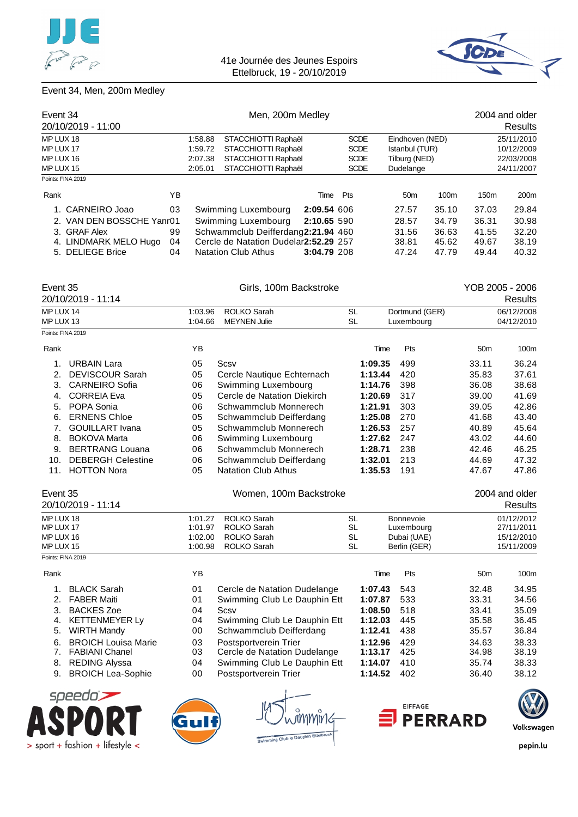![](_page_34_Picture_0.jpeg)

![](_page_34_Picture_2.jpeg)

### Event 34, Men, 200m Medley

| Event 34                  |     | Men, 200m Medley                                                 |                                       |                            |                                 |                 |                          |                  | 2004 and older   |
|---------------------------|-----|------------------------------------------------------------------|---------------------------------------|----------------------------|---------------------------------|-----------------|--------------------------|------------------|------------------|
| 20/10/2019 - 11:00        |     |                                                                  |                                       |                            |                                 |                 |                          |                  | Results          |
| MP LUX 18                 |     | 1:58.88<br>STACCHIOTTI Raphaël                                   |                                       | <b>SCDE</b>                | Eindhoven (NED)                 |                 | 25/11/2010               |                  |                  |
| MP LUX 17<br>MP LUX 16    |     | STACCHIOTTI Raphaël<br>1:59.72<br>2:07.38<br>STACCHIOTTI Raphaël |                                       | <b>SCDE</b><br><b>SCDE</b> | Istanbul (TUR)<br>Tilburg (NED) |                 | 10/12/2009<br>22/03/2008 |                  |                  |
|                           |     |                                                                  |                                       |                            |                                 |                 |                          |                  | MP LUX 15        |
| Points: FINA 2019         |     |                                                                  |                                       |                            |                                 |                 |                          |                  |                  |
| Rank                      | YB. |                                                                  |                                       | Time                       | Pts                             | 50 <sub>m</sub> | 100 <sub>m</sub>         | 150 <sub>m</sub> | 200 <sub>m</sub> |
| 1. CARNEIRO Joao          | 03  |                                                                  | Swimming Luxembourg                   | 2:09.54 606                |                                 | 27.57           | 35.10                    | 37.03            | 29.84            |
| 2. VAN DEN BOSSCHE Yanr01 |     |                                                                  | Swimming Luxembourg                   | 2:10.65 590                |                                 | 28.57           | 34.79                    | 36.31            | 30.98            |
| 3. GRAF Alex              | 99  |                                                                  | Schwammclub Deifferdang2:21.94 460    |                            |                                 | 31.56           | 36.63                    | 41.55            | 32.20            |
| 4. LINDMARK MELO Hugo     | 04  |                                                                  | Cercle de Natation Dudelar2:52.29 257 |                            |                                 | 38.81           | 45.62                    | 49.67            | 38.19            |
| 5. DELIEGE Brice          | 04  |                                                                  | <b>Natation Club Athus</b>            | 3:04.79 208                |                                 | 47.24           | 47.79                    | 49.44            | 40.32            |
| Event 35                  |     |                                                                  | Girls, 100m Backstroke                |                            |                                 |                 |                          | YOB 2005 - 2006  |                  |

|           | 20/10/2019 - 11:14       |         |                             |           |                |                 | Results        |
|-----------|--------------------------|---------|-----------------------------|-----------|----------------|-----------------|----------------|
| MP LUX 14 |                          | 1:03.96 | ROLKO Sarah                 | <b>SL</b> | Dortmund (GER) |                 | 06/12/2008     |
| MP LUX 13 |                          | 1:04.66 | <b>MEYNEN Julie</b>         | SL        | Luxembourg     |                 | 04/12/2010     |
|           | Points: FINA 2019        |         |                             |           |                |                 |                |
| Rank      |                          | YB      |                             |           | Pts<br>Time    | 50 <sub>m</sub> | 100m           |
| 1.        | <b>URBAIN Lara</b>       | 05      | Scsv                        | 1:09.35   | 499            | 33.11           | 36.24          |
| 2.        | <b>DEVISCOUR Sarah</b>   | 05      | Cercle Nautique Echternach  | 1:13.44   | 420            | 35.83           | 37.61          |
| 3.        | <b>CARNEIRO Sofia</b>    | 06      | Swimming Luxembourg         | 1:14.76   | 398            | 36.08           | 38.68          |
| 4.        | <b>CORREIA Eva</b>       | 05      | Cercle de Natation Diekirch | 1:20.69   | 317            | 39.00           | 41.69          |
| 5.        | POPA Sonia               | 06      | Schwammclub Monnerech       | 1:21.91   | 303            | 39.05           | 42.86          |
| 6.        | <b>ERNENS Chloe</b>      | 05      | Schwammclub Deifferdang     | 1:25.08   | 270            | 41.68           | 43.40          |
| 7.        | <b>GOUILLART</b> Ivana   | 05      | Schwammclub Monnerech       | 1:26.53   | 257            | 40.89           | 45.64          |
| 8.        | <b>BOKOVA Marta</b>      | 06      | Swimming Luxembourg         | 1:27.62   | 247            | 43.02           | 44.60          |
| 9.        | <b>BERTRANG Louana</b>   | 06      | Schwammclub Monnerech       | 1:28.71   | 238            | 42.46           | 46.25          |
| 10.       | <b>DEBERGH Celestine</b> | 06      | Schwammclub Deifferdang     | 1:32.01   | 213            | 44.69           | 47.32          |
| 11.       | <b>HOTTON Nora</b>       | 05      | <b>Natation Club Athus</b>  | 1:35.53   | 191            | 47.67           | 47.86          |
| Event 35  |                          |         | Women, 100m Backstroke      |           |                |                 | 2004 and older |
|           | 20/10/2019 - 11:14       |         |                             |           |                |                 | Results        |

| $20/10/2013 - 11.17$ |         |                     |    |              | nesullo    |
|----------------------|---------|---------------------|----|--------------|------------|
| MP LUX 18            | 1:01.27 | ROLKO Sarah         | SL | Bonnevoie    | 01/12/2012 |
| MP LUX 17            | 1:01.97 | ROLKO Sarah         | SL | Luxembourg   | 27/11/2011 |
| MP LUX 16            |         | 1:02.00 ROLKO Sarah | SL | Dubai (UAE)  | 15/12/2010 |
| MP LUX 15            | 1:00.98 | ROLKO Sarah         | SL | Berlin (GER) | 15/11/2009 |
| Points: FINA 2019    |         |                     |    |              |            |

| Rank |                            | YB |                              | Time    | Pts | 50 <sub>m</sub> | 100m           |
|------|----------------------------|----|------------------------------|---------|-----|-----------------|----------------|
|      | <b>BLACK Sarah</b>         | 01 | Cercle de Natation Dudelange | 1:07.43 | 543 | 32.48           | 34.95          |
| 2.   | <b>FABER Maiti</b>         | 01 | Swimming Club Le Dauphin Ett | 1:07.87 | 533 | 33.31           | 34.56          |
| 3.   | <b>BACKES Zoe</b>          | 04 | Scsv                         | 1:08.50 | 518 | 33.41           | 35.09          |
| 4.   | KETTENMEYER Ly             | 04 | Swimming Club Le Dauphin Ett | 1:12.03 | 445 | 35.58           | 36.45          |
| 5.   | <b>WIRTH Mandy</b>         | 00 | Schwammclub Deifferdang      | 1:12.41 | 438 | 35.57           | 36.84          |
| 6.   | <b>BROICH Louisa Marie</b> | 03 | Postsportverein Trier        | 1:12.96 | 429 | 34.63           | 38.33          |
|      | <b>FABIANI Chanel</b>      | 03 | Cercle de Natation Dudelange | 1:13.17 | 425 | 34.98           | 38.19          |
| 8.   | <b>REDING Alyssa</b>       | 04 | Swimming Club Le Dauphin Ett | 1:14.07 | 410 | 35.74           | 38.33          |
| 9.   | <b>BROICH Lea-Sophie</b>   | 00 | Postsportverein Trier        | 1:14.52 | 402 | 36.40           | 38.12          |
|      | cooodo`                    |    |                              |         |     |                 | $\overline{ }$ |

![](_page_34_Picture_8.jpeg)

![](_page_34_Picture_9.jpeg)

![](_page_34_Picture_11.jpeg)

![](_page_34_Picture_12.jpeg)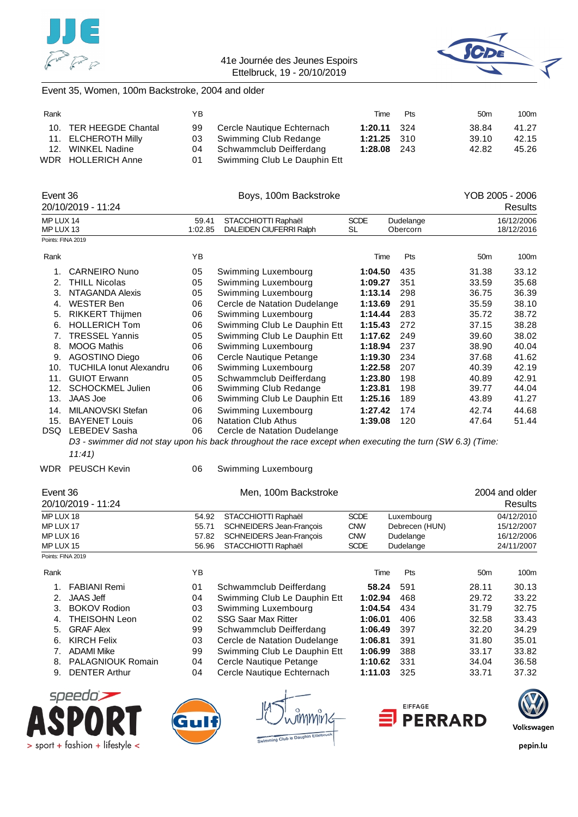![](_page_35_Picture_0.jpeg)

![](_page_35_Picture_2.jpeg)

# Event 35, Women, 100m Backstroke, 2004 and older

| Rank |                        | ΥB |                                 | Time               | Pts | 50 <sub>m</sub> | 100m  |
|------|------------------------|----|---------------------------------|--------------------|-----|-----------------|-------|
|      | 10. TER HEEGDE Chantal | 99 | Cercle Nautique Echternach      | <b>1:20.11</b> 324 |     | 38.84           | 41.27 |
|      | 11. ELCHEROTH Milly    |    | 03 Swimming Club Redange        | $1:21.25$ 310      |     | 39.10           | 42.15 |
|      | 12. WINKEL Nadine      |    | 04 Schwammclub Deifferdang      | 1:28.08 243        |     | 42.82           | 45.26 |
|      | WDR HOLLERICH Anne     |    | 01 Swimming Club Le Dauphin Ett |                    |     |                 |       |

| Event 36               |                               |                                             | Boys, 100m Backstroke                                                                                      |                          | YOB 2005 - 2006       |                 |                          |  |
|------------------------|-------------------------------|---------------------------------------------|------------------------------------------------------------------------------------------------------------|--------------------------|-----------------------|-----------------|--------------------------|--|
|                        | 20/10/2019 - 11:24            |                                             |                                                                                                            |                          |                       | <b>Results</b>  |                          |  |
| MP LUX 14<br>MP LUX 13 |                               | 59.41<br>1:02.85                            | STACCHIOTTI Raphaël<br>DALEIDEN CIUFERRI Ralph                                                             | <b>SCDE</b><br><b>SL</b> | Dudelange<br>Obercorn |                 | 16/12/2006<br>18/12/2016 |  |
| Points: FINA 2019      |                               |                                             |                                                                                                            |                          |                       |                 |                          |  |
| Rank                   |                               | YB                                          |                                                                                                            | Time                     | Pts                   | 50 <sub>m</sub> | 100m                     |  |
| 1.                     | <b>CARNEIRO Nuno</b>          | 05                                          | Swimming Luxembourg                                                                                        | 1:04.50                  | 435                   | 31.38           | 33.12                    |  |
|                        | 2. THILL Nicolas              | 05                                          | Swimming Luxembourg                                                                                        | 1:09.27                  | 351                   | 33.59           | 35.68                    |  |
|                        | 3. NTAGANDA Alexis            | 05                                          | Swimming Luxembourg                                                                                        | 1:13.14                  | 298                   | 36.75           | 36.39                    |  |
|                        | 4. WESTER Ben                 | 06                                          | Cercle de Natation Dudelange                                                                               | 1:13.69                  | 291                   | 35.59           | 38.10                    |  |
|                        | 5. RIKKERT Thijmen            | 06                                          | Swimming Luxembourg                                                                                        | 1:14.44                  | 283                   | 35.72           | 38.72                    |  |
|                        | 6. HOLLERICH Tom              | 06                                          | Swimming Club Le Dauphin Ett                                                                               | 1:15.43                  | 272                   | 37.15           | 38.28                    |  |
|                        | 7. TRESSEL Yannis             | 05                                          | Swimming Club Le Dauphin Ett                                                                               | 1:17.62                  | 249                   | 39.60           | 38.02                    |  |
|                        | 8. MOOG Mathis                | 06<br>Swimming Luxembourg<br>1:18.94<br>237 |                                                                                                            |                          |                       |                 |                          |  |
|                        | 9. AGOSTINO Diego             | 234<br>1:19.30                              | 37.68                                                                                                      | 41.62                    |                       |                 |                          |  |
|                        | 10. TUCHILA Ionut Alexandru   | 06                                          | Swimming Luxembourg                                                                                        | 1:22.58                  | 207                   | 40.39           | 42.19                    |  |
|                        | 11. GUIOT Erwann              | 05                                          | Schwammclub Deifferdang                                                                                    | 1:23.80                  | 198                   | 40.89           | 42.91                    |  |
|                        | 12. SCHOCKMEL Julien          | 06                                          | Swimming Club Redange                                                                                      | 1:23.81                  | 198                   | 39.77           | 44.04                    |  |
| 13.                    | <b>JAAS Joe</b>               | 06                                          | Swimming Club Le Dauphin Ett                                                                               | 1:25.16                  | 189                   | 43.89           | 41.27                    |  |
|                        | 14. MILANOVSKI Stefan         | 06                                          | Swimming Luxembourg                                                                                        | 1:27.42                  | 174                   | 42.74           | 44.68                    |  |
| 15.                    | <b>BAYENET Louis</b>          | <b>Natation Club Athus</b>                  | 1:39.08                                                                                                    | 120                      | 47.64                 | 51.44           |                          |  |
|                        | DSQ LEBEDEV Sasha             | 06                                          | Cercle de Natation Dudelange                                                                               |                          |                       |                 |                          |  |
|                        |                               |                                             | D3 - swimmer did not stay upon his back throughout the race except when executing the turn (SW 6.3) (Time: |                          |                       |                 |                          |  |
|                        | 11:41)                        |                                             |                                                                                                            |                          |                       |                 |                          |  |
|                        | WDR PEUSCH Kevin              | 06                                          | Swimming Luxembourg                                                                                        |                          |                       |                 |                          |  |
| Event 36               |                               |                                             | Men, 100m Backstroke                                                                                       |                          |                       |                 | 2004 and older           |  |
|                        | 20/10/2019 - 11:24            |                                             |                                                                                                            |                          |                       |                 | Results                  |  |
| MP LUX 18              |                               | 54.92                                       | STACCHIOTTI Raphaël                                                                                        | <b>SCDE</b>              | Luxembourg            |                 | 04/12/2010               |  |
| MP LUX 17              |                               | 55.71                                       | SCHNEIDERS Jean-François                                                                                   | <b>CNW</b>               | Debrecen (HUN)        |                 | 15/12/2007               |  |
| MP LUX 16              |                               | 57.82                                       | <b>SCHNEIDERS Jean-François</b>                                                                            | <b>CNW</b>               | Dudelange             |                 | 16/12/2006               |  |
| MP LUX 15              |                               | 56.96                                       | STACCHIOTTI Raphaël                                                                                        | <b>SCDE</b>              | Dudelange             |                 | 24/11/2007               |  |
| Points: FINA 2019      |                               |                                             |                                                                                                            |                          |                       |                 |                          |  |
| Rank                   |                               | YB                                          |                                                                                                            | Time                     | Pts                   | 50 <sub>m</sub> | 100m                     |  |
| 1.                     | <b>FABIANI Remi</b>           | 01                                          | Schwammclub Deifferdang                                                                                    | 58.24                    | 591                   | 28.11           | 30.13                    |  |
|                        | 2. JAAS Jeff                  | 04                                          | Swimming Club Le Dauphin Ett                                                                               | 1:02.94                  | 468                   | 29.72           | 33.22                    |  |
|                        | 3. BOKOV Rodion               | 03                                          | Swimming Luxembourg                                                                                        | 1:04.54                  | 434                   | 31.79           | 32.75                    |  |
| 4.                     | <b>THEISOHN Leon</b>          | 02                                          | <b>SSG Saar Max Ritter</b>                                                                                 | 1:06.01                  | 406                   | 32.58           | 33.43                    |  |
| 5.                     | <b>GRAF Alex</b>              | 99                                          | Schwammclub Deifferdang                                                                                    | 1:06.49                  | 397                   | 32.20           | 34.29                    |  |
|                        | 6. KIRCH Felix                | 03                                          | Cercle de Natation Dudelange                                                                               | 1:06.81                  | 391                   | 31.80           | 35.01                    |  |
|                        | 7. ADAMI Mike                 | 99                                          | Swimming Club Le Dauphin Ett                                                                               | 1:06.99                  | 388                   | 33.17           | 33.82                    |  |
| 8.                     | <b>PALAGNIOUK Romain</b>      | 04                                          | Cercle Nautique Petange                                                                                    | 1:10.62                  | 331                   | 34.04           | 36.58                    |  |
|                        | 9. DENTER Arthur              | 04                                          | Cercle Nautique Echternach                                                                                 | 1:11.03                  | 325                   | 33.71           | 37.32                    |  |
|                        | cnoodn' $\blacktriangleright$ |                                             | $\overline{1}$                                                                                             |                          |                       |                 | $\sqrt{2}$               |  |

![](_page_35_Picture_6.jpeg)

![](_page_35_Figure_7.jpeg)

![](_page_35_Picture_9.jpeg)

![](_page_35_Picture_10.jpeg)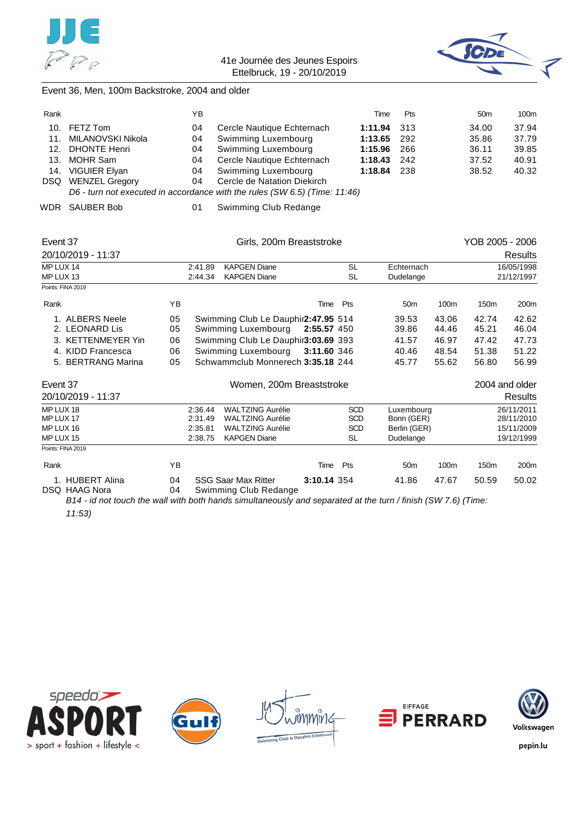![](_page_36_Picture_0.jpeg)

![](_page_36_Picture_2.jpeg)

### Event 36, Men, 100m Backstroke, 2004 and older

| Rank |                                                                            | YΒ |                             | Time        | <b>Pts</b> | 50 <sub>m</sub> | 100m  |  |
|------|----------------------------------------------------------------------------|----|-----------------------------|-------------|------------|-----------------|-------|--|
|      | 10. FETZ Tom                                                               | 04 | Cercle Nautique Echternach  | 1:11.94 313 |            | 34.00           | 37.94 |  |
|      | 11. MILANOVSKI Nikola                                                      | 04 | Swimming Luxembourg         | 1:13.65 292 |            | 35.86           | 37.79 |  |
|      | 12. DHONTE Henri                                                           | 04 | Swimming Luxembourg         | 1:15.96     | -266       | 36.11           | 39.85 |  |
|      | 13. MOHR Sam                                                               | 04 | Cercle Nautique Echternach  | 1:18.43     | 242        | 37.52           | 40.91 |  |
|      | 14. VIGUIER Elyan                                                          | 04 | Swimming Luxembourg         | 1:18.84 238 |            | 38.52           | 40.32 |  |
|      | DSQ WENZEL Gregory                                                         | 04 | Cercle de Natation Diekirch |             |            |                 |       |  |
|      | D6 - turn not executed in accordance with the rules (SW 6.5) (Time: 11:46) |    |                             |             |            |                 |       |  |

WDR SAUBER Bob 01 Swimming Club Redange

| Event 37<br>20/10/2019 - 11:37                                                                                                                                                                              |                                                                  | Girls, 200m Breaststroke                 |                                                                                                      |             |                                                     |                                                       |                         |                         | YOB 2005 - 2006<br><b>Results</b>                    |  |  |
|-------------------------------------------------------------------------------------------------------------------------------------------------------------------------------------------------------------|------------------------------------------------------------------|------------------------------------------|------------------------------------------------------------------------------------------------------|-------------|-----------------------------------------------------|-------------------------------------------------------|-------------------------|-------------------------|------------------------------------------------------|--|--|
| MP LUX 14<br>MP LUX 13                                                                                                                                                                                      | <b>KAPGEN Diane</b><br>2:41.89<br><b>KAPGEN Diane</b><br>2:44.34 |                                          |                                                                                                      |             | <b>SL</b><br>SL                                     | Echternach<br>Dudelange                               |                         |                         | 16/05/1998<br>21/12/1997                             |  |  |
| Points: FINA 2019                                                                                                                                                                                           |                                                                  |                                          |                                                                                                      |             |                                                     |                                                       |                         |                         |                                                      |  |  |
| Rank                                                                                                                                                                                                        | YB                                                               |                                          |                                                                                                      | Time        | Pts                                                 | 50 <sub>m</sub>                                       | 100m                    | 150 <sub>m</sub>        | 200m                                                 |  |  |
| 1. ALBERS Neele<br>2. LEONARD Lis                                                                                                                                                                           | 05<br>05                                                         |                                          | Swimming Club Le Dauphir 2:47.95 514<br>Swimming Luxembourg                                          | 2:55.57 450 |                                                     | 39.53<br>39.86                                        | 43.06<br>44.46          | 42.74<br>45.21          | 42.62<br>46.04                                       |  |  |
| 3. KETTENMEYER Yin<br>Swimming Club Le Dauphir3:03.69 393<br>06<br>Swimming Luxembourg<br>4. KIDD Francesca<br>3:11.60 346<br>06<br><b>BERTRANG Marina</b><br>Schwammclub Monnerech 3:35.18 244<br>05<br>5. |                                                                  |                                          |                                                                                                      |             |                                                     |                                                       | 46.97<br>48.54<br>55.62 | 47.42<br>51.38<br>56.80 | 47.73<br>51.22<br>56.99                              |  |  |
| Event 37<br>20/10/2019 - 11:37                                                                                                                                                                              |                                                                  |                                          | Women, 200m Breaststroke                                                                             |             |                                                     |                                                       |                         |                         | 2004 and older<br><b>Results</b>                     |  |  |
| MP LUX 18<br>MP LUX 17<br>MP LUX 16<br>MP LUX 15                                                                                                                                                            |                                                                  | 2:36.44<br>2:31.49<br>2:35.81<br>2:38.75 | <b>WALTZING Aurélie</b><br><b>WALTZING Aurélie</b><br><b>WALTZING Aurélie</b><br><b>KAPGEN Diane</b> |             | <b>SCD</b><br><b>SCD</b><br><b>SCD</b><br><b>SL</b> | Luxembourg<br>Bonn (GER)<br>Berlin (GER)<br>Dudelange |                         |                         | 26/11/2011<br>28/11/2010<br>15/11/2009<br>19/12/1999 |  |  |
| Points: FINA 2019                                                                                                                                                                                           |                                                                  |                                          |                                                                                                      |             |                                                     |                                                       |                         |                         |                                                      |  |  |
| Rank                                                                                                                                                                                                        | YB.                                                              |                                          |                                                                                                      | Time        | Pts                                                 | 50 <sub>m</sub>                                       | 100m                    | 150 <sub>m</sub>        | 200m                                                 |  |  |
| 1. HUBERT Alina<br><b>DSQ HAAG Nora</b>                                                                                                                                                                     | 04<br>04                                                         |                                          | <b>SSG Saar Max Ritter</b><br>Swimming Club Redange                                                  | 3:10.14 354 |                                                     | 41.86                                                 | 47.67                   | 50.59                   | 50.02                                                |  |  |

*B14 - id not touch the wall with both hands simultaneously and separated at the turn / finish (SW 7.6) (Time: 11:53)*

![](_page_36_Picture_9.jpeg)

![](_page_36_Picture_10.jpeg)

![](_page_36_Picture_12.jpeg)

![](_page_36_Picture_13.jpeg)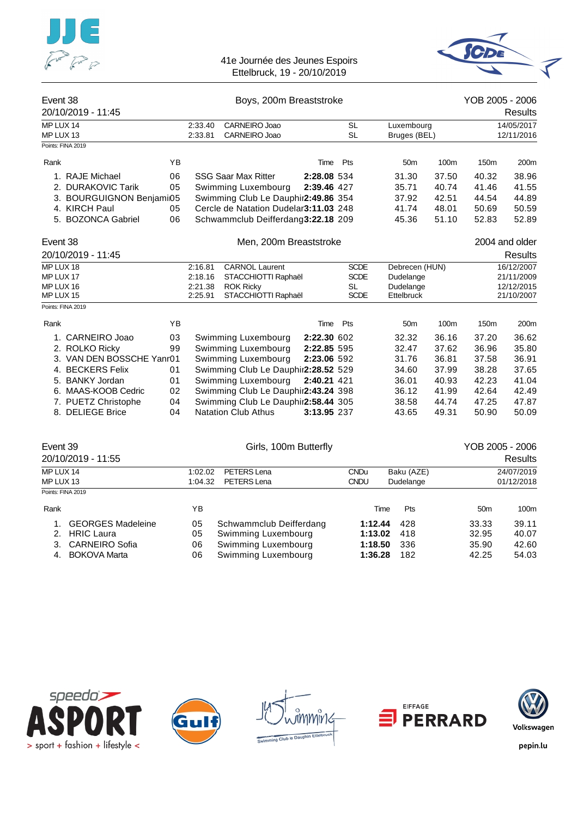![](_page_37_Picture_0.jpeg)

![](_page_37_Picture_2.jpeg)

| Event 38                                         | 20/10/2019 - 11:45        |    |                                                                                                                                                                                               | Boys, 200m Breaststroke               |             | YOB 2005 - 2006<br>Results                                    |                            |                |                                                      |                          |  |
|--------------------------------------------------|---------------------------|----|-----------------------------------------------------------------------------------------------------------------------------------------------------------------------------------------------|---------------------------------------|-------------|---------------------------------------------------------------|----------------------------|----------------|------------------------------------------------------|--------------------------|--|
| MP LUX 14<br>MP LUX 13                           |                           |    | 2:33.40<br>2:33.81                                                                                                                                                                            | CARNEIRO Joao<br>CARNEIRO Joao        |             | <b>SL</b><br><b>SL</b>                                        | Luxembourg<br>Bruges (BEL) |                |                                                      | 14/05/2017<br>12/11/2016 |  |
|                                                  | Points: FINA 2019         |    |                                                                                                                                                                                               |                                       |             |                                                               |                            |                |                                                      |                          |  |
| Rank                                             |                           | YB |                                                                                                                                                                                               |                                       | Time        | Pts                                                           | 50 <sub>m</sub>            | 100m           | 150m                                                 | 200m                     |  |
|                                                  | 1. RAJE Michael           | 06 |                                                                                                                                                                                               | <b>SSG Saar Max Ritter</b>            | 2:28.08 534 |                                                               | 31.30                      | 37.50          | 40.32                                                | 38.96                    |  |
|                                                  | 2. DURAKOVIC Tarik        | 05 |                                                                                                                                                                                               | Swimming Luxembourg                   | 2:39.46 427 |                                                               | 35.71                      | 40.74          | 41.46                                                | 41.55                    |  |
|                                                  | 3. BOURGUIGNON Benjami05  |    |                                                                                                                                                                                               | Swimming Club Le Dauphir2:49.86 354   |             |                                                               | 37.92                      | 42.51          | 44.54                                                | 44.89                    |  |
|                                                  | 4. KIRCH Paul             | 05 |                                                                                                                                                                                               | Cercle de Natation Dudelar3:11.03 248 |             |                                                               | 41.74                      | 48.01          | 50.69                                                | 50.59                    |  |
|                                                  | 5. BOZONCA Gabriel        | 06 |                                                                                                                                                                                               | Schwammclub Deifferdang3:22.18 209    |             |                                                               | 45.36                      | 51.10          | 52.83                                                | 52.89                    |  |
| Event 38                                         |                           |    |                                                                                                                                                                                               | Men, 200m Breaststroke                |             |                                                               |                            | 2004 and older |                                                      |                          |  |
|                                                  | 20/10/2019 - 11:45        |    |                                                                                                                                                                                               |                                       |             |                                                               |                            |                |                                                      | <b>Results</b>           |  |
| MP LUX 18<br>MP LUX 17<br>MP LUX 16<br>MP LUX 15 |                           |    | <b>CARNOL Laurent</b><br>2:16.81<br><b>SCDE</b><br>2:18.16<br><b>SCDE</b><br>STACCHIOTTI Raphaël<br><b>SL</b><br>2:21.38<br><b>ROK Ricky</b><br>STACCHIOTTI Raphaël<br><b>SCDE</b><br>2:25.91 |                                       |             | Debrecen (HUN)<br>Dudelange<br>Dudelange<br><b>Ettelbruck</b> |                            |                | 16/12/2007<br>21/11/2009<br>12/12/2015<br>21/10/2007 |                          |  |
| Points: FINA 2019                                |                           |    |                                                                                                                                                                                               |                                       |             |                                                               |                            |                |                                                      |                          |  |
|                                                  |                           |    |                                                                                                                                                                                               |                                       |             |                                                               |                            |                |                                                      |                          |  |
| Rank                                             |                           | ΥB |                                                                                                                                                                                               |                                       | Time        | Pts                                                           | 50 <sub>m</sub>            | 100m           | 150m                                                 | 200m                     |  |
|                                                  | 1. CARNEIRO Joao          | 03 |                                                                                                                                                                                               | Swimming Luxembourg                   | 2:22.30 602 |                                                               | 32.32                      | 36.16          | 37.20                                                | 36.62                    |  |
|                                                  | 2. ROLKO Ricky            | 99 |                                                                                                                                                                                               | Swimming Luxembourg                   | 2:22.85 595 |                                                               | 32.47                      | 37.62          | 36.96                                                | 35.80                    |  |
|                                                  | 3. VAN DEN BOSSCHE Yanr01 |    |                                                                                                                                                                                               | Swimming Luxembourg                   | 2:23.06 592 |                                                               | 31.76                      | 36.81          | 37.58                                                | 36.91                    |  |
|                                                  | 4. BECKERS Felix          | 01 |                                                                                                                                                                                               | Swimming Club Le Dauphir2:28.52 529   |             |                                                               | 34.60                      | 37.99          | 38.28                                                | 37.65                    |  |
|                                                  | 5. BANKY Jordan           | 01 |                                                                                                                                                                                               | Swimming Luxembourg                   | 2:40.21 421 |                                                               | 36.01                      | 40.93          | 42.23                                                | 41.04                    |  |
|                                                  | 6. MAAS-KOOB Cedric       | 02 |                                                                                                                                                                                               | Swimming Club Le Dauphir2:43.24 398   |             |                                                               | 36.12                      | 41.99          | 42.64                                                | 42.49                    |  |
|                                                  | 7. PUETZ Christophe       | 04 |                                                                                                                                                                                               | Swimming Club Le Dauphir2:58.44 305   |             |                                                               | 38.58                      | 44.74          | 47.25                                                | 47.87                    |  |
|                                                  | 8. DELIEGE Brice          | 04 |                                                                                                                                                                                               | <b>Natation Club Athus</b>            | 3:13.95 237 |                                                               | 43.65                      | 49.31          | 50.90                                                | 50.09                    |  |
| Event 39                                         |                           |    |                                                                                                                                                                                               | Girls, 100m Butterfly                 |             |                                                               |                            |                | YOB 2005 - 2006                                      |                          |  |
|                                                  | 20/10/2019 - 11:55        |    |                                                                                                                                                                                               |                                       |             |                                                               |                            |                |                                                      | <b>Results</b>           |  |
| MP LUX 14                                        |                           |    | 1:02.02                                                                                                                                                                                       | PETERS Lena                           |             | <b>CNDu</b>                                                   | Baku (AZE)                 |                |                                                      | 24/07/2019               |  |
| MP LUX 13                                        |                           |    | 1:04.32                                                                                                                                                                                       | <b>PETERS Lena</b>                    |             | <b>CNDU</b>                                                   | Dudelange                  |                |                                                      | 01/12/2018               |  |
|                                                  | Points: FINA 2019         |    |                                                                                                                                                                                               |                                       |             |                                                               |                            |                |                                                      |                          |  |
| Rank                                             |                           |    | YB                                                                                                                                                                                            |                                       |             |                                                               | Time<br>Pts                |                | 50 <sub>m</sub>                                      | 100m                     |  |

| 1. GEORGES Madeleine<br>2. HRIC Laura<br>3. CARNEIRO Sofia<br>4. BOKOVA Marta |  | 05 Schwammclub Deifferdang<br>05 Swimming Luxembourg<br>06 Swimming Luxembourg<br>06 Swimming Luxembourg | $1:12.44$ 428<br>1:13.02 418<br>1:18.50 336<br>1:36.28 182 |  | 33.33<br>32.95<br>35.90<br>42.25 | 39.11<br>40.07<br>42.60<br>54.03 |
|-------------------------------------------------------------------------------|--|----------------------------------------------------------------------------------------------------------|------------------------------------------------------------|--|----------------------------------|----------------------------------|
|-------------------------------------------------------------------------------|--|----------------------------------------------------------------------------------------------------------|------------------------------------------------------------|--|----------------------------------|----------------------------------|

![](_page_37_Picture_5.jpeg)

![](_page_37_Picture_6.jpeg)

![](_page_37_Figure_7.jpeg)

![](_page_37_Picture_8.jpeg)

![](_page_37_Picture_9.jpeg)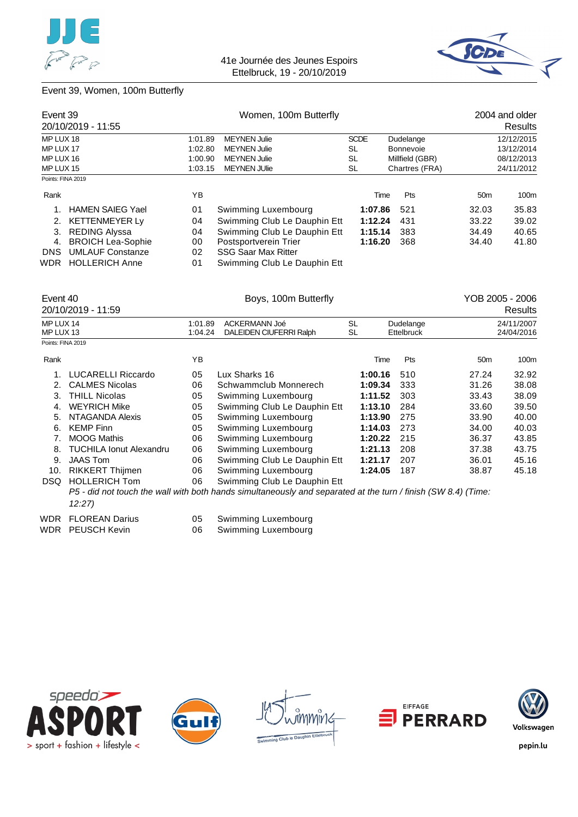![](_page_38_Picture_0.jpeg)

![](_page_38_Picture_2.jpeg)

### Event 39, Women, 100m Butterfly

| Event 39          | 20/10/2019 - 11:55       |                                                        | Women, 100m Butterfly        | 2004 and older<br><b>Results</b> |                  |                 |                 |
|-------------------|--------------------------|--------------------------------------------------------|------------------------------|----------------------------------|------------------|-----------------|-----------------|
| MP LUX 18         |                          | 1:01.89                                                | <b>MEYNEN Julie</b>          | <b>SCDE</b>                      | Dudelange        |                 | 12/12/2015      |
| MP LUX 17         |                          | 1:02.80                                                | <b>MEYNEN Julie</b>          | SL                               | <b>Bonnevoie</b> |                 | 13/12/2014      |
| MP LUX 16         |                          | 1:00.90                                                | <b>MEYNEN Julie</b>          | SL                               | Millfield (GBR)  |                 | 08/12/2013      |
| MP LUX 15         |                          | <b>MEYNEN JUlie</b><br>1:03.15<br>SL<br>Chartres (FRA) |                              |                                  |                  |                 |                 |
| Points: FINA 2019 |                          |                                                        |                              |                                  |                  |                 |                 |
| Rank              |                          | ΥB                                                     |                              | Time                             | Pts              | 50 <sub>m</sub> | 100m            |
|                   | <b>HAMEN SAIEG Yael</b>  | 01                                                     | Swimming Luxembourg          | 1:07.86                          | 521              | 32.03           | 35.83           |
|                   | 2. KETTENMEYER Ly        | 04                                                     | Swimming Club Le Dauphin Ett | 1:12.24                          | 431              | 33.22           | 39.02           |
| 3.                | <b>REDING Alyssa</b>     | 04                                                     | Swimming Club Le Dauphin Ett | 1:15.14                          | 383              | 34.49           | 40.65           |
| 4.                | <b>BROICH Lea-Sophie</b> | 00                                                     | Postsportverein Trier        | 1:16.20                          | 368              | 34.40           | 41.80           |
| <b>DNS</b>        | <b>UMLAUF Constanze</b>  | 02                                                     | <b>SSG Saar Max Ritter</b>   |                                  |                  |                 |                 |
| WDR               | <b>HOLLERICH Anne</b>    | 01                                                     | Swimming Club Le Dauphin Ett |                                  |                  |                 |                 |
| Event 40          |                          |                                                        | Boys. 100m Butterfly         |                                  |                  |                 | YOB 2005 - 2006 |

|                        | 20/10/2019 - 11:59             |                    |                                                                                                               |                 |                         |                 | Results                  |
|------------------------|--------------------------------|--------------------|---------------------------------------------------------------------------------------------------------------|-----------------|-------------------------|-----------------|--------------------------|
| MP LUX 14<br>MP LUX 13 |                                | 1:01.89<br>1:04.24 | ACKERMANN Joé<br>DALEIDEN CIUFERRI Ralph                                                                      | <b>SL</b><br>SL | Dudelange<br>Ettelbruck |                 | 24/11/2007<br>24/04/2016 |
| Points: FINA 2019      |                                |                    |                                                                                                               |                 |                         |                 |                          |
| Rank                   |                                | YB                 |                                                                                                               | Time            | Pts                     | 50 <sub>m</sub> | 100m                     |
| 1.                     | <b>LUCARELLI Riccardo</b>      | 05                 | Lux Sharks 16                                                                                                 | 1:00.16         | 510                     | 27.24           | 32.92                    |
| 2.                     | <b>CALMES Nicolas</b>          | 06                 | Schwammclub Monnerech                                                                                         | 1:09.34         | 333                     | 31.26           | 38.08                    |
| 3.                     | <b>THILL Nicolas</b>           | 05                 | Swimming Luxembourg                                                                                           | 1:11.52         | 303                     | 33.43           | 38.09                    |
| 4.                     | <b>WEYRICH Mike</b>            | 05                 | Swimming Club Le Dauphin Ett                                                                                  | 1:13.10         | 284                     | 33.60           | 39.50                    |
| 5.                     | NTAGANDA Alexis                | 05                 | Swimming Luxembourg                                                                                           | 1:13.90         | 275                     | 33.90           | 40.00                    |
| 6.                     | <b>KEMP Finn</b>               | 05                 | Swimming Luxembourg                                                                                           | 1:14.03         | 273                     | 34.00           | 40.03                    |
| 7.                     | <b>MOOG Mathis</b>             | 06                 | Swimming Luxembourg                                                                                           | 1:20.22         | 215                     | 36.37           | 43.85                    |
| 8.                     | <b>TUCHILA Ionut Alexandru</b> | 06                 | Swimming Luxembourg                                                                                           | 1:21.13         | 208                     | 37.38           | 43.75                    |
| 9.                     | <b>JAAS Tom</b>                | 06                 | Swimming Club Le Dauphin Ett                                                                                  | 1:21.17         | 207                     | 36.01           | 45.16                    |
| 10.                    | <b>RIKKERT Thijmen</b>         | 06                 | Swimming Luxembourg                                                                                           | 1:24.05         | 187                     | 38.87           | 45.18                    |
| DSQ.                   | <b>HOLLERICH Tom</b>           | 06                 | Swimming Club Le Dauphin Ett                                                                                  |                 |                         |                 |                          |
|                        | 12:27                          |                    | P5 - did not touch the wall with both hands simultaneously and separated at the turn / finish (SW 8.4) (Time: |                 |                         |                 |                          |
| WDR                    | <b>FLOREAN Darius</b>          | 05                 | Swimming Luxembourg                                                                                           |                 |                         |                 |                          |
|                        | WDR PEUSCH Kevin               | 06                 | Swimming Luxembourg                                                                                           |                 |                         |                 |                          |

![](_page_38_Picture_6.jpeg)

![](_page_38_Picture_7.jpeg)

![](_page_38_Picture_8.jpeg)

![](_page_38_Picture_9.jpeg)

![](_page_38_Picture_10.jpeg)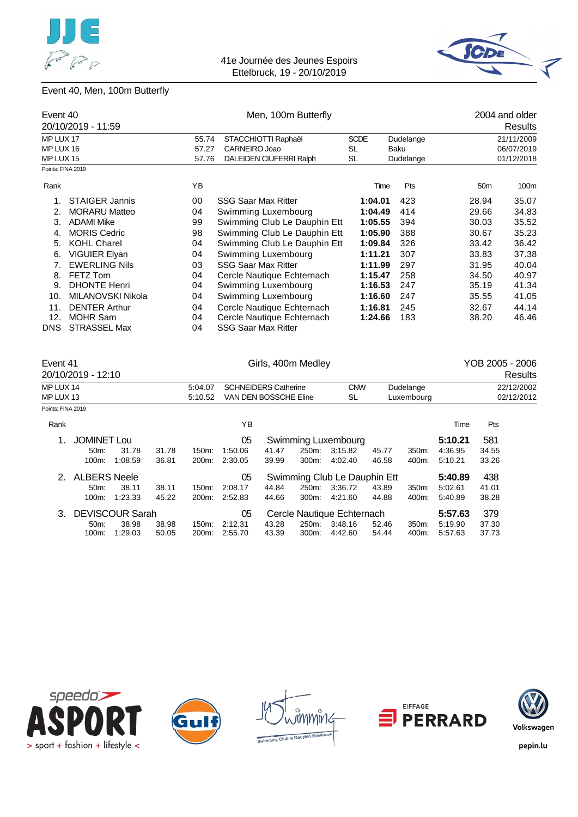![](_page_39_Picture_0.jpeg)

![](_page_39_Picture_2.jpeg)

# Event 40, Men, 100m Butterfly

|                   | Event 40              |       | Men, 100m Butterfly          |             | 2004 and older |                 |                         |
|-------------------|-----------------------|-------|------------------------------|-------------|----------------|-----------------|-------------------------|
|                   | 20/10/2019 - 11:59    |       |                              |             |                |                 | <b>Results</b>          |
| MP LUX 17         |                       | 55.74 | STACCHIOTTI Raphaël          | <b>SCDE</b> | Dudelange      | 21/11/2009      |                         |
| MP LUX 16         |                       | 57.27 | CARNEIRO Joao                | <b>SL</b>   | Baku           |                 | 06/07/2019              |
| MP LUX 15         |                       | 57.76 | DALEIDEN CIUFERRI Ralph      | SL          | Dudelange      |                 | 01/12/2018              |
| Points: FINA 2019 |                       |       |                              |             |                |                 |                         |
| Rank              |                       | YB    |                              | Time        | Pts            | 50 <sub>m</sub> | 100m                    |
|                   | <b>STAIGER Jannis</b> | 00    | <b>SSG Saar Max Ritter</b>   | 1:04.01     | 423            | 28.94           | 35.07                   |
| 2.                | <b>MORARU Matteo</b>  | 04    | Swimming Luxembourg          | 1:04.49     | 414            | 29.66           | 34.83                   |
| 3.                | <b>ADAMI Mike</b>     | 99    | Swimming Club Le Dauphin Ett | 1:05.55     | 394            | 30.03           | 35.52                   |
| 4.                | <b>MORIS Cedric</b>   | 98    | Swimming Club Le Dauphin Ett | 1:05.90     | 388            | 30.67           | 35.23                   |
| 5.                | <b>KOHL Charel</b>    | 04    | Swimming Club Le Dauphin Ett | 1:09.84     | 326            | 33.42           | 36.42                   |
| 6.                | <b>VIGUIER Elyan</b>  | 04    | Swimming Luxembourg          | 1:11.21     | 307            | 33.83           | 37.38                   |
| 7.                | <b>EWERLING Nils</b>  | 03    | <b>SSG Saar Max Ritter</b>   | 1:11.99     | 297            | 31.95           | 40.04                   |
| 8.                | FETZ Tom              | 04    | Cercle Nautique Echternach   | 1:15.47     | 258            | 34.50           | 40.97                   |
| 9.                | <b>DHONTE Henri</b>   | 04    | Swimming Luxembourg          | 1:16.53     | 247            | 35.19           | 41.34                   |
| 10.               | MILANOVSKI Nikola     | 04    | Swimming Luxembourg          | 1:16.60     | 247            | 35.55           | 41.05                   |
| 11.               | <b>DENTER Arthur</b>  | 04    | Cercle Nautique Echternach   | 1:16.81     | 245            | 32.67           | 44.14                   |
| 12.               | <b>MOHR Sam</b>       | 04    | Cercle Nautique Echternach   | 1:24.66     | 183            | 38.20           | 46.46                   |
| <b>DNS</b>        | <b>STRASSEL Max</b>   | 04    | <b>SSG Saar Max Ritter</b>   |             |                |                 |                         |
|                   | Event 41              |       | Girls, 400m Medley           |             |                | YOB 2005 - 2006 |                         |
|                   | 20/10/2010<br>10.10   |       |                              |             |                |                 | $D_{\alpha\alpha}$ ulto |

|                   | 20/10/2019 - 12:10  |                        |       |                    |                                  |       |       |                              |       |                  |         |            | Results    |
|-------------------|---------------------|------------------------|-------|--------------------|----------------------------------|-------|-------|------------------------------|-------|------------------|---------|------------|------------|
| MP LUX 14         |                     |                        |       | 5:04.07            | <b>SCHNEIDERS Catherine</b>      |       |       | <b>CNW</b>                   |       | Dudelange        |         |            | 22/12/2002 |
| MP LUX 13         |                     |                        |       | 5:10.52            | VAN DEN BOSSCHE Eline            |       |       | SL                           |       | Luxembourg       |         |            | 02/12/2012 |
| Points: FINA 2019 |                     |                        |       |                    |                                  |       |       |                              |       |                  |         |            |            |
| Rank              |                     |                        |       |                    | ΥB                               |       |       |                              |       |                  | Time    | <b>Pts</b> |            |
|                   | <b>JOMINET Lou</b>  |                        |       |                    | 05                               |       |       | Swimming Luxembourg          |       |                  | 5:10.21 | 581        |            |
|                   | 50 <sub>m</sub> :   | 31.78                  | 31.78 | $150m$ :           | 1:50.06                          | 41.47 | 250m: | 3.15.82                      | 45.77 | 350m:            | 4.36.95 | 34.55      |            |
|                   | 100m:               | 1:08.59                | 36.81 | 200 <sub>m</sub> : | 2:30.05                          | 39.99 | 300m: | 4:02.40                      | 46.58 | 400m:            | 5:10.21 | 33.26      |            |
| $2^{\circ}$       | <b>ALBERS Neele</b> |                        |       |                    | 05                               |       |       | Swimming Club Le Dauphin Ett |       |                  | 5:40.89 | 438        |            |
|                   | 50 <sub>m</sub>     | 38.11                  | 38.11 | 150m:              | 2:08.17                          | 44.84 | 250m: | 3:36.72                      | 43.89 | 350 <sub>m</sub> | 5:02.61 | 41.01      |            |
|                   | 100m:               | 1:23.33                | 45.22 | 200 <sub>m</sub> : | 2:52.83                          | 44.66 | 300m: | 4:21.60                      | 44.88 | 400m:            | 5.40.89 | 38.28      |            |
| 3.                |                     | <b>DEVISCOUR Sarah</b> |       |                    | 05<br>Cercle Nautique Echternach |       |       |                              |       |                  | 5:57.63 | 379        |            |
|                   | 50 <sub>m</sub>     | 38.98                  | 38.98 | 150m:              | 2:12.31                          | 43.28 | 250m: | 3:48.16                      | 52.46 | 350m:            | 5:19.90 | 37.30      |            |
|                   | 100m:               | 1:29.03                | 50.05 | 200m:              | 2:55.70                          | 43.39 | 300m: | 4:42.60                      | 54.44 | 400m:            | 5:57.63 | 37.73      |            |
|                   |                     |                        |       |                    |                                  |       |       |                              |       |                  |         |            |            |

![](_page_39_Picture_6.jpeg)

![](_page_39_Picture_7.jpeg)

![](_page_39_Picture_8.jpeg)

![](_page_39_Picture_9.jpeg)

![](_page_39_Picture_10.jpeg)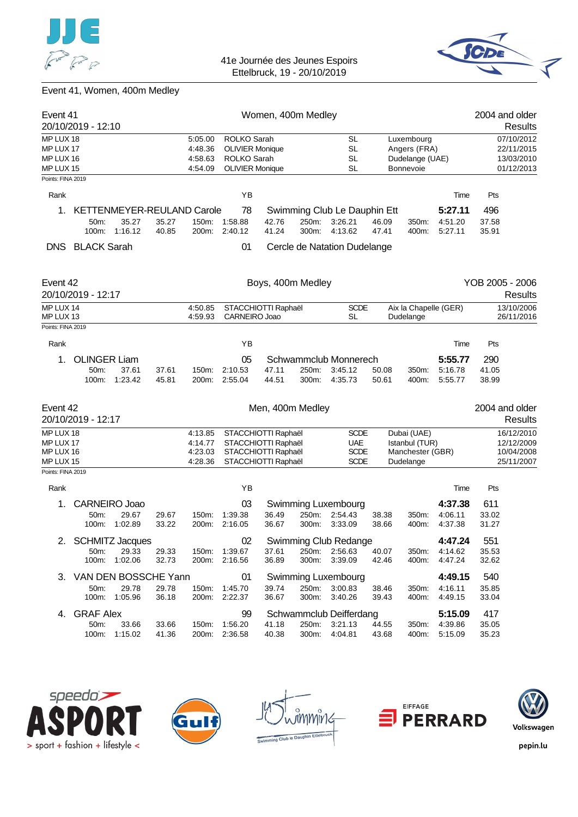![](_page_40_Picture_0.jpeg)

![](_page_40_Picture_2.jpeg)

# Event 41, Women, 400m Medley

| Event 41                                                              |                                          |                                                       |                |                                          |                                                                                          | Women, 400m Medley |                |                                                         |                |                                                                   |                               | 2004 and older                                       |
|-----------------------------------------------------------------------|------------------------------------------|-------------------------------------------------------|----------------|------------------------------------------|------------------------------------------------------------------------------------------|--------------------|----------------|---------------------------------------------------------|----------------|-------------------------------------------------------------------|-------------------------------|------------------------------------------------------|
|                                                                       | 20/10/2019 - 12:10                       |                                                       |                |                                          |                                                                                          |                    |                |                                                         |                |                                                                   |                               | Results                                              |
| MP LUX 18<br>MP LUX 17<br>MP LUX 16<br>MP LUX 15<br>Points: FINA 2019 |                                          |                                                       |                | 5:05.00<br>4:48.36<br>4:58.63<br>4:54.09 | ROLKO Sarah<br><b>OLIVIER Monique</b><br><b>ROLKO Sarah</b><br><b>OLIVIER Monique</b>    |                    |                | <b>SL</b><br><b>SL</b><br><b>SL</b><br><b>SL</b>        |                | Luxembourg<br>Angers (FRA)<br>Dudelange (UAE)<br><b>Bonnevoie</b> |                               | 07/10/2012<br>22/11/2015<br>13/03/2010<br>01/12/2013 |
|                                                                       |                                          |                                                       |                |                                          |                                                                                          |                    |                |                                                         |                |                                                                   |                               |                                                      |
| Rank                                                                  |                                          |                                                       |                |                                          | YB                                                                                       |                    |                |                                                         |                |                                                                   | Time                          | Pts                                                  |
| 1.                                                                    | 50m:<br>100m:                            | <b>KETTENMEYER-REULAND Carole</b><br>35.27<br>1:16.12 | 35.27<br>40.85 | 150m:<br>200m:                           | 78<br>1:58.88<br>2:40.12                                                                 | 42.76<br>41.24     | 250m:<br>300m: | Swimming Club Le Dauphin Ett<br>3:26.21<br>4:13.62      | 46.09<br>47.41 | 350m:<br>400m:                                                    | 5:27.11<br>4:51.20<br>5:27.11 | 496<br>37.58<br>35.91                                |
| DNS.                                                                  | <b>BLACK Sarah</b>                       |                                                       |                |                                          | 01                                                                                       |                    |                | Cercle de Natation Dudelange                            |                |                                                                   |                               |                                                      |
| Event 42                                                              | 20/10/2019 - 12:17                       |                                                       |                |                                          |                                                                                          | Boys, 400m Medley  |                |                                                         |                |                                                                   |                               | YOB 2005 - 2006<br>Results                           |
| MP LUX 14<br>MP LUX 13                                                |                                          |                                                       |                | 4:50.85<br>4:59.93                       | STACCHIOTTI Raphaël<br>CARNEIRO Joao                                                     |                    |                | <b>SCDE</b><br><b>SL</b>                                |                | Dudelange                                                         | Aix la Chapelle (GER)         | 13/10/2006<br>26/11/2016                             |
| Points: FINA 2019                                                     |                                          |                                                       |                |                                          |                                                                                          |                    |                |                                                         |                |                                                                   |                               |                                                      |
| Rank                                                                  |                                          |                                                       |                |                                          | YB                                                                                       |                    |                |                                                         |                |                                                                   | Time                          | Pts                                                  |
| 1.                                                                    | <b>OLINGER Liam</b><br>50m:<br>100m:     | 37.61<br>1.23.42                                      | 37.61<br>45.81 | 150m:<br>200m:                           | 05<br>2:10.53<br>2:55.04                                                                 | 47.11<br>44.51     | 250m:<br>300m: | Schwammclub Monnerech<br>3:45.12<br>4:35.73             | 50.08<br>50.61 | 350m:<br>400m:                                                    | 5:55.77<br>5:16.78<br>5:55.77 | 290<br>41.05<br>38.99                                |
| Event 42                                                              | 20/10/2019 - 12:17                       |                                                       |                |                                          |                                                                                          | Men, 400m Medley   |                |                                                         |                |                                                                   |                               | 2004 and older<br>Results                            |
| MP LUX 18<br>MP LUX 17<br>MP LUX 16<br>MP LUX 15<br>Points: FINA 2019 |                                          |                                                       |                | 4:13.85<br>4:14.77<br>4:23.03<br>4:28.36 | STACCHIOTTI Raphaël<br>STACCHIOTTI Raphaël<br>STACCHIOTTI Raphaël<br>STACCHIOTTI Raphaël |                    |                | <b>SCDE</b><br><b>UAE</b><br><b>SCDE</b><br><b>SCDE</b> |                | Dubai (UAE)<br>Istanbul (TUR)<br>Manchester (GBR)<br>Dudelange    |                               | 16/12/2010<br>12/12/2009<br>10/04/2008<br>25/11/2007 |
|                                                                       |                                          |                                                       |                |                                          |                                                                                          |                    |                |                                                         |                |                                                                   |                               |                                                      |
| Rank<br>1.                                                            | <b>CARNEIRO Joao</b>                     |                                                       |                |                                          | ΥB<br>03                                                                                 |                    |                | Swimming Luxembourg                                     |                |                                                                   | Time<br>4:37.38               | Pts<br>611                                           |
|                                                                       | 50m:<br>100m:                            | 29.67<br>1:02.89                                      | 29.67<br>33.22 | 150m:<br>200m:                           | 1:39.38<br>2:16.05                                                                       | 36.49<br>36.67     | 250m:<br>300m: | 2:54.43<br>3:33.09                                      | 38.38<br>38.66 | 350m:<br>400m:                                                    | 4:06.11<br>4:37.38            | 33.02<br>31.27                                       |
| 2.                                                                    | 50m:                                     | <b>SCHMITZ Jacques</b><br>29.33<br>100m: 1:02.06      | 29.33<br>32.73 |                                          | 02<br>150m: 1:39.67<br>200m: 2:16.56                                                     | 37.61<br>36.89     | 300m:          | Swimming Club Redange<br>250m: 2:56.63<br>3:39.09       | 40.07<br>42.46 | 350m:<br>400m:                                                    | 4:47.24<br>4:14.62<br>4:47.24 | 551<br>35.53<br>32.62                                |
|                                                                       | 3. VAN DEN BOSSCHE Yann<br>50m:<br>100m: | 29.78<br>1:05.96                                      | 29.78<br>36.18 |                                          | 01<br>150m: 1:45.70<br>200m: 2:22.37                                                     | 39.74<br>36.67     | 250m:<br>300m: | Swimming Luxembourg<br>3:00.83<br>3:40.26               | 38.46<br>39.43 | 350m:<br>400m:                                                    | 4:49.15<br>4:16.11<br>4:49.15 | 540<br>35.85<br>33.04                                |
| 4.                                                                    | <b>GRAF Alex</b><br>50m:<br>100m:        | 33.66<br>1:15.02                                      | 33.66<br>41.36 |                                          | 99<br>150m: 1:56.20<br>200m: 2:36.58                                                     | 41.18<br>40.38     | 250m:<br>300m: | Schwammclub Deifferdang<br>3:21.13<br>4:04.81           | 44.55<br>43.68 | 350m:<br>400m:                                                    | 5:15.09<br>4:39.86<br>5:15.09 | 417<br>35.05<br>35.23                                |

![](_page_40_Picture_5.jpeg)

![](_page_40_Picture_6.jpeg)

![](_page_40_Picture_7.jpeg)

![](_page_40_Picture_8.jpeg)

![](_page_40_Picture_9.jpeg)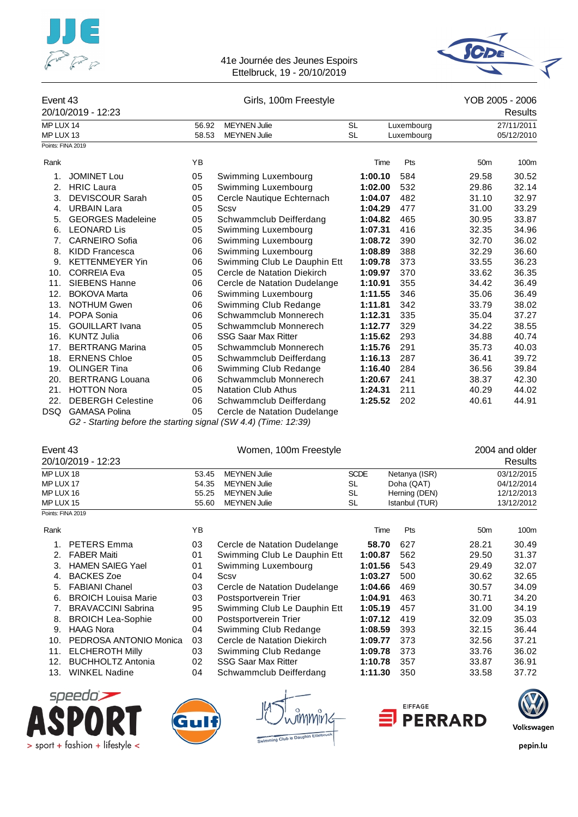![](_page_41_Picture_0.jpeg)

![](_page_41_Picture_2.jpeg)

#### Event 43 Girls, 100m Freestyle YOB 2005 - 2006

|                   | 20/10/2019 - 12:23       |       |                              |           |            |                 | <b>Results</b> |
|-------------------|--------------------------|-------|------------------------------|-----------|------------|-----------------|----------------|
| MP LUX 14         |                          | 56.92 | <b>MEYNEN Julie</b>          | <b>SL</b> | Luxembourg |                 | 27/11/2011     |
| MP LUX 13         |                          | 58.53 | <b>MEYNEN Julie</b>          | <b>SL</b> | Luxembourg |                 | 05/12/2010     |
| Points: FINA 2019 |                          |       |                              |           |            |                 |                |
| Rank              |                          | YB    |                              | Time      | Pts        | 50 <sub>m</sub> | 100m           |
| 1.                | <b>JOMINET Lou</b>       | 05    | Swimming Luxembourg          | 1:00.10   | 584        | 29.58           | 30.52          |
| 2.                | <b>HRIC Laura</b>        | 05    | Swimming Luxembourg          | 1:02.00   | 532        | 29.86           | 32.14          |
| 3.                | <b>DEVISCOUR Sarah</b>   | 05    | Cercle Nautique Echternach   | 1:04.07   | 482        | 31.10           | 32.97          |
| 4.                | <b>URBAIN Lara</b>       | 05    | Scsv                         | 1:04.29   | 477        | 31.00           | 33.29          |
| 5.                | <b>GEORGES Madeleine</b> | 05    | Schwammclub Deifferdang      | 1:04.82   | 465        | 30.95           | 33.87          |
| 6.                | <b>LEONARD Lis</b>       | 05    | Swimming Luxembourg          | 1:07.31   | 416        | 32.35           | 34.96          |
| 7.                | <b>CARNEIRO Sofia</b>    | 06    | Swimming Luxembourg          | 1:08.72   | 390        | 32.70           | 36.02          |
| 8.                | <b>KIDD Francesca</b>    | 06    | Swimming Luxembourg          | 1:08.89   | 388        | 32.29           | 36.60          |
| 9.                | <b>KETTENMEYER Yin</b>   | 06    | Swimming Club Le Dauphin Ett | 1:09.78   | 373        | 33.55           | 36.23          |
| 10.               | <b>CORREIA Eva</b>       | 05    | Cercle de Natation Diekirch  | 1:09.97   | 370        | 33.62           | 36.35          |
| 11.               | <b>SIEBENS Hanne</b>     | 06    | Cercle de Natation Dudelange | 1:10.91   | 355        | 34.42           | 36.49          |
| 12.               | <b>BOKOVA Marta</b>      | 06    | Swimming Luxembourg          | 1:11.55   | 346        | 35.06           | 36.49          |
| 13.               | <b>NOTHUM Gwen</b>       | 06    | Swimming Club Redange        | 1:11.81   | 342        | 33.79           | 38.02          |
| 14.               | POPA Sonia               | 06    | Schwammclub Monnerech        | 1:12.31   | 335        | 35.04           | 37.27          |
| 15.               | <b>GOUILLART</b> Ivana   | 05    | Schwammclub Monnerech        | 1:12.77   | 329        | 34.22           | 38.55          |
| 16.               | <b>KUNTZ Julia</b>       | 06    | <b>SSG Saar Max Ritter</b>   | 1:15.62   | 293        | 34.88           | 40.74          |
| 17.               | <b>BERTRANG Marina</b>   | 05    | Schwammclub Monnerech        | 1:15.76   | 291        | 35.73           | 40.03          |
| 18.               | <b>ERNENS Chloe</b>      | 05    | Schwammclub Deifferdang      | 1:16.13   | 287        | 36.41           | 39.72          |
| 19.               | <b>OLINGER Tina</b>      | 06    | Swimming Club Redange        | 1:16.40   | 284        | 36.56           | 39.84          |
| 20.               | <b>BERTRANG Louana</b>   | 06    | Schwammclub Monnerech        | 1:20.67   | 241        | 38.37           | 42.30          |
| 21.               | <b>HOTTON Nora</b>       | 05    | <b>Natation Club Athus</b>   | 1:24.31   | 211        | 40.29           | 44.02          |
| 22.               | <b>DEBERGH Celestine</b> | 06    | Schwammclub Deifferdang      | 1:25.52   | 202        | 40.61           | 44.91          |
| <b>DSQ</b>        | <b>GAMASA Polina</b>     | 05    | Cercle de Natation Dudelange |           |            |                 |                |

*G2 - Starting before the starting signal (SW 4.4) (Time: 12:39)*

| Event 43<br>20/10/2019 - 12:23 |       | Women, 100m Freestyle |             |                | 2004 and older<br><b>Results</b> |
|--------------------------------|-------|-----------------------|-------------|----------------|----------------------------------|
| MP LUX 18                      | 53.45 | <b>MEYNEN Julie</b>   | <b>SCDE</b> | Netanya (ISR)  | 03/12/2015                       |
| MP LUX 17                      | 54.35 | <b>MEYNEN Julie</b>   | SL          | Doha (QAT)     | 04/12/2014                       |
| MP LUX 16                      | 55.25 | <b>MEYNEN Julie</b>   | SL          | Herning (DEN)  | 12/12/2013                       |
| MP LUX 15                      | 55.60 | <b>MEYNEN Julie</b>   | SL          | Istanbul (TUR) | 13/12/2012                       |
| Points: FINA 2019              |       |                       |             |                |                                  |

| Rank |                            | YB. |                              | Time    | Pts | 50 <sub>m</sub> | 100m  |
|------|----------------------------|-----|------------------------------|---------|-----|-----------------|-------|
|      | <b>PETERS Emma</b>         | 03  | Cercle de Natation Dudelange | 58.70   | 627 | 28.21           | 30.49 |
| 2.   | <b>FABER Maiti</b>         | 01  | Swimming Club Le Dauphin Ett | 1:00.87 | 562 | 29.50           | 31.37 |
| 3.   | <b>HAMEN SAIEG Yael</b>    | 01  | Swimming Luxembourg          | 1:01.56 | 543 | 29.49           | 32.07 |
| 4.   | <b>BACKES Zoe</b>          | 04  | Scsv                         | 1:03.27 | 500 | 30.62           | 32.65 |
| 5.   | <b>FABIANI Chanel</b>      | 03  | Cercle de Natation Dudelange | 1:04.66 | 469 | 30.57           | 34.09 |
| 6.   | <b>BROICH Louisa Marie</b> | 03  | Postsportverein Trier        | 1:04.91 | 463 | 30.71           | 34.20 |
|      | <b>BRAVACCINI Sabrina</b>  | 95  | Swimming Club Le Dauphin Ett | 1:05.19 | 457 | 31.00           | 34.19 |
| 8.   | <b>BROICH Lea-Sophie</b>   | 00  | Postsportverein Trier        | 1:07.12 | 419 | 32.09           | 35.03 |
| 9.   | <b>HAAG Nora</b>           | 04  | Swimming Club Redange        | 1:08.59 | 393 | 32.15           | 36.44 |
| 10.  | PEDROSA ANTONIO Monica     | 03  | Cercle de Natation Diekirch  | 1:09.77 | 373 | 32.56           | 37.21 |
| 11.  | <b>ELCHEROTH Milly</b>     | 03  | Swimming Club Redange        | 1:09.78 | 373 | 33.76           | 36.02 |
| 12.  | <b>BUCHHOLTZ Antonia</b>   | 02  | <b>SSG Saar Max Ritter</b>   | 1:10.78 | 357 | 33.87           | 36.91 |
| 13.  | <b>WINKEL Nadine</b>       | 04  | Schwammclub Deifferdang      | 1:11.30 | 350 | 33.58           | 37.72 |
|      |                            |     |                              |         |     |                 |       |

![](_page_41_Picture_11.jpeg)

![](_page_41_Figure_12.jpeg)

![](_page_41_Picture_14.jpeg)

![](_page_41_Picture_15.jpeg)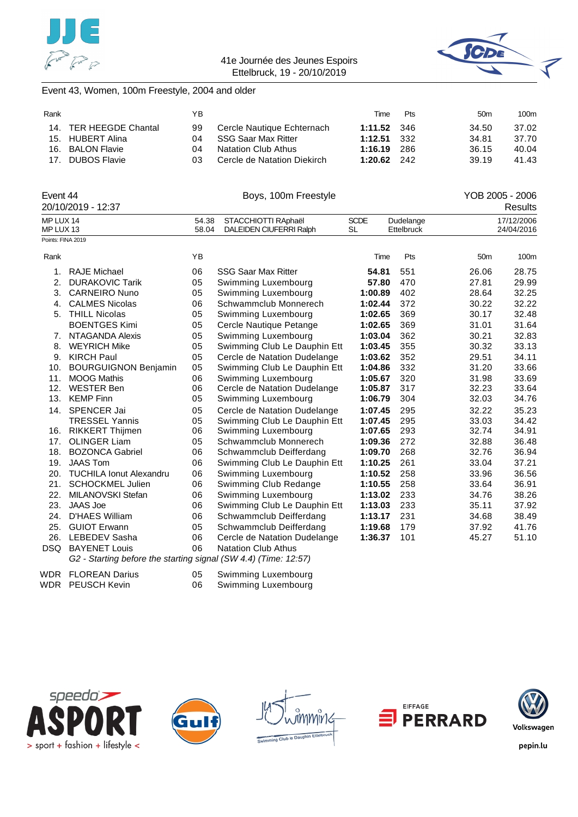![](_page_42_Picture_0.jpeg)

![](_page_42_Picture_2.jpeg)

### Event 43, Women, 100m Freestyle, 2004 and older

| Rank |                        | YΒ  |                             | Time          | <b>Pts</b> | 50 <sub>m</sub> | 100m  |
|------|------------------------|-----|-----------------------------|---------------|------------|-----------------|-------|
|      | 14. TER HEEGDE Chantal | 99  | Cercle Nautique Echternach  | $1:11.52$ 346 |            | 34.50           | 37.02 |
|      | 15. HUBERT Alina       | 04  | SSG Saar Max Ritter         | $1:12.51$ 332 |            | 34.81           | 37.70 |
|      | 16. BALON Flavie       | 04  | <b>Natation Club Athus</b>  | 1:16.19 286   |            | 36.15           | 40.04 |
|      | 17. DUBOS Flavie       | 03. | Cercle de Natation Diekirch | $1:20.62$ 242 |            | 39.19           | 41.43 |

| Event 44                       |                                                                                                                      |       | Boys, 100m Freestyle                      |             |            | YOB 2005 - 2006 |            |
|--------------------------------|----------------------------------------------------------------------------------------------------------------------|-------|-------------------------------------------|-------------|------------|-----------------|------------|
|                                | 20/10/2019 - 12:37                                                                                                   |       |                                           |             |            |                 | Results    |
| MP LUX 14                      |                                                                                                                      | 54.38 | STACCHIOTTI RAphaël                       | <b>SCDE</b> | Dudelange  |                 | 17/12/2006 |
| MP LUX 13<br>Points: FINA 2019 |                                                                                                                      | 58.04 | DALEIDEN CIUFERRI Ralph                   | <b>SL</b>   | Ettelbruck |                 | 24/04/2016 |
|                                |                                                                                                                      |       |                                           |             |            |                 |            |
| Rank                           |                                                                                                                      | YB    |                                           | Time        | Pts        | 50 <sub>m</sub> | 100m       |
| 1.                             | <b>RAJE Michael</b>                                                                                                  | 06    | <b>SSG Saar Max Ritter</b>                | 54.81       | 551        | 26.06           | 28.75      |
| 2.                             | <b>DURAKOVIC Tarik</b>                                                                                               | 05    | Swimming Luxembourg                       | 57.80       | 470        | 27.81           | 29.99      |
| 3.                             | <b>CARNEIRO Nuno</b>                                                                                                 | 05    | Swimming Luxembourg                       | 1:00.89     | 402        | 28.64           | 32.25      |
| 4.                             | <b>CALMES Nicolas</b>                                                                                                | 06    | Schwammclub Monnerech                     | 1:02.44     | 372        | 30.22           | 32.22      |
| 5.                             | <b>THILL Nicolas</b>                                                                                                 | 05    | Swimming Luxembourg                       | 1:02.65     | 369        | 30.17           | 32.48      |
|                                | <b>BOENTGES Kimi</b>                                                                                                 | 05    | Cercle Nautique Petange                   | 1:02.65     | 369        | 31.01           | 31.64      |
| 7.                             | NTAGANDA Alexis                                                                                                      | 05    | Swimming Luxembourg                       | 1:03.04     | 362        | 30.21           | 32.83      |
| 8.                             | <b>WEYRICH Mike</b>                                                                                                  | 05    | Swimming Club Le Dauphin Ett              | 1:03.45     | 355        | 30.32           | 33.13      |
| 9.                             | <b>KIRCH Paul</b>                                                                                                    | 05    | Cercle de Natation Dudelange              | 1:03.62     | 352        | 29.51           | 34.11      |
| 10.                            | <b>BOURGUIGNON Benjamin</b>                                                                                          | 05    | Swimming Club Le Dauphin Ett              | 1:04.86     | 332        | 31.20           | 33.66      |
| 11.                            | <b>MOOG Mathis</b>                                                                                                   | 06    | Swimming Luxembourg                       | 1:05.67     | 320        | 31.98           | 33.69      |
| 12.                            | <b>WESTER Ben</b>                                                                                                    | 06    | Cercle de Natation Dudelange              | 1:05.87     | 317        | 32.23           | 33.64      |
| 13.                            | <b>KEMP Finn</b>                                                                                                     | 05    | Swimming Luxembourg                       | 1:06.79     | 304        | 32.03           | 34.76      |
|                                | 14. SPENCER Jai                                                                                                      | 05    | Cercle de Natation Dudelange              | 1:07.45     | 295        | 32.22           | 35.23      |
|                                | <b>TRESSEL Yannis</b>                                                                                                | 05    | Swimming Club Le Dauphin Ett              | 1:07.45     | 295        | 33.03           | 34.42      |
|                                | 16. RIKKERT Thijmen                                                                                                  | 06    | Swimming Luxembourg                       | 1:07.65     | 293        | 32.74           | 34.91      |
| 17.                            | <b>OLINGER Liam</b>                                                                                                  | 05    | Schwammclub Monnerech                     | 1:09.36     | 272        | 32.88           | 36.48      |
| 18.                            | <b>BOZONCA Gabriel</b>                                                                                               | 06    | Schwammclub Deifferdang                   | 1:09.70     | 268        | 32.76           | 36.94      |
| 19.                            | <b>JAAS Tom</b>                                                                                                      | 06    | Swimming Club Le Dauphin Ett              | 1:10.25     | 261        | 33.04           | 37.21      |
| 20.                            | <b>TUCHILA Ionut Alexandru</b>                                                                                       | 06    | Swimming Luxembourg                       | 1:10.52     | 258        | 33.96           | 36.56      |
| 21.                            | <b>SCHOCKMEL Julien</b>                                                                                              | 06    | Swimming Club Redange                     | 1:10.55     | 258        | 33.64           | 36.91      |
| 22.                            | MILANOVSKI Stefan                                                                                                    | 06    | Swimming Luxembourg                       | 1:13.02     | 233        | 34.76           | 38.26      |
| 23.                            | JAAS Joe                                                                                                             | 06    | Swimming Club Le Dauphin Ett              | 1:13.03     | 233        | 35.11           | 37.92      |
| 24.                            | <b>D'HAES William</b>                                                                                                | 06    | Schwammclub Deifferdang                   | 1:13.17     | 231        | 34.68           | 38.49      |
|                                | 25. GUIOT Erwann                                                                                                     | 05    | Schwammclub Deifferdang                   | 1:19.68     | 179        | 37.92           | 41.76      |
| 26.                            | LEBEDEV Sasha                                                                                                        | 06    | Cercle de Natation Dudelange              | 1:36.37     | 101        | 45.27           | 51.10      |
|                                | DSQ BAYENET Louis                                                                                                    | 06    | <b>Natation Club Athus</b>                |             |            |                 |            |
|                                | G2 - Starting before the starting signal (SW 4.4) (Time: 12:57)                                                      |       |                                           |             |            |                 |            |
| $\cdots$                       | $\mathbf{r}$ $\mathbf{r}$ $\mathbf{r}$ $\mathbf{r}$ $\mathbf{r}$ $\mathbf{r}$ $\mathbf{r}$ $\mathbf{r}$ $\mathbf{r}$ |       | $\sim$ $\sim$ $\sim$ $\sim$ $\sim$ $\sim$ |             |            |                 |            |

WDR FLOREAN Darius 05 Swimming Luxembourg WDR PEUSCH Kevin 06 Swimming Luxembourg

![](_page_42_Picture_7.jpeg)

![](_page_42_Picture_8.jpeg)

![](_page_42_Picture_9.jpeg)

![](_page_42_Picture_10.jpeg)

![](_page_42_Picture_11.jpeg)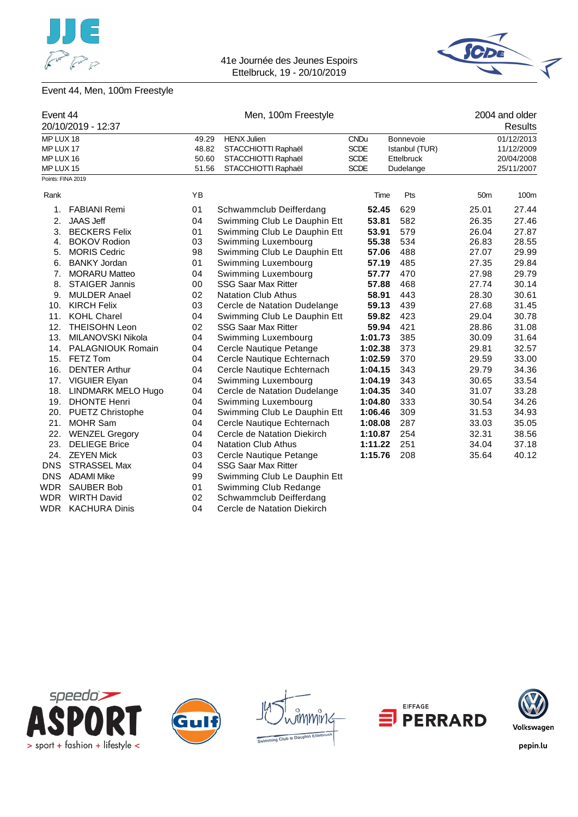![](_page_43_Picture_0.jpeg)

![](_page_43_Picture_2.jpeg)

# Event 44, Men, 100m Freestyle

| Event 44          |                       |       | Men, 100m Freestyle          |             | 2004 and older |                 |            |
|-------------------|-----------------------|-------|------------------------------|-------------|----------------|-----------------|------------|
|                   | 20/10/2019 - 12:37    |       |                              |             |                |                 | Results    |
| MP LUX 18         |                       | 49.29 | <b>HENX Julien</b>           | <b>CNDu</b> | Bonnevoie      |                 | 01/12/2013 |
| MP LUX 17         |                       | 48.82 | STACCHIOTTI Raphaël          | <b>SCDE</b> | Istanbul (TUR) | 11/12/2009      |            |
| MP LUX 16         |                       | 50.60 | STACCHIOTTI Raphaël          | <b>SCDE</b> | Ettelbruck     |                 | 20/04/2008 |
| MP LUX 15         |                       | 51.56 | STACCHIOTTI Raphaël          | <b>SCDE</b> | Dudelange      |                 | 25/11/2007 |
| Points: FINA 2019 |                       |       |                              |             |                |                 |            |
| Rank              |                       | YB    |                              | Time        | Pts            | 50 <sub>m</sub> | 100m       |
| 1.                | <b>FABIANI Remi</b>   | 01    | Schwammclub Deifferdang      | 52.45       | 629            | 25.01           | 27.44      |
| 2.                | <b>JAAS Jeff</b>      | 04    | Swimming Club Le Dauphin Ett | 53.81       | 582            | 26.35           | 27.46      |
| 3.                | <b>BECKERS Felix</b>  | 01    | Swimming Club Le Dauphin Ett | 53.91       | 579            | 26.04           | 27.87      |
| 4.                | <b>BOKOV Rodion</b>   | 03    | Swimming Luxembourg          | 55.38       | 534            | 26.83           | 28.55      |
| 5.                | <b>MORIS Cedric</b>   | 98    | Swimming Club Le Dauphin Ett | 57.06       | 488            | 27.07           | 29.99      |
| 6.                | <b>BANKY Jordan</b>   | 01    | Swimming Luxembourg          | 57.19       | 485            | 27.35           | 29.84      |
| 7.                | <b>MORARU Matteo</b>  | 04    | Swimming Luxembourg          | 57.77       | 470            | 27.98           | 29.79      |
| 8.                | <b>STAIGER Jannis</b> | 00    | <b>SSG Saar Max Ritter</b>   | 57.88       | 468            | 27.74           | 30.14      |
| 9.                | <b>MULDER Anael</b>   | 02    | <b>Natation Club Athus</b>   | 58.91       | 443            | 28.30           | 30.61      |
| 10.               | <b>KIRCH Felix</b>    | 03    | Cercle de Natation Dudelange | 59.13       | 439            | 27.68           | 31.45      |
| 11.               | <b>KOHL Charel</b>    | 04    | Swimming Club Le Dauphin Ett | 59.82       | 423            | 29.04           | 30.78      |
| 12.               | <b>THEISOHN Leon</b>  | 02    | <b>SSG Saar Max Ritter</b>   | 59.94       | 421            | 28.86           | 31.08      |
| 13.               | MILANOVSKI Nikola     | 04    | Swimming Luxembourg          | 1:01.73     | 385            | 30.09           | 31.64      |
|                   | 14. PALAGNIOUK Romain | 04    | Cercle Nautique Petange      | 1:02.38     | 373            | 29.81           | 32.57      |
|                   | 15. FETZ Tom          | 04    | Cercle Nautique Echternach   | 1:02.59     | 370            | 29.59           | 33.00      |
| 16.               | <b>DENTER Arthur</b>  | 04    | Cercle Nautique Echternach   | 1:04.15     | 343            | 29.79           | 34.36      |
|                   | 17. VIGUIER Elyan     | 04    | Swimming Luxembourg          | 1:04.19     | 343            | 30.65           | 33.54      |
| 18.               | LINDMARK MELO Hugo    | 04    | Cercle de Natation Dudelange | 1:04.35     | 340            | 31.07           | 33.28      |
|                   | 19. DHONTE Henri      | 04    | Swimming Luxembourg          | 1:04.80     | 333            | 30.54           | 34.26      |
|                   | 20. PUETZ Christophe  | 04    | Swimming Club Le Dauphin Ett | 1:06.46     | 309            | 31.53           | 34.93      |
| 21.               | <b>MOHR Sam</b>       | 04    | Cercle Nautique Echternach   | 1:08.08     | 287            | 33.03           | 35.05      |
| 22.               | <b>WENZEL Gregory</b> | 04    | Cercle de Natation Diekirch  | 1:10.87     | 254            | 32.31           | 38.56      |
| 23.               | <b>DELIEGE Brice</b>  | 04    | <b>Natation Club Athus</b>   | 1:11.22     | 251            | 34.04           | 37.18      |
| 24.               | <b>ZEYEN Mick</b>     | 03    | Cercle Nautique Petange      | 1:15.76     | 208            | 35.64           | 40.12      |
| <b>DNS</b>        | <b>STRASSEL Max</b>   | 04    | <b>SSG Saar Max Ritter</b>   |             |                |                 |            |
|                   | DNS ADAMI Mike        | 99    | Swimming Club Le Dauphin Ett |             |                |                 |            |
| <b>WDR</b>        | <b>SAUBER Bob</b>     | 01    | Swimming Club Redange        |             |                |                 |            |
| <b>WDR</b>        | <b>WIRTH David</b>    | 02    | Schwammclub Deifferdang      |             |                |                 |            |
| <b>WDR</b>        | <b>KACHURA Dinis</b>  | 04    | Cercle de Natation Diekirch  |             |                |                 |            |

![](_page_43_Picture_5.jpeg)

![](_page_43_Picture_6.jpeg)

![](_page_43_Figure_7.jpeg)

![](_page_43_Picture_8.jpeg)

![](_page_43_Picture_9.jpeg)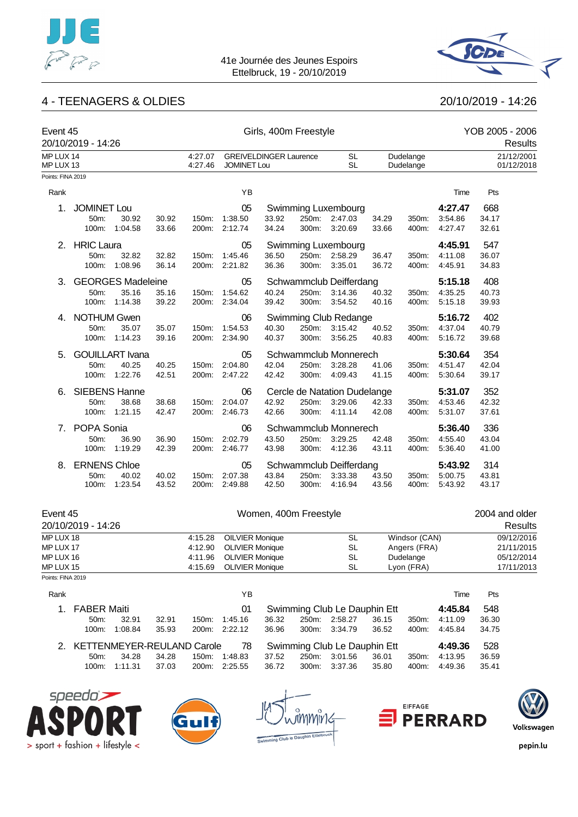![](_page_44_Picture_0.jpeg)

![](_page_44_Picture_2.jpeg)

# 4 - TEENAGERS & OLDIES 20/10/2019 - 14:26

|                                | Event 45<br>20/10/2019 - 14:26 |                          |                |                        | Girls, 400m Freestyle                            |                               |                |                                                          |                |                           | YOB 2005 - 2006<br>Results |                |                          |
|--------------------------------|--------------------------------|--------------------------|----------------|------------------------|--------------------------------------------------|-------------------------------|----------------|----------------------------------------------------------|----------------|---------------------------|----------------------------|----------------|--------------------------|
| MP LUX 14<br>MP LUX 13         |                                |                          |                | 4:27.07<br>4:27.46     | <b>JOMINET Lou</b>                               | <b>GREIVELDINGER Laurence</b> |                | $\mathsf{SL}% _{2}\left( \mathbb{Z}\right)$<br><b>SL</b> |                | Dudelange<br>Dudelange    |                            |                | 21/12/2001<br>01/12/2018 |
| Points: FINA 2019              |                                |                          |                |                        |                                                  |                               |                |                                                          |                |                           |                            |                |                          |
| Rank                           |                                |                          |                |                        | YB                                               |                               |                |                                                          |                |                           | Time                       | Pts            |                          |
| 1.                             | <b>JOMINET Lou</b>             |                          |                |                        | 05                                               |                               |                | Swimming Luxembourg                                      |                |                           | 4:27.47                    | 668            |                          |
|                                | 50m:                           | 30.92<br>100m: 1:04.58   | 30.92<br>33.66 | 150m:                  | 1:38.50<br>200m: 2:12.74                         | 33.92<br>34.24                | 250m:<br>300m: | 2:47.03<br>3:20.69                                       | 34.29<br>33.66 | 350m:<br>400m:            | 3:54.86<br>4:27.47         | 34.17<br>32.61 |                          |
| 2.                             | <b>HRIC Laura</b>              |                          |                |                        | 05                                               |                               |                | Swimming Luxembourg                                      |                |                           | 4:45.91                    | 547            |                          |
|                                | 50m:<br>100m:                  | 32.82<br>1:08.96         | 32.82<br>36.14 | 150m:                  | 1:45.46<br>200m: 2:21.82                         | 36.50<br>36.36                | 250m:<br>300m: | 2:58.29<br>3:35.01                                       | 36.47<br>36.72 | 350m:<br>400m:            | 4:11.08<br>4:45.91         | 36.07<br>34.83 |                          |
| З.                             |                                | <b>GEORGES Madeleine</b> |                |                        | 05                                               |                               |                | Schwammclub Deifferdang                                  |                |                           | 5:15.18                    | 408            |                          |
|                                | 50m:                           | 35.16<br>100m: 1:14.38   | 35.16<br>39.22 | 150m:                  | 1:54.62<br>200m: 2:34.04                         | 40.24<br>39.42                | 250m:<br>300m: | 3:14.36<br>3:54.52                                       | 40.32<br>40.16 | 350m:<br>400m:            | 4:35.25<br>5:15.18         | 40.73<br>39.93 |                          |
| 4.                             | <b>NOTHUM Gwen</b>             |                          |                |                        | 06                                               |                               |                | Swimming Club Redange                                    |                |                           | 5:16.72                    | 402            |                          |
|                                | 50m:                           | 35.07<br>100m: 1:14.23   | 35.07<br>39.16 | 150m:                  | 1:54.53<br>200m: 2:34.90                         | 40.30<br>40.37                | 250m:<br>300m: | 3:15.42<br>3:56.25                                       | 40.52<br>40.83 | 350m:<br>400m:            | 4:37.04<br>5:16.72         | 40.79<br>39.68 |                          |
| 5.                             |                                | <b>GOUILLART</b> Ivana   |                |                        | 05                                               |                               |                | Schwammclub Monnerech                                    |                |                           | 5:30.64                    | 354            |                          |
|                                | 50m:<br>100m:                  | 40.25<br>1:22.76         | 40.25<br>42.51 | 150m:<br>200m:         | 2:04.80<br>2:47.22                               | 42.04<br>42.42                | 250m:<br>300m: | 3:28.28<br>4:09.43                                       | 41.06<br>41.15 | 350m:<br>400m:            | 4:51.47<br>5.30.64         | 42.04<br>39.17 |                          |
| 6.                             | <b>SIEBENS Hanne</b>           |                          |                |                        | 06                                               |                               |                | Cercle de Natation Dudelange                             |                |                           | 5:31.07                    | 352            |                          |
|                                | 50m:                           | 38.68                    | 38.68          | 150m:                  | 2:04.07                                          | 42.92                         | 250m:          | 3:29.06                                                  | 42.33          | 350m:                     | 4:53.46                    | 42.32          |                          |
|                                | 100m:                          | 1:21.15                  | 42.47          |                        | 200m: 2:46.73                                    | 42.66                         | 300m:          | 4:11.14                                                  | 42.08          | 400m:                     | 5:31.07                    | 37.61          |                          |
| 7.                             | POPA Sonia                     |                          |                |                        | 06                                               |                               |                | Schwammclub Monnerech                                    |                |                           | 5:36.40                    | 336            |                          |
|                                | 50m:<br>100m:                  | 36.90<br>1:19.29         | 36.90<br>42.39 | 150m:<br>200m:         | 2:02.79<br>2:46.77                               | 43.50<br>43.98                | 250m:<br>300m: | 3:29.25<br>4:12.36                                       | 42.48<br>43.11 | 350m:<br>400m:            | 4:55.40<br>5:36.40         | 43.04<br>41.00 |                          |
| 8.                             | <b>ERNENS Chloe</b>            |                          |                |                        | 05                                               |                               |                | Schwammclub Deifferdang                                  |                |                           | 5:43.92                    | 314            |                          |
|                                | 50m:<br>100m:                  | 40.02<br>1:23.54         | 40.02<br>43.52 | 150m:<br>200m:         | 2:07.38<br>2:49.88                               | 43.84<br>42.50                | 250m:<br>300m: | 3:33.38<br>4:16.94                                       | 43.50<br>43.56 | 350m:<br>400m:            | 5:00.75<br>5:43.92         | 43.81<br>43.17 |                          |
| Event 45<br>20/10/2019 - 14:26 |                                |                          |                |                        |                                                  | Women, 400m Freestyle         |                |                                                          |                |                           |                            | 2004 and older | Results                  |
| MP LUX 18                      |                                |                          |                | 4:15.28                | <b>OILVIER Monique</b>                           |                               |                | <b>SL</b>                                                |                | Windsor (CAN)             |                            |                | 09/12/2016               |
| MP LUX 17<br>MP LUX 16         |                                |                          |                | 4:12.90<br>4:11.96     | <b>OLIVIER Monique</b><br><b>OLIVIER Monique</b> |                               |                | <b>SL</b><br><b>SL</b>                                   |                | Angers (FRA)<br>Dudelange |                            |                | 21/11/2015<br>05/12/2014 |
| MP LUX 15                      |                                |                          | 4:15.69        | <b>OLIVIER Monique</b> |                                                  |                               | <b>SL</b>      |                                                          | Lyon (FRA)     |                           |                            | 17/11/2013     |                          |

| Rank |             |         |                               |       | ΥB            |       |       |                              |       |       | Time    | Pts   |
|------|-------------|---------|-------------------------------|-------|---------------|-------|-------|------------------------------|-------|-------|---------|-------|
| 1    | FABER Maiti |         |                               |       | 01            |       |       | Swimming Club Le Dauphin Ett |       |       | 4:45.84 | 548   |
|      | $50m$ :     | 32.91   | 32.91                         | 150m: | 1:45.16       | 36.32 | 250m: | 2:58.27                      | 36.15 | 350m: | 4:11.09 | 36.30 |
|      | 100m:       | 1:08.84 | 35.93                         |       | 200m: 2:22.12 | 36.96 | 300m: | 3:34.79                      | 36.52 | 400m: | 4:45.84 | 34.75 |
|      |             |         | 2. KETTENMEYER-REULAND Carole |       | 78            |       |       | Swimming Club Le Dauphin Ett |       |       | 4:49.36 | 528   |
|      | $50m$ :     | 34.28   | 34.28                         | 150m: | 1:48.83       | 37.52 | 250m: | 3:01.56                      | 36.01 | 350m: | 4:13.95 | 36.59 |
|      | 100m:       | 1:11.31 | 37.03                         | 200m: | 2:25.55       | 36.72 | 300m: | 3:37.36                      | 35.80 | 400m: | 4:49.36 | 35.41 |

![](_page_44_Picture_7.jpeg)

Points: FINA 2019

![](_page_44_Picture_8.jpeg)

![](_page_44_Picture_9.jpeg)

![](_page_44_Picture_10.jpeg)

![](_page_44_Picture_11.jpeg)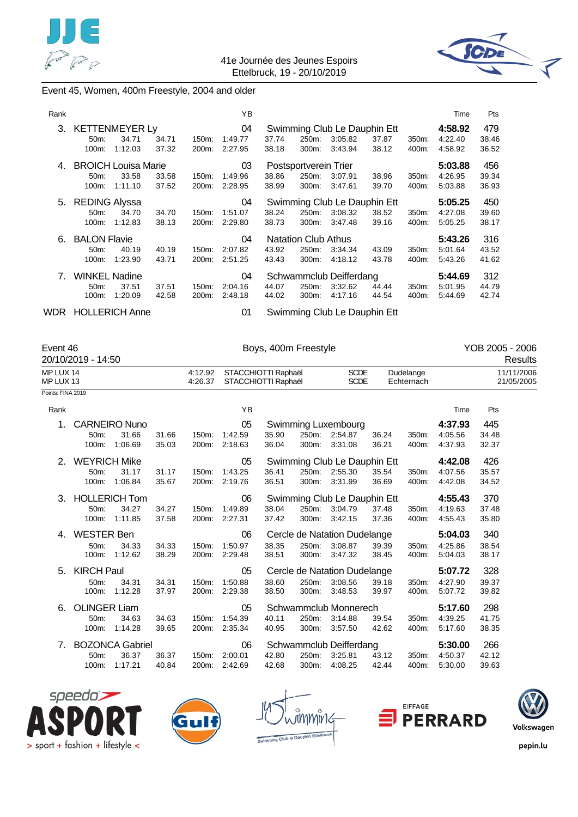![](_page_45_Picture_0.jpeg)

![](_page_45_Picture_2.jpeg)

### Event 45, Women, 400m Freestyle, 2004 and older

| Rank  |                                                    |                  |                |                             | YB                       |                |                                              |                                                    |                |                | Time                          | Pts                   |
|-------|----------------------------------------------------|------------------|----------------|-----------------------------|--------------------------|----------------|----------------------------------------------|----------------------------------------------------|----------------|----------------|-------------------------------|-----------------------|
| 3.    | <b>KETTENMEYER Ly</b><br>50m:<br>100m:             | 34.71<br>1:12.03 | 34.71<br>37.32 | 150m:<br>200m:              | 04<br>1:49.77<br>2:27.95 | 37.74<br>38.18 | 250m:<br>300m:                               | Swimming Club Le Dauphin Ett<br>3:05.82<br>3:43.94 | 37.87<br>38.12 | 350m:<br>400m: | 4:58.92<br>4:22.40<br>4:58.92 | 479<br>38.46<br>36.52 |
| 4.    | <b>BROICH Louisa Marie</b><br>50m:<br>100m:        | 33.58<br>1:11.10 | 33.58<br>37.52 | 150m:<br>200m:              | 03<br>1:49.96<br>2:28.95 | 38.86<br>38.99 | Postsportverein Trier<br>250m:<br>300m:      | 3:07.91<br>3:47.61                                 | 38.96<br>39.70 | 350m:<br>400m: | 5:03.88<br>4:26.95<br>5:03.88 | 456<br>39.34<br>36.93 |
|       | 5. REDING Alyssa<br>50m:<br>100m:                  | 34.70<br>1:12.83 | 34.70<br>38.13 | 150m:<br>200m:              | 04<br>1:51.07<br>2:29.80 | 38.24<br>38.73 | 250m:<br>300m:                               | Swimming Club Le Dauphin Ett<br>3:08.32<br>3:47.48 | 38.52<br>39.16 | 350m:<br>400m: | 5:05.25<br>4:27.08<br>5:05.25 | 450<br>39.60<br>38.17 |
| 6.    | <b>BALON Flavie</b><br>50m:<br>100m:               | 40.19<br>1:23.90 | 40.19<br>43.71 | 150m:<br>200m:              | 04<br>2:07.82<br>2:51.25 | 43.92<br>43.43 | <b>Natation Club Athus</b><br>250m:<br>300m: | 3:34.34<br>4:18.12                                 | 43.09<br>43.78 | 350m:<br>400m: | 5:43.26<br>5:01.64<br>5:43.26 | 316<br>43.52<br>41.62 |
| 7.    | <b>WINKEL Nadine</b><br>50 <sub>m</sub> :<br>100m: | 37.51<br>1:20.09 | 37.51<br>42.58 | 150m:<br>200 <sub>m</sub> : | 04<br>2:04.16<br>2:48.18 | 44.07<br>44.02 | 250m:<br>300m:                               | Schwammclub Deifferdang<br>3:32.62<br>4:17.16      | 44.44<br>44.54 | 350m:<br>400m: | 5:44.69<br>5:01.95<br>5:44.69 | 312<br>44.79<br>42.74 |
| WDR . | <b>HOLLERICH Anne</b>                              |                  |                |                             | 01                       |                |                                              | Swimming Club Le Dauphin Ett                       |                |                |                               |                       |

Event 46 Boys, 400m Freestyle YOB 2005 - 2006

| 20/10/2019 - 14:50 |                             |      |            | Results    |
|--------------------|-----------------------------|------|------------|------------|
| MP LUX 14          | 4:12.92 STACCHIOTTI Raphaël | SCDE | Dudelange  | 11/11/2006 |
| MP LUX 13          | 4:26.37 STACCHIOTTI Raphaël | SCDE | Echternach | 21/05/2005 |

Points: FINA 2019

| Rank |                                                    |                                            |                |                | YB                       |                |                |                                                    |                |                | Time                          | Pts                   |
|------|----------------------------------------------------|--------------------------------------------|----------------|----------------|--------------------------|----------------|----------------|----------------------------------------------------|----------------|----------------|-------------------------------|-----------------------|
| 1.   | <b>CARNEIRO Nuno</b><br>50 <sub>m</sub> :<br>100m: | 31.66<br>1:06.69                           | 31.66<br>35.03 | 150m:<br>200m: | 05<br>1:42.59<br>2:18.63 | 35.90<br>36.04 | 250m:<br>300m: | Swimming Luxembourg<br>2:54.87<br>3:31.08          | 36.24<br>36.21 | 350m:<br>400m: | 4:37.93<br>4:05.56<br>4:37.93 | 445<br>34.48<br>32.37 |
| 2.   | <b>WEYRICH Mike</b><br>50m:<br>100m:               | 31.17<br>1:06.84                           | 31.17<br>35.67 | 150m:<br>200m: | 05<br>1:43.25<br>2:19.76 | 36.41<br>36.51 | 250m:<br>300m: | Swimming Club Le Dauphin Ett<br>2:55.30<br>3:31.99 | 35.54<br>36.69 | 350m:<br>400m: | 4:42.08<br>4:07.56<br>4:42.08 | 426<br>35.57<br>34.52 |
| 3.   | <b>HOLLERICH Tom</b><br>50m:<br>100m:              | 34.27<br>1:11.85                           | 34.27<br>37.58 | 150m:<br>200m: | 06<br>1:49.89<br>2:27.31 | 38.04<br>37.42 | 250m:<br>300m: | Swimming Club Le Dauphin Ett<br>3:04.79<br>3:42.15 | 37.48<br>37.36 | 350m:<br>400m: | 4:55.43<br>4:19.63<br>4:55.43 | 370<br>37.48<br>35.80 |
| 4.   | <b>WESTER Ben</b><br>50m:<br>100m:                 | 34.33<br>1:12.62                           | 34.33<br>38.29 | 150m:<br>200m: | 06<br>1:50.97<br>2:29.48 | 38.35<br>38.51 | 250m:<br>300m: | Cercle de Natation Dudelange<br>3:08.87<br>3:47.32 | 39.39<br>38.45 | 350m:<br>400m: | 5:04.03<br>4:25.86<br>5:04.03 | 340<br>38.54<br>38.17 |
| 5.   | KIRCH Paul<br>50m:<br>100m:                        | 34.31<br>1:12.28                           | 34.31<br>37.97 | 150m:<br>200m: | 05<br>1:50.88<br>2:29.38 | 38.60<br>38.50 | 250m:<br>300m: | Cercle de Natation Dudelange<br>3:08.56<br>3:48.53 | 39.18<br>39.97 | 350m:<br>400m: | 5:07.72<br>4:27.90<br>5:07.72 | 328<br>39.37<br>39.82 |
| 6.   | <b>OLINGER Liam</b><br>50m:<br>100m:               | 34.63<br>1:14.28                           | 34.63<br>39.65 | 150m:<br>200m: | 05<br>1:54.39<br>2:35.34 | 40.11<br>40.95 | 250m:<br>300m: | Schwammclub Monnerech<br>3:14.88<br>3:57.50        | 39.54<br>42.62 | 350m:<br>400m: | 5:17.60<br>4:39.25<br>5:17.60 | 298<br>41.75<br>38.35 |
| 7.   | 50m:<br>100m:                                      | <b>BOZONCA Gabriel</b><br>36.37<br>1:17.21 | 36.37<br>40.84 | 150m:<br>200m: | 06<br>2:00.01<br>2:42.69 | 42.80<br>42.68 | 250m:<br>300m: | Schwammclub Deifferdang<br>3:25.81<br>4:08.25      | 43.12<br>42.44 | 350m:<br>400m: | 5:30.00<br>4:50.37<br>5:30.00 | 266<br>42.12<br>39.63 |

![](_page_45_Picture_11.jpeg)

![](_page_45_Picture_12.jpeg)

![](_page_45_Picture_13.jpeg)

![](_page_45_Picture_14.jpeg)

![](_page_45_Picture_15.jpeg)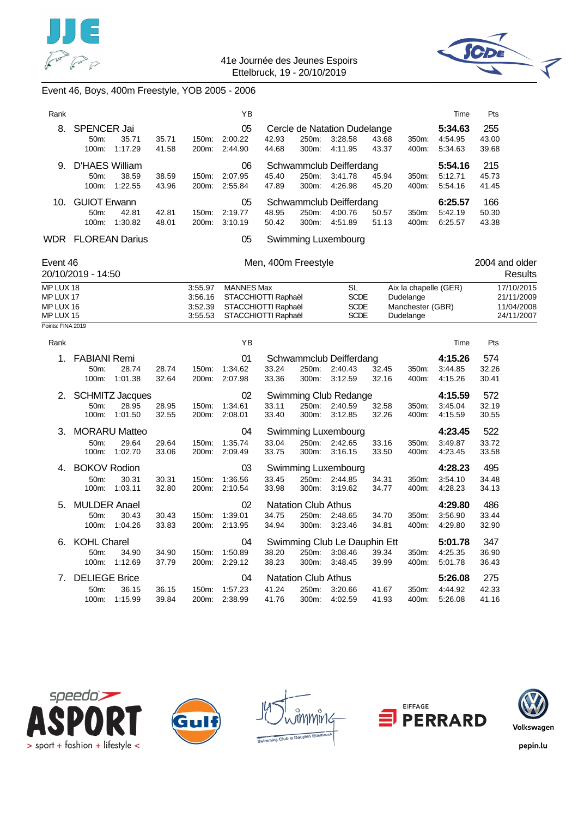![](_page_46_Picture_0.jpeg)

![](_page_46_Picture_2.jpeg)

# Event 46, Boys, 400m Freestyle, YOB 2005 - 2006

| Rank                                                                  |                                        |                                            |                |                                          | ΥB                                                                                     |                     |                                              |                                                    |                |                                                                     | Time                          | Pts                                                  |
|-----------------------------------------------------------------------|----------------------------------------|--------------------------------------------|----------------|------------------------------------------|----------------------------------------------------------------------------------------|---------------------|----------------------------------------------|----------------------------------------------------|----------------|---------------------------------------------------------------------|-------------------------------|------------------------------------------------------|
| 8.                                                                    | SPENCER Jai<br>50m:<br>100m:           | 35.71<br>1:17.29                           | 35.71<br>41.58 | 150m:<br>200m:                           | 05<br>2:00.22<br>2:44.90                                                               | 42.93<br>44.68      | 250m:<br>300m:                               | Cercle de Natation Dudelange<br>3:28.58<br>4:11.95 | 43.68<br>43.37 | 350m:<br>400m:                                                      | 5:34.63<br>4:54.95<br>5:34.63 | 255<br>43.00<br>39.68                                |
| 9.                                                                    | <b>D'HAES William</b><br>50m:<br>100m: | 38.59<br>1:22.55                           | 38.59<br>43.96 | 150m:<br>200m:                           | 06<br>2:07.95<br>2:55.84                                                               | 45.40<br>47.89      | 250m:<br>300m:                               | Schwammclub Deifferdang<br>3:41.78<br>4:26.98      | 45.94<br>45.20 | 350m:<br>400m:                                                      | 5:54.16<br>5:12.71<br>5:54.16 | 215<br>45.73<br>41.45                                |
| 10.                                                                   | <b>GUIOT Erwann</b><br>50m:            | 42.81<br>100m: 1:30.82                     | 42.81<br>48.01 | 150m:<br>200m:                           | 05<br>2:19.77<br>3:10.19                                                               | 48.95<br>50.42      | 250m:<br>300m:                               | Schwammclub Deifferdang<br>4:00.76<br>4:51.89      | 50.57<br>51.13 | 350m:<br>400m:                                                      | 6:25.57<br>5:42.19<br>6:25.57 | 166<br>50.30<br>43.38                                |
|                                                                       | <b>WDR FLOREAN Darius</b>              |                                            |                |                                          | 05                                                                                     |                     |                                              | Swimming Luxembourg                                |                |                                                                     |                               |                                                      |
| Event 46                                                              | 20/10/2019 - 14:50                     |                                            |                |                                          |                                                                                        | Men, 400m Freestyle |                                              |                                                    |                |                                                                     |                               | 2004 and older<br>Results                            |
| MP LUX 18<br>MP LUX 17<br>MP LUX 16<br>MP LUX 15<br>Points: FINA 2019 |                                        |                                            |                | 3:55.97<br>3:56.16<br>3:52.39<br>3:55.53 | <b>MANNES Max</b><br>STACCHIOTTI Raphaël<br>STACCHIOTTI Raphaël<br>STACCHIOTTI Raphaël |                     |                                              | SL<br><b>SCDE</b><br><b>SCDE</b><br><b>SCDE</b>    |                | Aix la chapelle (GER)<br>Dudelange<br>Manchester (GBR)<br>Dudelange |                               | 17/10/2015<br>21/11/2009<br>11/04/2008<br>24/11/2007 |
| Rank                                                                  |                                        |                                            |                |                                          | ΥB                                                                                     |                     |                                              |                                                    |                |                                                                     | Time                          | Pts                                                  |
| 1.                                                                    | <b>FABIANI Remi</b><br>50m:<br>100m:   | 28.74<br>1:01.38                           | 28.74<br>32.64 | 150m:<br>200m:                           | 01<br>1:34.62<br>2:07.98                                                               | 33.24<br>33.36      | 250m:<br>300m:                               | Schwammclub Deifferdang<br>2:40.43<br>3:12.59      | 32.45<br>32.16 | 350m:<br>400m:                                                      | 4:15.26<br>3:44.85<br>4:15.26 | 574<br>32.26<br>30.41                                |
| 2.                                                                    | 50m:<br>100m:                          | <b>SCHMITZ Jacques</b><br>28.95<br>1:01.50 | 28.95<br>32.55 | 150m:<br>200m:                           | 02<br>1:34.61<br>2:08.01                                                               | 33.11<br>33.40      | 250m:<br>300m:                               | Swimming Club Redange<br>2:40.59<br>3:12.85        | 32.58<br>32.26 | 350m:<br>400m:                                                      | 4:15.59<br>3:45.04<br>4:15.59 | 572<br>32.19<br>30.55                                |
| 3.                                                                    | <b>MORARU Matteo</b><br>50m:<br>100m:  | 29.64<br>1:02.70                           | 29.64<br>33.06 | 150m:<br>200m:                           | 04<br>1:35.74<br>2:09.49                                                               | 33.04<br>33.75      | 250m:<br>300m:                               | Swimming Luxembourg<br>2:42.65<br>3:16.15          | 33.16<br>33.50 | 350m:<br>400m:                                                      | 4:23.45<br>3:49.87<br>4:23.45 | 522<br>33.72<br>33.58                                |
| 4.                                                                    | <b>BOKOV Rodion</b><br>50m:            | 30.31<br>100m: 1:03.11                     | 30.31<br>32.80 | 150m:                                    | 03<br>1:36.56<br>200m: 2:10.54                                                         | 33.45<br>33.98      | 250m:                                        | Swimming Luxembourg<br>2:44.85<br>300m: 3:19.62    | 34.31<br>34.77 | 350m:<br>400m:                                                      | 4:28.23<br>3:54.10<br>4:28.23 | 495<br>34.48<br>34.13                                |
| 5.                                                                    | <b>MULDER Anael</b><br>50m:<br>100m:   | 30.43<br>1:04.26                           | 30.43<br>33.83 | 150m:<br>200m:                           | 02<br>1:39.01<br>2:13.95                                                               | 34.75<br>34.94      | <b>Natation Club Athus</b><br>250m:<br>300m: | 2:48.65<br>3:23.46                                 | 34.70<br>34.81 | 350m:<br>400m:                                                      | 4:29.80<br>3:56.90<br>4:29.80 | 486<br>33.44<br>32.90                                |
| 6.                                                                    | <b>KOHL Charel</b><br>50m:<br>100m:    | 34.90<br>1:12.69                           | 34.90<br>37.79 | 150m:                                    | 04<br>1:50.89<br>200m: 2:29.12                                                         | 38.20<br>38.23      | 250m:<br>300m:                               | Swimming Club Le Dauphin Ett<br>3:08.46<br>3:48.45 | 39.34<br>39.99 | 350m:<br>400m:                                                      | 5:01.78<br>4:25.35<br>5:01.78 | 347<br>36.90<br>36.43                                |
| 7.                                                                    | <b>DELIEGE Brice</b><br>50m:<br>100m:  | 36.15<br>1:15.99                           | 36.15<br>39.84 | 150m:<br>200m:                           | 04<br>1:57.23<br>2:38.99                                                               | 41.24<br>41.76      | <b>Natation Club Athus</b><br>250m:<br>300m: | 3:20.66<br>4:02.59                                 | 41.67<br>41.93 | 350m:<br>400m:                                                      | 5:26.08<br>4:44.92<br>5:26.08 | 275<br>42.33<br>41.16                                |

![](_page_46_Picture_5.jpeg)

![](_page_46_Picture_6.jpeg)

![](_page_46_Picture_7.jpeg)

![](_page_46_Picture_8.jpeg)

![](_page_46_Picture_9.jpeg)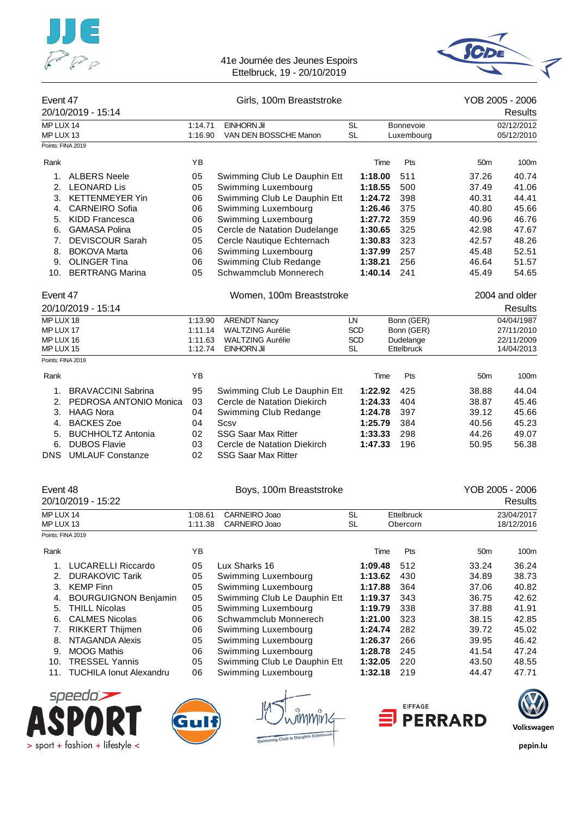![](_page_47_Picture_0.jpeg)

![](_page_47_Picture_2.jpeg)

| Event 47               | 20/10/2019 - 15:14        |                    | Girls, 100m Breaststroke       |                        |         |                        |                 | YOB 2005 - 2006<br>Results |
|------------------------|---------------------------|--------------------|--------------------------------|------------------------|---------|------------------------|-----------------|----------------------------|
| MP LUX 14              |                           | 1:14.71            | <b>EINHORN Jil</b>             | <b>SL</b>              |         | <b>Bonnevoie</b>       |                 | 02/12/2012                 |
| MP LUX 13              |                           | 1:16.90            | VAN DEN BOSSCHE Manon          | <b>SL</b>              |         | Luxembourg             |                 | 05/12/2010                 |
| Points: FINA 2019      |                           |                    |                                |                        |         |                        |                 |                            |
| Rank                   |                           | YB                 |                                |                        | Time    | Pts                    | 50 <sub>m</sub> | 100m                       |
|                        | 1. ALBERS Neele           | 05                 | Swimming Club Le Dauphin Ett   |                        | 1:18.00 | 511                    | 37.26           | 40.74                      |
| 2.                     | <b>LEONARD Lis</b>        | 05                 | Swimming Luxembourg            |                        | 1:18.55 | 500                    | 37.49           | 41.06                      |
| 3.                     | <b>KETTENMEYER Yin</b>    | 06                 | Swimming Club Le Dauphin Ett   |                        | 1:24.72 | 398                    | 40.31           | 44.41                      |
| 4.                     | <b>CARNEIRO Sofia</b>     | 06                 | Swimming Luxembourg            |                        | 1:26.46 | 375                    | 40.80           | 45.66                      |
|                        | 5. KIDD Francesca         | 06                 | Swimming Luxembourg            |                        | 1:27.72 | 359                    | 40.96           | 46.76                      |
| 6.                     | <b>GAMASA Polina</b>      | 05                 | Cercle de Natation Dudelange   |                        | 1:30.65 | 325                    | 42.98           | 47.67                      |
| 7.                     | <b>DEVISCOUR Sarah</b>    | 05                 | Cercle Nautique Echternach     |                        | 1:30.83 | 323                    | 42.57           | 48.26                      |
| 8.                     | <b>BOKOVA Marta</b>       | 06                 | Swimming Luxembourg            |                        | 1:37.99 | 257                    | 45.48           | 52.51                      |
| 9.                     | <b>OLINGER Tina</b>       | 06                 | Swimming Club Redange          |                        | 1:38.21 | 256                    | 46.64           | 51.57                      |
|                        | 10. BERTRANG Marina       | 05                 | Schwammclub Monnerech          |                        | 1:40.14 | 241                    | 45.49           | 54.65                      |
| Event 47               |                           |                    | Women, 100m Breaststroke       |                        |         |                        |                 | 2004 and older             |
|                        | 20/10/2019 - 15:14        |                    |                                |                        |         |                        |                 | Results                    |
| MP LUX 18              |                           | 1:13.90            | <b>ARENDT Nancy</b>            | LN                     |         | Bonn (GER)             |                 | 04/04/1987                 |
| MP LUX 17              |                           | 1:11.14            | <b>WALTZING Aurélie</b>        | <b>SCD</b>             |         | Bonn (GER)             |                 | 27/11/2010                 |
| MP LUX 16              |                           | 1:11.63            | <b>WALTZING Aurélie</b>        | <b>SCD</b>             |         | Dudelange              |                 | 22/11/2009                 |
| MP LUX 15              |                           | 1:12.74            | EINHORN Jil                    | <b>SL</b>              |         | Ettelbruck             |                 | 14/04/2013                 |
| Points: FINA 2019      |                           |                    |                                |                        |         |                        |                 |                            |
| Rank                   |                           | ΥB                 |                                |                        | Time    | Pts                    | 50 <sub>m</sub> | 100m                       |
| 1.                     | <b>BRAVACCINI Sabrina</b> | 95                 | Swimming Club Le Dauphin Ett   |                        | 1:22.92 | 425                    | 38.88           | 44.04                      |
| 2.                     | PEDROSA ANTONIO Monica    | 03                 | Cercle de Natation Diekirch    |                        | 1:24.33 | 404                    | 38.87           | 45.46                      |
| 3.                     | <b>HAAG Nora</b>          | 04                 | Swimming Club Redange          |                        | 1:24.78 | 397                    | 39.12           | 45.66                      |
| 4.                     | <b>BACKES Zoe</b>         | 04                 | Scsv                           |                        | 1:25.79 | 384                    | 40.56           | 45.23                      |
| 5.                     | <b>BUCHHOLTZ Antonia</b>  | 02                 | <b>SSG Saar Max Ritter</b>     |                        | 1:33.33 | 298                    | 44.26           | 49.07                      |
| 6.                     | <b>DUBOS Flavie</b>       | 03                 | Cercle de Natation Diekirch    |                        | 1:47.33 | 196                    | 50.95           | 56.38                      |
| <b>DNS</b>             | <b>UMLAUF Constanze</b>   | 02                 | <b>SSG Saar Max Ritter</b>     |                        |         |                        |                 |                            |
| Event 48               |                           |                    | Boys, 100m Breaststroke        |                        |         |                        |                 | YOB 2005 - 2006            |
|                        | 20/10/2019 - 15:22        |                    |                                |                        |         |                        |                 | <b>Results</b>             |
|                        |                           |                    |                                |                        |         |                        |                 |                            |
| MP LUX 14<br>MP LUX 13 |                           | 1:08.61<br>1:11.38 | CARNEIRO Joao<br>CARNEIRO Joao | <b>SL</b><br><b>SL</b> |         | Ettelbruck<br>Obercorn |                 | 23/04/2017<br>18/12/2016   |

|                   | MP LUX 13                   | 1:11.38 | CARNEIRO Joao                | <b>SL</b> | Obercorn |                 | 18/12/2016 |
|-------------------|-----------------------------|---------|------------------------------|-----------|----------|-----------------|------------|
| Points: FINA 2019 |                             |         |                              |           |          |                 |            |
| Rank              |                             | YB      |                              | Time      | Pts      | 50 <sub>m</sub> | 100m       |
|                   | <b>LUCARELLI Riccardo</b>   | 05      | Lux Sharks 16                | 1:09.48   | 512      | 33.24           | 36.24      |
| 2.                | <b>DURAKOVIC Tarik</b>      | 05      | Swimming Luxembourg          | 1:13.62   | 430      | 34.89           | 38.73      |
| 3.                | <b>KEMP Finn</b>            | 05      | Swimming Luxembourg          | 1:17.88   | 364      | 37.06           | 40.82      |
| 4.                | <b>BOURGUIGNON Benjamin</b> | 05      | Swimming Club Le Dauphin Ett | 1:19.37   | 343      | 36.75           | 42.62      |
| 5.                | <b>THILL Nicolas</b>        | 05      | Swimming Luxembourg          | 1:19.79   | 338      | 37.88           | 41.91      |
| 6.                | <b>CALMES Nicolas</b>       | 06      | Schwammclub Monnerech        | 1:21.00   | 323      | 38.15           | 42.85      |
| 7.                | <b>RIKKERT Thijmen</b>      | 06      | Swimming Luxembourg          | 1:24.74   | 282      | 39.72           | 45.02      |
| 8.                | NTAGANDA Alexis             | 05      | Swimming Luxembourg          | 1:26.37   | 266      | 39.95           | 46.42      |
| 9.                | <b>MOOG Mathis</b>          | 06      | Swimming Luxembourg          | 1:28.78   | 245      | 41.54           | 47.24      |
| 10.               | <b>TRESSEL Yannis</b>       | 05      | Swimming Club Le Dauphin Ett | 1:32.05   | 220      | 43.50           | 48.55      |
|                   | 11. TUCHILA Ionut Alexandru | 06      | Swimming Luxembourg          | 1:32.18   | 219      | 44.47           | 47.71      |

![](_page_47_Picture_5.jpeg)

![](_page_47_Figure_6.jpeg)

ng Club le Dauphin Et

![](_page_47_Picture_8.jpeg)

![](_page_47_Picture_9.jpeg)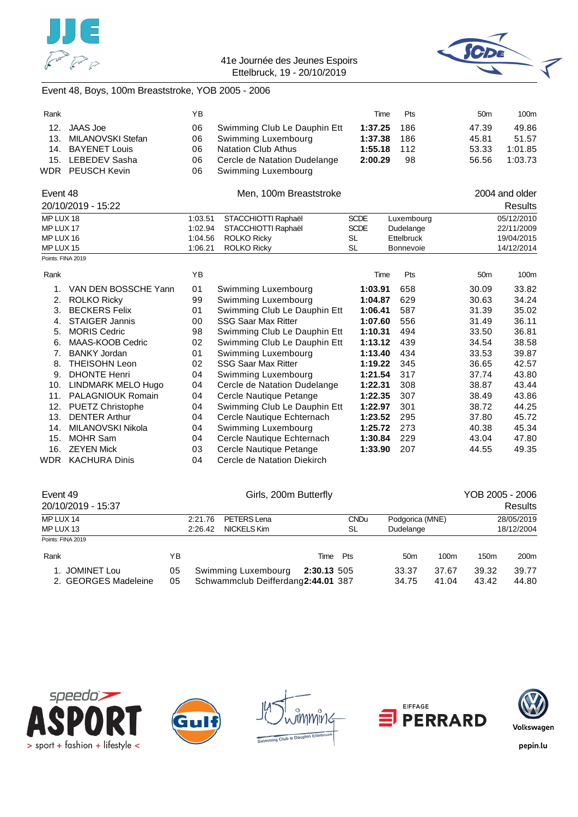![](_page_48_Picture_0.jpeg)

![](_page_48_Picture_2.jpeg)

# Event 48, Boys, 100m Breaststroke, YOB 2005 - 2006

| Rank              |                         | ΥB      |                              | Time        | Pts        | 50 <sub>m</sub> | 100m           |
|-------------------|-------------------------|---------|------------------------------|-------------|------------|-----------------|----------------|
| 12.               | <b>JAAS</b> Joe         | 06      | Swimming Club Le Dauphin Ett | 1:37.25     | 186        | 47.39           | 49.86          |
| 13.               | MILANOVSKI Stefan       | 06      | Swimming Luxembourg          | 1:37.38     | 186        | 45.81           | 51.57          |
| 14.               | <b>BAYENET Louis</b>    | 06      | <b>Natation Club Athus</b>   | 1:55.18     | 112        | 53.33           | 1:01.85        |
| 15.               | <b>LEBEDEV Sasha</b>    | 06      | Cercle de Natation Dudelange | 2:00.29     | 98         | 56.56           | 1:03.73        |
|                   | WDR PEUSCH Kevin        | 06      | Swimming Luxembourg          |             |            |                 |                |
| Event 48          |                         |         | Men, 100m Breaststroke       |             |            |                 | 2004 and older |
|                   | 20/10/2019 - 15:22      |         |                              |             |            |                 | <b>Results</b> |
| MP LUX 18         |                         | 1:03.51 | STACCHIOTTI Raphaël          | <b>SCDE</b> | Luxembourg |                 | 05/12/2010     |
| MP LUX 17         |                         | 1:02.94 | STACCHIOTTI Raphaël          | <b>SCDE</b> | Dudelange  |                 | 22/11/2009     |
| MP LUX 16         |                         | 1:04.56 | <b>ROLKO Ricky</b>           | <b>SL</b>   | Ettelbruck |                 | 19/04/2015     |
| MP LUX 15         |                         | 1:06.21 | <b>ROLKO Ricky</b>           | <b>SL</b>   | Bonnevoie  |                 | 14/12/2014     |
| Points: FINA 2019 |                         |         |                              |             |            |                 |                |
| Rank              |                         | YB      |                              | Time        | Pts        | 50 <sub>m</sub> | 100m           |
| 1.                | VAN DEN BOSSCHE Yann    | 01      | Swimming Luxembourg          | 1:03.91     | 658        | 30.09           | 33.82          |
| 2.                | <b>ROLKO Ricky</b>      | 99      | Swimming Luxembourg          | 1:04.87     | 629        | 30.63           | 34.24          |
| 3.                | <b>BECKERS Felix</b>    | 01      | Swimming Club Le Dauphin Ett | 1:06.41     | 587        | 31.39           | 35.02          |
| 4.                | <b>STAIGER Jannis</b>   | 00      | <b>SSG Saar Max Ritter</b>   | 1:07.60     | 556        | 31.49           | 36.11          |
| 5.                | <b>MORIS Cedric</b>     | 98      | Swimming Club Le Dauphin Ett | 1:10.31     | 494        | 33.50           | 36.81          |
| 6.                | MAAS-KOOB Cedric        | 02      | Swimming Club Le Dauphin Ett | 1:13.12     | 439        | 34.54           | 38.58          |
| 7.                | <b>BANKY Jordan</b>     | 01      | Swimming Luxembourg          | 1:13.40     | 434        | 33.53           | 39.87          |
| 8.                | <b>THEISOHN Leon</b>    | 02      | <b>SSG Saar Max Ritter</b>   | 1:19.22     | 345        | 36.65           | 42.57          |
| 9.                | <b>DHONTE Henri</b>     | 04      | Swimming Luxembourg          | 1:21.54     | 317        | 37.74           | 43.80          |
| 10.               | LINDMARK MELO Hugo      | 04      | Cercle de Natation Dudelange | 1:22.31     | 308        | 38.87           | 43.44          |
| 11.               | PALAGNIOUK Romain       | 04      | Cercle Nautique Petange      | 1:22.35     | 307        | 38.49           | 43.86          |
| 12.               | <b>PUETZ Christophe</b> | 04      | Swimming Club Le Dauphin Ett | 1:22.97     | 301        | 38.72           | 44.25          |
| 13.               | <b>DENTER Arthur</b>    | 04      | Cercle Nautique Echternach   | 1:23.52     | 295        | 37.80           | 45.72          |
| 14.               | MILANOVSKI Nikola       | 04      | Swimming Luxembourg          | 1:25.72     | 273        | 40.38           | 45.34          |
| 15.               | <b>MOHR Sam</b>         | 04      | Cercle Nautique Echternach   | 1:30.84     | 229        | 43.04           | 47.80          |
| 16.               | <b>ZEYEN Mick</b>       | 03      | Cercle Nautique Petange      | 1:33.90     | 207        | 44.55           | 49.35          |
| WDR               | <b>KACHURA Dinis</b>    | 04      | Cercle de Natation Diekirch  |             |            |                 |                |

| Event 49<br>20/10/2019 - 15:37         |          | Girls, 200m Butterfly |                                                           |             |                   |                              | YOB 2005 - 2006<br><b>Results</b> |                          |                  |
|----------------------------------------|----------|-----------------------|-----------------------------------------------------------|-------------|-------------------|------------------------------|-----------------------------------|--------------------------|------------------|
| MP LUX 14<br>MP LUX 13                 |          | 2:21.76<br>2:26.42    | PETERS Lena<br>NICKELS Kim                                |             | <b>CNDu</b><br>SL | Podgorica (MNE)<br>Dudelange |                                   | 28/05/2019<br>18/12/2004 |                  |
| Points: FINA 2019                      |          |                       |                                                           |             |                   |                              |                                   |                          |                  |
| Rank                                   | YΒ       |                       |                                                           | Time        | Pts               | 50 <sub>m</sub>              | 100 <sub>m</sub>                  | 150 <sub>m</sub>         | 200 <sub>m</sub> |
| 1. JOMINET Lou<br>2. GEORGES Madeleine | 05<br>05 |                       | Swimming Luxembourg<br>Schwammclub Deifferdang2:44.01 387 | 2:30.13 505 |                   | 33.37<br>34.75               | 37.67<br>41.04                    | 39.32<br>43.42           | 39.77<br>44.80   |

![](_page_48_Picture_6.jpeg)

![](_page_48_Picture_7.jpeg)

![](_page_48_Picture_8.jpeg)

![](_page_48_Picture_9.jpeg)

![](_page_48_Picture_10.jpeg)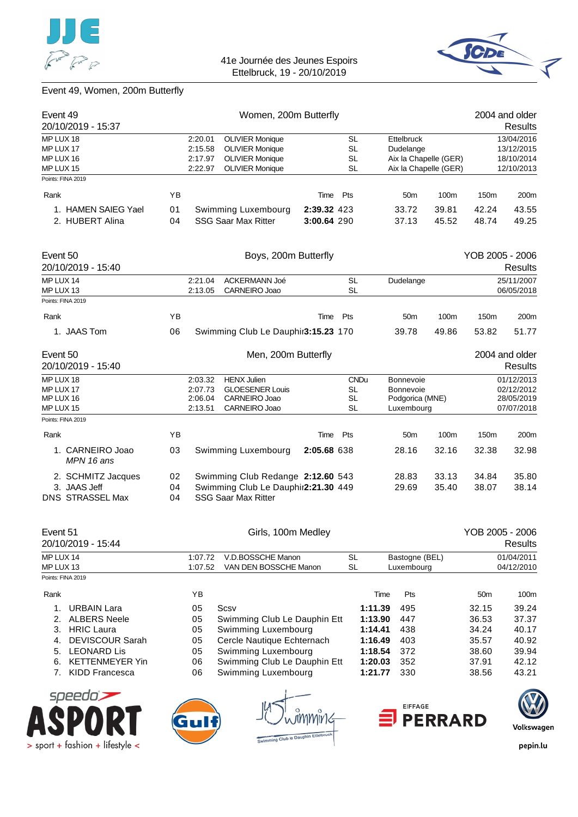![](_page_49_Picture_0.jpeg)

> sport + fashion + lifestyle <

![](_page_49_Picture_2.jpeg)

# Event 49, Women, 200m Butterfly

| Event 49<br>20/10/2019 - 15:37                        |    |                                          | Women, 200m Butterfly                                                          |             |                                     |                    |                                                                |                       |                 | 2004 and older<br>Results                            |
|-------------------------------------------------------|----|------------------------------------------|--------------------------------------------------------------------------------|-------------|-------------------------------------|--------------------|----------------------------------------------------------------|-----------------------|-----------------|------------------------------------------------------|
| MP LUX 18<br>MP LUX 17<br>MP LUX 16                   |    | 2:20.01<br>2:15.58<br>2:17.97            | <b>OLIVIER Monique</b><br><b>OLIVIER Monique</b><br><b>OLIVIER Monique</b>     |             | <b>SL</b><br><b>SL</b><br><b>SL</b> |                    | <b>Ettelbruck</b><br>Dudelange                                 | Aix la Chapelle (GER) |                 | 13/04/2016<br>13/12/2015<br>18/10/2014               |
| MP LUX 15<br>Points: FINA 2019                        |    | 2:22.97                                  | <b>OLIVIER Monique</b>                                                         |             | <b>SL</b>                           |                    |                                                                | Aix la Chapelle (GER) |                 | 12/10/2013                                           |
| Rank                                                  | ΥB |                                          |                                                                                | Time        | Pts                                 |                    | 50m                                                            | 100m                  | 150m            | 200m                                                 |
| 1. HAMEN SAIEG Yael                                   | 01 |                                          | Swimming Luxembourg                                                            | 2:39.32 423 |                                     |                    | 33.72                                                          | 39.81                 | 42.24           | 43.55                                                |
| 2. HUBERT Alina                                       | 04 |                                          | <b>SSG Saar Max Ritter</b>                                                     | 3:00.64 290 |                                     |                    | 37.13                                                          | 45.52                 | 48.74           | 49.25                                                |
|                                                       |    |                                          |                                                                                |             |                                     |                    |                                                                |                       |                 |                                                      |
| Event 50                                              |    |                                          | Boys, 200m Butterfly                                                           |             |                                     |                    |                                                                |                       | YOB 2005 - 2006 |                                                      |
| 20/10/2019 - 15:40                                    |    |                                          |                                                                                |             |                                     |                    |                                                                |                       |                 | Results                                              |
| MP LUX 14                                             |    | 2:21.04                                  | ACKERMANN Joé                                                                  |             | <b>SL</b>                           |                    | Dudelange                                                      |                       |                 | 25/11/2007                                           |
| MP LUX 13<br>Points: FINA 2019                        |    | 2:13.05                                  | CARNEIRO Joao                                                                  |             | <b>SL</b>                           |                    |                                                                |                       |                 | 06/05/2018                                           |
| Rank                                                  | YB |                                          |                                                                                | Time        | Pts                                 |                    | 50 <sub>m</sub>                                                | 100m                  | 150m            | 200m                                                 |
|                                                       |    |                                          |                                                                                |             |                                     |                    |                                                                |                       |                 |                                                      |
| 1. JAAS Tom                                           | 06 |                                          | Swimming Club Le Dauphir3:15.23 170                                            |             |                                     |                    | 39.78                                                          | 49.86                 | 53.82           | 51.77                                                |
| Event 50<br>20/10/2019 - 15:40                        |    |                                          | Men, 200m Butterfly                                                            |             |                                     |                    |                                                                |                       |                 | 2004 and older<br><b>Results</b>                     |
| MP LUX 18<br>MP LUX 17<br>MP LUX 16<br>MP LUX 15      |    | 2:03.32<br>2:07.73<br>2:06.04<br>2:13.51 | <b>HENX Julien</b><br><b>GLOESENER Louis</b><br>CARNEIRO Joao<br>CARNEIRO Joao |             | SL<br><b>SL</b><br><b>SL</b>        | <b>CNDu</b>        | <b>Bonnevoie</b><br>Bonnevoie<br>Podgorica (MNE)<br>Luxembourg |                       |                 | 01/12/2013<br>02/12/2012<br>28/05/2019<br>07/07/2018 |
| Points: FINA 2019                                     |    |                                          |                                                                                |             |                                     |                    |                                                                |                       |                 |                                                      |
| Rank                                                  | ΥB |                                          |                                                                                | Time        | Pts                                 |                    | 50 <sub>m</sub>                                                | 100m                  | 150m            | 200m                                                 |
| 1. CARNEIRO Joao<br>MPN 16 ans                        | 03 |                                          | Swimming Luxembourg                                                            | 2:05.68 638 |                                     |                    | 28.16                                                          | 32.16                 | 32.38           | 32.98                                                |
| 2. SCHMITZ Jacques                                    | 02 |                                          | Swimming Club Redange 2:12.60 543                                              |             |                                     |                    | 28.83                                                          | 33.13                 | 34.84           | 35.80                                                |
| 3. JAAS Jeff                                          | 04 |                                          | Swimming Club Le Dauphir2:21.30 449                                            |             |                                     |                    | 29.69                                                          | 35.40                 | 38.07           | 38.14                                                |
| DNS STRASSEL Max                                      | 04 |                                          | <b>SSG Saar Max Ritter</b>                                                     |             |                                     |                    |                                                                |                       |                 |                                                      |
| Event 51<br>20/10/2019 - 15:44                        |    |                                          | Girls, 100m Medley                                                             |             |                                     |                    |                                                                |                       | YOB 2005 - 2006 | <b>Results</b>                                       |
| MP LUX 14                                             |    | 1:07.72                                  | V.D.BOSSCHE Manon                                                              |             | <b>SL</b>                           |                    | Bastogne (BEL)                                                 |                       |                 | 01/04/2011                                           |
| MP LUX 13                                             |    | 1:07.52                                  | VAN DEN BOSSCHE Manon                                                          |             | <b>SL</b>                           |                    | Luxembourg                                                     |                       |                 | 04/12/2010                                           |
| Points: FINA 2019                                     |    |                                          |                                                                                |             |                                     |                    |                                                                |                       |                 |                                                      |
| Rank                                                  |    | YB                                       |                                                                                |             |                                     | Time               | Pts                                                            |                       | 50 <sub>m</sub> | 100m                                                 |
| 1.<br><b>URBAIN Lara</b><br>2.<br><b>ALBERS Neele</b> |    | 05<br>05                                 | Scsv<br>Swimming Club Le Dauphin Ett                                           |             |                                     | 1:11.39<br>1:13.90 | 495<br>447                                                     |                       | 32.15<br>36.53  | 39.24<br>37.37                                       |
| <b>HRIC Laura</b><br>3.                               |    | 05                                       | Swimming Luxembourg                                                            |             |                                     | 1:14.41            | 438                                                            |                       | 34.24           | 40.17                                                |
| <b>DEVISCOUR Sarah</b><br>4.                          |    | 05                                       | Cercle Nautique Echternach                                                     |             |                                     | 1:16.49            | 403                                                            |                       | 35.57           | 40.92                                                |
| <b>LEONARD Lis</b><br>5.                              |    | 05                                       | Swimming Luxembourg                                                            |             |                                     | 1:18.54            | 372                                                            |                       | 38.60           | 39.94                                                |
| <b>KETTENMEYER Yin</b><br>6.                          |    | 06                                       | Swimming Club Le Dauphin Ett                                                   |             |                                     | 1:20.03            | 352                                                            |                       | 37.91           | 42.12                                                |
| <b>KIDD Francesca</b><br>7.                           |    | 06                                       | Swimming Luxembourg                                                            |             |                                     | 1:21.77            | 330                                                            |                       | 38.56           | 43.21                                                |
| speedo's                                              |    |                                          |                                                                                |             |                                     |                    |                                                                |                       |                 |                                                      |
|                                                       |    |                                          |                                                                                |             |                                     |                    | <b>EIFFAGE</b>                                                 |                       |                 |                                                      |
|                                                       |    |                                          |                                                                                |             |                                     |                    |                                                                | <b>PERRARD</b>        |                 | Volkswagen                                           |
| nort + fashion + lifestyle                            |    |                                          | Swimming Club le Dauphin Ettelbruck                                            |             |                                     |                    |                                                                |                       |                 | nenin lıı                                            |

![](_page_49_Picture_5.jpeg)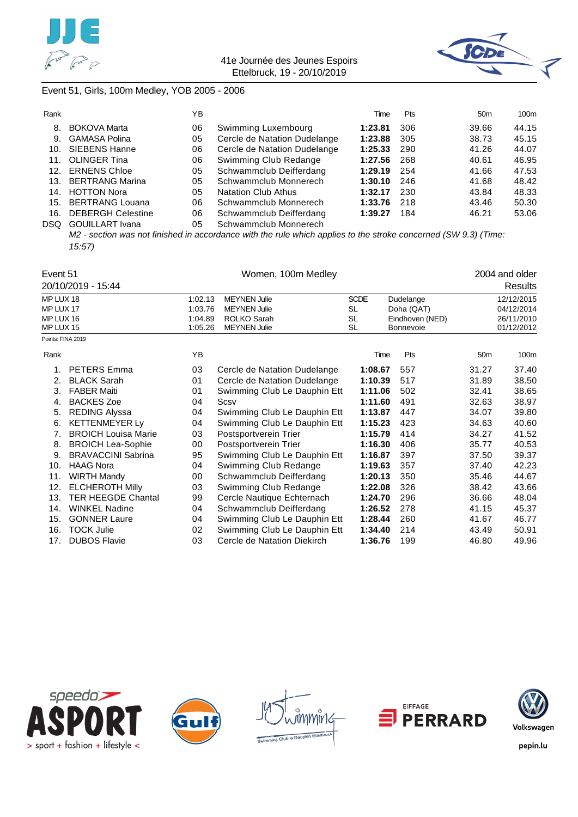![](_page_50_Picture_0.jpeg)

![](_page_50_Picture_2.jpeg)

# Event 51, Girls, 100m Medley, YOB 2005 - 2006

| Rank            |                          | ΥB |                              | Time    | <b>Pts</b> | 50 <sub>m</sub> | 100m  |
|-----------------|--------------------------|----|------------------------------|---------|------------|-----------------|-------|
| 8.              | <b>BOKOVA Marta</b>      | 06 | Swimming Luxembourg          | 1:23.81 | 306        | 39.66           | 44.15 |
| 9.              | <b>GAMASA Polina</b>     | 05 | Cercle de Natation Dudelange | 1:23.88 | 305        | 38.73           | 45.15 |
| 10.             | SIEBENS Hanne            | 06 | Cercle de Natation Dudelange | 1:25.33 | 290        | 41.26           | 44.07 |
| 11.             | <b>OLINGER Tina</b>      | 06 | Swimming Club Redange        | 1:27.56 | 268        | 40.61           | 46.95 |
| 12 <sub>1</sub> | <b>ERNENS Chloe</b>      | 05 | Schwammclub Deifferdang      | 1:29.19 | 254        | 41.66           | 47.53 |
| 13 <sub>1</sub> | <b>BERTRANG Marina</b>   | 05 | Schwammclub Monnerech        | 1:30.10 | 246        | 41.68           | 48.42 |
| 14.             | <b>HOTTON Nora</b>       | 05 | <b>Natation Club Athus</b>   | 1:32.17 | 230        | 43.84           | 48.33 |
| 15.             | BERTRANG Louana          | 06 | Schwammclub Monnerech        | 1:33.76 | 218        | 43.46           | 50.30 |
| 16.             | <b>DEBERGH Celestine</b> | 06 | Schwammclub Deifferdang      | 1:39.27 | 184        | 46.21           | 53.06 |
| <b>DSQ</b>      | <b>GOUILLART</b> Ivana   | 05 | Schwammclub Monnerech        |         |            |                 |       |

*M2 - section was not finished in accordance with the rule which applies to the stroke concerned (SW 9.3) (Time: 15:57)*

| Event 51          |                            |         |                              |             | 2004 and older  |                 |            |
|-------------------|----------------------------|---------|------------------------------|-------------|-----------------|-----------------|------------|
|                   | 20/10/2019 - 15:44         |         |                              |             |                 |                 | Results    |
| MP LUX 18         |                            | 1:02.13 | <b>MEYNEN Julie</b>          | <b>SCDE</b> | Dudelange       |                 | 12/12/2015 |
| MP LUX 17         |                            | 1:03.76 | <b>MEYNEN Julie</b>          | <b>SL</b>   | Doha (QAT)      |                 | 04/12/2014 |
| MP LUX 16         |                            | 1:04.89 | ROLKO Sarah                  | <b>SL</b>   | Eindhoven (NED) |                 | 26/11/2010 |
| MP LUX 15         |                            | 1:05.26 | <b>MEYNEN Julie</b>          | SL          | Bonnevoie       |                 | 01/12/2012 |
| Points: FINA 2019 |                            |         |                              |             |                 |                 |            |
| Rank              |                            | YB      |                              | Time        | Pts             | 50 <sub>m</sub> | 100m       |
| 1.                | <b>PETERS Emma</b>         | 03      | Cercle de Natation Dudelange | 1:08.67     | 557             | 31.27           | 37.40      |
| 2.                | <b>BLACK Sarah</b>         | 01      | Cercle de Natation Dudelange | 1:10.39     | 517             | 31.89           | 38.50      |
| 3.                | <b>FABER Maiti</b>         | 01      | Swimming Club Le Dauphin Ett | 1:11.06     | 502             | 32.41           | 38.65      |
| 4.                | <b>BACKES Zoe</b>          | 04      | Scsv                         | 1:11.60     | 491             | 32.63           | 38.97      |
| 5.                | <b>REDING Alyssa</b>       | 04      | Swimming Club Le Dauphin Ett | 1:13.87     | 447             | 34.07           | 39.80      |
| 6.                | <b>KETTENMEYER Ly</b>      | 04      | Swimming Club Le Dauphin Ett | 1:15.23     | 423             | 34.63           | 40.60      |
| 7.                | <b>BROICH Louisa Marie</b> | 03      | Postsportverein Trier        | 1:15.79     | 414             | 34.27           | 41.52      |
| 8.                | <b>BROICH Lea-Sophie</b>   | 00      | Postsportverein Trier        | 1:16.30     | 406             | 35.77           | 40.53      |
| 9.                | <b>BRAVACCINI Sabrina</b>  | 95      | Swimming Club Le Dauphin Ett | 1:16.87     | 397             | 37.50           | 39.37      |
| 10.               | <b>HAAG Nora</b>           | 04      | Swimming Club Redange        | 1:19.63     | 357             | 37.40           | 42.23      |
| 11.               | <b>WIRTH Mandy</b>         | 00      | Schwammclub Deifferdang      | 1:20.13     | 350             | 35.46           | 44.67      |
| 12.               | <b>ELCHEROTH Milly</b>     | 03      | Swimming Club Redange        | 1:22.08     | 326             | 38.42           | 43.66      |
| 13.               | <b>TER HEEGDE Chantal</b>  | 99      | Cercle Nautique Echternach   | 1:24.70     | 296             | 36.66           | 48.04      |
| 14.               | <b>WINKEL Nadine</b>       | 04      | Schwammclub Deifferdang      | 1:26.52     | 278             | 41.15           | 45.37      |
| 15.               | <b>GONNER Laure</b>        | 04      | Swimming Club Le Dauphin Ett | 1:28.44     | 260             | 41.67           | 46.77      |
| 16.               | <b>TOCK Julie</b>          | 02      | Swimming Club Le Dauphin Ett | 1:34.40     | 214             | 43.49           | 50.91      |
| 17.               | <b>DUBOS Flavie</b>        | 03      | Cercle de Natation Diekirch  | 1:36.76     | 199             | 46.80           | 49.96      |

![](_page_50_Picture_7.jpeg)

![](_page_50_Picture_8.jpeg)

![](_page_50_Picture_9.jpeg)

![](_page_50_Picture_10.jpeg)

![](_page_50_Picture_11.jpeg)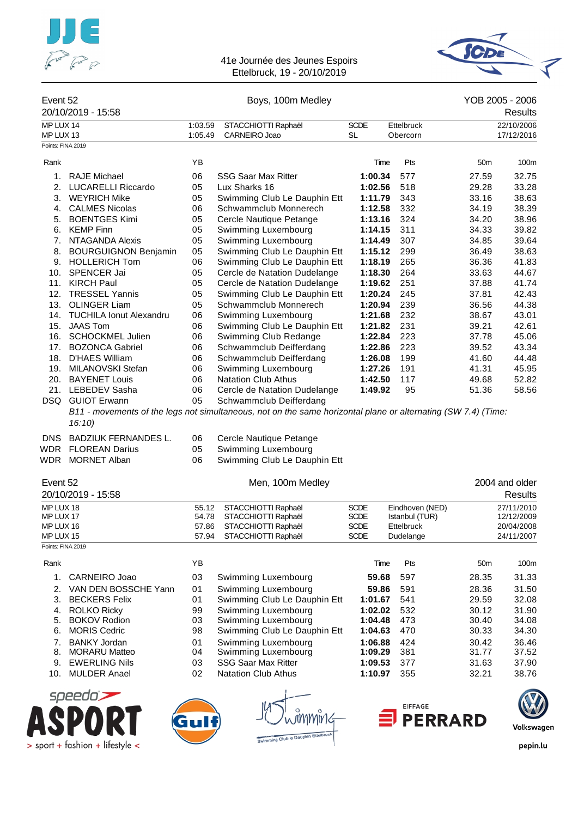![](_page_51_Picture_0.jpeg)

![](_page_51_Picture_2.jpeg)

#### Event 52 Boys, 100m Medley YOB 2005 - 2006 20/10/2019 - 15:58 Results MP LUX 14 1:03.59 STACCHIOTTI Raphaël SCDE Ettelbruck 22/10/2006 MP LUX 13 1:05.49 CARNEIRO Joao SL Obercorn 17/12/2016 Points: FINA 2019 Rank 100m (The Pts 50m 100m of the Past 100m of the Pts 50m 100m 1. RAJE Michael 06 SSG Saar Max Ritter **1:00.34** 577 27.59 32.75 2. LUCARELLI Riccardo 05 Lux Sharks 16 **1:02.56** 518 29.28 33.28 3. WEYRICH Mike 05 Swimming Club Le Dauphin Ett **1:11.79** 343 33.16 38.63 4. CALMES Nicolas 06 Schwammclub Monnerech **1:12.58** 332 34.19 38.39 5. BOENTGES Kimi 05 Cercle Nautique Petange **1:13.16** 324 34.20 38.96 6. KEMP Finn 05 Swimming Luxembourg **1:14.15** 311 34.33 39.82 7. NTAGANDA Alexis **05 Swimming Luxembourg 1:14.49 307** 34.85 39.64<br>8. BOURGUIGNON Beniamin 05 Swimming Club Le Dauphin Ett 1:15.12 299 36.49 38.63 8. BOURGUIGNON Benjamin 05 Swimming Club Le Dauphin Ett 1:15.12 299 36.49 38.63 9. HOLLERICH Tom 06 Swimming Club Le Dauphin Ett **1:18.19** 265 36.36 41.83 10. SPENCER Jai 05 Cercle de Natation Dudelange **1:18.30** 264 33.63 44.67 11. KIRCH Paul 05 Cercle de Natation Dudelange **1:19.62** 251 37.88 41.74 12. TRESSEL Yannis 05 Swimming Club Le Dauphin Ett **1:20.24** 245 37.81 42.43 13. OLINGER Liam 05 Schwammclub Monnerech **1:20.94** 239 36.56 44.38 14. TUCHILA Ionut Alexandru 06 Swimming Luxembourg **1:21.68** 232 38.67 43.01 15. JAAS Tom 06 Swimming Club Le Dauphin Ett **1:21.82** 231 39.21 42.61 16. SCHOCKMEL Julien 06 Swimming Club Redange **1:22.84** 223 37.78 45.06 17. BOZONCA Gabriel 06 Schwammclub Deifferdang **1:22.86** 223 39.52 43.34 06 Schwammclub Deifferdang **1:26.08** 199 19. MILANOVSKI Stefan 06 Swimming Luxembourg **1:27.26** 191 41.31 45.95 20. BAYENET Louis 06 Natation Club Athus **1:42.50** 117 49.68 52.82 21. LEBEDEV Sasha 06 Cercle de Natation Dudelange **1:49.92** 95 51.36 58.56 DSQ GUIOT Erwann 05 Schwammclub Deifferdang *B11 - movements of the legs not simultaneous, not on the same horizontal plane or alternating (SW 7.4) (Time: 16:10)* DNS BADZIUK FERNANDES L. 06 Cercle Nautique Petange WDR FLOREAN Darius 05 Swimming Luxembourg WDR MORNET Alban 06 Swimming Club Le Dauphin Ett Event 52 **Event 52** Men, 100m Medley **2004** and older 20/10/2019 - 15:58 Results MP LUX 18 55.12 STACCHIOTTI Raphaël SCDE Eindhoven (NED) 27/11/2010 MP LUX 17 54.78 STACCHIOTTI Raphaël SCDE Istanbul (TUR) 12/12/2009 STACCHIOTTI Raphaël MP LUX 15 67.94 STACCHIOTTI Raphaël SCDE Dudelange 24/11/2007 Points: FINA 2019 Rank **8** Time Pts 50m 100m 1. CARNEIRO Joao 03 Swimming Luxembourg **59.68** 597 28.35 31.33 2. VAN DEN BOSSCHE Yann 01 Swimming Luxembourg **59.86** 591 28.36 31.50 3. BECKERS Felix 01 Swimming Club Le Dauphin Ett **1:01.67** 541 29.59 32.08 4. ROLKO Ricky 99 Swimming Luxembourg **1:02.02** 532 30.12 31.90 5. BOKOV Rodion 03 Swimming Luxembourg **1:04.48** 473 30.40 34.08 6. MORIS Cedric 98 Swimming Club Le Dauphin Ett **1:04.63** 470 30.33 34.30 7. BANKY Jordan 01 Swimming Luxembourg **1:06.88** 424 30.42 36.46 8. MORARU Matteo 04 Swimming Luxembourg **1:09.29** 381 31.77 37.52 9. EWERLING Nils 03 SSG Saar Max Ritter **1:09.53** 377 31.63 37.90 10. MULDER Anael 02 Natation Club Athus **1:10.97** 355 32.21 38.76

![](_page_51_Picture_4.jpeg)

![](_page_51_Figure_5.jpeg)

![](_page_51_Picture_7.jpeg)

![](_page_51_Picture_8.jpeg)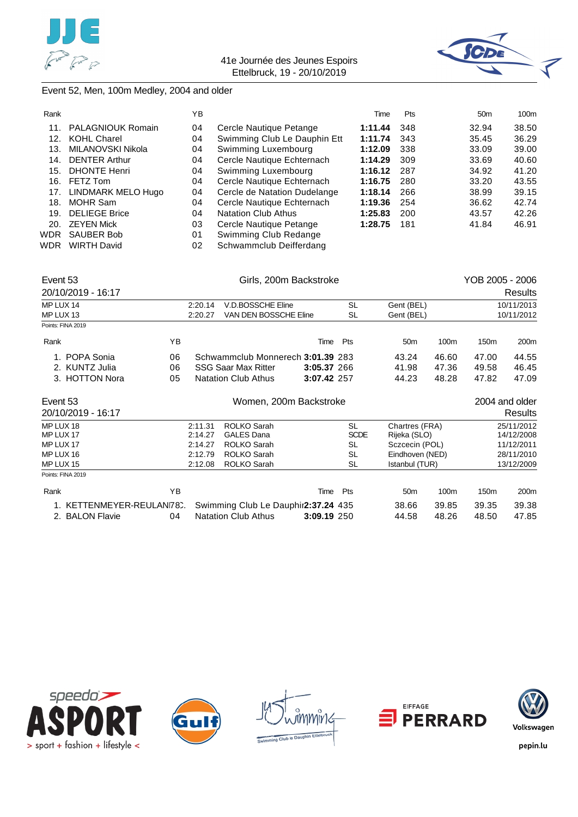![](_page_52_Picture_0.jpeg)

![](_page_52_Picture_2.jpeg)

### Event 52, Men, 100m Medley, 2004 and older

| Rank |                          | YΒ |                              | Time    | Pts | 50 <sub>m</sub> | 100 <sub>m</sub> |
|------|--------------------------|----|------------------------------|---------|-----|-----------------|------------------|
| 11.  | <b>PALAGNIOUK Romain</b> | 04 | Cercle Nautique Petange      | 1:11.44 | 348 | 32.94           | 38.50            |
| 12.  | <b>KOHL Charel</b>       | 04 | Swimming Club Le Dauphin Ett | 1:11.74 | 343 | 35.45           | 36.29            |
| 13.  | MILANOVSKI Nikola        | 04 | Swimming Luxembourg          | 1:12.09 | 338 | 33.09           | 39.00            |
| 14.  | <b>DENTER Arthur</b>     | 04 | Cercle Nautique Echternach   | 1:14.29 | 309 | 33.69           | 40.60            |
| 15.  | <b>DHONTE Henri</b>      | 04 | Swimming Luxembourg          | 1:16.12 | 287 | 34.92           | 41.20            |
| 16.  | FETZ Tom                 | 04 | Cercle Nautique Echternach   | 1:16.75 | 280 | 33.20           | 43.55            |
| 17.  | LINDMARK MELO Hugo       | 04 | Cercle de Natation Dudelange | 1:18.14 | 266 | 38.99           | 39.15            |
| 18.  | MOHR Sam                 | 04 | Cercle Nautique Echternach   | 1:19.36 | 254 | 36.62           | 42.74            |
| 19.  | <b>DELIEGE Brice</b>     | 04 | <b>Natation Club Athus</b>   | 1:25.83 | 200 | 43.57           | 42.26            |
| 20.  | <b>ZEYEN Mick</b>        | 03 | Cercle Nautique Petange      | 1:28.75 | 181 | 41.84           | 46.91            |
| WDR  | SAUBER Bob               | 01 | Swimming Club Redange        |         |     |                 |                  |
| WDR  | <b>WIRTH David</b>       | 02 | Schwammclub Deifferdang      |         |     |                 |                  |
|      |                          |    |                              |         |     |                 |                  |

| Event 53  |                          |    |         | Girls, 200m Backstroke              | YOB 2005 - 2006 |             |                 |       |            |                |
|-----------|--------------------------|----|---------|-------------------------------------|-----------------|-------------|-----------------|-------|------------|----------------|
|           | 20/10/2019 - 16:17       |    |         |                                     |                 |             |                 |       |            | Results        |
| MP LUX 14 |                          |    | 2:20.14 | V.D.BOSSCHE Eline                   |                 | <b>SL</b>   | Gent (BEL)      |       | 10/11/2013 |                |
| MP LUX 13 |                          |    | 2:20.27 | VAN DEN BOSSCHE Eline               |                 | SL          | Gent (BEL)      |       |            | 10/11/2012     |
|           | Points: FINA 2019        |    |         |                                     |                 |             |                 |       |            |                |
| Rank      |                          | YB |         |                                     | Time            | Pts         | 50 <sub>m</sub> | 100m  | 150m       | 200m           |
|           | 1. POPA Sonia            | 06 |         | Schwammclub Monnerech 3:01.39 283   |                 |             | 43.24           | 46.60 | 47.00      | 44.55          |
|           | 2. KUNTZ Julia           | 06 |         | <b>SSG Saar Max Ritter</b>          | 3:05.37 266     |             | 41.98           | 47.36 | 49.58      | 46.45          |
|           | 3. HOTTON Nora           | 05 |         | <b>Natation Club Athus</b>          | 3:07.42 257     |             | 44.23           | 48.28 | 47.82      | 47.09          |
| Event 53  |                          |    |         | Women, 200m Backstroke              |                 |             |                 |       |            | 2004 and older |
|           | 20/10/2019 - 16:17       |    |         |                                     |                 |             |                 |       |            | Results        |
| MP LUX 18 |                          |    | 2:11.31 | ROLKO Sarah                         |                 | SL          | Chartres (FRA)  |       |            | 25/11/2012     |
| MP LUX 17 |                          |    | 2:14.27 | <b>GALES Dana</b>                   |                 | <b>SCDE</b> | Rijeka (SLO)    |       |            | 14/12/2008     |
| MP LUX 17 |                          |    | 2:14.27 | ROLKO Sarah                         |                 | SL          | Sczcecin (POL)  |       |            | 11/12/2011     |
| MP LUX 16 |                          |    | 2:12.79 | ROLKO Sarah                         |                 | <b>SL</b>   | Eindhoven (NED) |       |            | 28/11/2010     |
| MP LUX 15 |                          |    | 2:12.08 | ROLKO Sarah                         |                 | SL          | Istanbul (TUR)  |       |            | 13/12/2009     |
|           | Points: FINA 2019        |    |         |                                     |                 |             |                 |       |            |                |
| Rank      |                          | ΥB |         |                                     | Time            | Pts         | 50 <sub>m</sub> | 100m  | 150m       | 200m           |
|           | 1. KETTENMEYER-REULAN78. |    |         | Swimming Club Le Dauphir2:37.24 435 |                 |             | 38.66           | 39.85 | 39.35      | 39.38          |
|           | 2. BALON Flavie          | 04 |         | <b>Natation Club Athus</b>          | 3:09.19 250     |             | 44.58           | 48.26 | 48.50      | 47.85          |

![](_page_52_Picture_6.jpeg)

![](_page_52_Picture_7.jpeg)

![](_page_52_Picture_8.jpeg)

![](_page_52_Picture_9.jpeg)

![](_page_52_Picture_10.jpeg)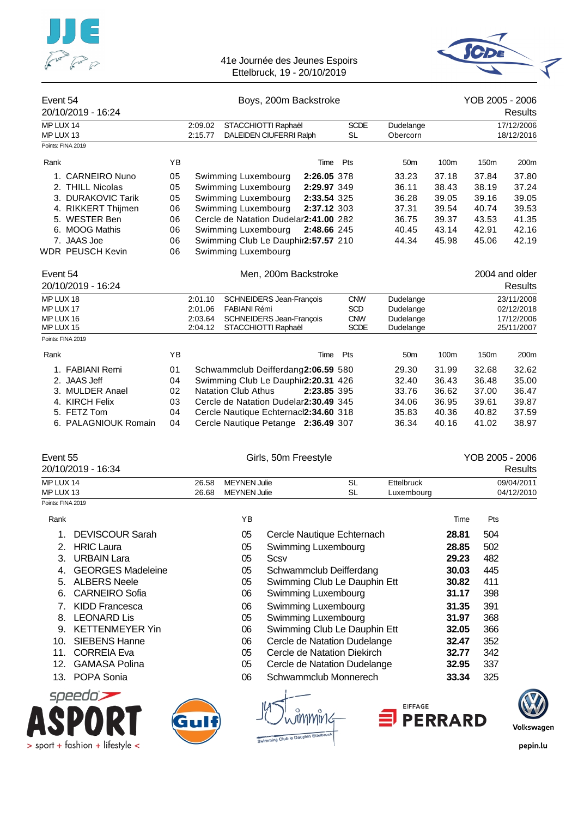![](_page_53_Picture_0.jpeg)

![](_page_53_Picture_2.jpeg)

| Event 54<br>20/10/2019 - 16:24      |          |                    |                                            | Boys, 200m Backstroke                                                        |                          |                          |                | YOB 2005 - 2006 | <b>Results</b>           |
|-------------------------------------|----------|--------------------|--------------------------------------------|------------------------------------------------------------------------------|--------------------------|--------------------------|----------------|-----------------|--------------------------|
| MP LUX 14<br>MP LUX 13              |          | 2:09.02<br>2:15.77 |                                            | STACCHIOTTI Raphaël<br>DALEIDEN CIUFERRI Ralph                               | <b>SCDE</b><br>SL        | Dudelange<br>Obercorn    |                |                 | 17/12/2006<br>18/12/2016 |
| Points: FINA 2019                   |          |                    |                                            |                                                                              |                          |                          |                |                 |                          |
| Rank                                | YB       |                    |                                            |                                                                              | Pts<br>Time              | 50m                      | 100m           | 150m            | 200m                     |
| 1. CARNEIRO Nuno                    | 05       |                    | Swimming Luxembourg                        |                                                                              | 2:26.05 378              | 33.23                    | 37.18          | 37.84           | 37.80                    |
| 2. THILL Nicolas                    | 05       |                    | Swimming Luxembourg                        |                                                                              | 2:29.97 349              | 36.11                    | 38.43          | 38.19           | 37.24                    |
| 3. DURAKOVIC Tarik                  | 05       |                    | Swimming Luxembourg                        |                                                                              | 2:33.54 325              | 36.28                    | 39.05          | 39.16           | 39.05                    |
| 4. RIKKERT Thijmen                  | 06       |                    | Swimming Luxembourg                        |                                                                              | 2:37.12 303              | 37.31                    | 39.54          | 40.74           | 39.53                    |
| 5. WESTER Ben                       | 06       |                    |                                            | Cercle de Natation Dudelar2:41.00 282                                        |                          | 36.75                    | 39.37          | 43.53           | 41.35                    |
| 6. MOOG Mathis<br>7. JAAS Joe       | 06<br>06 |                    | Swimming Luxembourg                        | Swimming Club Le Dauphir2:57.57 210                                          | 2:48.66 245              | 40.45<br>44.34           | 43.14<br>45.98 | 42.91<br>45.06  | 42.16<br>42.19           |
| <b>WDR PEUSCH Kevin</b>             | 06       |                    | Swimming Luxembourg                        |                                                                              |                          |                          |                |                 |                          |
| Event 54                            |          |                    |                                            | Men, 200m Backstroke                                                         |                          |                          |                | 2004 and older  |                          |
| 20/10/2019 - 16:24                  |          |                    |                                            |                                                                              |                          |                          |                |                 | <b>Results</b>           |
| MP LUX 18                           |          | 2:01.10            |                                            | SCHNEIDERS Jean-François                                                     | <b>CNW</b>               | Dudelange                |                |                 | 23/11/2008               |
| MP LUX 17<br>MP LUX 16              |          | 2:01.06<br>2:03.64 | <b>FABIANI Rémi</b>                        | SCHNEIDERS Jean-François                                                     | <b>SCD</b><br><b>CNW</b> | Dudelange<br>Dudelange   |                |                 | 02/12/2018<br>17/12/2006 |
| MP LUX 15                           |          | 2:04.12            |                                            | STACCHIOTTI Raphaël                                                          | <b>SCDE</b>              | Dudelange                |                |                 | 25/11/2007               |
| Points: FINA 2019                   |          |                    |                                            |                                                                              |                          |                          |                |                 |                          |
| Rank                                | YB       |                    |                                            |                                                                              | Pts<br>Time              | 50 <sub>m</sub>          | 100m           | 150m            | 200m                     |
| 1. FABIANI Remi                     | 01       |                    |                                            | Schwammclub Deifferdang2:06.59 580                                           |                          | 29.30                    | 31.99          | 32.68           | 32.62                    |
| 2. JAAS Jeff                        | 04       |                    |                                            | Swimming Club Le Dauphir2:20.31 426                                          |                          | 32.40                    | 36.43          | 36.48           | 35.00                    |
| 3. MULDER Anael                     | 02       |                    | <b>Natation Club Athus</b>                 |                                                                              | 2:23.85 395              | 33.76                    | 36.62          | 37.00           | 36.47                    |
| 4. KIRCH Felix                      | 03       |                    |                                            | Cercle de Natation Dudelar2:30.49 345                                        |                          | 34.06                    | 36.95          | 39.61           | 39.87                    |
| 5. FETZ Tom<br>6. PALAGNIOUK Romain | 04       |                    |                                            | Cercle Nautique Echternacl2:34.60 318<br>Cercle Nautique Petange 2:36.49 307 |                          | 35.83                    | 40.36          | 40.82           | 37.59                    |
| Event 55                            |          |                    |                                            | Girls, 50m Freestyle                                                         |                          |                          |                | YOB 2005 - 2006 |                          |
| 20/10/2019 - 16:34                  |          |                    |                                            |                                                                              |                          |                          |                |                 | <b>Results</b>           |
| MP LUX 14<br>MP LUX 13              |          | 26.58<br>26.68     | <b>MEYNEN Julie</b><br><b>MEYNEN Julie</b> |                                                                              | <b>SL</b><br><b>SL</b>   | Ettelbruck<br>Luxembourg |                |                 | 09/04/2011<br>04/12/2010 |
| Points: FINA 2019                   |          |                    |                                            |                                                                              |                          |                          |                |                 |                          |
| Rank                                |          |                    | YΒ                                         |                                                                              |                          |                          | Time           | Pts             |                          |
| <b>DEVISCOUR Sarah</b><br>1.        |          |                    | 05                                         | Cercle Nautique Echternach                                                   |                          |                          | 28.81          | 504             |                          |
| <b>HRIC Laura</b><br>2.             |          |                    | 05                                         | Swimming Luxembourg                                                          |                          |                          | 28.85          | 502             |                          |
| <b>URBAIN Lara</b><br>3.            |          |                    | 05                                         | <b>Scsv</b>                                                                  |                          |                          | 29.23          | 482             |                          |
| <b>GEORGES Madeleine</b><br>4.      |          |                    | 05                                         | Schwammclub Deifferdang                                                      |                          |                          | 30.03          | 445             |                          |
| <b>ALBERS Neele</b><br>5.           |          |                    | 05                                         | Swimming Club Le Dauphin Ett                                                 |                          |                          | 30.82          | 411             |                          |
| <b>CARNEIRO Sofia</b><br>6.         |          |                    | 06                                         | Swimming Luxembourg                                                          |                          |                          | 31.17          | 398             |                          |
| <b>KIDD Francesca</b><br>7.         |          |                    | 06                                         | Swimming Luxembourg                                                          |                          |                          | 31.35          | 391             |                          |
| <b>LEONARD Lis</b><br>8.            |          |                    | 05                                         | Swimming Luxembourg                                                          |                          |                          | 31.97          | 368             |                          |
| <b>KETTENMEYER Yin</b><br>9.        |          |                    | 06                                         | Swimming Club Le Dauphin Ett                                                 |                          |                          | 32.05          | 366             |                          |
| <b>SIEBENS Hanne</b><br>10.         |          |                    | 06                                         | Cercle de Natation Dudelange                                                 |                          |                          | 32.47          | 352             |                          |
| <b>CORREIA Eva</b><br>11.           |          |                    | 05                                         | Cercle de Natation Diekirch                                                  |                          |                          | 32.77          | 342             |                          |
| <b>GAMASA Polina</b><br>12.         |          |                    | 05                                         | Cercle de Natation Dudelange                                                 |                          |                          | 32.95          | 337             |                          |
| POPA Sonia<br>13.                   |          |                    | 06                                         | Schwammclub Monnerech                                                        |                          |                          | 33.34          | 325             |                          |
| speedo $\blacktriangleright$        |          |                    |                                            |                                                                              |                          | <b>EIFFAGE</b>           |                |                 |                          |
|                                     |          |                    |                                            |                                                                              |                          |                          |                |                 |                          |
|                                     |          | Gulf               |                                            | Swimming Club le Dauphin Ettelbruch                                          |                          |                          | <b>PERRARD</b> |                 | Volkswagen               |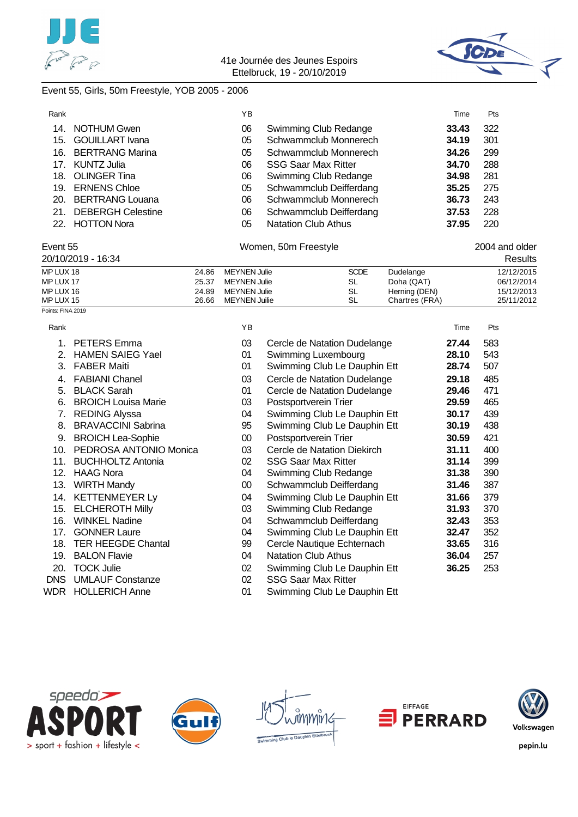![](_page_54_Picture_0.jpeg)

![](_page_54_Picture_2.jpeg)

### Event 55, Girls, 50m Freestyle, YOB 2005 - 2006

| Rank |                          | YΒ |                            | Time  | Pts |
|------|--------------------------|----|----------------------------|-------|-----|
| 14.  | <b>NOTHUM Gwen</b>       | 06 | Swimming Club Redange      | 33.43 | 322 |
|      | 15. GOUILLART Ivana      | 05 | Schwammclub Monnerech      | 34.19 | 301 |
| 16.  | <b>BERTRANG Marina</b>   | 05 | Schwammclub Monnerech      | 34.26 | 299 |
| 17.  | KUNTZ Julia              | 06 | <b>SSG Saar Max Ritter</b> | 34.70 | 288 |
|      | 18. OLINGER Tina         | 06 | Swimming Club Redange      | 34.98 | 281 |
| 19.  | <b>ERNENS Chloe</b>      | 05 | Schwammclub Deifferdang    | 35.25 | 275 |
|      | 20. BERTRANG Louana      | 06 | Schwammclub Monnerech      | 36.73 | 243 |
| 21.  | <b>DEBERGH Celestine</b> | 06 | Schwammclub Deifferdang    | 37.53 | 228 |
|      | 22. HOTTON Nora          | 05 | <b>Natation Club Athus</b> | 37.95 | 220 |

#### Event 55 **Event 55** 2004 and older

| 20/10/2019 - 16:34 |       |                     |             |                | <b>Results</b> |
|--------------------|-------|---------------------|-------------|----------------|----------------|
| MP LUX 18          | 24.86 | <b>MEYNEN Julie</b> | <b>SCDE</b> | Dudelange      | 12/12/2015     |
| MP LUX 17          | 25.37 | MEYNEN Julie        | SL          | Doha (QAT)     | 06/12/2014     |
| MP LUX 16          | 24.89 | MEYNEN Julie        | SL          | Herning (DEN)  | 15/12/2013     |
| MP LUX 15          | 26.66 | MEYNEN Juilie       | SL          | Chartres (FRA) | 25/11/2012     |
| Points: FINA 2019  |       |                     |             |                |                |

|  | .<br>w |  |
|--|--------|--|

| Rank       |                            | ΥB     |                              | Time  | Pts |
|------------|----------------------------|--------|------------------------------|-------|-----|
|            | <b>PETERS</b> Emma         | 03     | Cercle de Natation Dudelange | 27.44 | 583 |
| 2.         | <b>HAMEN SAIEG Yael</b>    | 01     | Swimming Luxembourg          | 28.10 | 543 |
| 3.         | <b>FABER Maiti</b>         | 01     | Swimming Club Le Dauphin Ett | 28.74 | 507 |
| 4.         | <b>FABIANI Chanel</b>      | 03     | Cercle de Natation Dudelange | 29.18 | 485 |
| 5.         | <b>BLACK Sarah</b>         | 01     | Cercle de Natation Dudelange | 29.46 | 471 |
| 6.         | <b>BROICH Louisa Marie</b> | 03     | Postsportverein Trier        | 29.59 | 465 |
| 7.         | <b>REDING Alyssa</b>       | 04     | Swimming Club Le Dauphin Ett | 30.17 | 439 |
| 8.         | <b>BRAVACCINI Sabrina</b>  | 95     | Swimming Club Le Dauphin Ett | 30.19 | 438 |
| 9.         | <b>BROICH Lea-Sophie</b>   | $00\,$ | Postsportverein Trier        | 30.59 | 421 |
| 10.        | PEDROSA ANTONIO Monica     | 03     | Cercle de Natation Diekirch  | 31.11 | 400 |
| 11.        | <b>BUCHHOLTZ Antonia</b>   | 02     | <b>SSG Saar Max Ritter</b>   | 31.14 | 399 |
| 12.        | <b>HAAG Nora</b>           | 04     | Swimming Club Redange        | 31.38 | 390 |
| 13.        | <b>WIRTH Mandy</b>         | $00\,$ | Schwammclub Deifferdang      | 31.46 | 387 |
| 14.        | <b>KETTENMEYER Ly</b>      | 04     | Swimming Club Le Dauphin Ett | 31.66 | 379 |
| 15.        | <b>ELCHEROTH Milly</b>     | 03     | Swimming Club Redange        | 31.93 | 370 |
| 16.        | <b>WINKEL Nadine</b>       | 04     | Schwammclub Deifferdang      | 32.43 | 353 |
| 17.        | <b>GONNER Laure</b>        | 04     | Swimming Club Le Dauphin Ett | 32.47 | 352 |
| 18.        | <b>TER HEEGDE Chantal</b>  | 99     | Cercle Nautique Echternach   | 33.65 | 316 |
| 19.        | <b>BALON Flavie</b>        | 04     | <b>Natation Club Athus</b>   | 36.04 | 257 |
| 20.        | <b>TOCK Julie</b>          | 02     | Swimming Club Le Dauphin Ett | 36.25 | 253 |
| <b>DNS</b> | <b>UMLAUF Constanze</b>    | 02     | <b>SSG Saar Max Ritter</b>   |       |     |
| WDR        | <b>HOLLERICH Anne</b>      | 01     | Swimming Club Le Dauphin Ett |       |     |

![](_page_54_Picture_10.jpeg)

![](_page_54_Picture_11.jpeg)

![](_page_54_Picture_12.jpeg)

![](_page_54_Picture_13.jpeg)

![](_page_54_Picture_14.jpeg)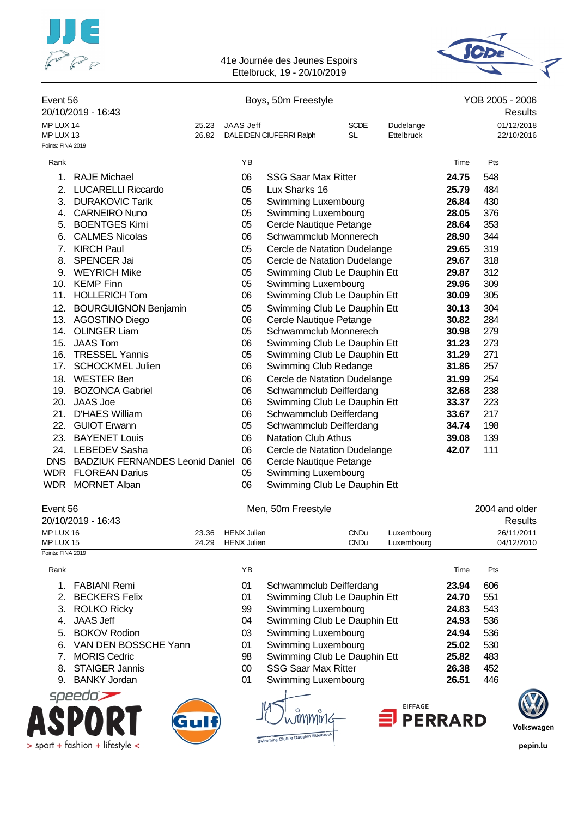![](_page_55_Picture_0.jpeg)

> sport + fashion + lifestyle <

#### 41e Journée des Jeunes Espoirs Ettelbruck, 19 - 20/10/2019

![](_page_55_Picture_2.jpeg)

| Event 56          |                                        |       |                  | Boys, 50m Freestyle          |             |            |       | YOB 2005 - 2006 |
|-------------------|----------------------------------------|-------|------------------|------------------------------|-------------|------------|-------|-----------------|
|                   | 20/10/2019 - 16:43                     |       |                  |                              |             |            |       | Results         |
| MP LUX 14         |                                        | 25.23 | <b>JAAS Jeff</b> |                              | <b>SCDE</b> | Dudelange  |       | 01/12/2018      |
| MP LUX 13         |                                        | 26.82 |                  | DALEIDEN CIUFERRI Ralph      | <b>SL</b>   | Ettelbruck |       | 22/10/2016      |
| Points: FINA 2019 |                                        |       |                  |                              |             |            |       |                 |
| Rank              |                                        |       | YB               |                              |             |            | Time  | Pts             |
| 1.                | <b>RAJE Michael</b>                    |       | 06               | <b>SSG Saar Max Ritter</b>   |             |            | 24.75 | 548             |
| 2.                | <b>LUCARELLI Riccardo</b>              |       | 05               | Lux Sharks 16                |             |            | 25.79 | 484             |
| 3.                | <b>DURAKOVIC Tarik</b>                 |       | 05               | Swimming Luxembourg          |             |            | 26.84 | 430             |
| 4.                | <b>CARNEIRO Nuno</b>                   |       | 05               | Swimming Luxembourg          |             |            | 28.05 | 376             |
| 5.                | <b>BOENTGES Kimi</b>                   |       | 05               | Cercle Nautique Petange      |             |            | 28.64 | 353             |
| 6.                | <b>CALMES Nicolas</b>                  |       | 06               | Schwammclub Monnerech        |             |            | 28.90 | 344             |
| $7_{\cdot}$       | <b>KIRCH Paul</b>                      |       | 05               | Cercle de Natation Dudelange |             |            | 29.65 | 319             |
| 8.                | <b>SPENCER Jai</b>                     |       | 05               | Cercle de Natation Dudelange |             |            | 29.67 | 318             |
| 9.                | <b>WEYRICH Mike</b>                    |       | 05               | Swimming Club Le Dauphin Ett |             |            | 29.87 | 312             |
|                   | 10. KEMP Finn                          |       | 05               | Swimming Luxembourg          |             |            | 29.96 | 309             |
|                   | 11. HOLLERICH Tom                      |       | 06               | Swimming Club Le Dauphin Ett |             |            | 30.09 | 305             |
|                   | 12. BOURGUIGNON Benjamin               |       | 05               | Swimming Club Le Dauphin Ett |             |            | 30.13 | 304             |
|                   | 13. AGOSTINO Diego                     |       | 06               | Cercle Nautique Petange      |             |            | 30.82 | 284             |
| 14.               | <b>OLINGER Liam</b>                    |       | 05               | Schwammclub Monnerech        |             |            | 30.98 | 279             |
|                   | 15. JAAS Tom                           |       | 06               | Swimming Club Le Dauphin Ett |             |            | 31.23 | 273             |
| 16.               | <b>TRESSEL Yannis</b>                  |       | 05               | Swimming Club Le Dauphin Ett |             |            | 31.29 | 271             |
| 17.               | <b>SCHOCKMEL Julien</b>                |       | 06               | Swimming Club Redange        |             |            | 31.86 | 257             |
|                   | 18. WESTER Ben                         |       | 06               | Cercle de Natation Dudelange |             |            | 31.99 | 254             |
|                   | 19. BOZONCA Gabriel                    |       | 06               | Schwammclub Deifferdang      |             |            | 32.68 | 238             |
|                   | 20. JAAS Joe                           |       | 06               | Swimming Club Le Dauphin Ett |             |            | 33.37 | 223             |
| 21.               | <b>D'HAES William</b>                  |       | 06               | Schwammclub Deifferdang      |             |            | 33.67 | 217             |
| 22.               | <b>GUIOT Erwann</b>                    |       | 05               | Schwammclub Deifferdang      |             |            | 34.74 | 198             |
|                   | 23. BAYENET Louis                      |       | 06               | <b>Natation Club Athus</b>   |             |            | 39.08 | 139             |
|                   | 24. LEBEDEV Sasha                      |       | 06               | Cercle de Natation Dudelange |             |            | 42.07 | 111             |
| <b>DNS</b>        | <b>BADZIUK FERNANDES Leonid Daniel</b> |       | 06               | Cercle Nautique Petange      |             |            |       |                 |
| WDR               | <b>FLOREAN Darius</b>                  |       | 05               | Swimming Luxembourg          |             |            |       |                 |
| WDR               | <b>MORNET Alban</b>                    |       | 06               | Swimming Club Le Dauphin Ett |             |            |       |                 |

| Event 56<br>20/10/2019 - 16:43 |       | Men, 50m Freestyle |             |            |            |  |
|--------------------------------|-------|--------------------|-------------|------------|------------|--|
| MP LUX 16                      | 23.36 | <b>HENX Julien</b> | <b>CNDu</b> | Luxembourg | 26/11/2011 |  |
| MP LUX 15                      | 24.29 | <b>HENX Julien</b> | <b>CNDu</b> | Luxembourg | 04/12/2010 |  |
| Points: FINA 2019              |       |                    |             |            |            |  |

| Rank  |                       | YB     |                              | Time           | Pts |        |
|-------|-----------------------|--------|------------------------------|----------------|-----|--------|
|       | <b>FABIANI Remi</b>   | 01     | Schwammclub Deifferdang      | 23.94          | 606 |        |
| $2 -$ | <b>BECKERS Felix</b>  | 01     | Swimming Club Le Dauphin Ett | 24.70          | 551 |        |
| 3.    | <b>ROLKO Ricky</b>    | 99     | Swimming Luxembourg          | 24.83          | 543 |        |
| 4.    | <b>JAAS Jeff</b>      | 04     | Swimming Club Le Dauphin Ett | 24.93          | 536 |        |
| 5.    | <b>BOKOV Rodion</b>   | 03     | Swimming Luxembourg          | 24.94          | 536 |        |
| 6.    | VAN DEN BOSSCHE Yann  | 01     | Swimming Luxembourg          | 25.02          | 530 |        |
|       | <b>MORIS Cedric</b>   | 98     | Swimming Club Le Dauphin Ett | 25.82          | 483 |        |
| 8.    | <b>STAIGER Jannis</b> | $00\,$ | <b>SSG Saar Max Ritter</b>   | 26.38          | 452 |        |
| 9.    | <b>BANKY Jordan</b>   | 01     | Swimming Luxembourg          | 26.51          | 446 |        |
|       | speedo`               |        |                              |                |     |        |
|       |                       |        | <b>EIFFAGE</b>               | <b>PERRARD</b> |     | Volken |

Swimming Club le Dauphin Ettelb

![](_page_55_Picture_6.jpeg)